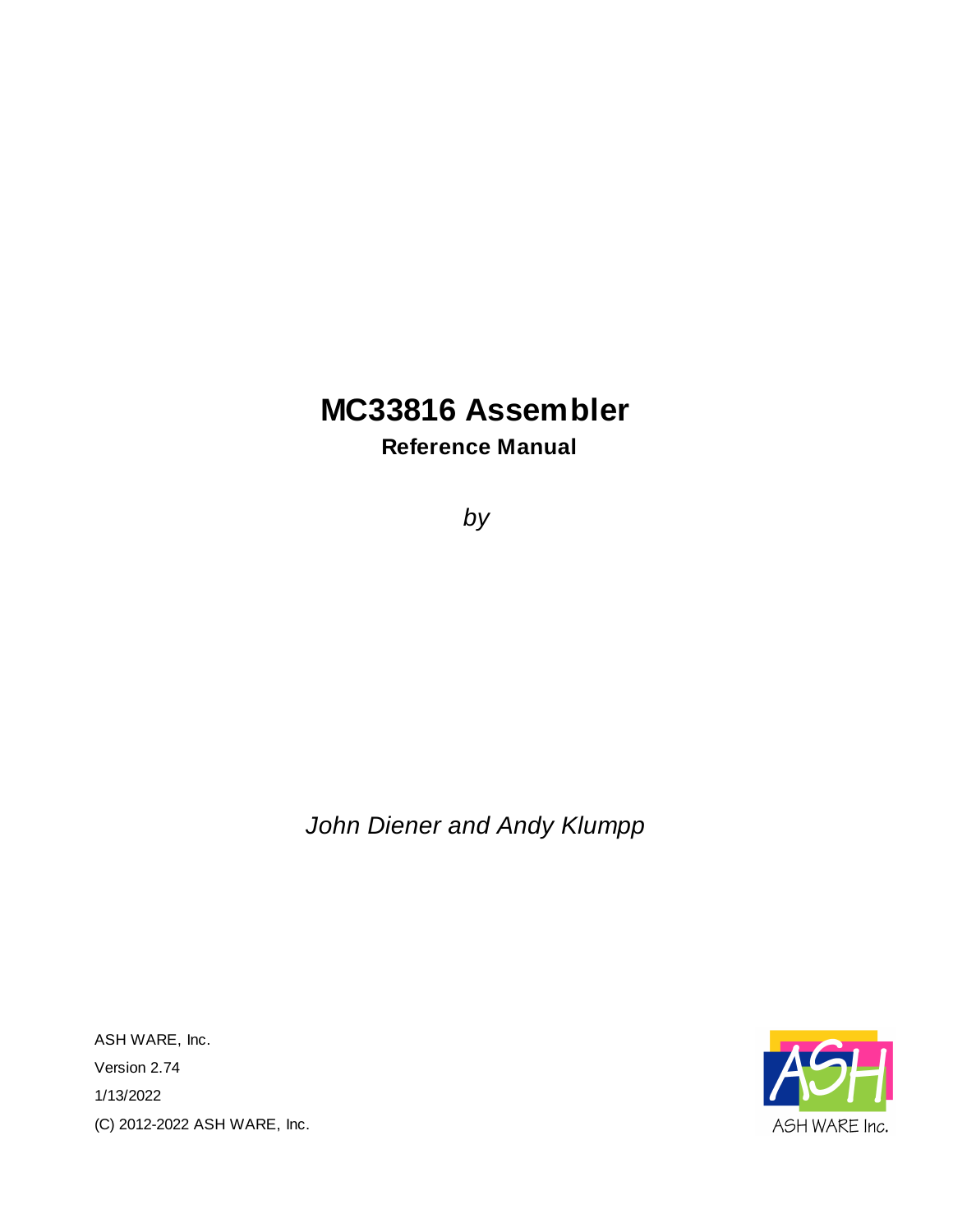### **MC33816 Assembler**

**Reference Manual**

*by*

*John Diener and Andy Klumpp*

ASH WARE, Inc. Version 2.74 1/13/2022 (C) 2012-2022 ASH WARE, Inc.

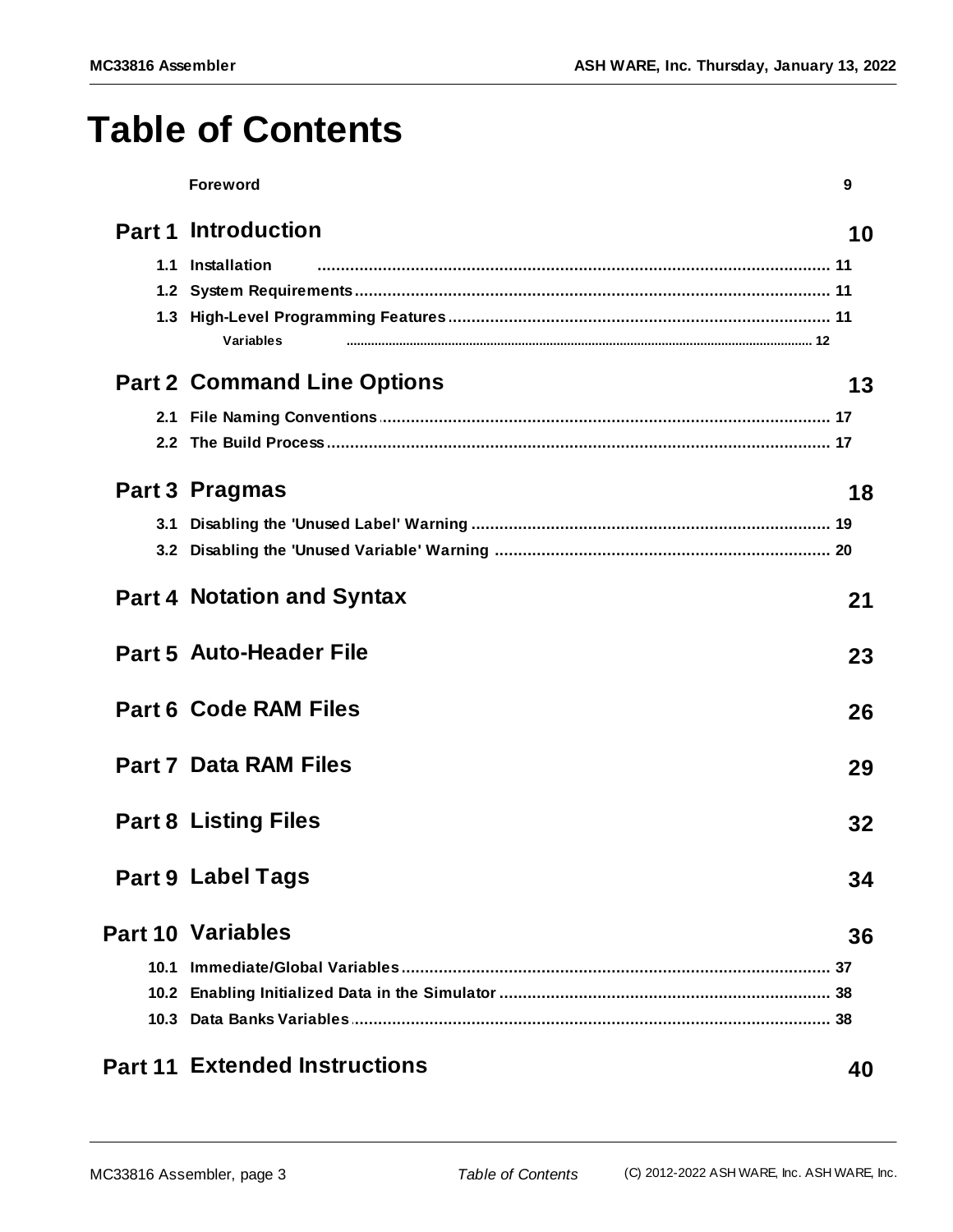# **Table of Contents**

|      | <b>Foreword</b>                      | 9  |
|------|--------------------------------------|----|
|      | <b>Part 1 Introduction</b>           | 10 |
|      | 1.1 Installation                     |    |
|      |                                      |    |
|      |                                      |    |
|      | Variables                            |    |
|      | <b>Part 2 Command Line Options</b>   | 13 |
| 2.1  |                                      |    |
|      |                                      |    |
|      | <b>Part 3 Pragmas</b>                | 18 |
| 3.1  |                                      |    |
|      |                                      |    |
|      | <b>Part 4 Notation and Syntax</b>    | 21 |
|      | <b>Part 5 Auto-Header File</b>       | 23 |
|      | <b>Part 6 Code RAM Files</b>         | 26 |
|      | <b>Part 7 Data RAM Files</b>         | 29 |
|      | <b>Part 8 Listing Files</b>          | 32 |
|      | <b>Part 9 Label Tags</b>             | 34 |
|      | <b>Part 10 Variables</b>             | 36 |
| 10.1 |                                      |    |
|      |                                      |    |
|      |                                      |    |
|      | <b>Part 11 Extended Instructions</b> | 40 |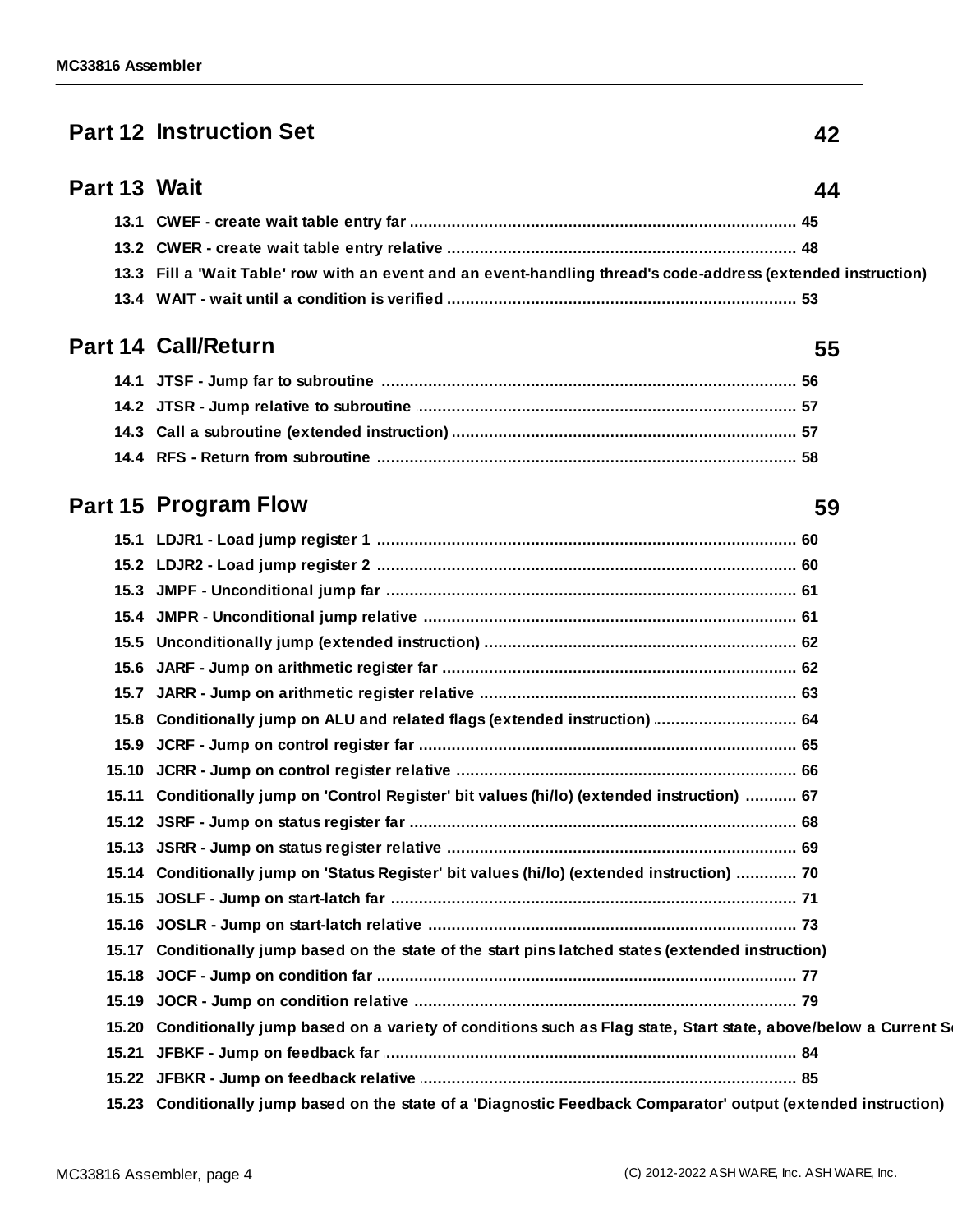#### **Part 12 [Instruction](#page-41-0) Set 42**

#### **Part 13 [Wait](#page-43-0) 44**

| 13.3 Fill a 'Wait Table' row with an event and an event-handling thread's code-address (extended instruction) |
|---------------------------------------------------------------------------------------------------------------|
|                                                                                                               |

#### **Part 14 [Call/Return](#page-54-0) 55**

#### **Part 15 [Program](#page-58-0) Flow 59**

| 15.8 Conditionally jump on ALU and related flags (extended instruction)  64                                        |  |
|--------------------------------------------------------------------------------------------------------------------|--|
|                                                                                                                    |  |
|                                                                                                                    |  |
| 15.11 Conditionally jump on 'Control Register' bit values (hi/lo) (extended instruction)  67                       |  |
|                                                                                                                    |  |
|                                                                                                                    |  |
| 15.14 Conditionally jump on 'Status Register' bit values (hi/lo) (extended instruction)  70                        |  |
|                                                                                                                    |  |
|                                                                                                                    |  |
| 15.17 Conditionally jump based on the state of the start pins latched states (extended instruction)                |  |
|                                                                                                                    |  |
|                                                                                                                    |  |
| 15.20 Conditionally jump based on a variety of conditions such as Flag state, Start state, above/below a Current S |  |
|                                                                                                                    |  |
|                                                                                                                    |  |
| 15.23 Conditionally jump based on the state of a 'Diagnostic Feedback Comparator' output (extended instruction)    |  |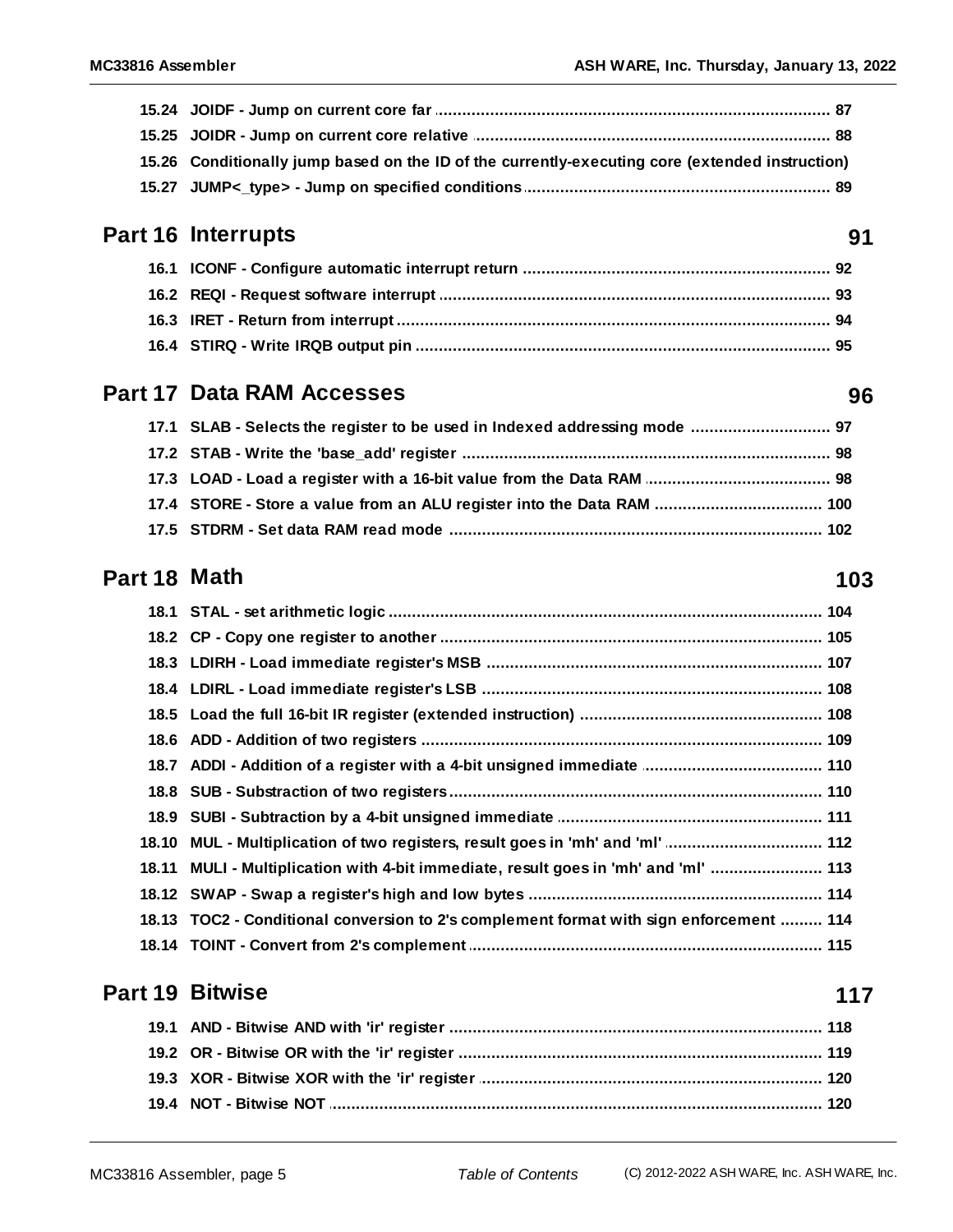| 15.26 Conditionally jump based on the ID of the currently-executing core (extended instruction) |
|-------------------------------------------------------------------------------------------------|
|                                                                                                 |

#### Part 16 Interrupts

#### **Part 17 Data RAM Accesses**

| 17.1 SLAB - Selects the register to be used in Indexed addressing mode  97 |  |
|----------------------------------------------------------------------------|--|
|                                                                            |  |
|                                                                            |  |
| 17.4 STORE - Store a value from an ALU register into the Data RAM  100     |  |
|                                                                            |  |

#### Part 18 Math

| 18.10 MUL - Multiplication of two registers, result goes in 'mh' and 'ml'  112          |
|-----------------------------------------------------------------------------------------|
| 18.11 MULI - Multiplication with 4-bit immediate, result goes in 'mh' and 'ml'  113     |
|                                                                                         |
| 18.13 TOC2 - Conditional conversion to 2's complement format with sign enforcement  114 |
|                                                                                         |

#### **Part 19 Bitwise**

#### 117

### 96

91

#### 103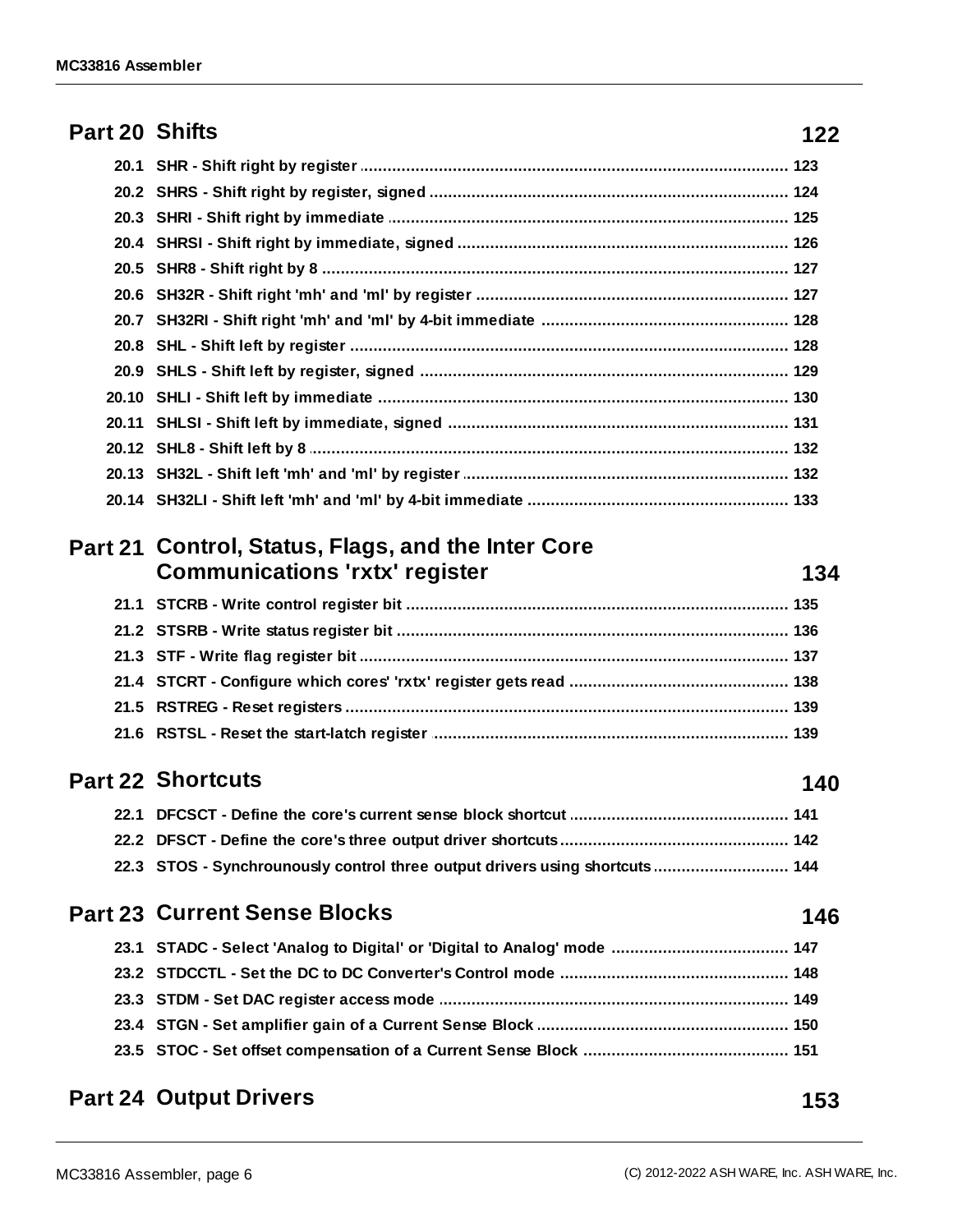#### Part 20 Shifts

| 20.11 SHLSI - Shift left by immediate, signed ……………………………………………………………… 131          |
|-------------------------------------------------------------------------------------|
|                                                                                     |
| 20.13 SH32L - Shift left 'mh' and 'ml' by register ……………………………………………………………… 132     |
| 20.14 SH32LI - Shift left 'mh' and 'ml' by 4-bit immediate …………………………………………………… 133 |

#### Part 21 Control, Status, Flags, and the Inter Core **Communications 'rxtx' register**

#### **Part 22 Shortcuts**

| 22.3 STOS - Synchrounously control three output drivers using shortcuts 144 |  |
|-----------------------------------------------------------------------------|--|

#### **Part 23 Current Sense Blocks**

#### **Part 24 Output Drivers**

#### $122$

134

140

146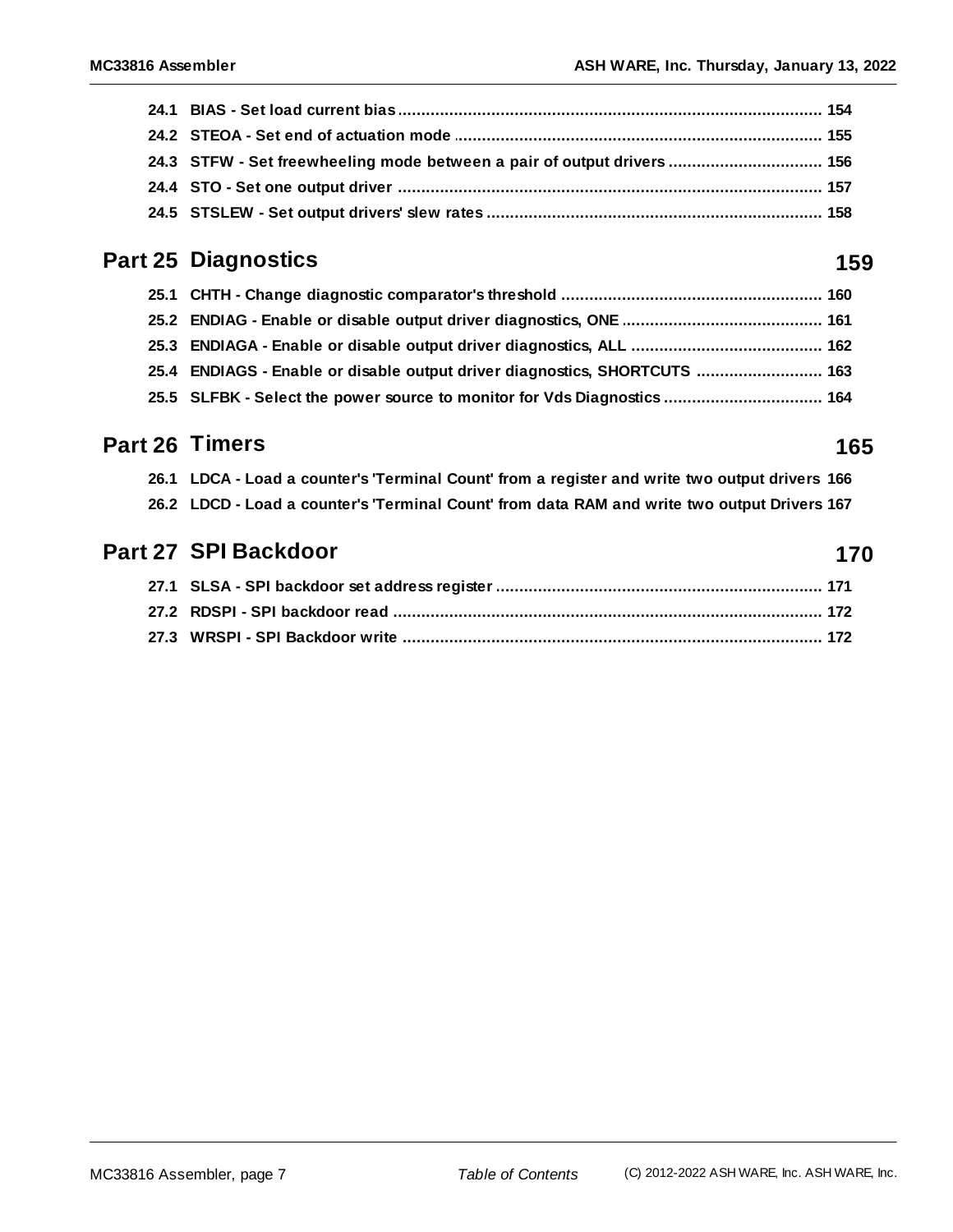| 24.3 STFW - Set freewheeling mode between a pair of output drivers  156 |  |
|-------------------------------------------------------------------------|--|
|                                                                         |  |
|                                                                         |  |

#### **Part 25 [Diagnostics](#page-158-0) 159**

| 25.4 ENDIAGS - Enable or disable output driver diagnostics, SHORTCUTS  163 |  |
|----------------------------------------------------------------------------|--|
| 25.5 SLFBK - Select the power source to monitor for Vds Diagnostics  164   |  |

#### **Part 26 [Timers](#page-164-0) 165**

| 26.1 LDCA - Load a counter's 'Terminal Count' from a register and write two output drivers 166 |  |
|------------------------------------------------------------------------------------------------|--|
| 26.2 LDCD - Load a counter's 'Terminal Count' from data RAM and write two output Drivers 167   |  |

#### **Part 27 SPI [Backdoor](#page-169-0) 170**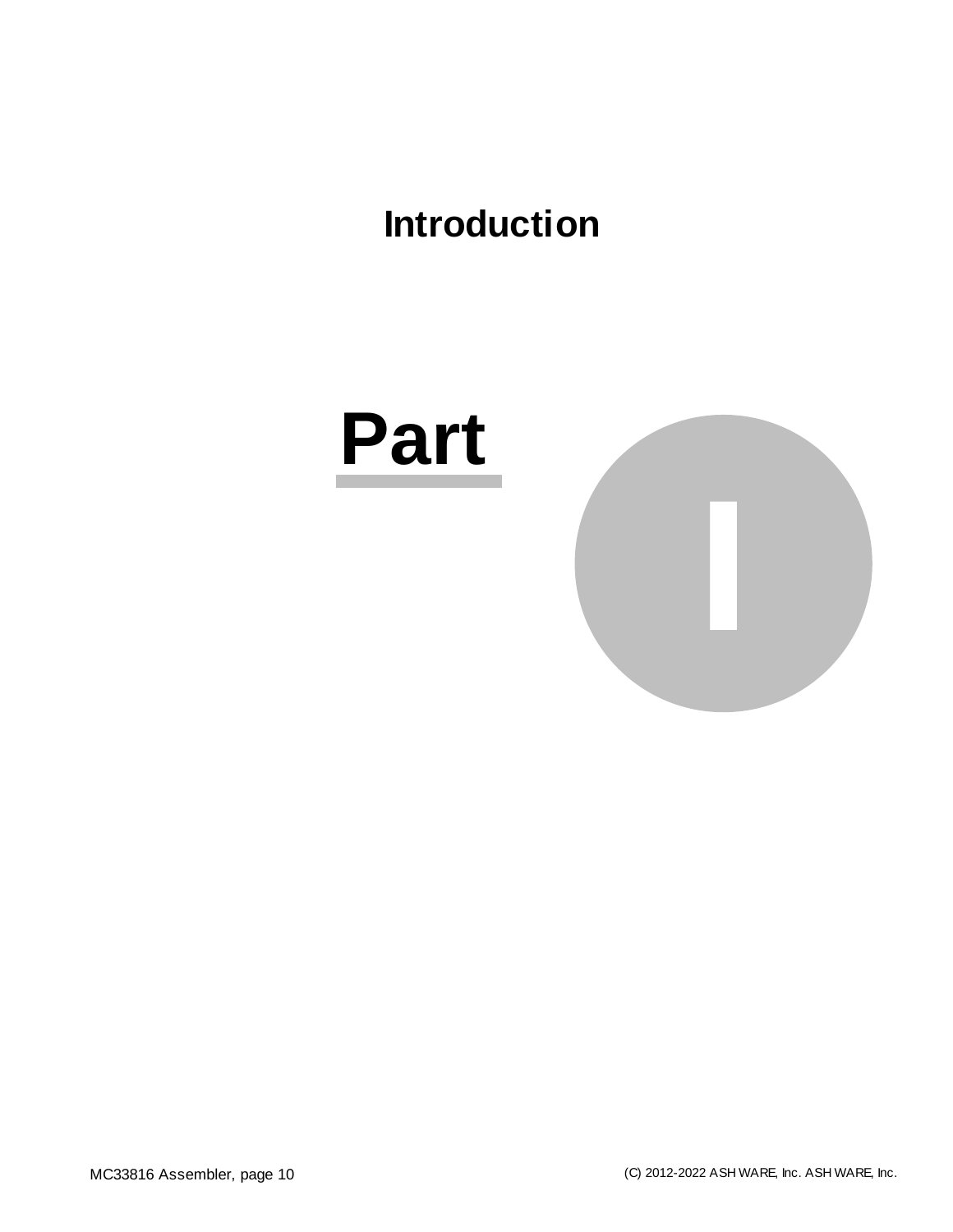## <span id="page-9-0"></span>**Introduction**

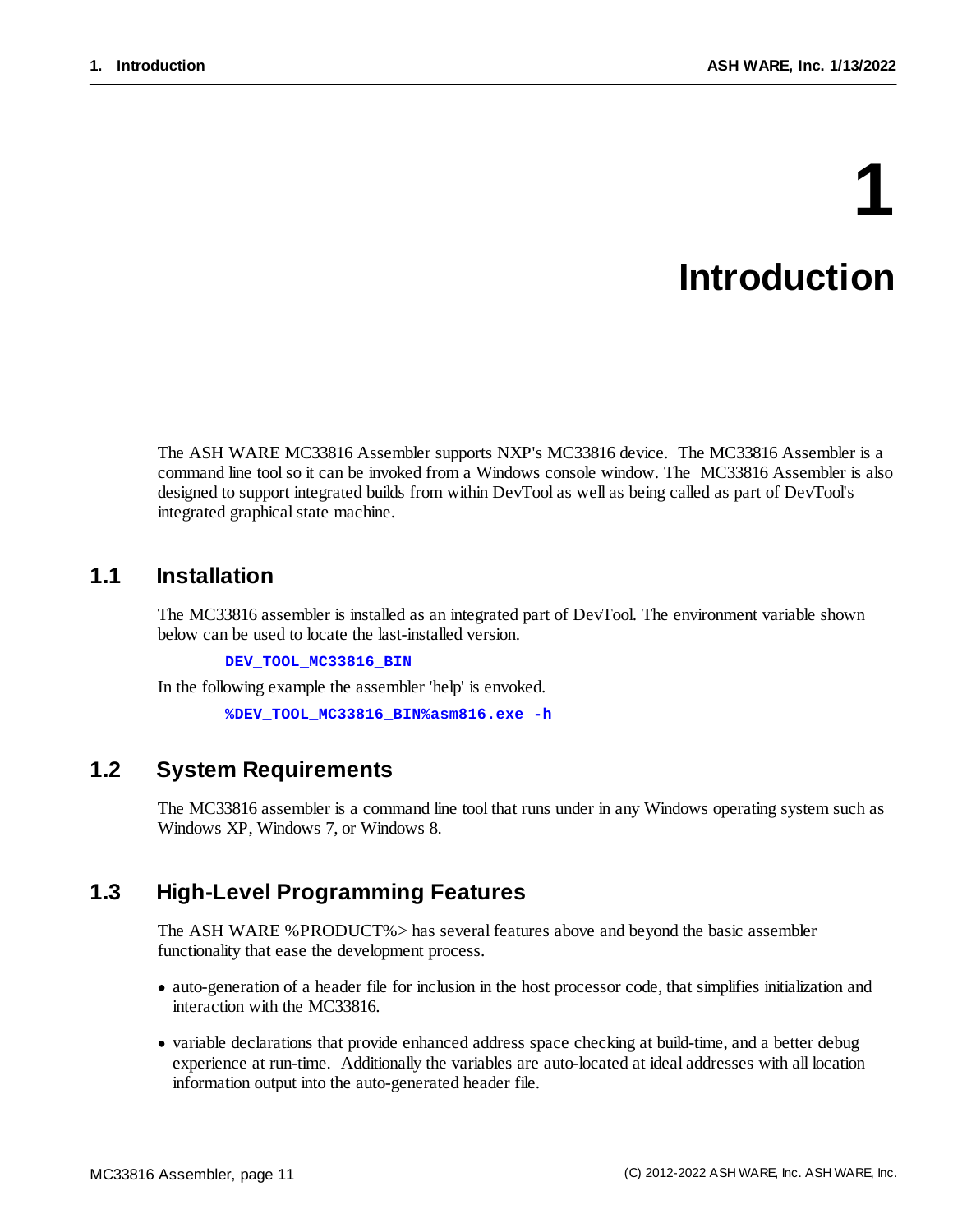# **1 Introduction**

The ASH WARE MC33816 Assembler supports NXP's MC33816 device. The MC33816 Assembler is a command line toolso it can be invoked from a Windows console window. The MC33816 Assembler is also designed to support integrated builds from within DevTool as well as being called as part of DevTool's integrated graphical state machine.

#### <span id="page-10-0"></span>**1.1 Installation**

The MC33816 assembler is installed as an integrated part of DevTool. The environment variable shown below can be used to locate the last-installed version.

**DEV\_TOOL\_MC33816\_BIN**

In the following example the assembler 'help' is envoked.

**%DEV\_TOOL\_MC33816\_BIN%asm816.exe -h**

#### <span id="page-10-1"></span>**1.2 System Requirements**

The MC33816 assembler is a command line tool that runs under in any Windows operating system such as Windows XP, Windows 7, or Windows 8.

#### <span id="page-10-2"></span>**1.3 High-Level Programming Features**

The ASH WARE %PRODUCT%> has several features above and beyond the basic assembler functionality that ease the development process.

- · auto-generation of a header file for inclusion in the host processor code, that simplifies initialization and interaction with the MC33816.
- · variable declarations that provide enhanced address space checking at build-time, and a better debug experience at run-time. Additionally the variables are auto-located at ideal addresses with all location information output into the auto-generated header file.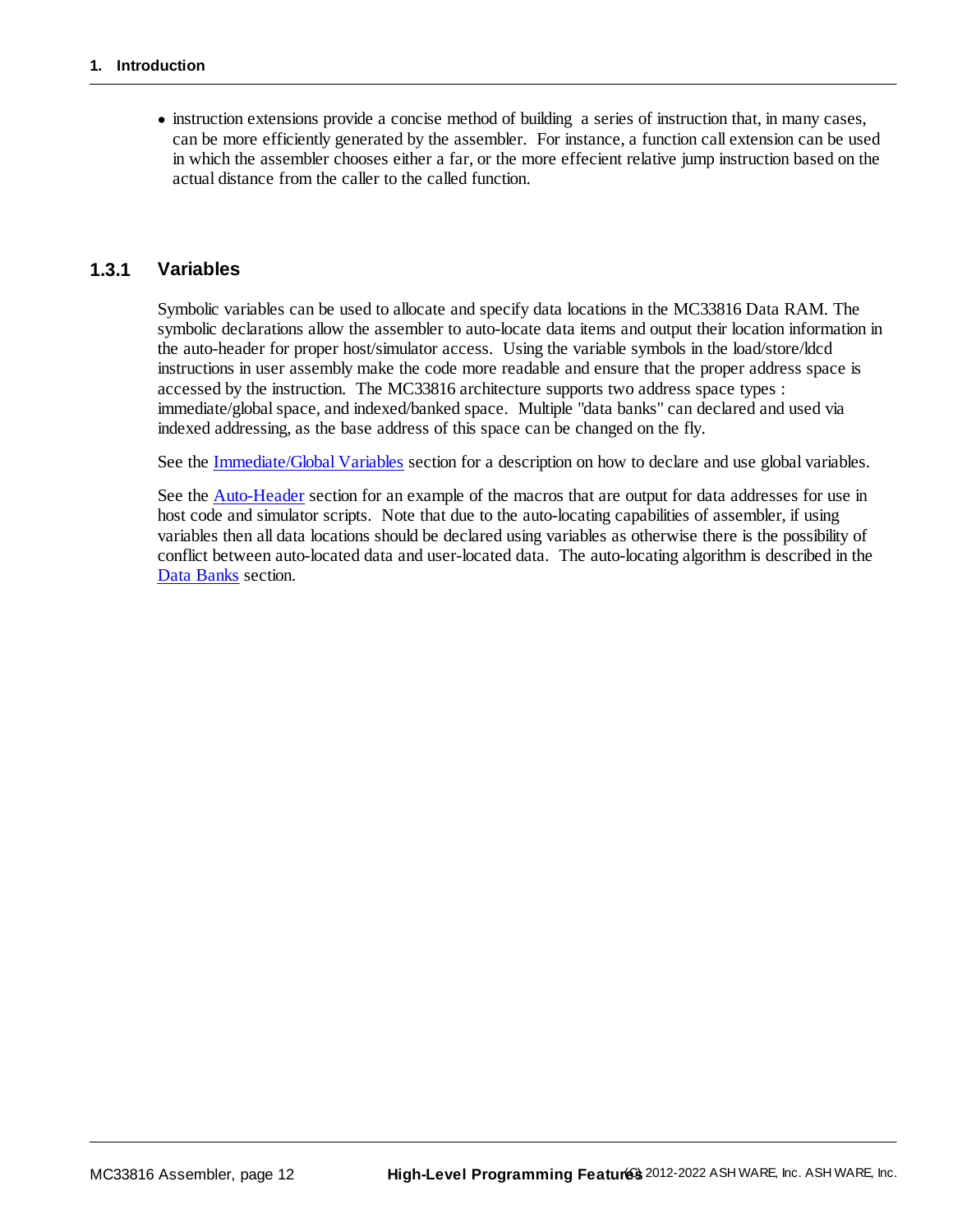· instruction extensions provide a concise method of building a series of instruction that, in many cases, can be more efficiently generated by the assembler. For instance, a function call extension can be used in which the assembler chooses either a far, or the more effecient relative jump instruction based on the actual distance from the caller to the called function.

#### <span id="page-11-0"></span>**1.3.1 Variables**

Symbolic variables can be used to allocate and specify data locations in the MC33816 Data RAM. The symbolic declarations allow the assembler to auto-locate data items and output their location information in the auto-header for proper host/simulator access. Using the variable symbols in the load/store/ldcd instructions in user assembly make the code more readable and ensure that the proper address space is accessed by the instruction. The MC33816 architecture supports two address space types : immediate/global space, and indexed/banked space. Multiple "data banks" can declared and used via indexed addressing, as the base address of this space can be changed on the fly.

See the **[Immediate/Global](#page-36-0) Variables** section for a description on how to declare and use global variables.

See the [Auto-Header](#page-23-0) section for an example of the macros that are output for data addresses for use in host code and simulator scripts. Note that due to the auto-locating capabilities of assembler, if using variables then all data locations should be declared using variables as otherwise there is the possibility of conflict between auto-located data and user-located data. The auto-locating algorithm is described in the Data [Banks](#page-37-1) section.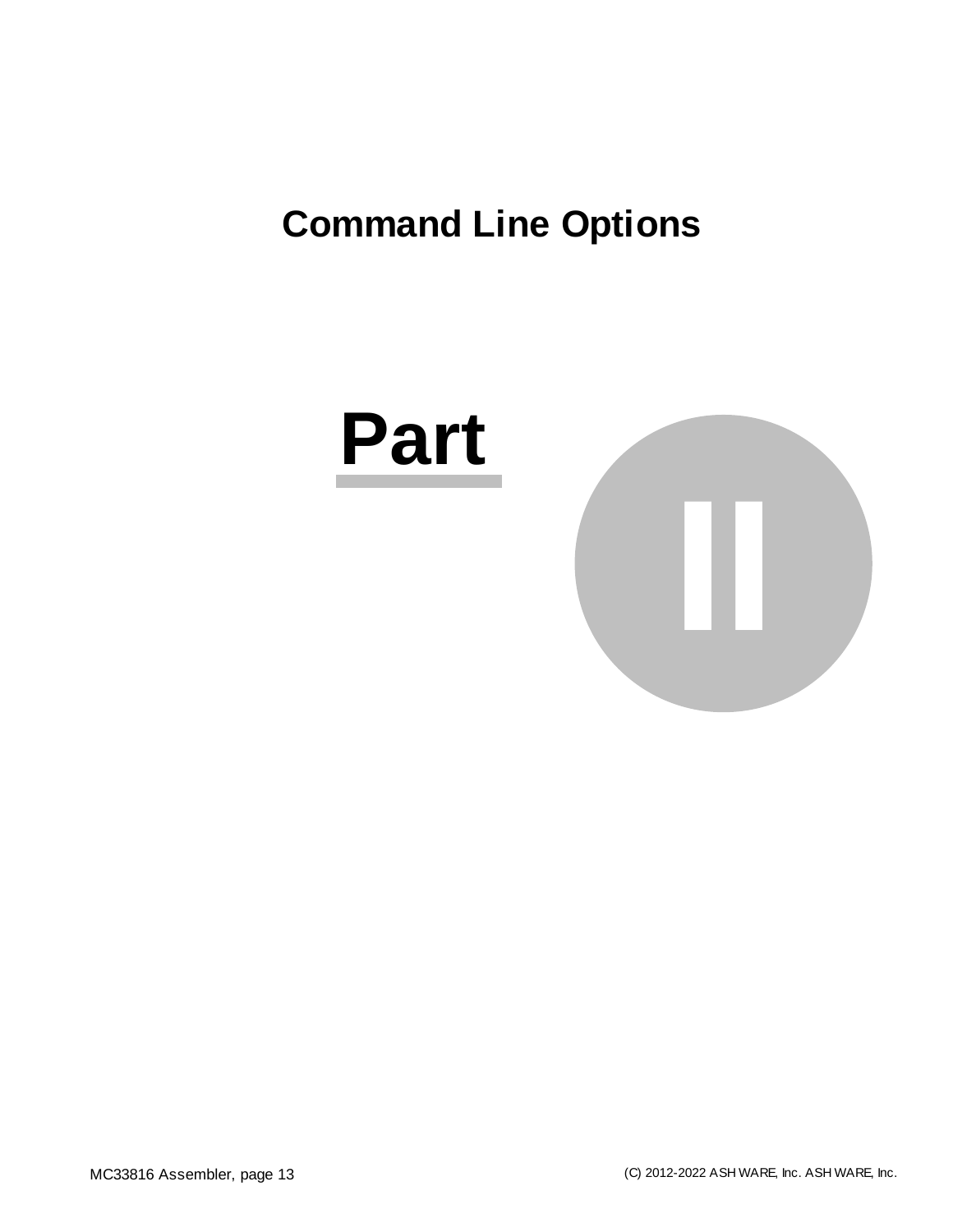# <span id="page-12-0"></span>**Command Line Options**

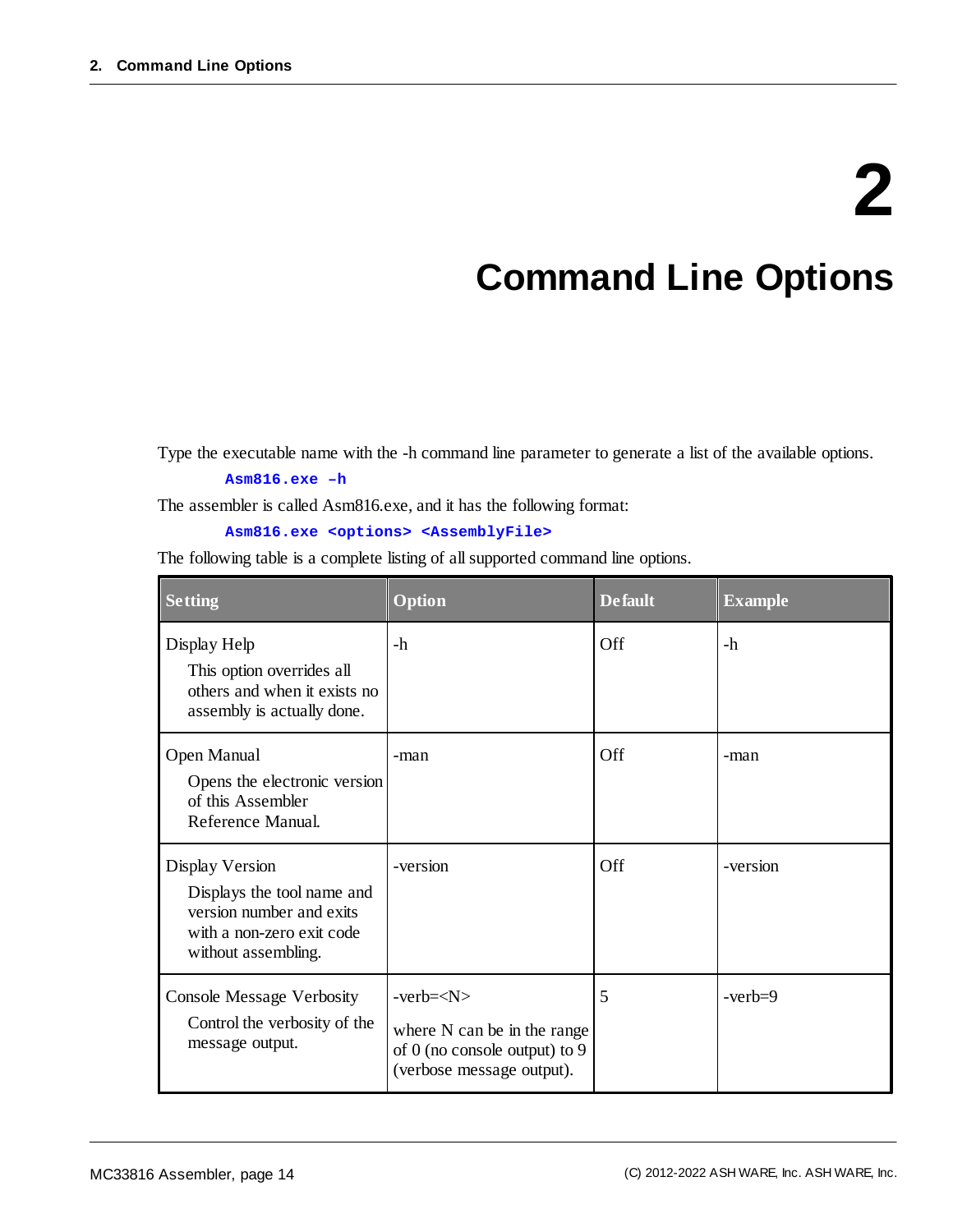# **2**

### **Command Line Options**

Type the executable name with the -h command line parameter to generate a list of the available options.

#### **Asm816.exe –h**

The assembler is called Asm816.exe, and it has the following format:

#### **Asm816.exe <options> <AssemblyFile>**

The following table is a complete listing of allsupported command line options.

| <b>Setting</b>                                                                                                                | Option                                                                                                | <b>Default</b> | <b>Example</b> |
|-------------------------------------------------------------------------------------------------------------------------------|-------------------------------------------------------------------------------------------------------|----------------|----------------|
| Display Help<br>This option overrides all<br>others and when it exists no<br>assembly is actually done.                       | -h                                                                                                    | Off            | -h             |
| Open Manual<br>Opens the electronic version<br>of this Assembler<br>Reference Manual.                                         | -man                                                                                                  | Off            | -man           |
| Display Version<br>Displays the tool name and<br>version number and exits<br>with a non-zero exit code<br>without assembling. | -version                                                                                              | Off            | -version       |
| <b>Console Message Verbosity</b><br>Control the verbosity of the<br>message output.                                           | $-verb=$<br>where N can be in the range<br>of 0 (no console output) to 9<br>(verbose message output). | 5              | $-verb=9$      |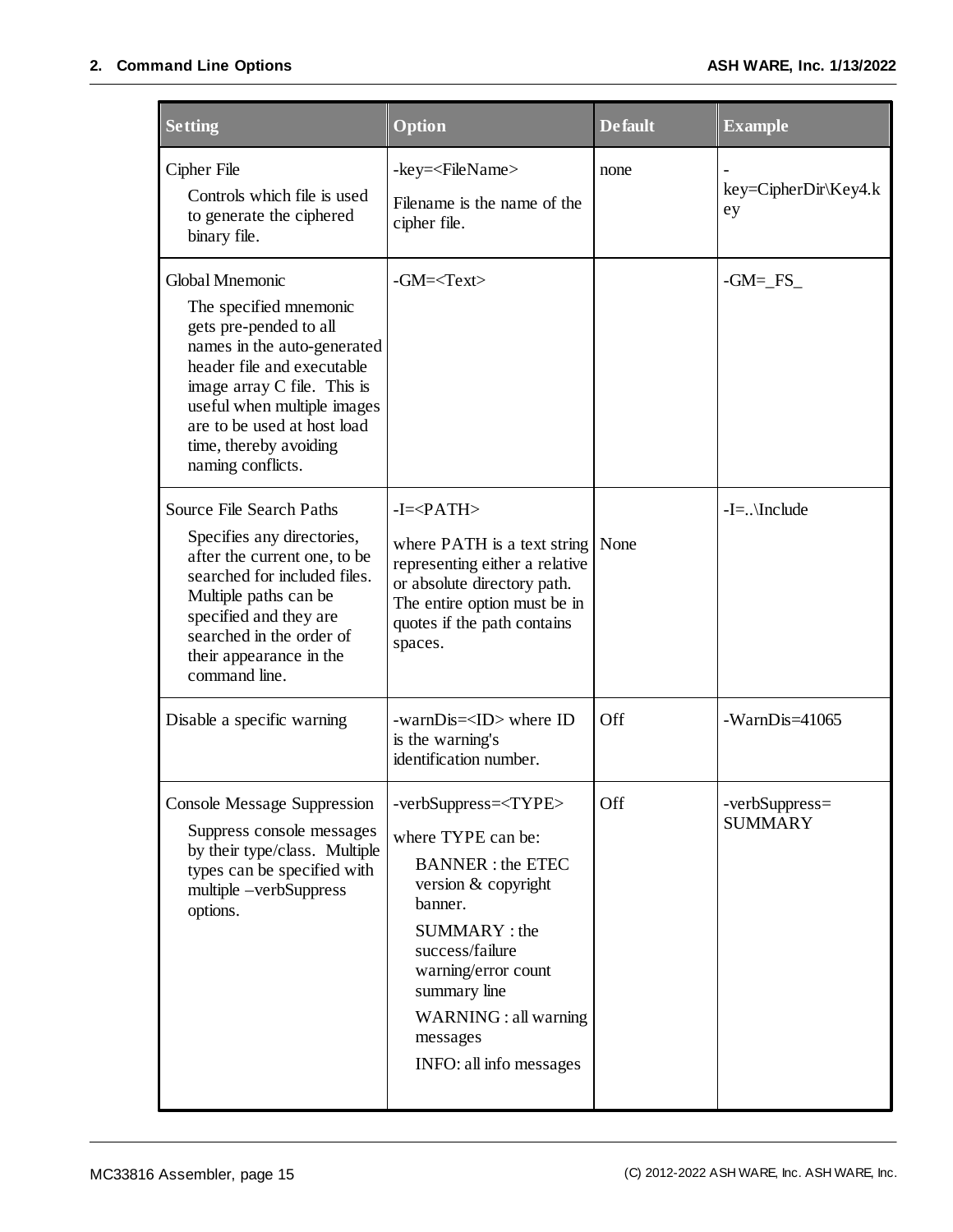#### **2. Command Line Options ASH WARE, Inc. 1/13/2022**

| <b>Setting</b>                                                                                                                                                                                                                                                               | Option                                                                                                                                                                                                                                                                   | <b>Default</b> | <b>Example</b>                   |
|------------------------------------------------------------------------------------------------------------------------------------------------------------------------------------------------------------------------------------------------------------------------------|--------------------------------------------------------------------------------------------------------------------------------------------------------------------------------------------------------------------------------------------------------------------------|----------------|----------------------------------|
| Cipher File<br>Controls which file is used<br>to generate the ciphered<br>binary file.                                                                                                                                                                                       | -key= <filename><br/>Filename is the name of the<br/>cipher file.</filename>                                                                                                                                                                                             | none           | $key = CipherDir\Key4.k$<br>ey   |
| Global Mnemonic<br>The specified mnemonic<br>gets pre-pended to all<br>names in the auto-generated<br>header file and executable<br>image array C file. This is<br>useful when multiple images<br>are to be used at host load<br>time, thereby avoiding<br>naming conflicts. | $-GM = $                                                                                                                                                                                                                                                                 |                | $-GM=FS$                         |
| Source File Search Paths<br>Specifies any directories,<br>after the current one, to be<br>searched for included files.<br>Multiple paths can be<br>specified and they are<br>searched in the order of<br>their appearance in the<br>command line.                            | $-I = PATH$<br>where PATH is a text string<br>representing either a relative<br>or absolute directory path.<br>The entire option must be in<br>quotes if the path contains<br>spaces.                                                                                    | None           | $-I =$ \Include                  |
| Disable a specific warning                                                                                                                                                                                                                                                   | -warnDis= <id> where ID<br/>is the warning's<br/>identification number.</id>                                                                                                                                                                                             | Off            | $-WarnDis=41065$                 |
| <b>Console Message Suppression</b><br>Suppress console messages<br>by their type/class. Multiple<br>types can be specified with<br>multiple -verbSuppress<br>options.                                                                                                        | -verbSuppress= <type><br/>where TYPE can be:<br/><b>BANNER</b>: the ETEC<br/>version &amp; copyright<br/>banner.<br/>SUMMARY: the<br/>success/failure<br/>warning/error count<br/>summary line<br/>WARNING : all warning<br/>messages<br/>INFO: all info messages</type> | Off            | -verbSuppress=<br><b>SUMMARY</b> |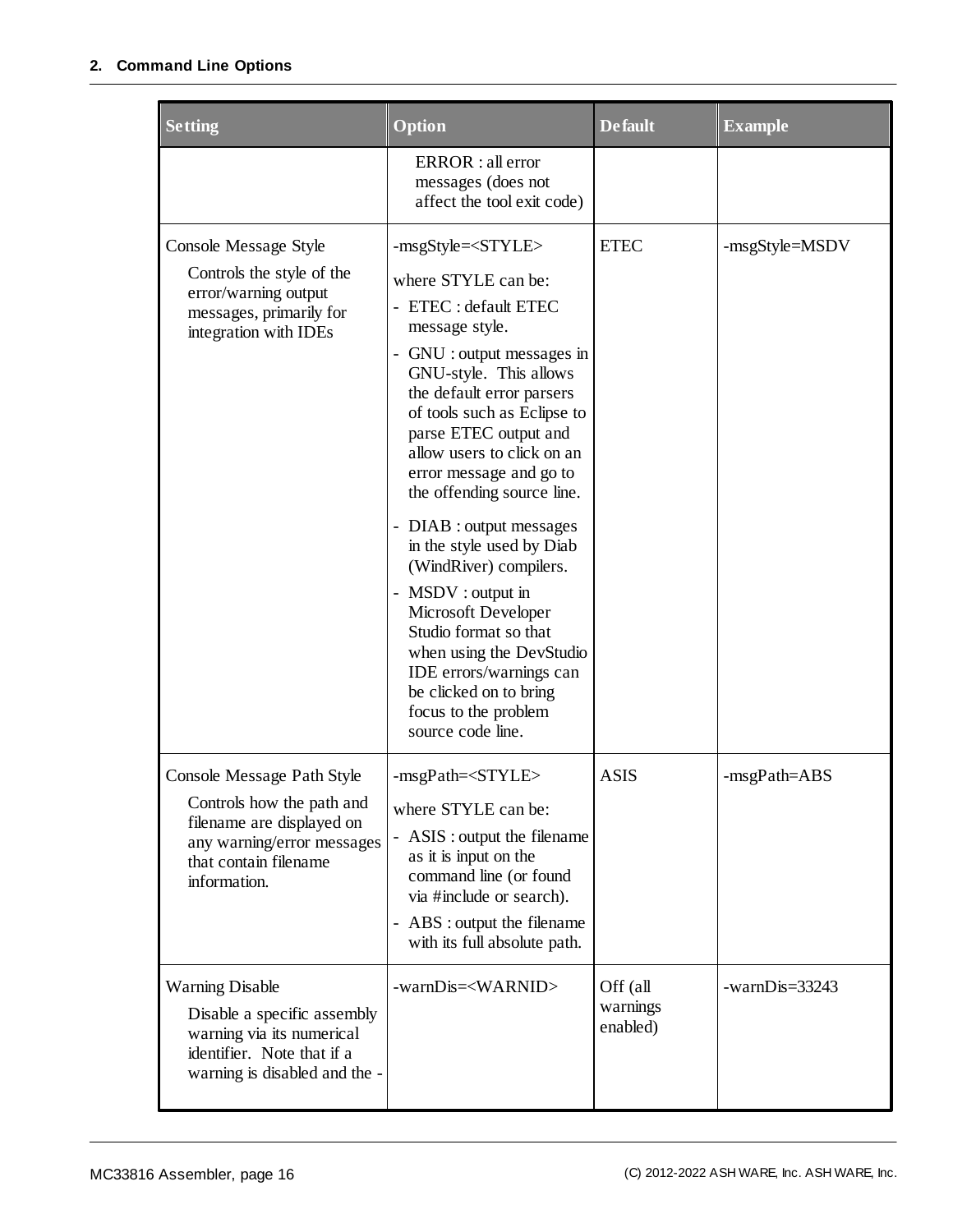#### **2. Command Line Options**

| <b>Setting</b>                                                                                                                 | Option                                                                | <b>Default</b> | <b>Example</b> |
|--------------------------------------------------------------------------------------------------------------------------------|-----------------------------------------------------------------------|----------------|----------------|
|                                                                                                                                | ERROR : all error<br>messages (does not<br>affect the tool exit code) |                |                |
| Console Message Style<br>Controls the style of the<br>error/warning output<br>messages, primarily for<br>integration with IDEs | -msgStyle= <style></style>                                            |                |                |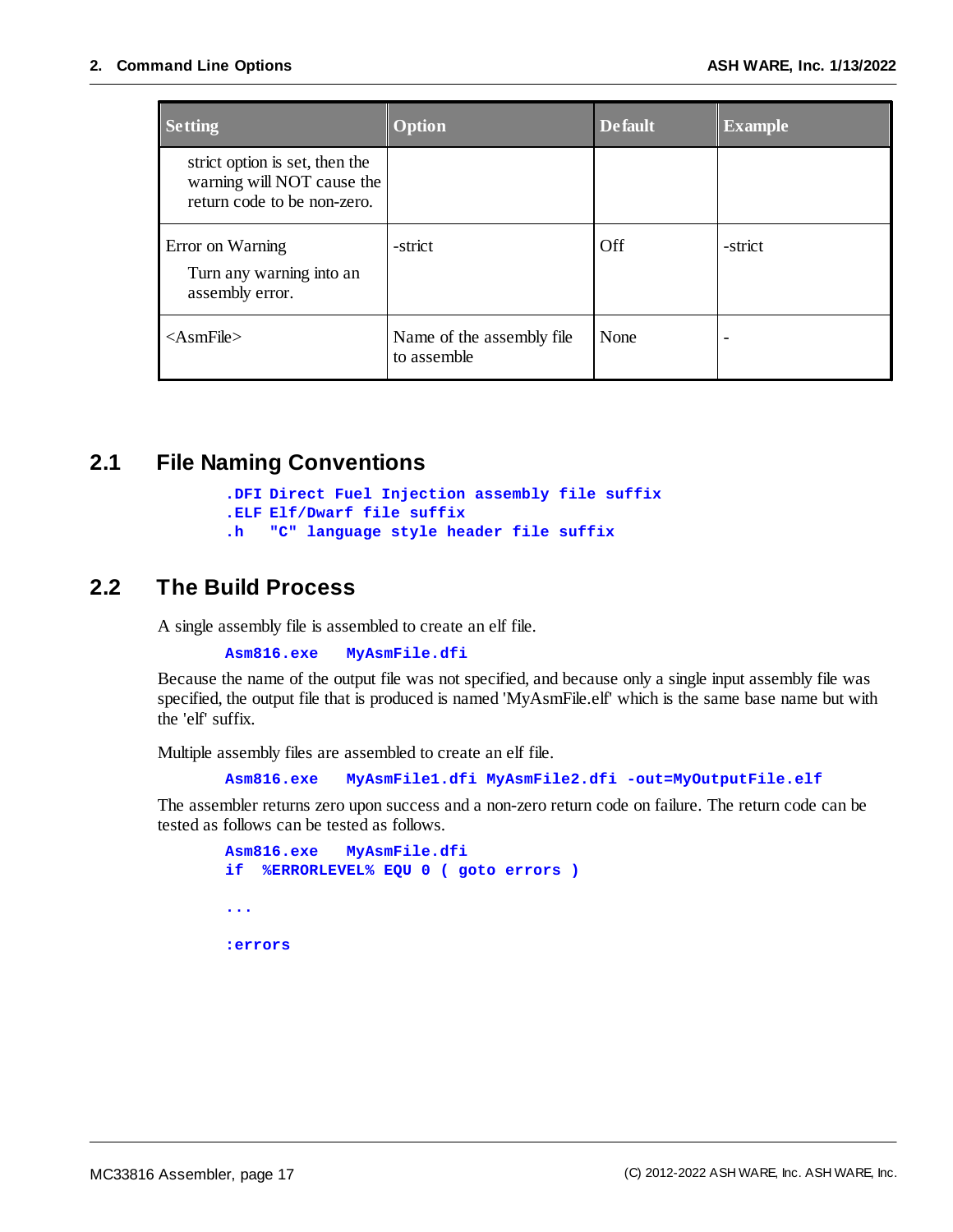| <b>Setting</b>                                                                              | <b>Option</b>                            | <b>Default</b> | <b>Example</b> |
|---------------------------------------------------------------------------------------------|------------------------------------------|----------------|----------------|
| strict option is set, then the<br>warning will NOT cause the<br>return code to be non-zero. |                                          |                |                |
| Error on Warning<br>Turn any warning into an<br>assembly error.                             | -strict                                  | Off            | -strict        |
| $\langle$ AsmFile $\rangle$                                                                 | Name of the assembly file<br>to assemble | None           |                |

#### <span id="page-16-0"></span>**2.1 File Naming Conventions**

```
.DFI Direct Fuel Injection assembly file suffix
.ELF Elf/Dwarf file suffix
.h "C" language style header file suffix
```
#### <span id="page-16-1"></span>**2.2 The Build Process**

A single assembly file is assembled to create an elf file.

**Asm816.exe MyAsmFile.dfi**

Because the name of the output file was not specified, and because only a single input assembly file was specified, the output file that is produced is named 'MyAsmFile.elf' which is the same base name but with the 'elf' suffix.

Multiple assembly files are assembled to create an elf file.

**Asm816.exe MyAsmFile1.dfi MyAsmFile2.dfi -out=MyOutputFile.elf**

The assembler returns zero upon success and a non-zero return code on failure. The return code can be tested as follows can be tested as follows.

```
Asm816.exe MyAsmFile.dfi
if %ERRORLEVEL% EQU 0 ( goto errors )
...
:errors
```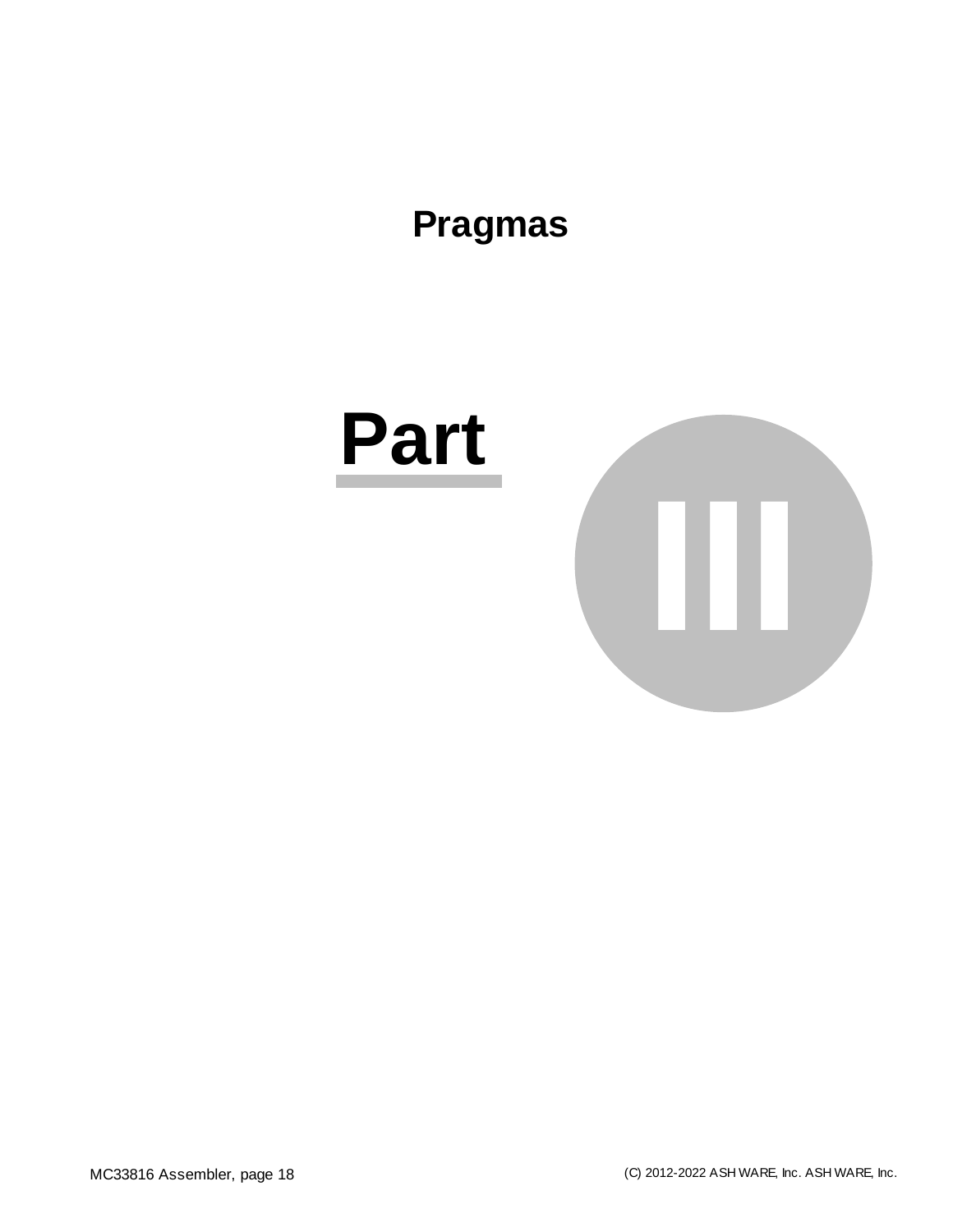### <span id="page-17-0"></span>**Pragmas**

# **Part III**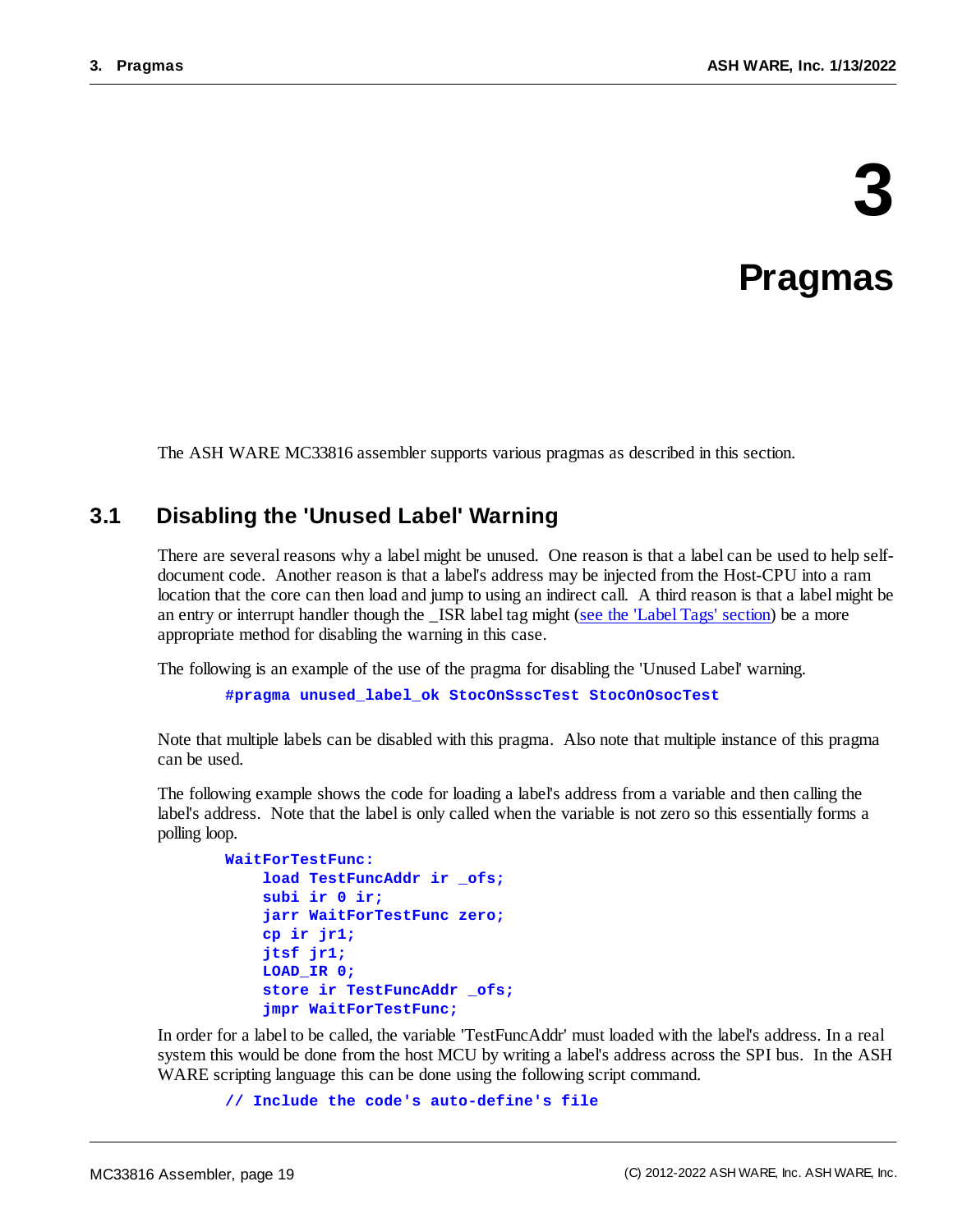# **3**

### **Pragmas**

The ASH WARE MC33816 assembler supports various pragmas as described in this section.

#### <span id="page-18-0"></span>**3.1 Disabling the 'Unused Label' Warning**

There are several reasons why a label might be unused. One reason is that a label can be used to help selfdocument code. Another reason is that a label's address may be injected from the Host-CPU into a ram location that the core can then load and jump to using an indirect call. A third reason is that a label might be an entry or interrupt handler though the \_ISR label tag might (see the 'Label Tags' [section](#page-34-0)) be a more appropriate method for disabling the warning in this case.

The following is an example of the use of the pragma for disabling the 'Unused Label' warning.

**#pragma unused\_label\_ok StocOnSsscTest StocOnOsocTest**

Note that multiple labels can be disabled with this pragma. Also note that multiple instance of this pragma can be used.

The following example shows the code for loading a label's address from a variable and then calling the label's address. Note that the label is only called when the variable is not zero so this essentially forms a polling loop.

```
WaitForTestFunc:
    load TestFuncAddr ir _ofs;
    subi ir 0 ir;
    jarr WaitForTestFunc zero;
    cp ir jr1;
    jtsf jr1;
    LOAD_IR 0;
    store ir TestFuncAddr _ofs;
    jmpr WaitForTestFunc;
```
In order for a label to be called, the variable 'TestFuncAddr' must loaded with the label's address. In a real system this would be done from the host MCU by writing a label's address across the SPI bus. In the ASH WARE scripting language this can be done using the following script command.

```
// Include the code's auto-define's file
```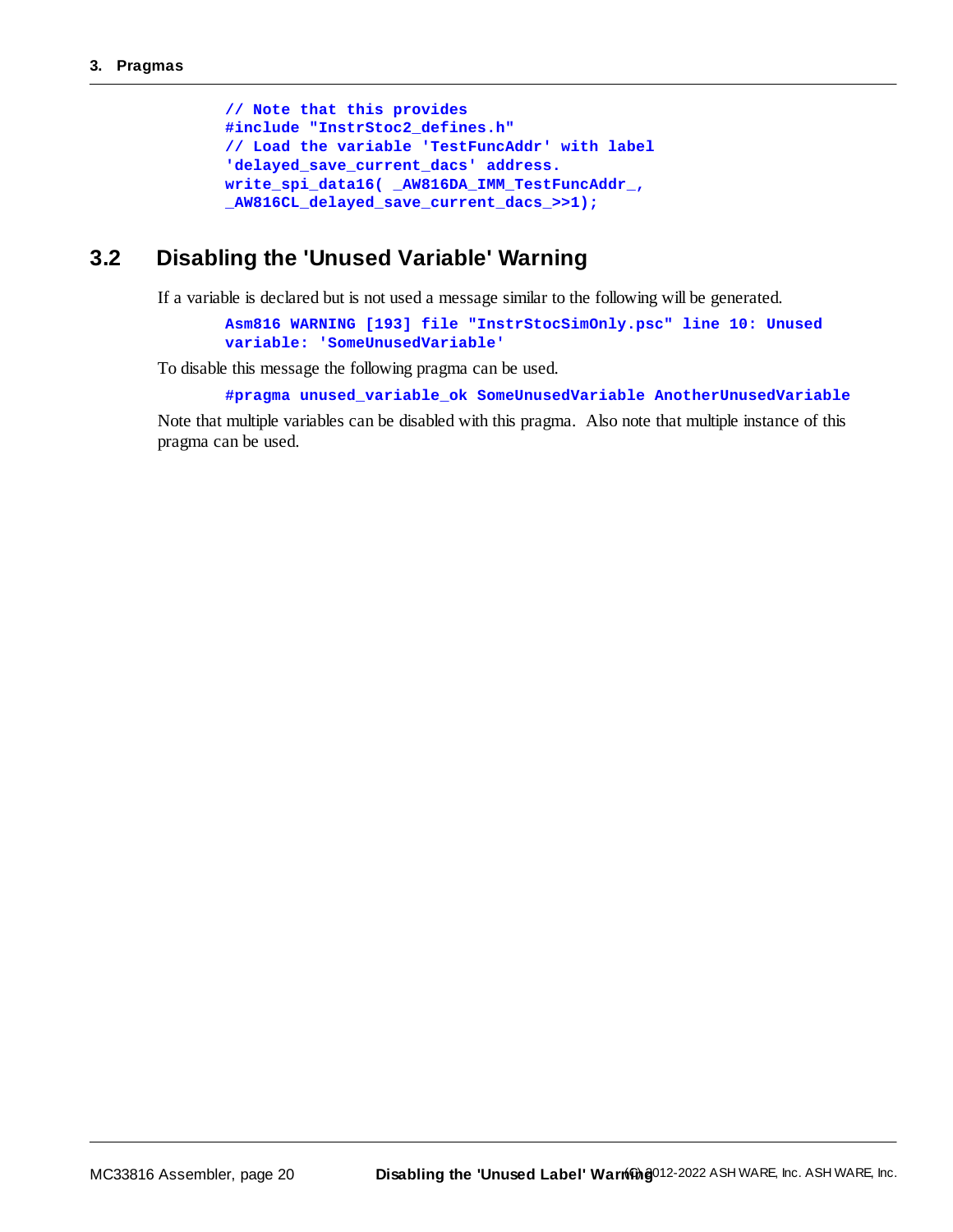```
// Note that this provides
#include "InstrStoc2_defines.h"
// Load the variable 'TestFuncAddr' with label
'delayed_save_current_dacs' address.
write_spi_data16( _AW816DA_IMM_TestFuncAddr_,
_AW816CL_delayed_save_current_dacs_>>1);
```
#### <span id="page-19-0"></span>**3.2 Disabling the 'Unused Variable' Warning**

If a variable is declared but is not used a message similar to the following will be generated.

**Asm816 WARNING [193] file "InstrStocSimOnly.psc" line 10: Unused variable: 'SomeUnusedVariable'**

To disable this message the following pragma can be used.

**#pragma unused\_variable\_ok SomeUnusedVariable AnotherUnusedVariable**

Note that multiple variables can be disabled with this pragma. Also note that multiple instance of this pragma can be used.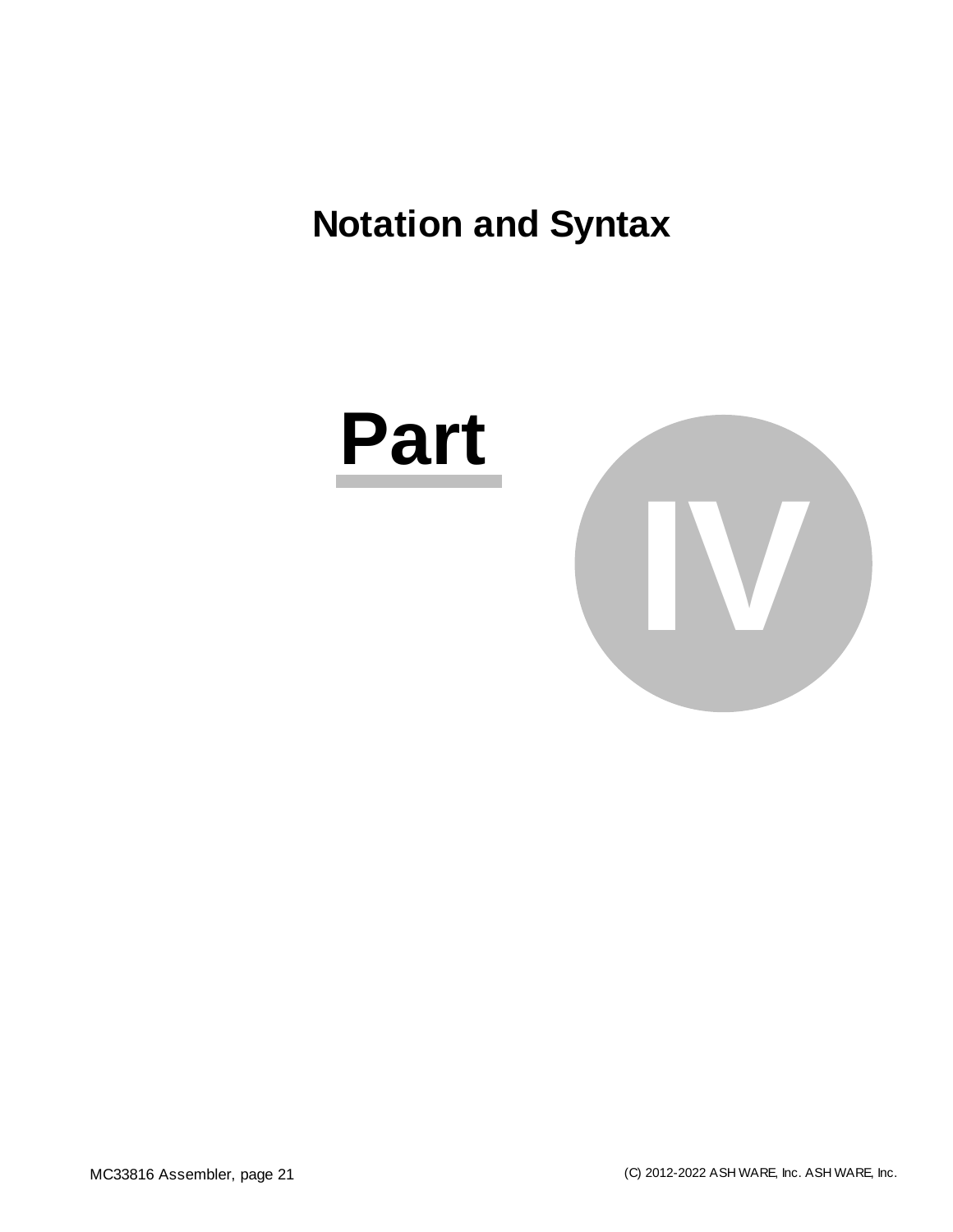# <span id="page-20-0"></span>**Notation and Syntax**

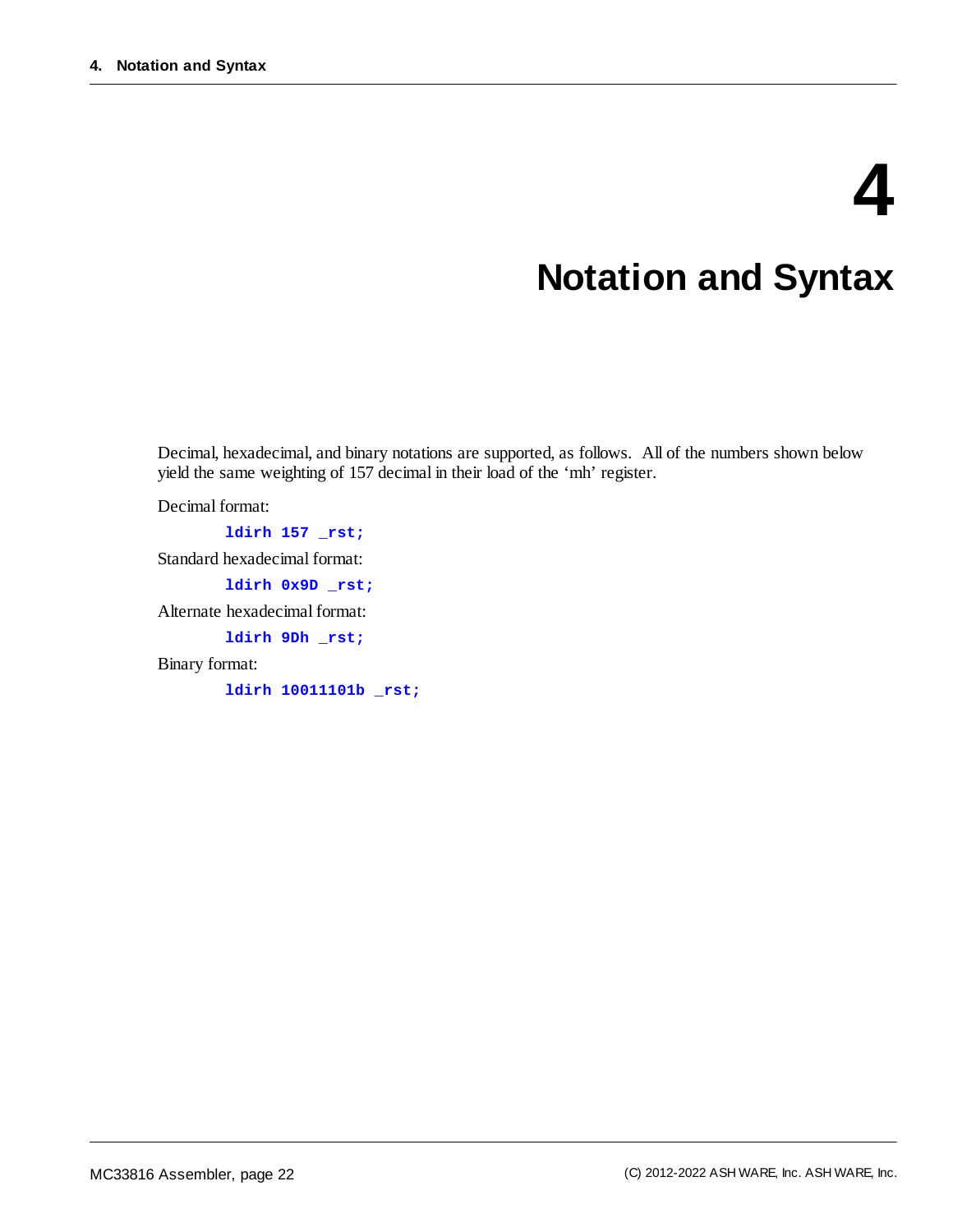# **4**

# **Notation and Syntax**

Decimal, hexadecimal, and binary notations are supported, as follows. All of the numbers shown below yield the same weighting of 157 decimal in their load of the 'mh' register.

Decimal format:

**ldirh 157 \_rst;** Standard hexadecimal format: **ldirh 0x9D \_rst;** Alternate hexadecimal format: **ldirh 9Dh \_rst;** Binary format:

**ldirh 10011101b \_rst;**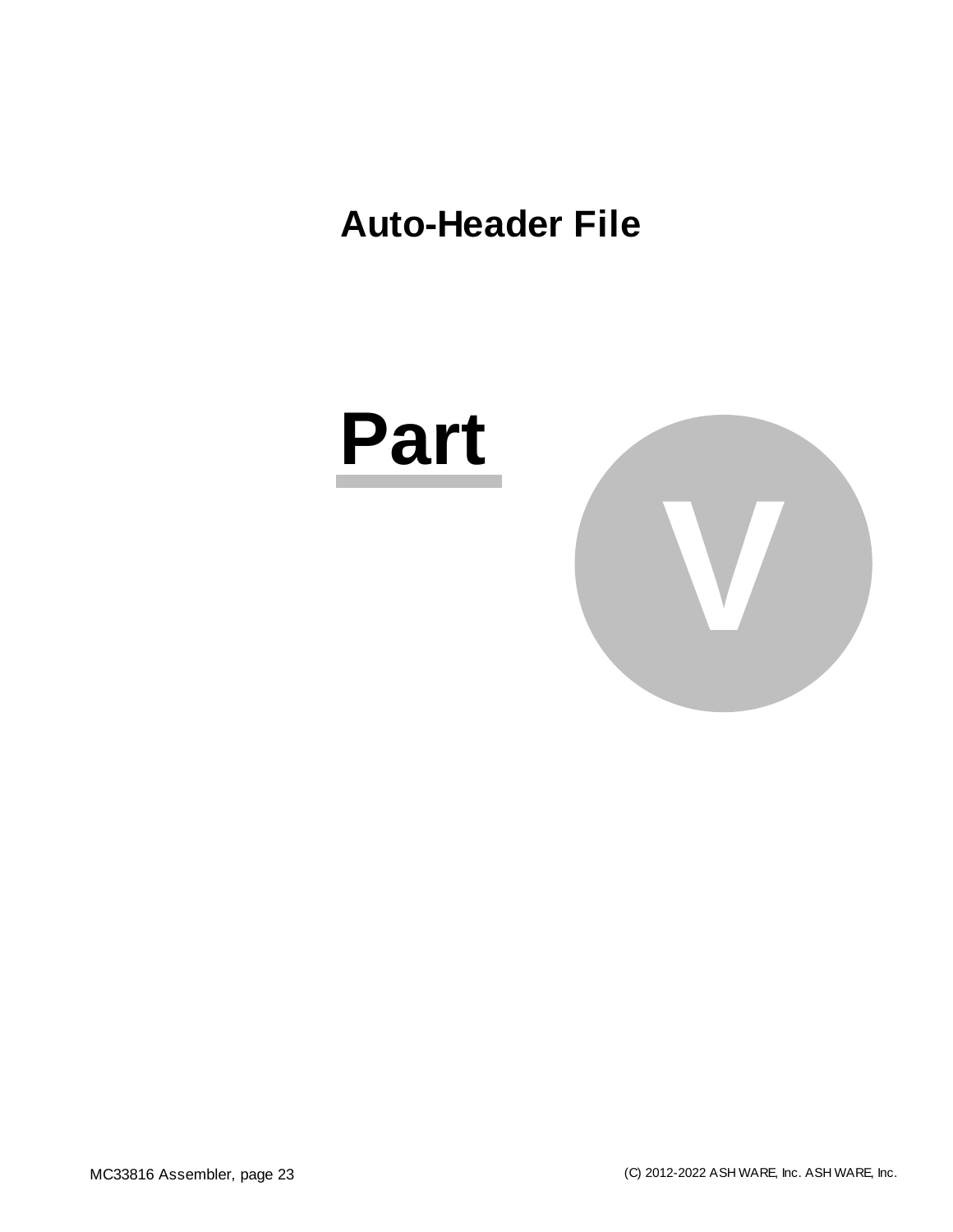### <span id="page-22-0"></span>**Auto-Header File**



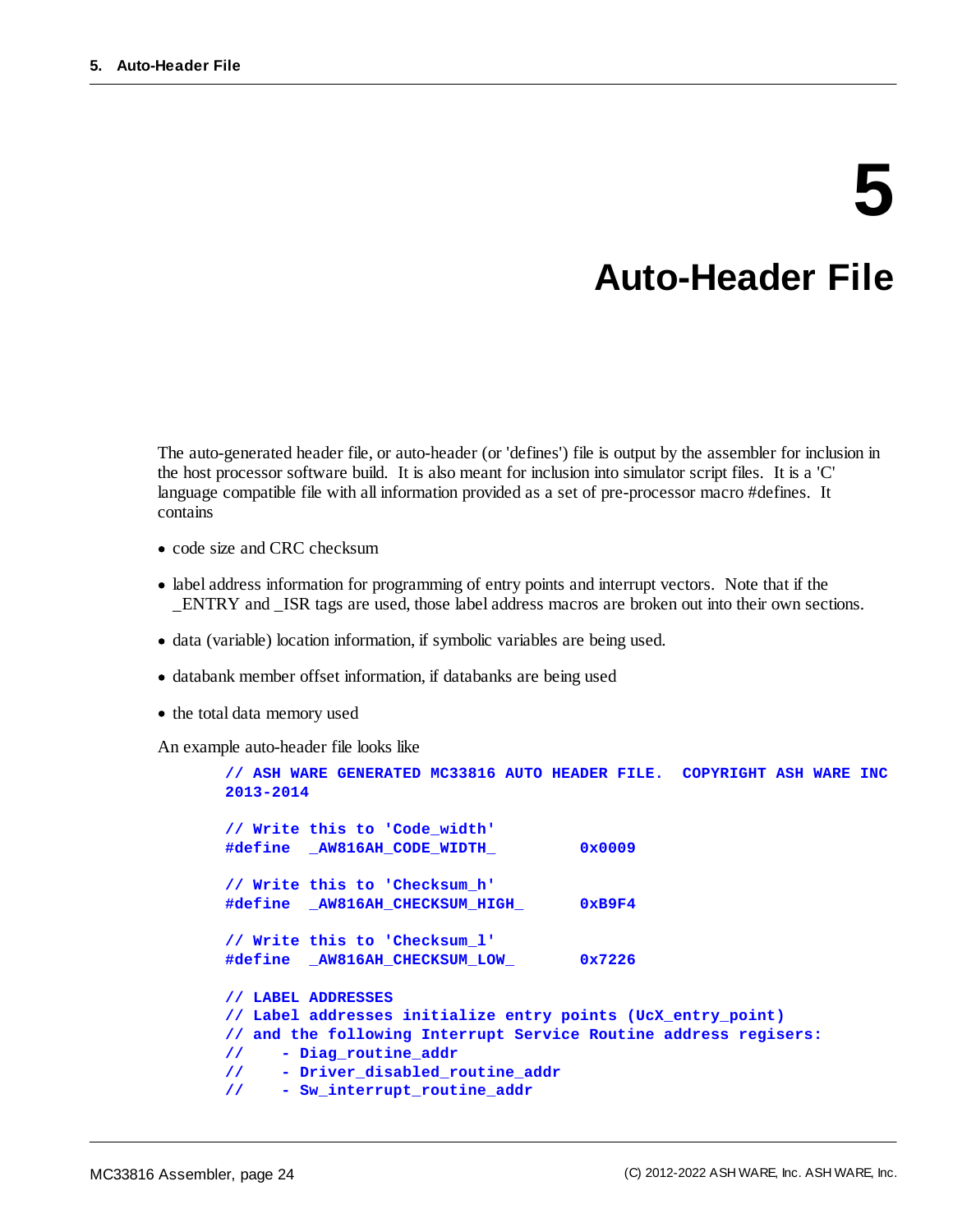# **5**

### **Auto-Header File**

<span id="page-23-0"></span>The auto-generated header file, or auto-header (or 'defines') file is output by the assembler for inclusion in the host processor software build. It is also meant for inclusion into simulator script files. It is a 'C' language compatible file with all information provided as a set of pre-processor macro #defines. It contains

- code size and CRC checksum
- · label address information for programming of entry points and interrupt vectors. Note that if the \_ENTRY and \_ISR tags are used, those label address macros are broken out into their own sections.
- · data (variable) location information, if symbolic variables are being used.
- · databank member offset information, if databanks are being used
- · the total data memory used

An example auto-header file looks like

```
// ASH WARE GENERATED MC33816 AUTO HEADER FILE. COPYRIGHT ASH WARE INC
2013-2014
// Write this to 'Code_width'
#define _AW816AH_CODE_WIDTH_ 0x0009
// Write this to 'Checksum_h'
#define _AW816AH_CHECKSUM_HIGH_ 0xB9F4
// Write this to 'Checksum_l'
#define _AW816AH_CHECKSUM_LOW_ 0x7226
// LABEL ADDRESSES
// Label addresses initialize entry points (UcX_entry_point)
// and the following Interrupt Service Routine address regisers:
// - Diag_routine_addr
// - Driver_disabled_routine_addr
// - Sw_interrupt_routine_addr
```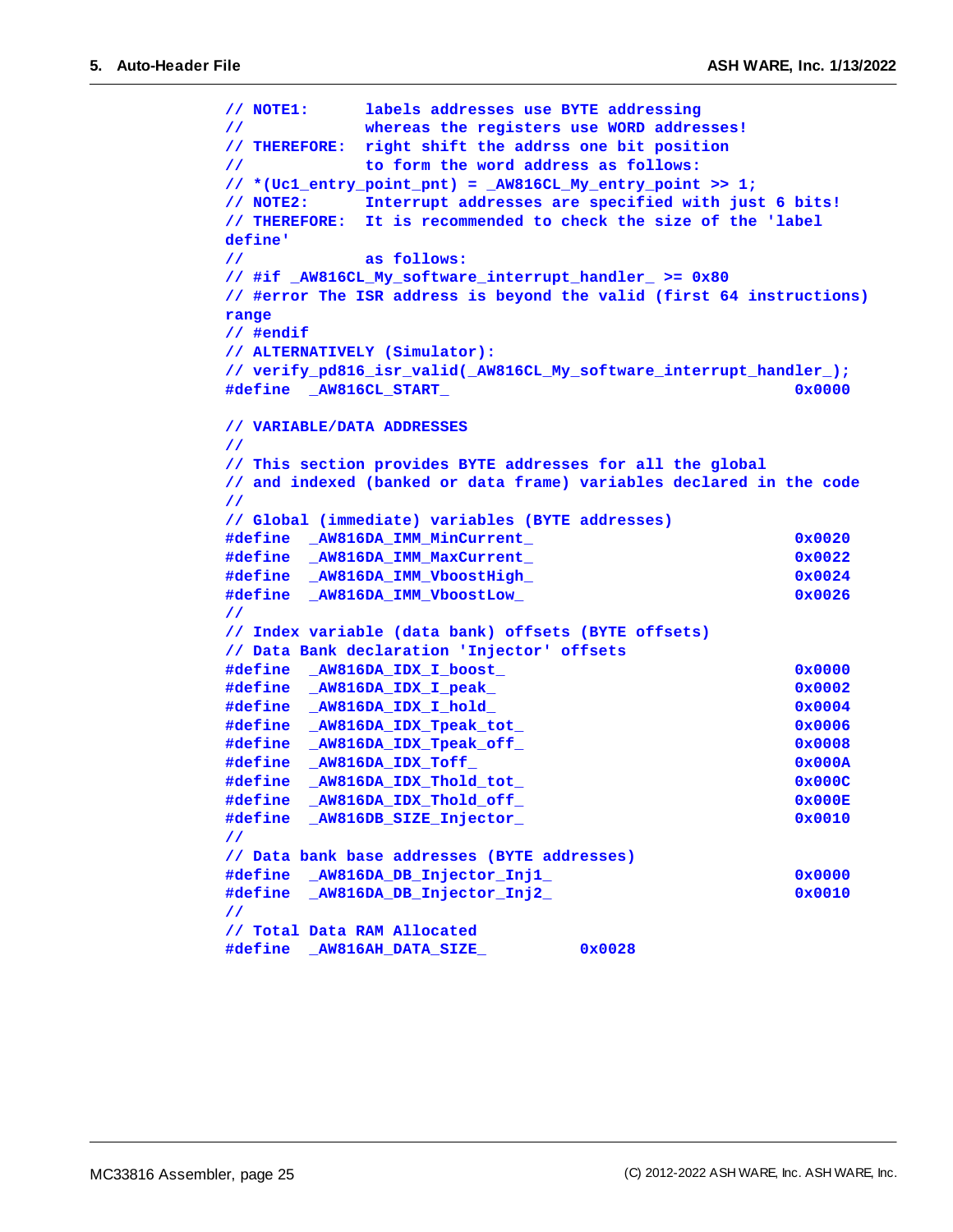```
// NOTE1: labels addresses use BYTE addressing
// whereas the registers use WORD addresses!
// THEREFORE: right shift the addrss one bit position
// to form the word address as follows:
// *(Uc1_entry_point_pnt) = _AW816CL_My_entry_point >> 1;
// NOTE2: Interrupt addresses are specified with just 6 bits!
// THEREFORE: It is recommended to check the size of the 'label
define'
// as follows:
// #if _AW816CL_My_software_interrupt_handler_ >= 0x80
// #error The ISR address is beyond the valid (first 64 instructions)
range
// #endif
// ALTERNATIVELY (Simulator):
// verify_pd816_isr_valid(_AW816CL_My_software_interrupt_handler_);
#define _AW816CL_START_ 0x0000
// VARIABLE/DATA ADDRESSES
//
// This section provides BYTE addresses for all the global
// and indexed (banked or data frame) variables declared in the code
//
// Global (immediate) variables (BYTE addresses)
#define _AW816DA_IMM_MinCurrent_ 0x0020
#define _AW816DA_IMM_MaxCurrent_ 0x0022
#define _AW816DA_IMM_VboostHigh_ 0x0024
#define _AW816DA_IMM_VboostLow_ 0x0026
//
// Index variable (data bank) offsets (BYTE offsets)
// Data Bank declaration 'Injector' offsets
#define _AW816DA_IDX_I_boost_ 0x0000
#define _AW816DA_IDX_I_peak_ 0x0002
#define _AW816DA_IDX_I_hold_ 0x0004
#define _AW816DA_IDX_Tpeak_tot_ 0x0006
#define _AW816DA_IDX_Tpeak_off_ 0x0008
#define _AW816DA_IDX_Toff_ 0x000A
#define _AW816DA_IDX_Thold_tot_ 0x000C
#define _AW816DA_IDX_Thold_off_ 0x000E
#define _AW816DB_SIZE_Injector_ 0x0010
//
// Data bank base addresses (BYTE addresses)
#define _AW816DA_DB_Injector_Inj1_ 0x0000
#define _AW816DA_DB_Injector_Inj2_ 0x0010
//
// Total Data RAM Allocated
#define _AW816AH_DATA_SIZE_ 0x0028
```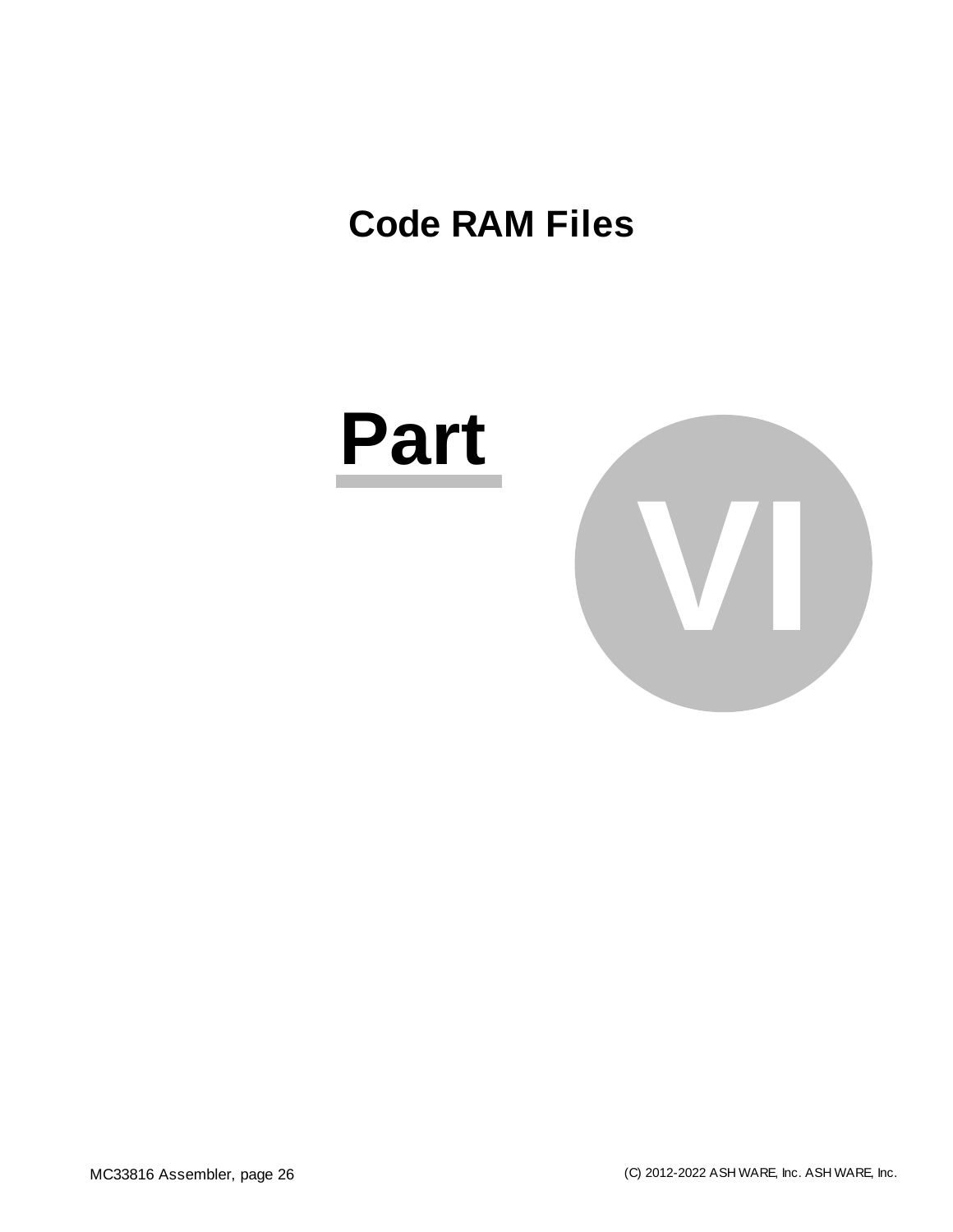## <span id="page-25-0"></span>**Code RAM Files**

# **Part**

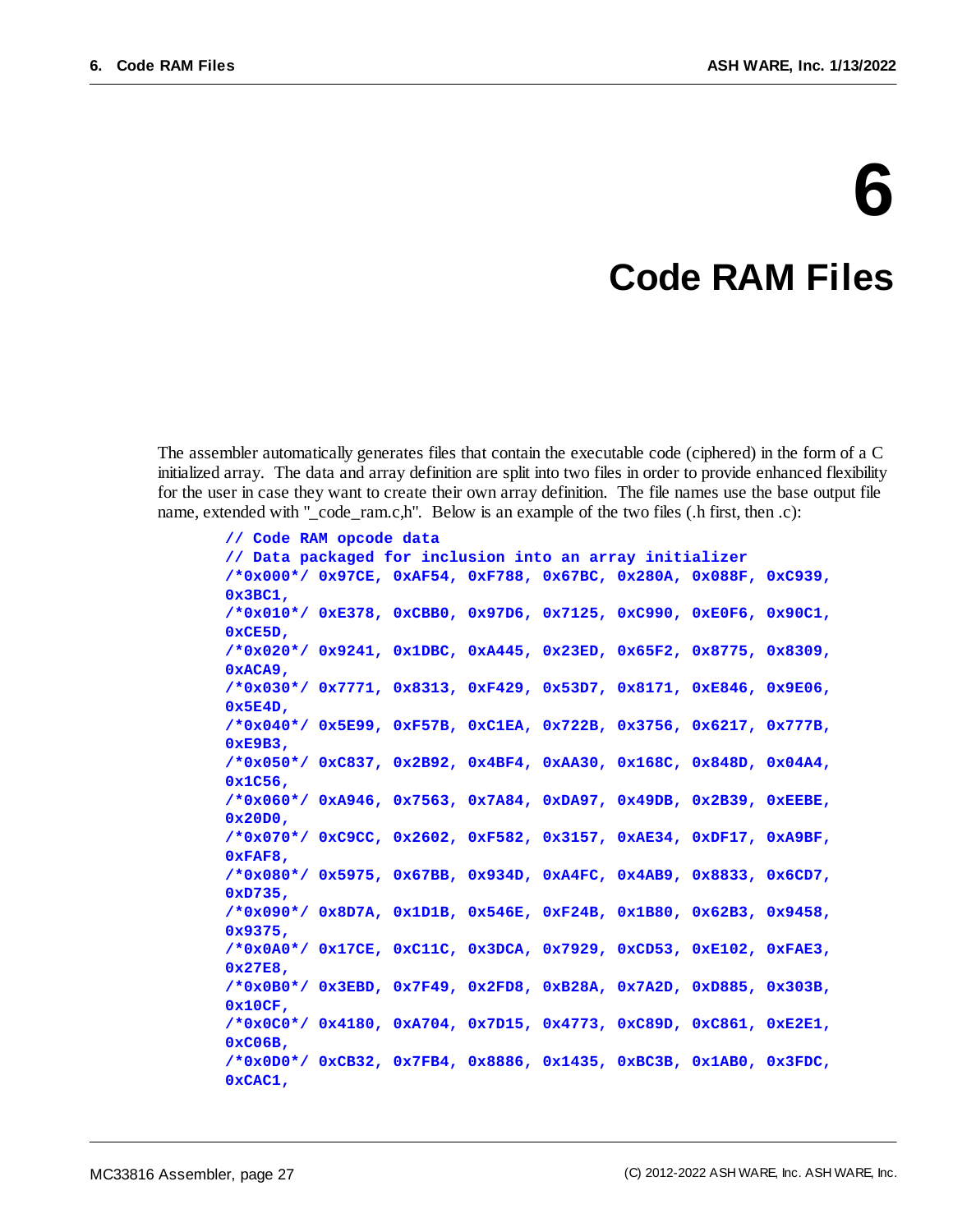# **6**

### **Code RAM Files**

The assembler automatically generates files that contain the executable code (ciphered) in the form of a C initialized array. The data and array definition are split into two files in order to provide enhanced flexibility for the user in case they want to create their own array definition. The file names use the base output file name, extended with "\_code\_ram.c,h". Below is an example of the two files (.h first, then .c):

```
// Code RAM opcode data
// Data packaged for inclusion into an array initializer
/*0x000*/ 0x97CE, 0xAF54, 0xF788, 0x67BC, 0x280A, 0x088F, 0xC939,
0x3BC1,
/*0x010*/ 0xE378, 0xCBB0, 0x97D6, 0x7125, 0xC990, 0xE0F6, 0x90C1,
0xCE5D,
/*0x020*/ 0x9241, 0x1DBC, 0xA445, 0x23ED, 0x65F2, 0x8775, 0x8309,
0xACA9,
/*0x030*/ 0x7771, 0x8313, 0xF429, 0x53D7, 0x8171, 0xE846, 0x9E06,
0x5E4D,
/*0x040*/ 0x5E99, 0xF57B, 0xC1EA, 0x722B, 0x3756, 0x6217, 0x777B,
0xE9B3,
/*0x050*/ 0xC837, 0x2B92, 0x4BF4, 0xAA30, 0x168C, 0x848D, 0x04A4,
0x1C56,
/*0x060*/ 0xA946, 0x7563, 0x7A84, 0xDA97, 0x49DB, 0x2B39, 0xEEBE,
0x20D0,
/*0x070*/ 0xC9CC, 0x2602, 0xF582, 0x3157, 0xAE34, 0xDF17, 0xA9BF,
0xFAF8,
/*0x080*/ 0x5975, 0x67BB, 0x934D, 0xA4FC, 0x4AB9, 0x8833, 0x6CD7,
0xD735,
/*0x090*/ 0x8D7A, 0x1D1B, 0x546E, 0xF24B, 0x1B80, 0x62B3, 0x9458,
0x9375,
/*0x0A0*/ 0x17CE, 0xC11C, 0x3DCA, 0x7929, 0xCD53, 0xE102, 0xFAE3,
0x27E8,
/*0x0B0*/ 0x3EBD, 0x7F49, 0x2FD8, 0xB28A, 0x7A2D, 0xD885, 0x303B,
0x10CF,
/*0x0C0*/ 0x4180, 0xA704, 0x7D15, 0x4773, 0xC89D, 0xC861, 0xE2E1,
0xC06B,
/*0x0D0*/ 0xCB32, 0x7FB4, 0x8886, 0x1435, 0xBC3B, 0x1AB0, 0x3FDC,
0xCAC1,
```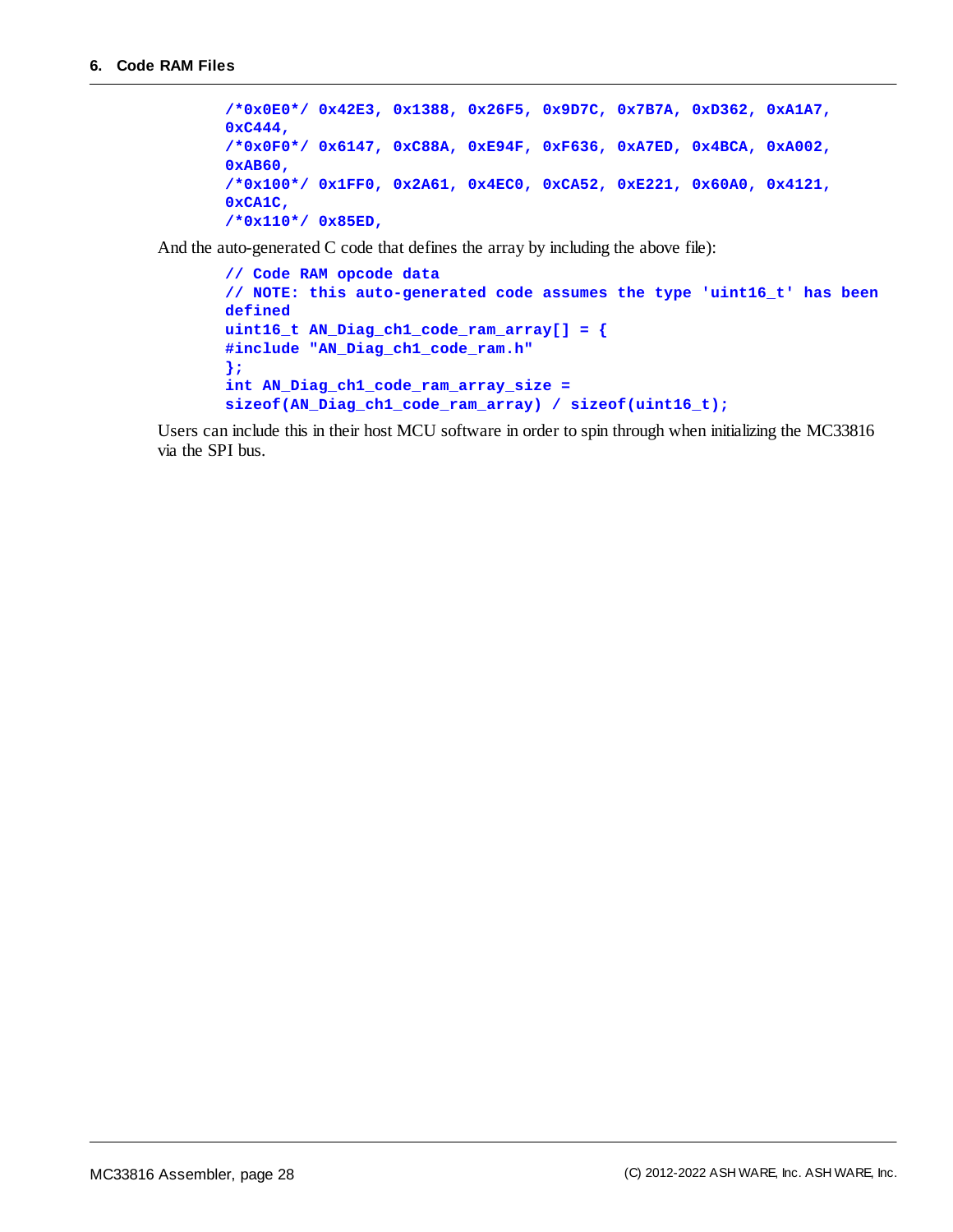```
/*0x0E0*/ 0x42E3, 0x1388, 0x26F5, 0x9D7C, 0x7B7A, 0xD362, 0xA1A7,
0xC444,
/*0x0F0*/ 0x6147, 0xC88A, 0xE94F, 0xF636, 0xA7ED, 0x4BCA, 0xA002,
0xAB60,
/*0x100*/ 0x1FF0, 0x2A61, 0x4EC0, 0xCA52, 0xE221, 0x60A0, 0x4121,
0xCA1C,
/*0x110*/ 0x85ED,
```
And the auto-generated C code that defines the array by including the above file):

```
// Code RAM opcode data
// NOTE: this auto-generated code assumes the type 'uint16_t' has been
defined
uint16_t AN_Diag_ch1_code_ram_array[] = {
#include "AN_Diag_ch1_code_ram.h"
};
int AN_Diag_ch1_code_ram_array_size =
sizeof(AN_Diag_ch1_code_ram_array) / sizeof(uint16_t);
```
Users can include this in their host MCU software in order to spin through when initializing the MC33816 via the SPI bus.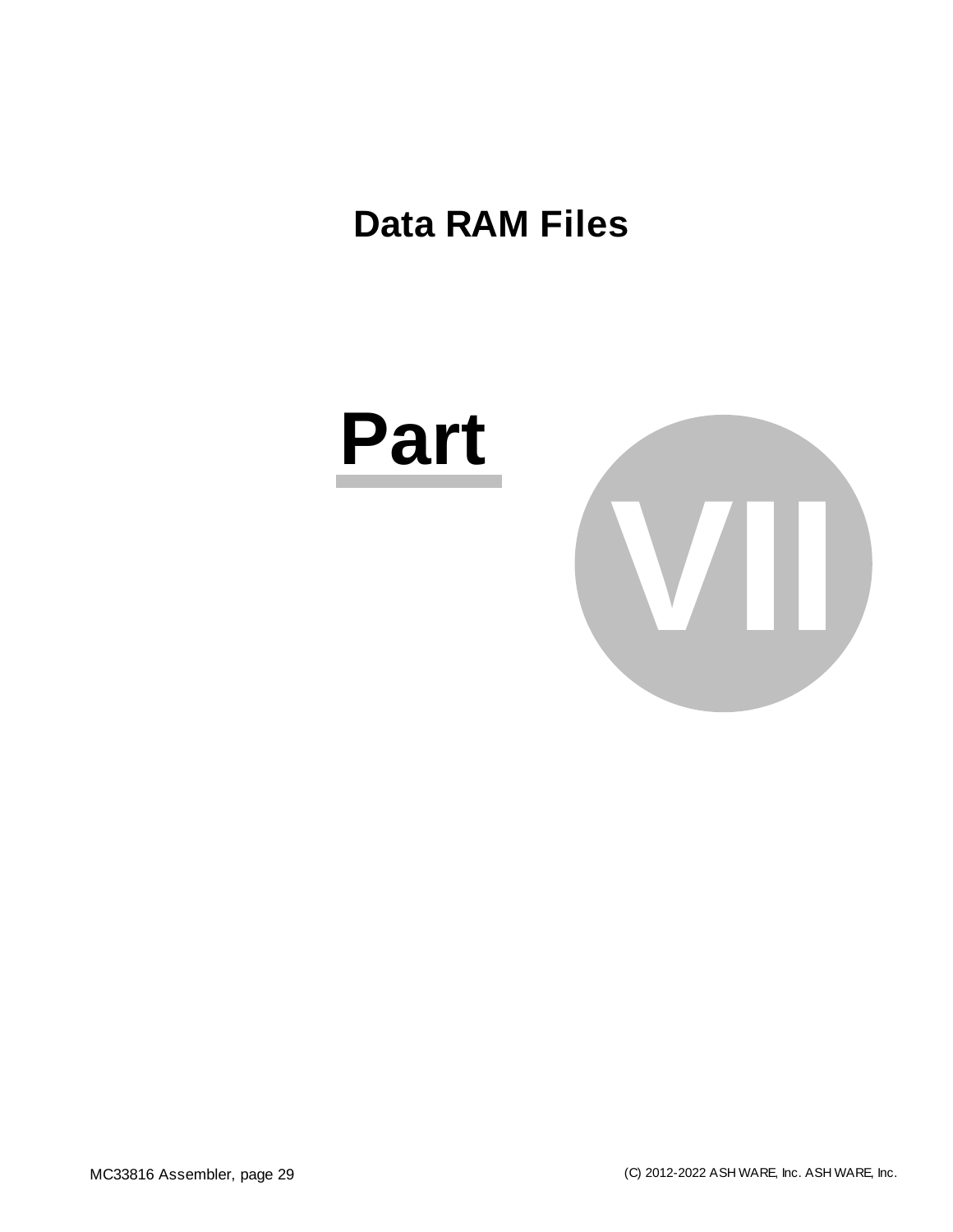### <span id="page-28-0"></span>**Data RAM Files**

# **Part**

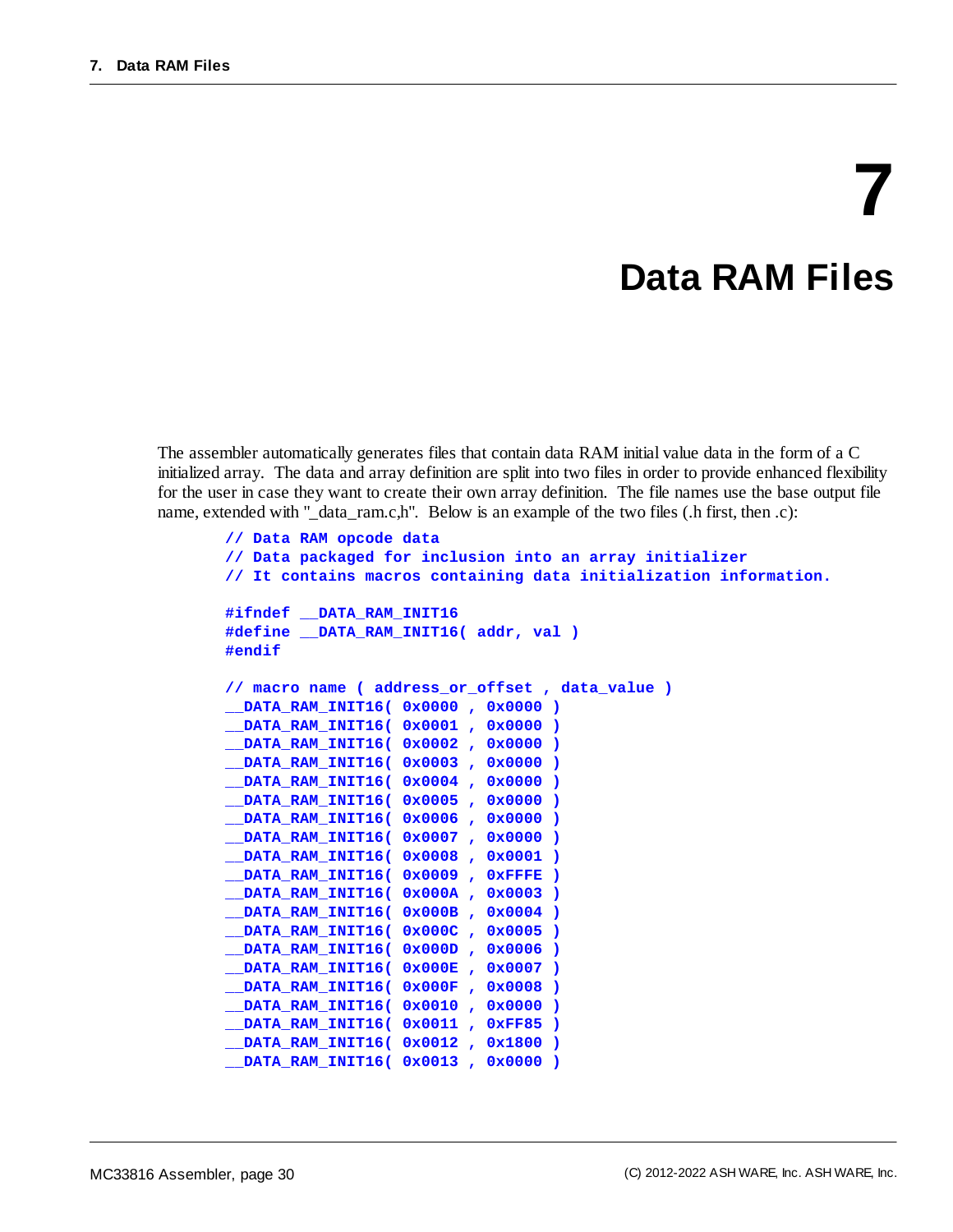# **7 Data RAM Files**

The assembler automatically generates files that contain data RAM initial value data in the form of a C initialized array. The data and array definition are split into two files in order to provide enhanced flexibility for the user in case they want to create their own array definition. The file names use the base output file name, extended with "\_data\_ram.c,h". Below is an example of the two files (.h first, then .c):

```
// Data RAM opcode data
// Data packaged for inclusion into an array initializer
// It contains macros containing data initialization information.
#ifndef __DATA_RAM_INIT16
#define __DATA_RAM_INIT16( addr, val )
#endif
// macro name ( address_or_offset , data_value )
__DATA_RAM_INIT16( 0x0000 , 0x0000 )
__DATA_RAM_INIT16( 0x0001 , 0x0000 )
__DATA_RAM_INIT16( 0x0002 , 0x0000 )
__DATA_RAM_INIT16( 0x0003 , 0x0000 )
 __DATA_RAM_INIT16( 0x0004 , 0x0000 )
__DATA_RAM_INIT16( 0x0005 , 0x0000 )
__DATA_RAM_INIT16( 0x0006 , 0x0000 )
 __DATA_RAM_INIT16( 0x0007 , 0x0000 )
__DATA_RAM_INIT16( 0x0008 , 0x0001 )
__DATA_RAM_INIT16( 0x0009 , 0xFFFE )
__DATA_RAM_INIT16( 0x000A , 0x0003 )
 __DATA_RAM_INIT16( 0x000B , 0x0004 )
__DATA_RAM_INIT16( 0x000C , 0x0005 )
 __DATA_RAM_INIT16( 0x000D , 0x0006 )
 __DATA_RAM_INIT16( 0x000E , 0x0007 )
 __DATA_RAM_INIT16( 0x000F , 0x0008 )
__DATA_RAM_INIT16( 0x0010 , 0x0000 )
__DATA_RAM_INIT16( 0x0011 , 0xFF85 )
 __DATA_RAM_INIT16( 0x0012 , 0x1800 )
__DATA_RAM_INIT16( 0x0013 , 0x0000 )
```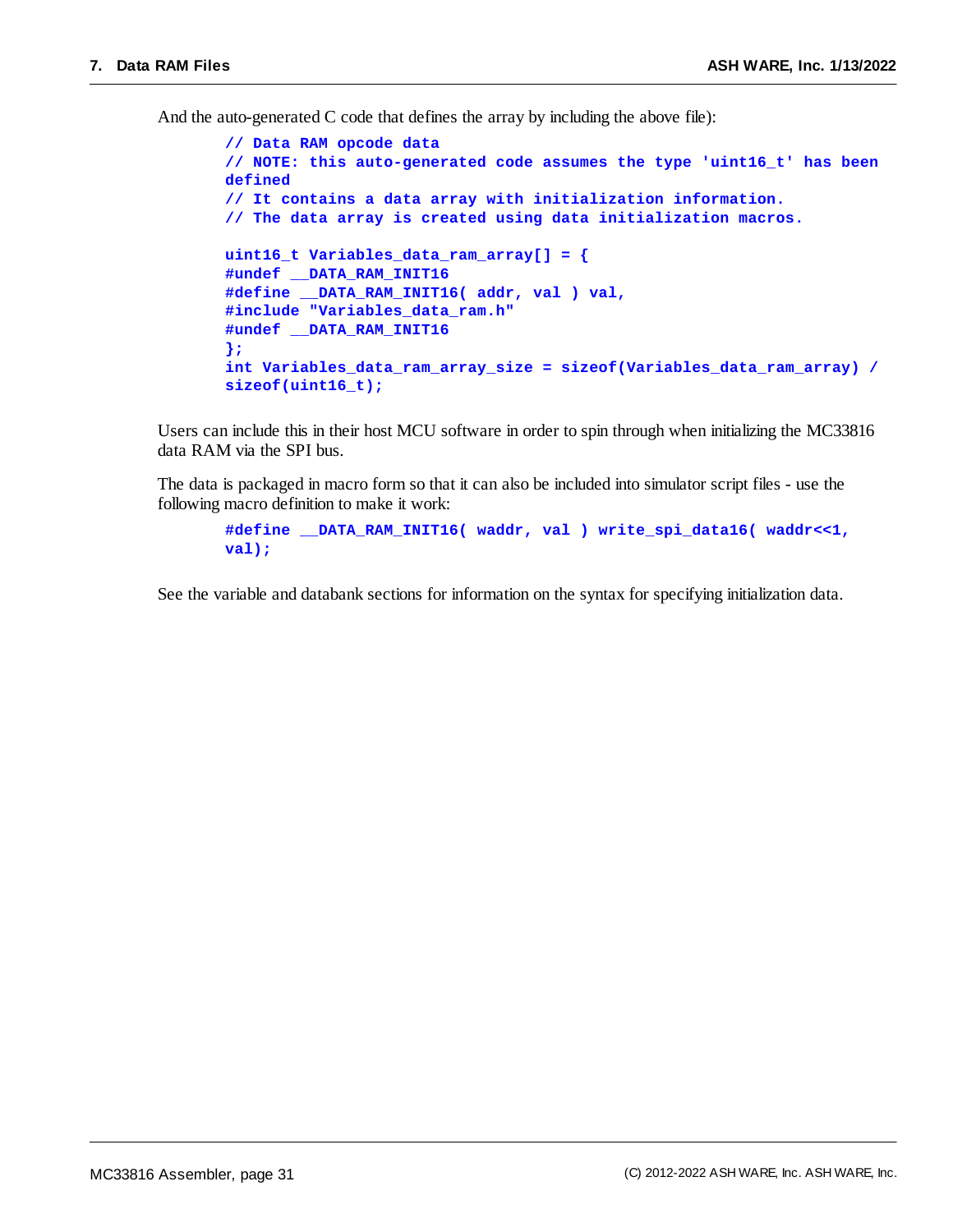And the auto-generated C code that defines the array by including the above file):

```
// Data RAM opcode data
// NOTE: this auto-generated code assumes the type 'uint16_t' has been
defined
// It contains a data array with initialization information.
// The data array is created using data initialization macros.
uint16_t Variables_data_ram_array[] = {
#undef __DATA_RAM_INIT16
#define __DATA_RAM_INIT16( addr, val ) val,
#include "Variables_data_ram.h"
#undef __DATA_RAM_INIT16
};
int Variables_data_ram_array_size = sizeof(Variables_data_ram_array) /
sizeof(uint16_t);
```
Users can include this in their host MCU software in order to spin through when initializing the MC33816 data RAM via the SPI bus.

The data is packaged in macro form so that it can also be included into simulator script files - use the following macro definition to make it work:

**#define \_\_DATA\_RAM\_INIT16( waddr, val ) write\_spi\_data16( waddr<<1, val);**

See the variable and databank sections for information on the syntax for specifying initialization data.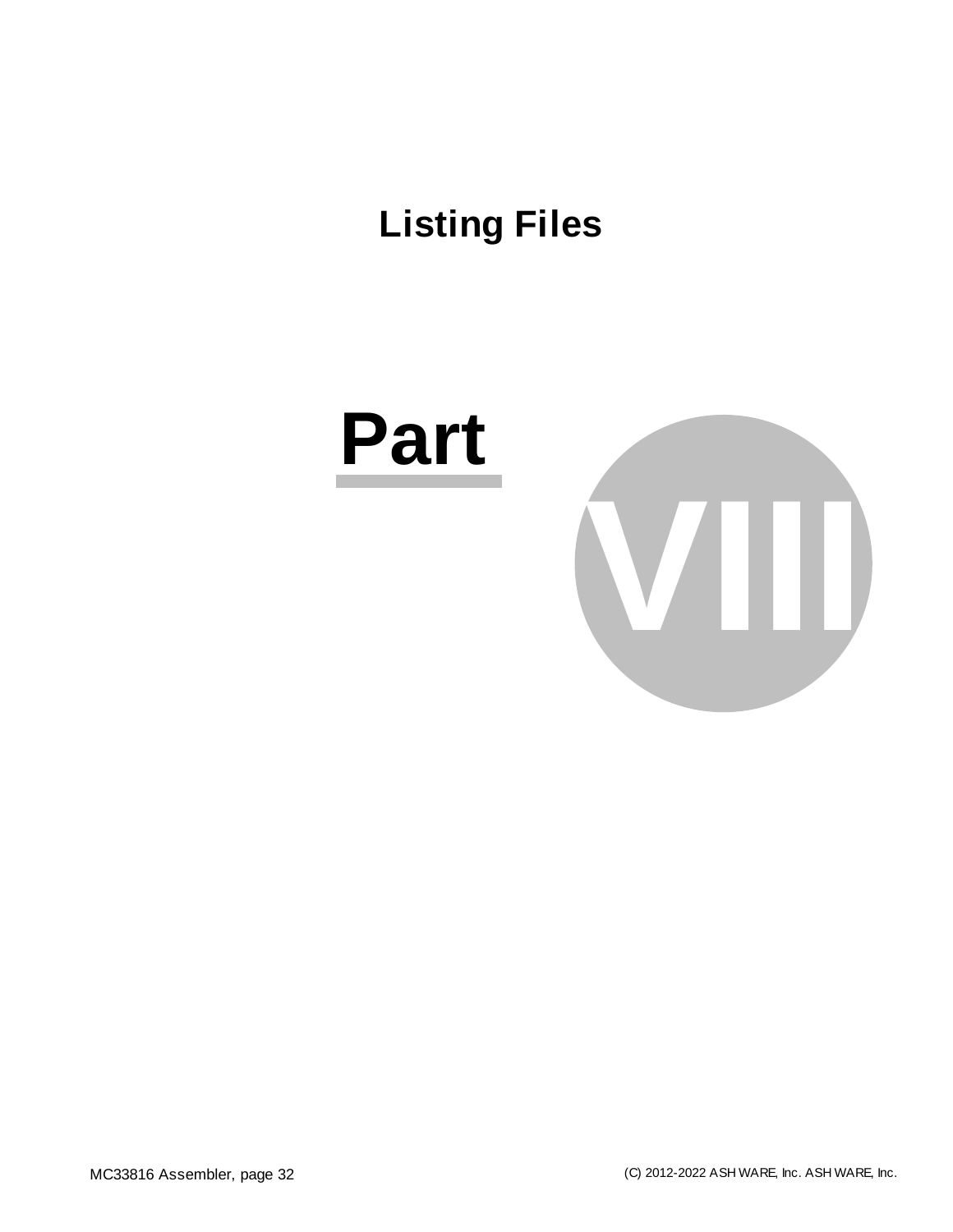# <span id="page-31-0"></span>**Listing Files**



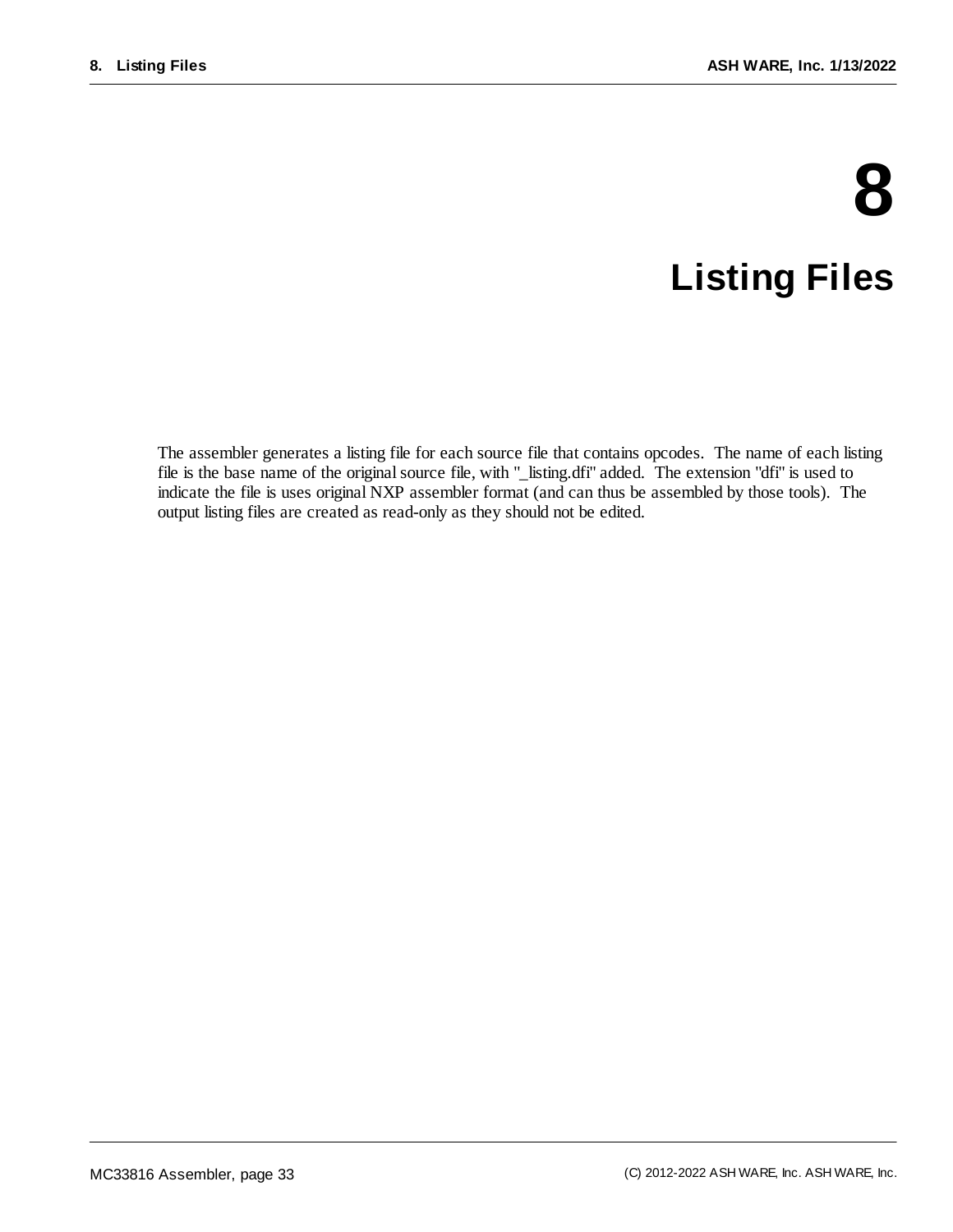# **8 Listing Files**

The assembler generates a listing file for each source file that contains opcodes. The name of each listing file is the base name of the original source file, with "\_listing.dfi" added. The extension "dfi" is used to indicate the file is uses original NXP assembler format (and can thus be assembled by those tools). The output listing files are created as read-only as they should not be edited.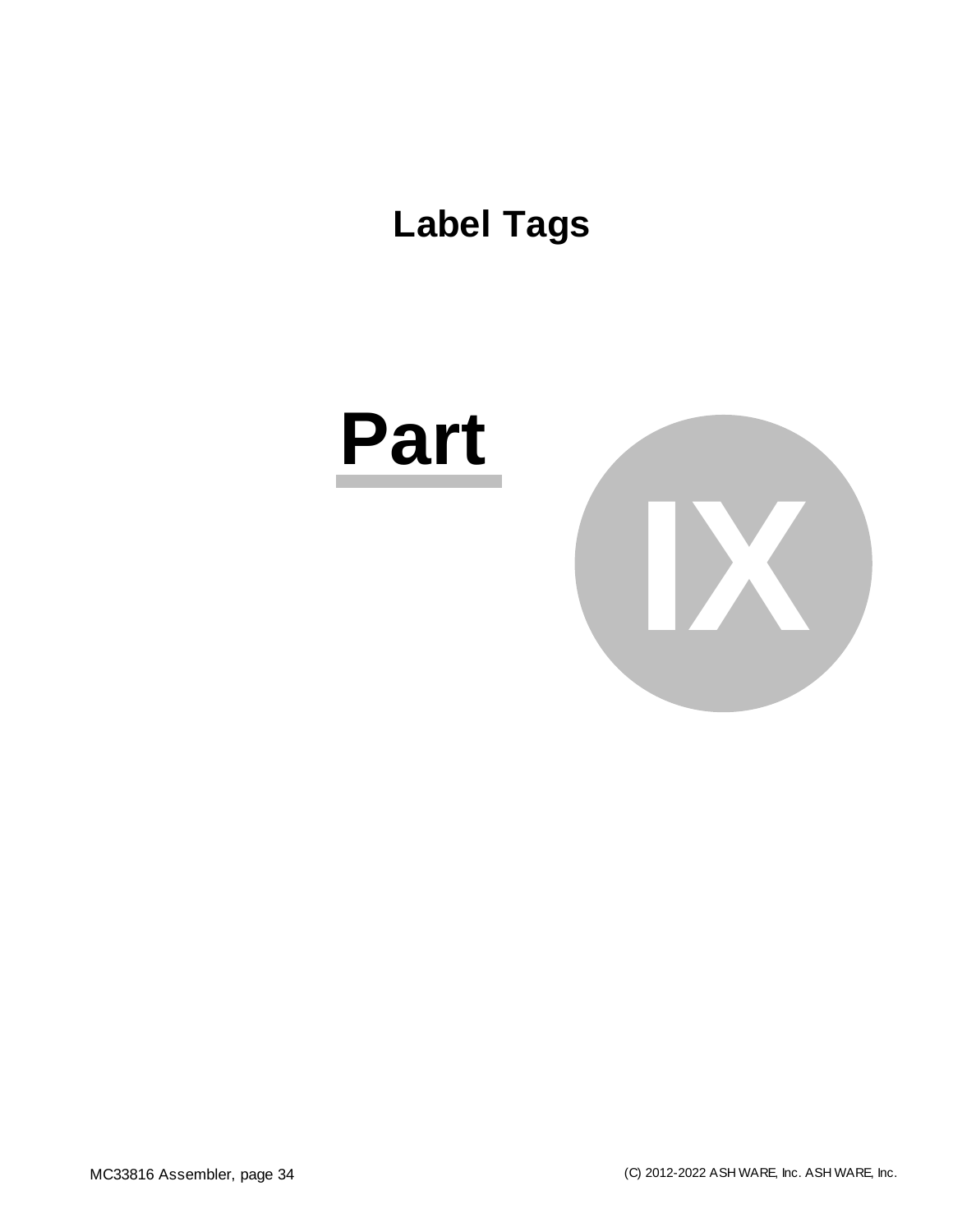<span id="page-33-0"></span>**Label Tags**

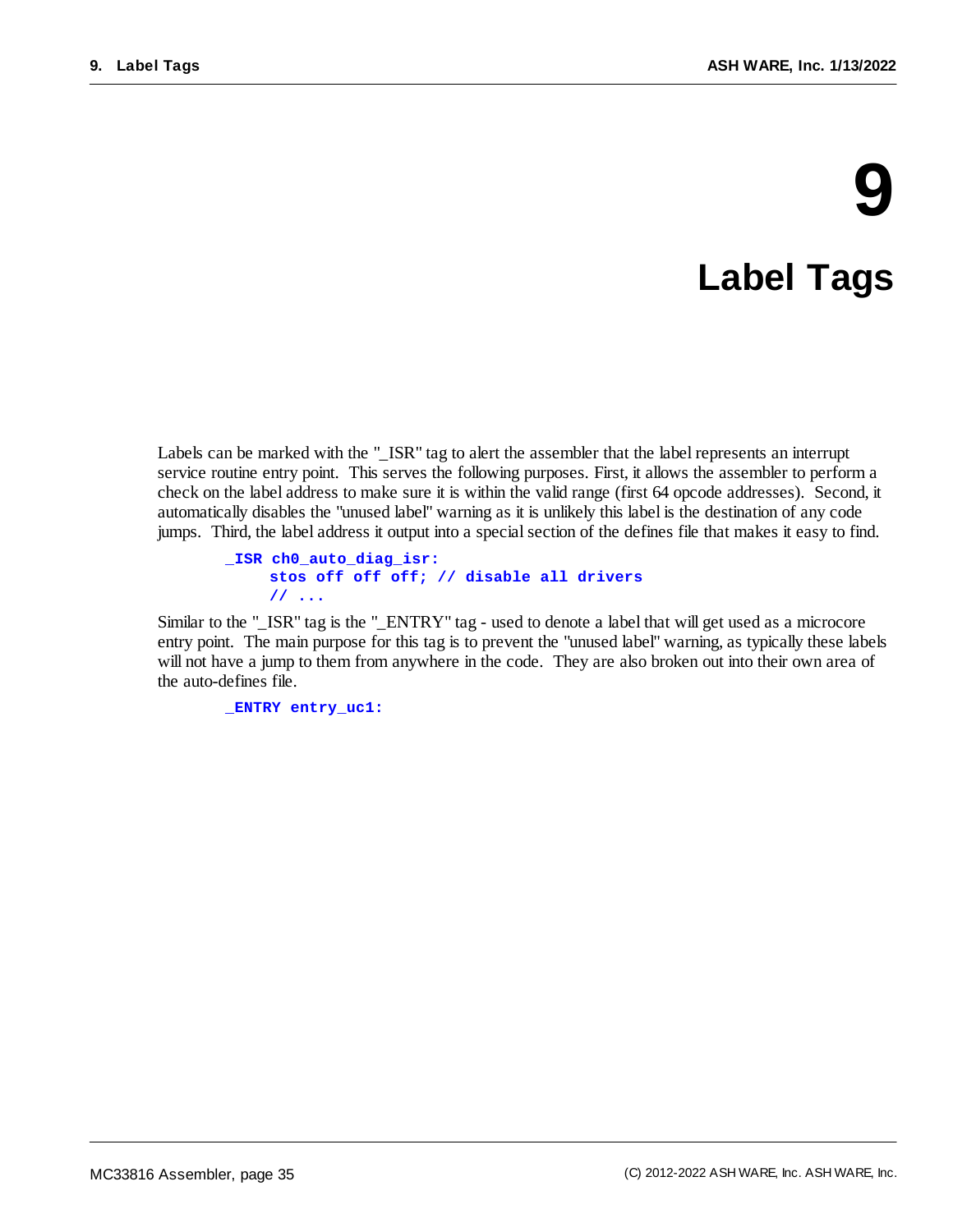# **9**

# **Label Tags**

<span id="page-34-0"></span>Labels can be marked with the "\_ISR" tag to alert the assembler that the label represents an interrupt service routine entry point. This serves the following purposes. First, it allows the assembler to perform a check on the label address to make sure it is within the valid range (first 64 opcode addresses). Second, it automatically disables the "unused label" warning as it is unlikely this label is the destination of any code jumps. Third, the label address it output into a special section of the defines file that makes it easy to find.

```
_ISR ch0_auto_diag_isr:
    stos off off off; // disable all drivers
    // ...
```
Similar to the "\_ISR" tag is the "\_ENTRY" tag - used to denote a label that will get used as a microcore entry point. The main purpose for this tag is to prevent the "unused label" warning, as typically these labels will not have a jump to them from anywhere in the code. They are also broken out into their own area of the auto-defines file.

**\_ENTRY entry\_uc1:**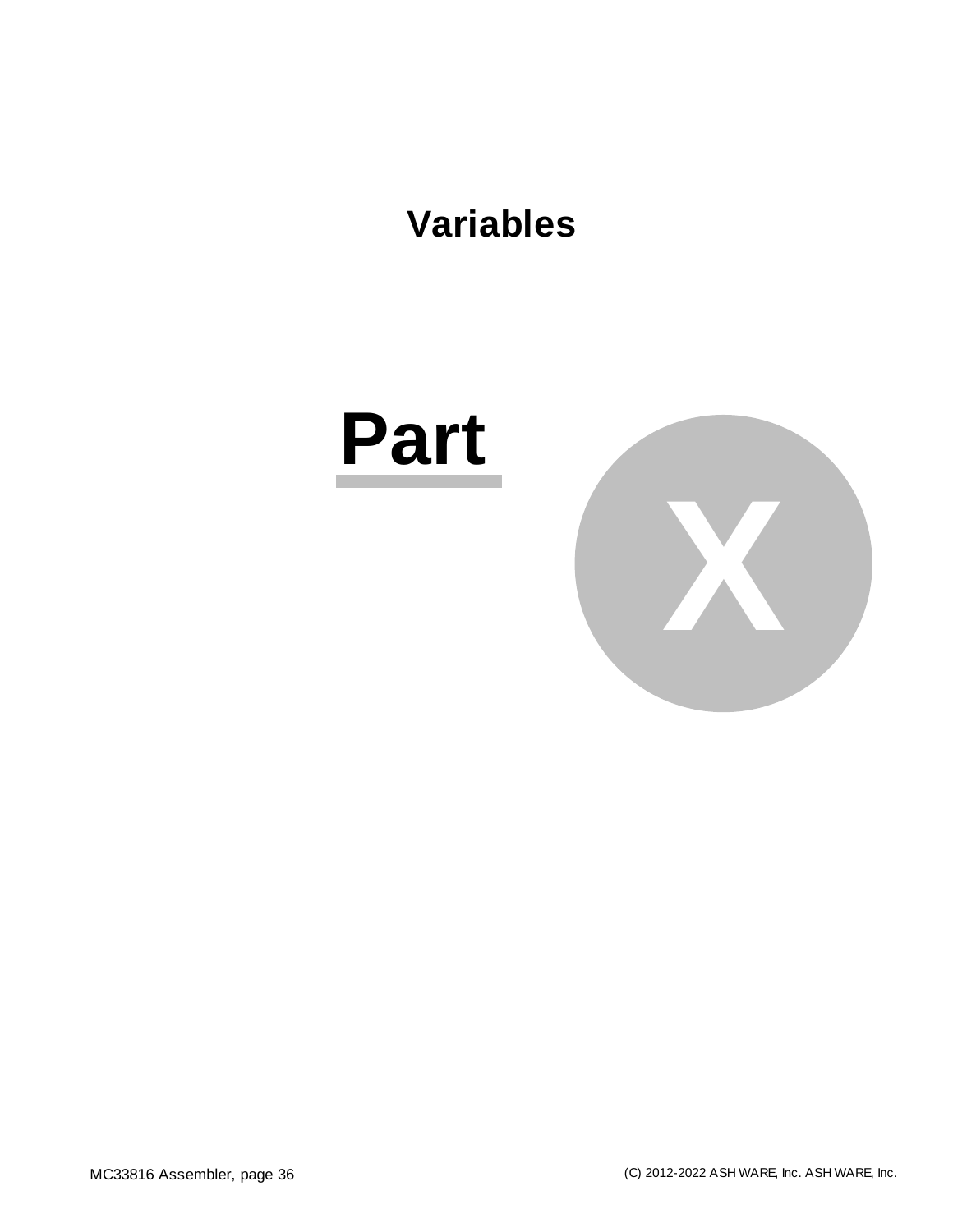### <span id="page-35-0"></span>**Variables**

# **Part**

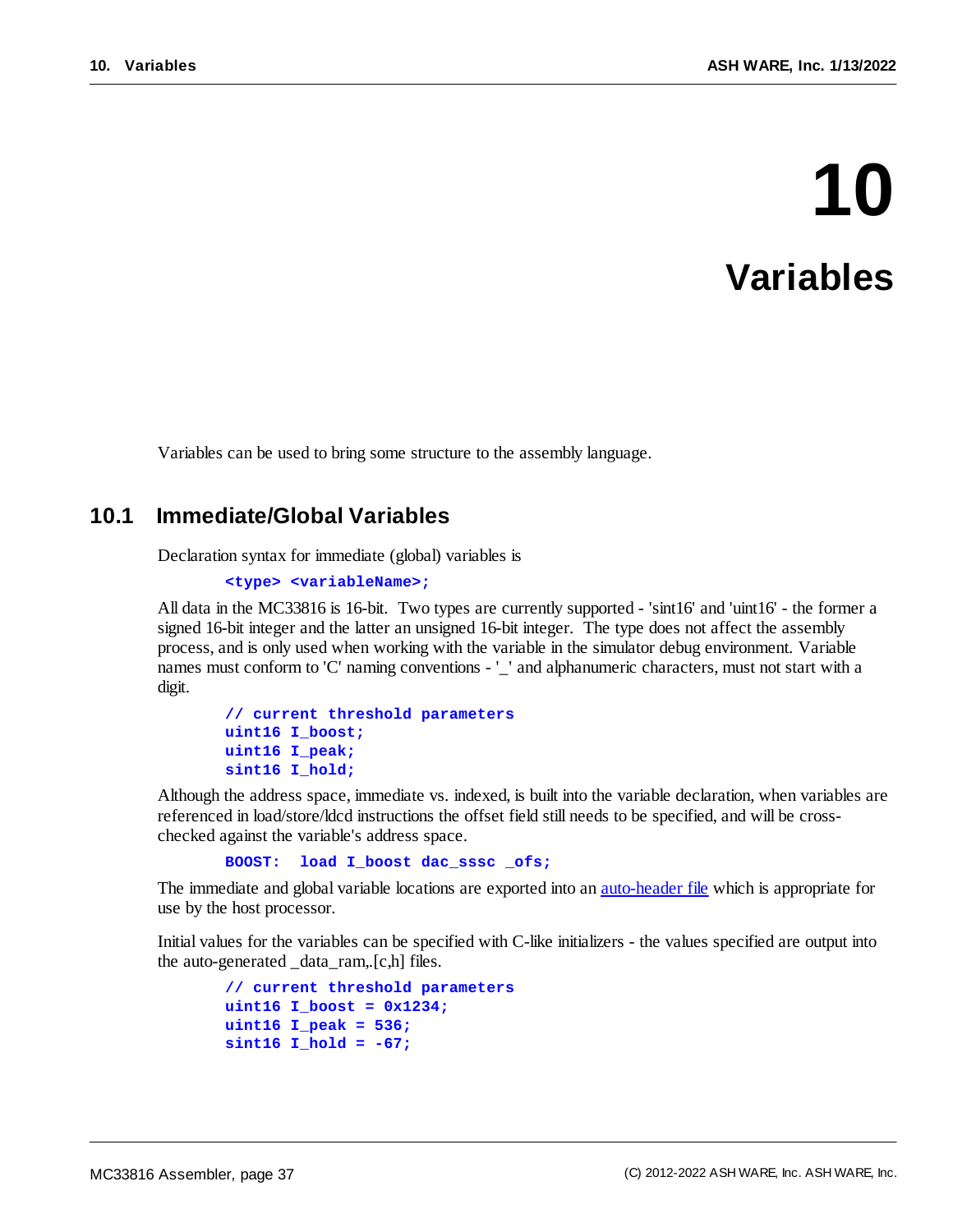# **10 Variables**

Variables can be used to bring some structure to the assembly language.

### **10.1 Immediate/Global Variables**

Declaration syntax for immediate (global) variables is

```
<type> <variableName>;
```
All data in the MC33816 is 16-bit. Two types are currently supported - 'sint16' and 'uint16' - the former a signed 16-bit integer and the latter an unsigned 16-bit integer. The type does not affect the assembly process, and is only used when working with the variable in the simulator debug environment. Variable names must conform to 'C' naming conventions - '\_' and alphanumeric characters, must not start with a digit.

```
// current threshold parameters
uint16 I_boost;
uint16 I_peak;
sint16 I_hold;
```
Although the address space, immediate vs. indexed, is built into the variable declaration, when variables are referenced in load/store/ldcd instructions the offset field still needs to be specified, and will be crosschecked against the variable's address space.

**BOOST: load I\_boost dac\_sssc \_ofs;**

The immediate and global variable locations are exported into an <u>[auto-header](#page-23-0) file</u> which is appropriate for use by the host processor.

Initial values for the variables can be specified with C-like initializers - the values specified are output into the auto-generated \_data\_ram,.[c,h] files.

```
// current threshold parameters
uint16 I_boost = 0x1234;
uint16 I_peak = 536;
sint16 I_hold = -67;
```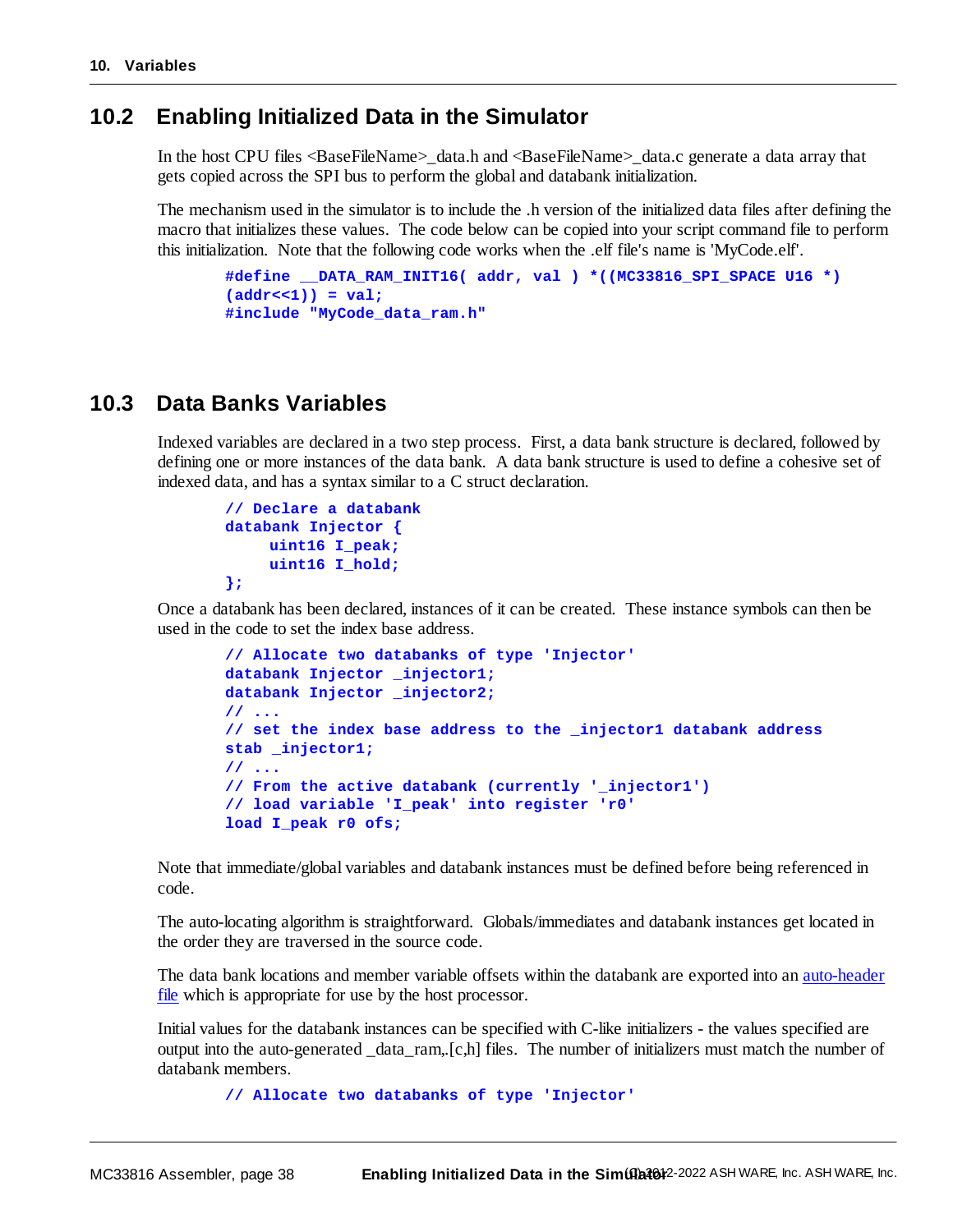### **10.2 Enabling Initialized Data in the Simulator**

In the host CPU files <BaseFileName>\_data.h and <BaseFileName>\_data.c generate a data array that gets copied across the SPI bus to perform the global and databank initialization.

The mechanism used in the simulator is to include the .h version of the initialized data files after defining the macro that initializes these values. The code below can be copied into your script command file to perform this initialization. Note that the following code works when the .elf file's name is 'MyCode.elf'.

```
#define __DATA_RAM_INIT16( addr, val ) *((MC33816_SPI_SPACE U16 *)
(addr<<1)) = val;
#include "MyCode_data_ram.h"
```
### **10.3 Data Banks Variables**

Indexed variables are declared in a two step process. First, a data bank structure is declared, followed by defining one or more instances of the data bank. A data bank structure is used to define a cohesive set of indexed data, and has a syntax similar to a C struct declaration.

```
// Declare a databank
databank Injector {
    uint16 I_peak;
    uint16 I_hold;
};
```
Once a databank has been declared, instances of it can be created. These instance symbols can then be used in the code to set the index base address.

```
// Allocate two databanks of type 'Injector'
databank Injector _injector1;
databank Injector _injector2;
// ...
// set the index base address to the _injector1 databank address
stab _injector1;
// ...
// From the active databank (currently '_injector1')
// load variable 'I_peak' into register 'r0'
load I_peak r0 ofs;
```
Note that immediate/global variables and databank instances must be defined before being referenced in code.

The auto-locating algorithm is straightforward. Globals/immediates and databank instances get located in the order they are traversed in the source code.

The data bank locations and member variable offsets within the databank are exported into an [auto-header](#page-23-0) [file](#page-23-0) which is appropriate for use by the host processor.

Initial values for the databank instances can be specified with C-like initializers - the values specified are output into the auto-generated \_data\_ram,.[c,h] files. The number of initializers must match the number of databank members.

```
// Allocate two databanks of type 'Injector'
```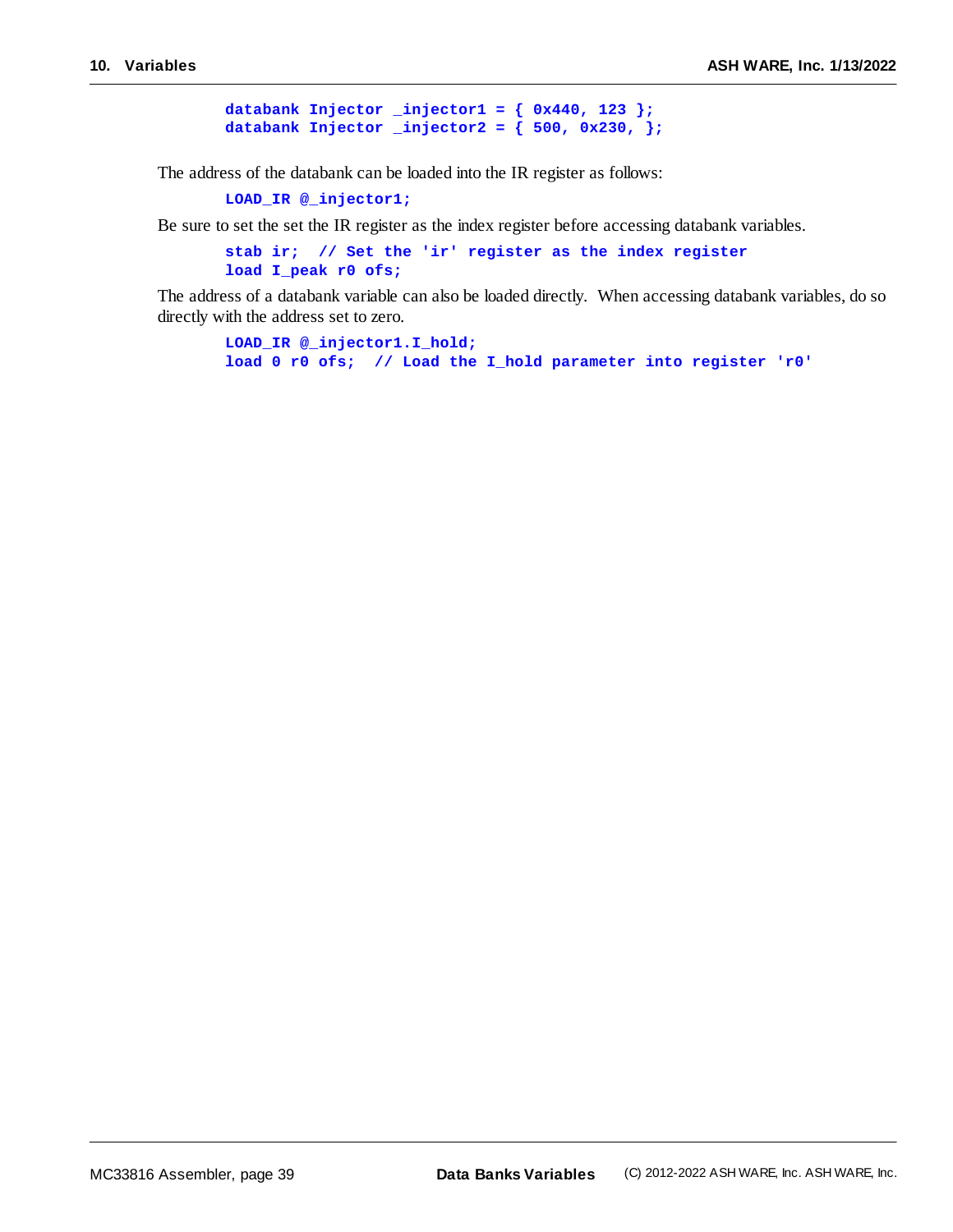```
databank Injector _injector1 = { 0x440, 123 };
databank Injector _injector2 = { 500, 0x230, };
```
The address of the databank can be loaded into the IR register as follows:

**LOAD\_IR @\_injector1;**

Be sure to set the set the IR register as the index register before accessing databank variables.

```
stab ir; // Set the 'ir' register as the index register
load I_peak r0 ofs;
```
The address of a databank variable can also be loaded directly. When accessing databank variables, do so directly with the address set to zero.

**LOAD\_IR @\_injector1.I\_hold; load 0 r0 ofs; // Load the I\_hold parameter into register 'r0'**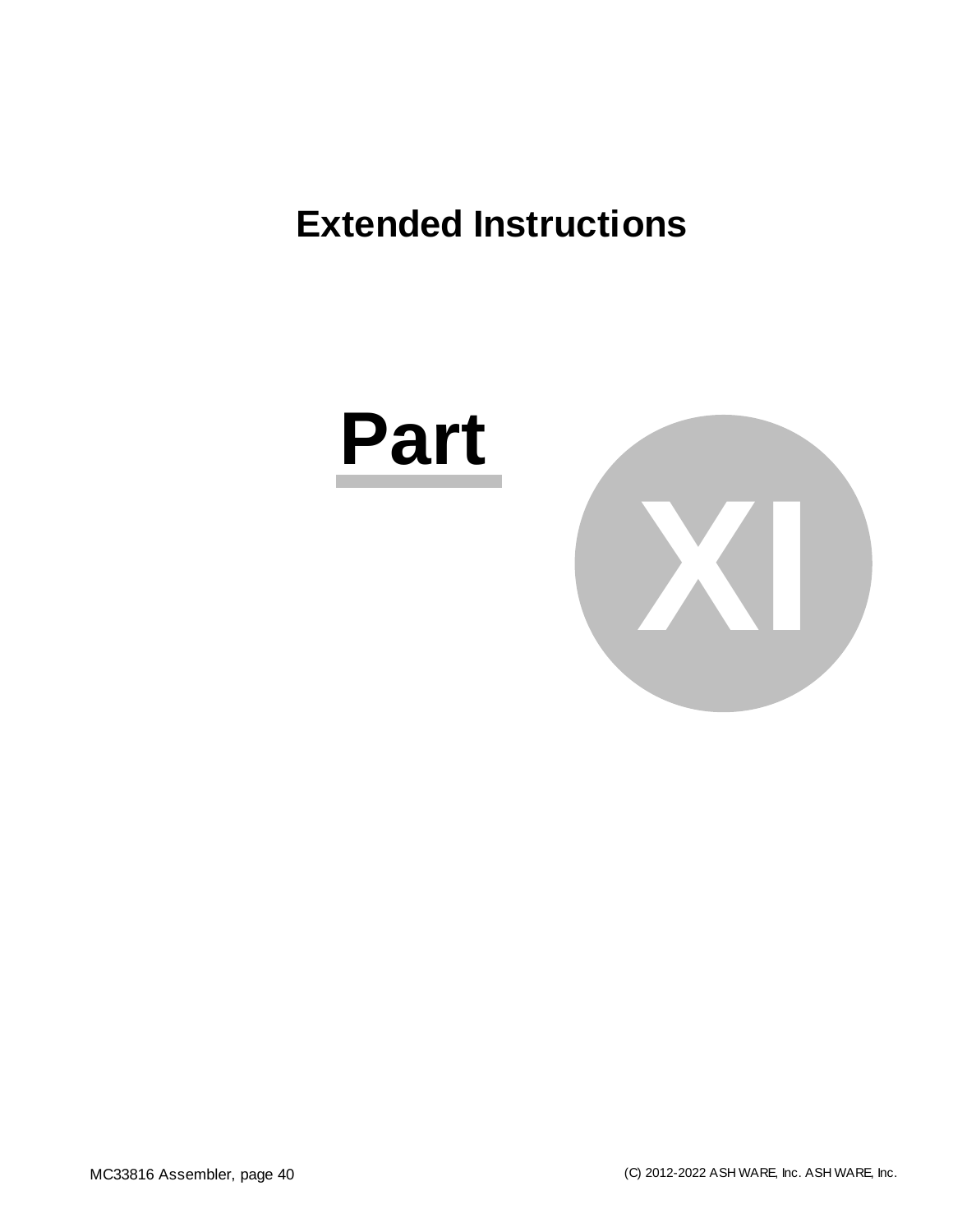# **Extended Instructions**



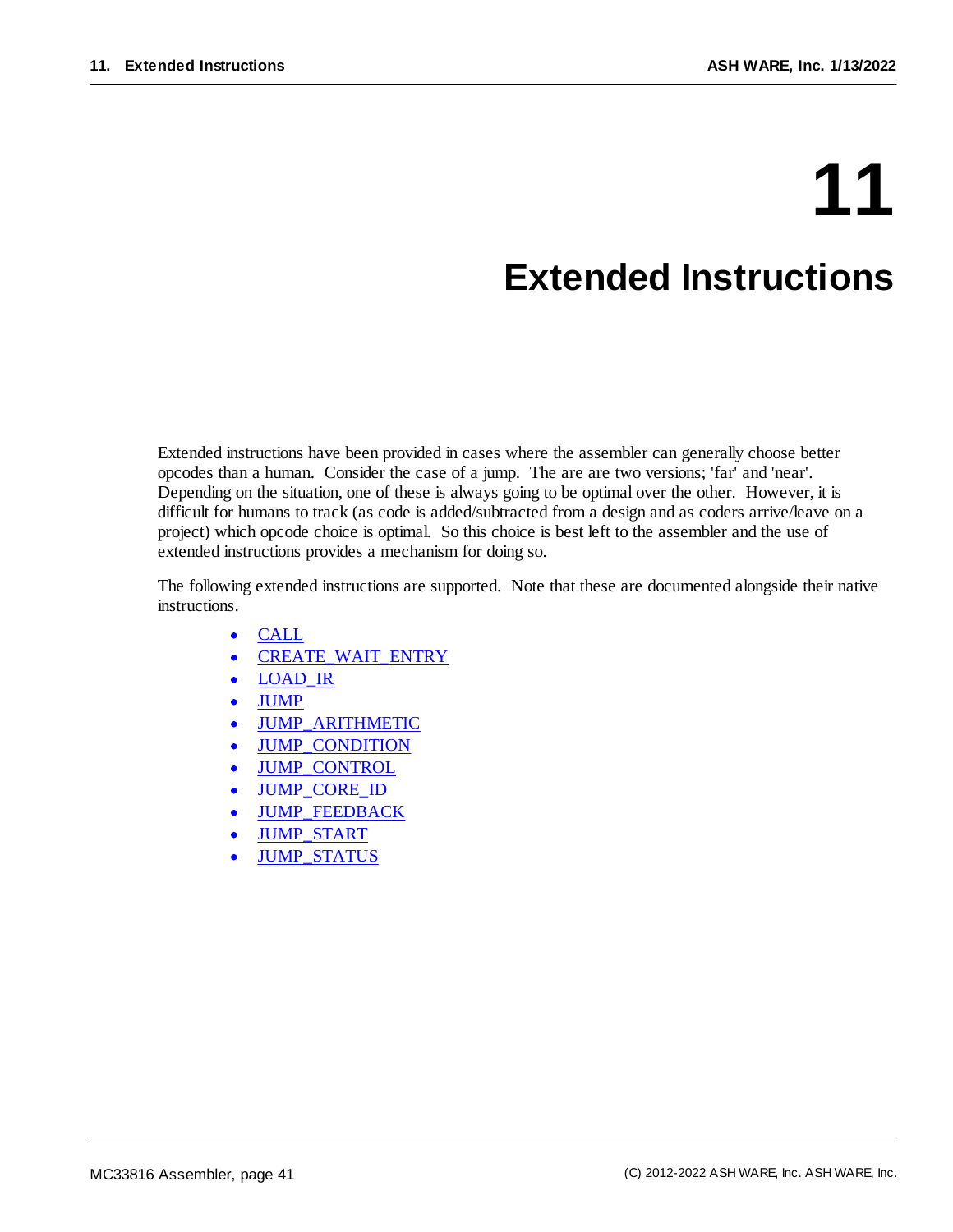# **11 Extended Instructions**

# Extended instructions have been provided in cases where the assembler can generally choose better opcodes than a human. Consider the case of a jump. The are are two versions; 'far' and 'near'. Depending on the situation, one of these is always going to be optimal over the other. However, it is difficult for humans to track (as code is added/subtracted from a design and as coders arrive/leave on a project) which opcode choice is optimal. So this choice is best left to the assembler and the use of

The following extended instructions are supported. Note that these are documented alongside their native instructions.

- ·[CALL](#page-56-0)
- ·[CREATE\\_WAIT\\_ENTRY](#page-49-0)

extended instructions provides a mechanism for doing so.

- ·LOAD IR
- ·[JUMP](#page-61-0)
- ·[JUMP\\_ARITHMETIC](#page-63-0)
- ·[JUMP\\_CONDITION](#page-81-0)
- ·[JUMP\\_CONTROL](#page-66-0)
- ·[JUMP\\_CORE\\_ID](#page-87-0)
- ·[JUMP\\_FEEDBACK](#page-85-0)
- ·[JUMP\\_START](#page-74-0)
- ·[JUMP\\_STATUS](#page-69-0)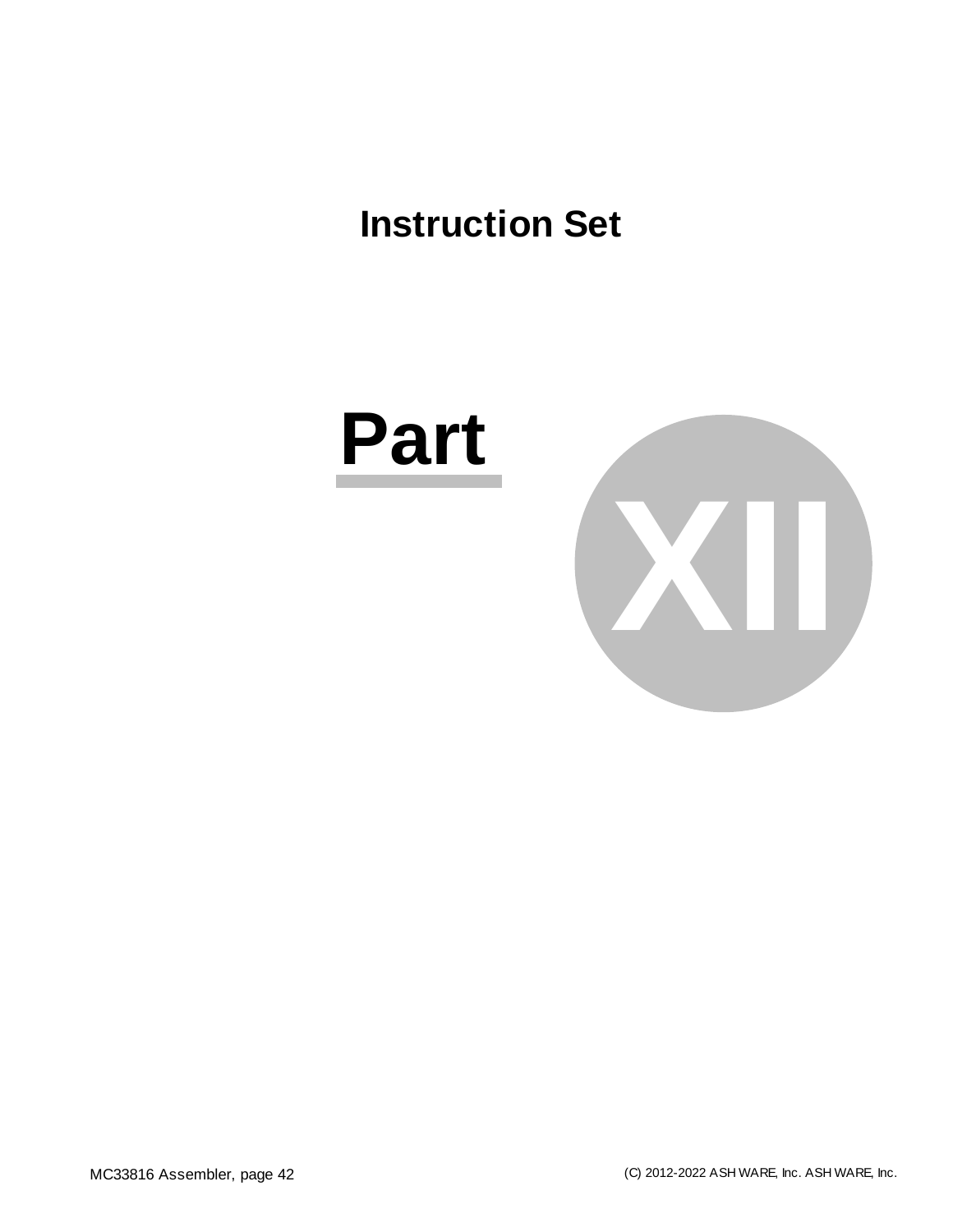# **Instruction Set**



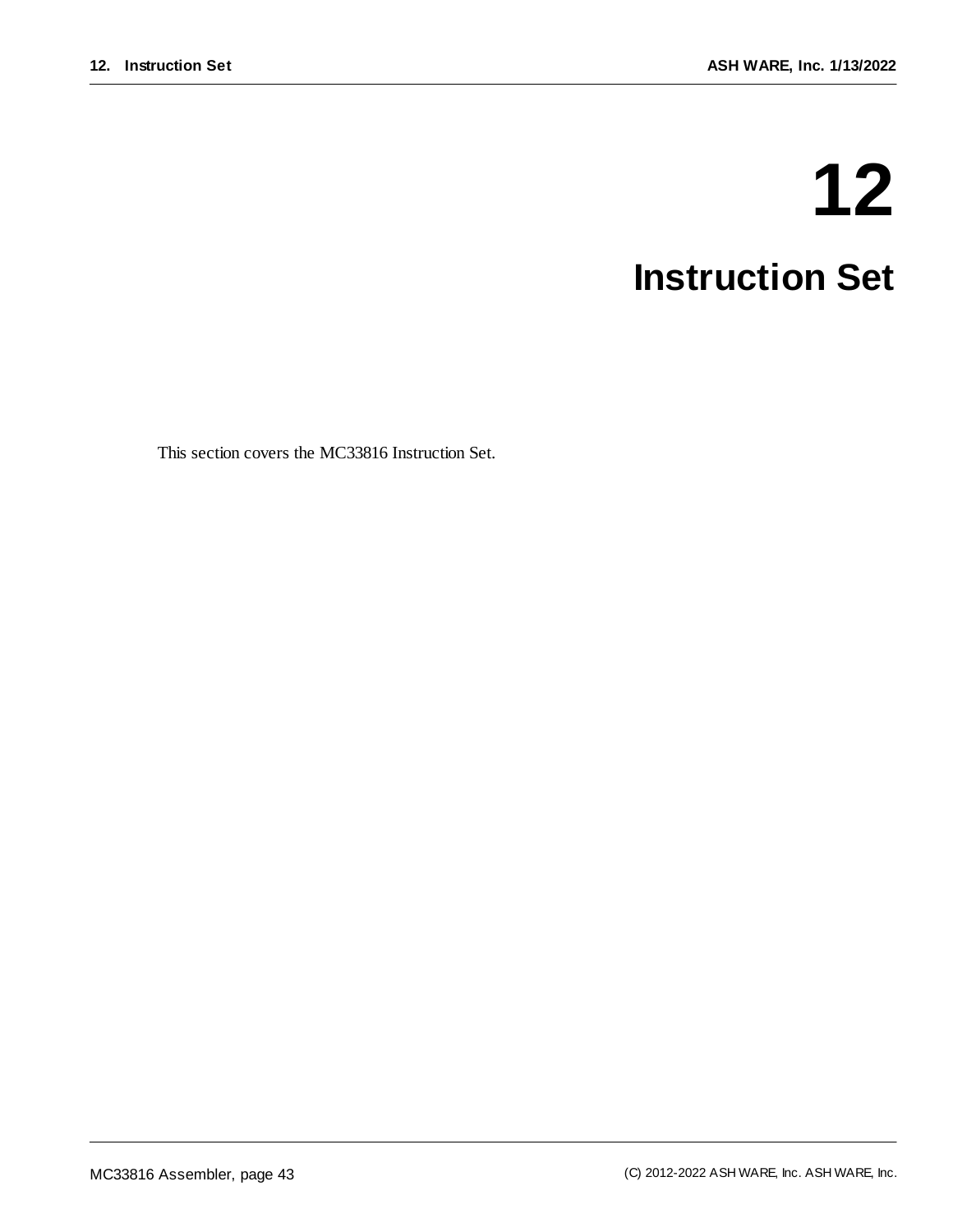# **12 Instruction Set**

This section covers the MC33816 Instruction Set.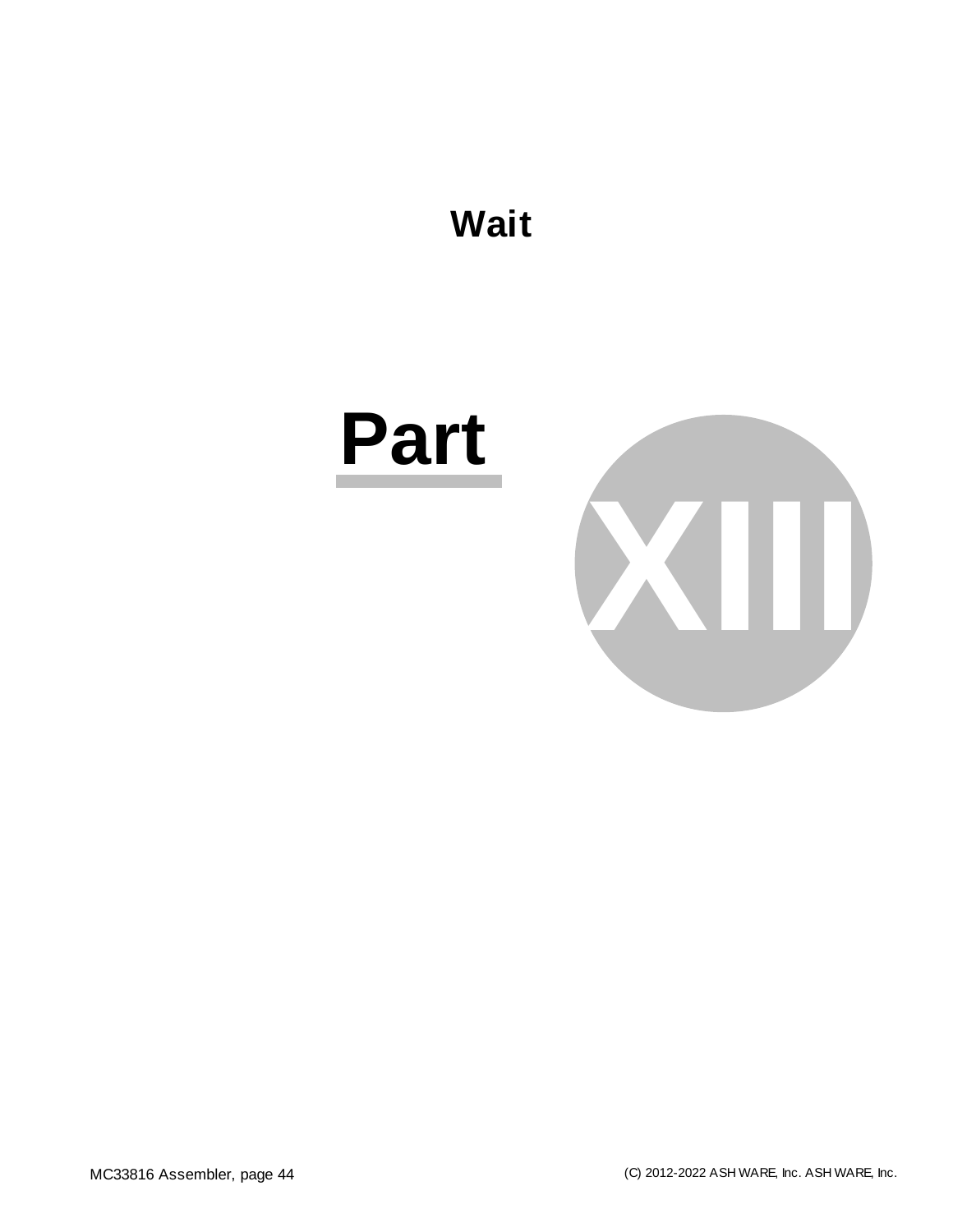

# **Part**

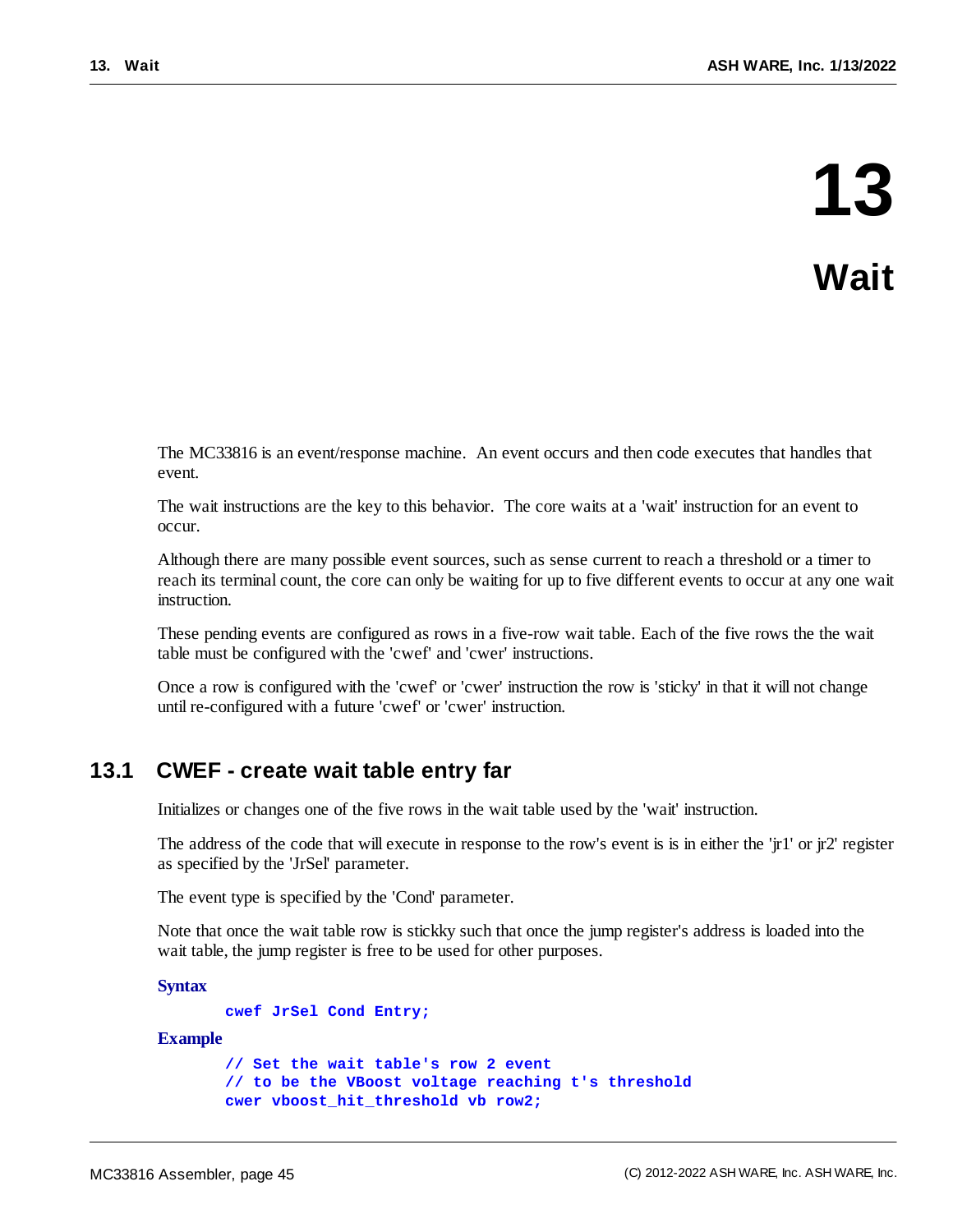The MC33816 is an event/response machine. An event occurs and then code executes that handles that event.

The wait instructions are the key to this behavior. The core waits at a 'wait' instruction for an event to occur.

Although there are many possible event sources, such as sense current to reach a threshold or a timer to reach its terminal count, the core can only be waiting for up to five different events to occur at any one wait instruction.

These pending events are configured as rows in a five-row wait table. Each of the five rows the the wait table must be configured with the 'cwef' and 'cwer' instructions.

Once a row is configured with the 'cwef' or 'cwer' instruction the row is 'sticky' in that it will not change until re-configured with a future 'cwef' or 'cwer' instruction.

# **13.1 CWEF - create wait table entry far**

Initializes or changes one of the five rows in the wait table used by the 'wait' instruction.

The address of the code that will execute in response to the row's event is is in either the 'jr1' or jr2' register as specified by the 'JrSel' parameter.

The event type is specified by the 'Cond' parameter.

Note that once the wait table row is stickky such that once the jump register's address is loaded into the wait table, the jump register is free to be used for other purposes.

**Syntax**

**cwef JrSel Cond Entry;**

#### **Example**

```
// Set the wait table's row 2 event
// to be the VBoost voltage reaching t's threshold
cwer vboost_hit_threshold vb row2;
```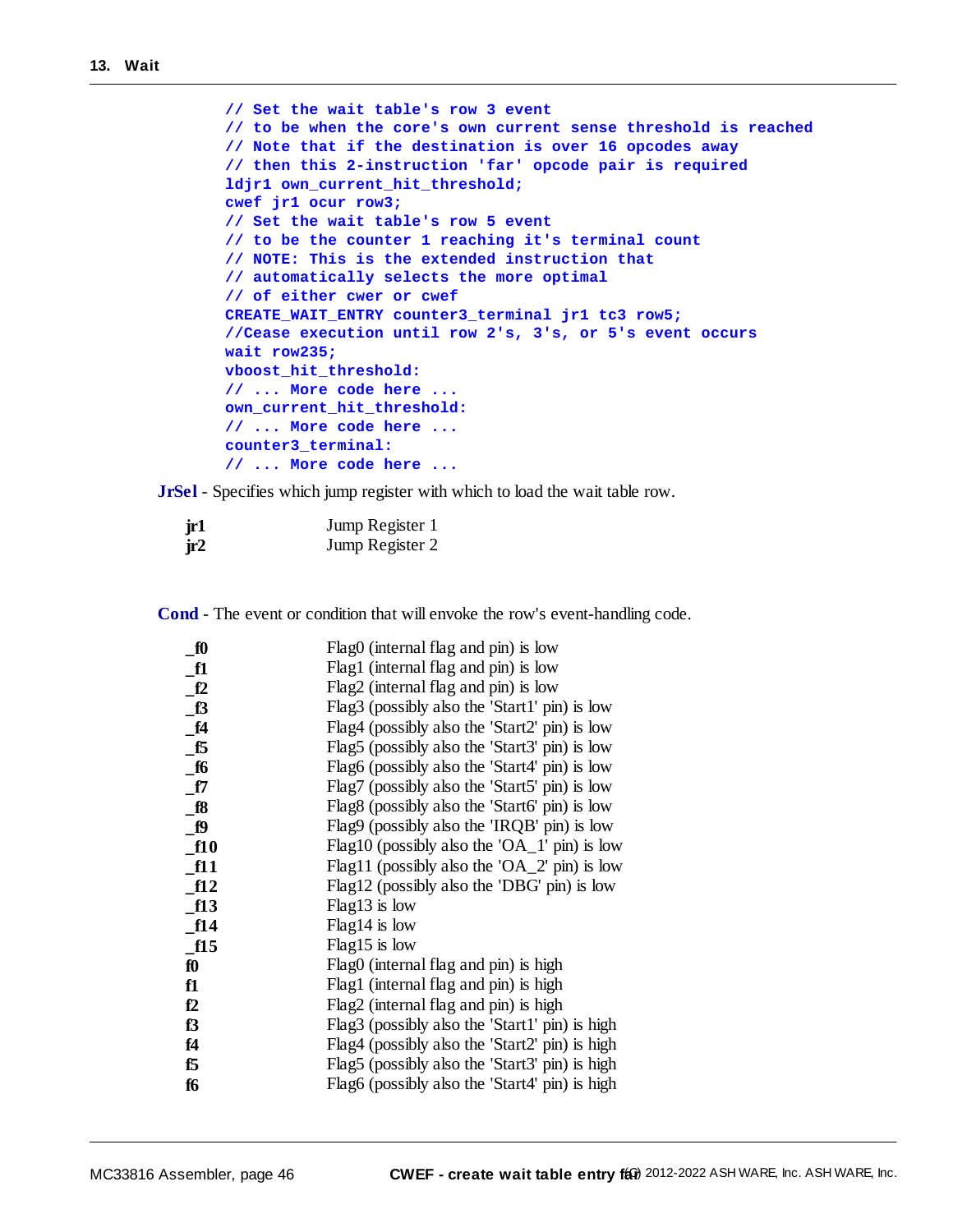```
// Set the wait table's row 3 event
// to be when the core's own current sense threshold is reached
// Note that if the destination is over 16 opcodes away
// then this 2-instruction 'far' opcode pair is required
ldjr1 own_current_hit_threshold;
cwef jr1 ocur row3;
// Set the wait table's row 5 event
// to be the counter 1 reaching it's terminal count
// NOTE: This is the extended instruction that
// automatically selects the more optimal
// of either cwer or cwef
CREATE_WAIT_ENTRY counter3_terminal jr1 tc3 row5;
//Cease execution until row 2's, 3's, or 5's event occurs
wait row235;
vboost_hit_threshold:
// ... More code here ...
own_current_hit_threshold:
// ... More code here ...
counter3_terminal:
// ... More code here ...
```
**JrSel** - Specifies which jump register with which to load the wait table row.

| jr1 | Jump Register 1 |
|-----|-----------------|
| ir2 | Jump Register 2 |

**Cond** - The event or condition that will envoke the row's event-handling code.

| f0           | Flag0 (internal flag and pin) is low           |
|--------------|------------------------------------------------|
| f1           | Flag1 (internal flag and pin) is low           |
| f2           | Flag2 (internal flag and pin) is low           |
| f3           | Flag3 (possibly also the 'Start1' pin) is low  |
| f4           | Flag4 (possibly also the 'Start2' pin) is low  |
| <b>f5</b>    | Flag5 (possibly also the 'Start3' pin) is low  |
| <b>f6</b>    | Flag6 (possibly also the 'Start4' pin) is low  |
| $\_$ f7      | Flag7 (possibly also the 'Start5' pin) is low  |
| $\_$ f $8$   | Flag8 (possibly also the 'Start6' pin) is low  |
| $\mathbf{p}$ | Flag9 (possibly also the 'IRQB' pin) is low    |
| f10          | Flag10 (possibly also the 'OA_1' pin) is low   |
| f11          | Flag11 (possibly also the 'OA_2' pin) is low   |
| f12          | Flag12 (possibly also the 'DBG' pin) is low    |
| f13          | $Flag13$ is low                                |
| f14          | $Flag14$ is low                                |
| f15          | Flag15 is low                                  |
| fO           | Flag0 (internal flag and pin) is high          |
| f1           | Flag1 (internal flag and pin) is high          |
| f2           | Flag2 (internal flag and pin) is high          |
| f3           | Flag3 (possibly also the 'Start1' pin) is high |
| f4           | Flag4 (possibly also the 'Start2' pin) is high |
| f5           | Flag5 (possibly also the 'Start3' pin) is high |
| f6           | Flag6 (possibly also the 'Start4' pin) is high |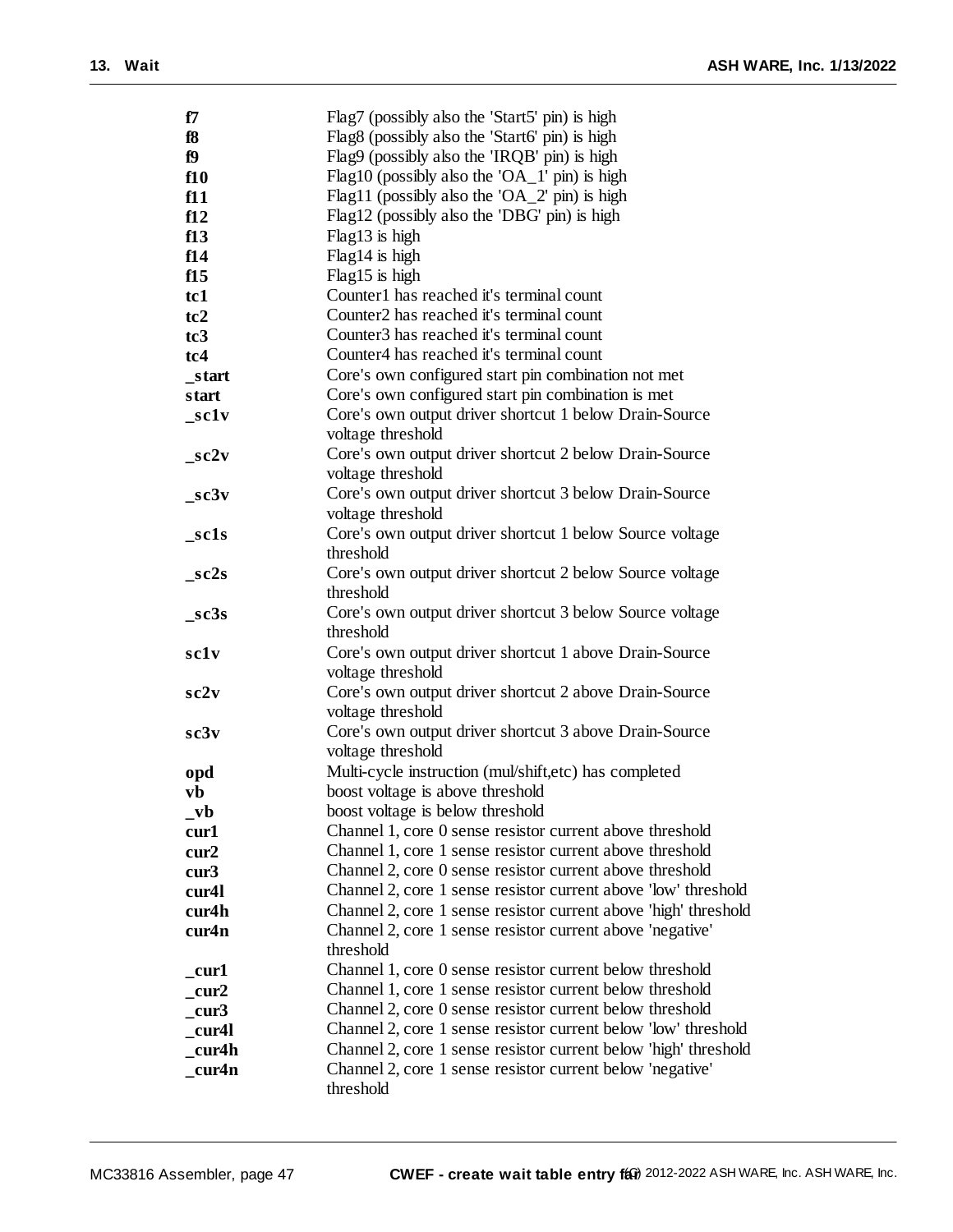| f7                           | Flag7 (possibly also the 'Start5' pin) is high                  |
|------------------------------|-----------------------------------------------------------------|
| f8                           | Flag8 (possibly also the 'Start6' pin) is high                  |
| f9                           | Flag9 (possibly also the 'IRQB' pin) is high                    |
| f10                          | Flag10 (possibly also the 'OA_1' pin) is high                   |
| f11                          | Flag11 (possibly also the 'OA_2' pin) is high                   |
| f12                          | Flag12 (possibly also the 'DBG' pin) is high                    |
| f13                          | Flag13 is high                                                  |
|                              | Flag14 is high                                                  |
| f14                          |                                                                 |
| f15                          | Flag15 is high                                                  |
| tc1                          | Counter1 has reached it's terminal count                        |
| tc2                          | Counter <sub>2</sub> has reached it's terminal count            |
| tc <sub>3</sub>              | Counter <sub>3</sub> has reached it's terminal count            |
| tc <sub>4</sub>              | Counter <sub>4</sub> has reached it's terminal count            |
| start                        | Core's own configured start pin combination not met             |
| start                        | Core's own configured start pin combination is met              |
| $\_sc1v$                     | Core's own output driver shortcut 1 below Drain-Source          |
|                              | voltage threshold                                               |
| sc2v                         | Core's own output driver shortcut 2 below Drain-Source          |
|                              | voltage threshold                                               |
| $\_sc3v$                     | Core's own output driver shortcut 3 below Drain-Source          |
|                              | voltage threshold                                               |
| sc1s                         | Core's own output driver shortcut 1 below Source voltage        |
|                              | threshold                                                       |
| $_sc2s$                      | Core's own output driver shortcut 2 below Source voltage        |
|                              | threshold                                                       |
| sc3s                         | Core's own output driver shortcut 3 below Source voltage        |
|                              | threshold                                                       |
| sclv                         | Core's own output driver shortcut 1 above Drain-Source          |
|                              | voltage threshold                                               |
| sc2v                         | Core's own output driver shortcut 2 above Drain-Source          |
|                              | voltage threshold                                               |
|                              | Core's own output driver shortcut 3 above Drain-Source          |
| sc3v                         |                                                                 |
|                              | voltage threshold                                               |
| opd                          | Multi-cycle instruction (mul/shift,etc) has completed           |
| vb                           | boost voltage is above threshold                                |
| $_{\mathbf{v}}$ <sub>b</sub> | boost voltage is below threshold                                |
| cur1                         | Channel 1, core 0 sense resistor current above threshold        |
| cur2                         | Channel 1, core 1 sense resistor current above threshold        |
| cur3                         | Channel 2, core 0 sense resistor current above threshold        |
| cur4l                        | Channel 2, core 1 sense resistor current above 'low' threshold  |
| cur4h                        | Channel 2, core 1 sense resistor current above 'high' threshold |
| cur4n                        | Channel 2, core 1 sense resistor current above 'negative'       |
|                              | threshold                                                       |
| cur1                         | Channel 1, core 0 sense resistor current below threshold        |
| cur2                         | Channel 1, core 1 sense resistor current below threshold        |
| cur3                         | Channel 2, core 0 sense resistor current below threshold        |
| cur4l                        | Channel 2, core 1 sense resistor current below 'low' threshold  |
| cur4h                        | Channel 2, core 1 sense resistor current below 'high' threshold |
| cur4n                        | Channel 2, core 1 sense resistor current below 'negative'       |
|                              | threshold                                                       |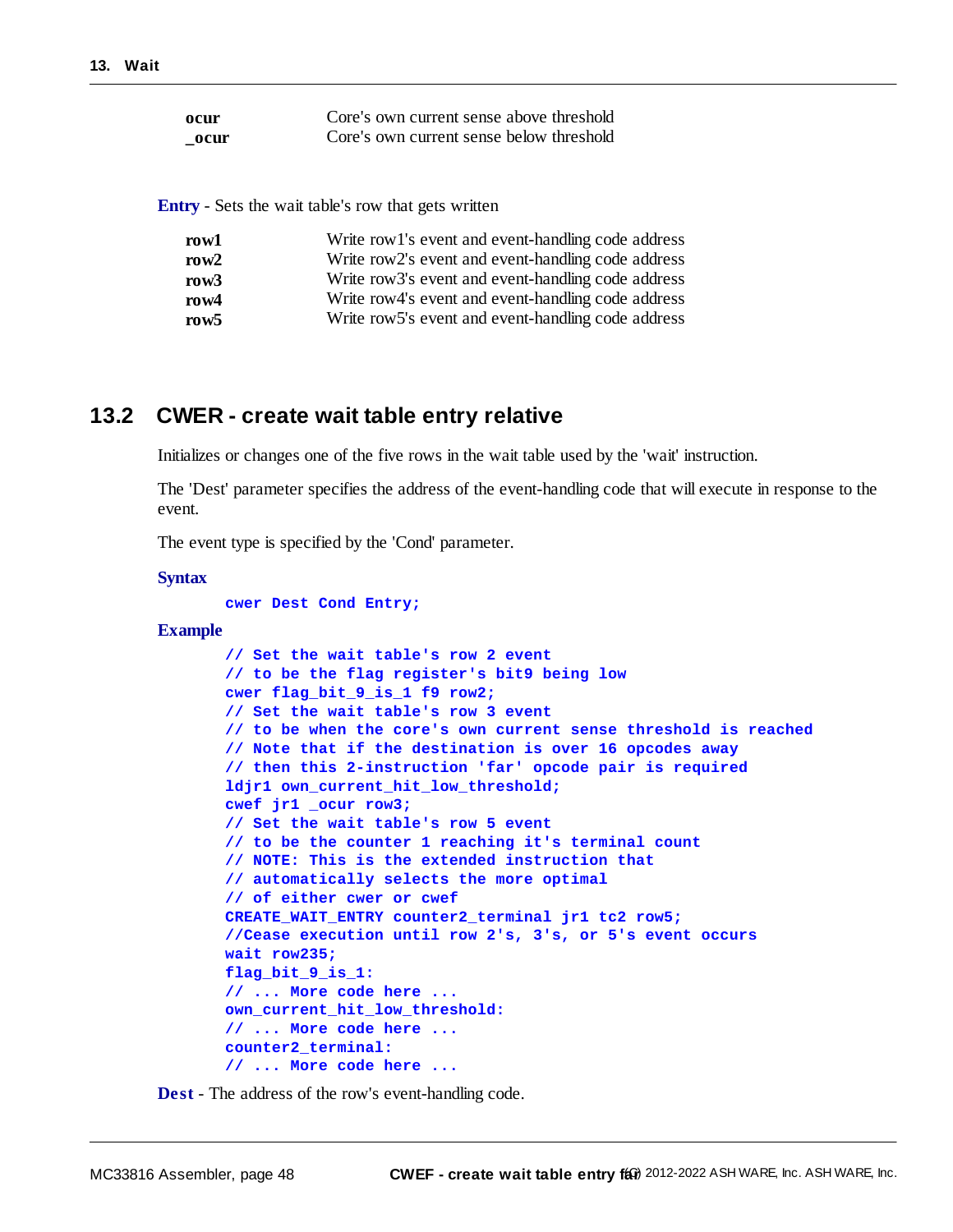| ocur | Core's own current sense above threshold |
|------|------------------------------------------|
| ocur | Core's own current sense below threshold |

**Entry** - Sets the wait table's row that gets written

| row1    | Write row 1's event and event-handling code address |
|---------|-----------------------------------------------------|
| row $2$ | Write row2's event and event-handling code address  |
| row $3$ | Write row3's event and event-handling code address  |
| row $4$ | Write row4's event and event-handling code address  |
| row5    | Write row5's event and event-handling code address  |

### **13.2 CWER - create wait table entry relative**

Initializes or changes one of the five rows in the wait table used by the 'wait' instruction.

The 'Dest' parameter specifies the address of the event-handling code that will execute in response to the event.

The event type is specified by the 'Cond' parameter.

#### **Syntax**

```
cwer Dest Cond Entry;
```
#### **Example**

```
// Set the wait table's row 2 event
// to be the flag register's bit9 being low
cwer flag_bit_9_is_1 f9 row2;
// Set the wait table's row 3 event
// to be when the core's own current sense threshold is reached
// Note that if the destination is over 16 opcodes away
// then this 2-instruction 'far' opcode pair is required
ldjr1 own_current_hit_low_threshold;
cwef jr1 _ocur row3;
// Set the wait table's row 5 event
// to be the counter 1 reaching it's terminal count
// NOTE: This is the extended instruction that
// automatically selects the more optimal
// of either cwer or cwef
CREATE_WAIT_ENTRY counter2_terminal jr1 tc2 row5;
//Cease execution until row 2's, 3's, or 5's event occurs
wait row235;
flag bit 9 is 1:
// ... More code here ...
own_current_hit_low_threshold:
// ... More code here ...
counter2_terminal:
// ... More code here ...
```
**Dest** - The address of the row's event-handling code.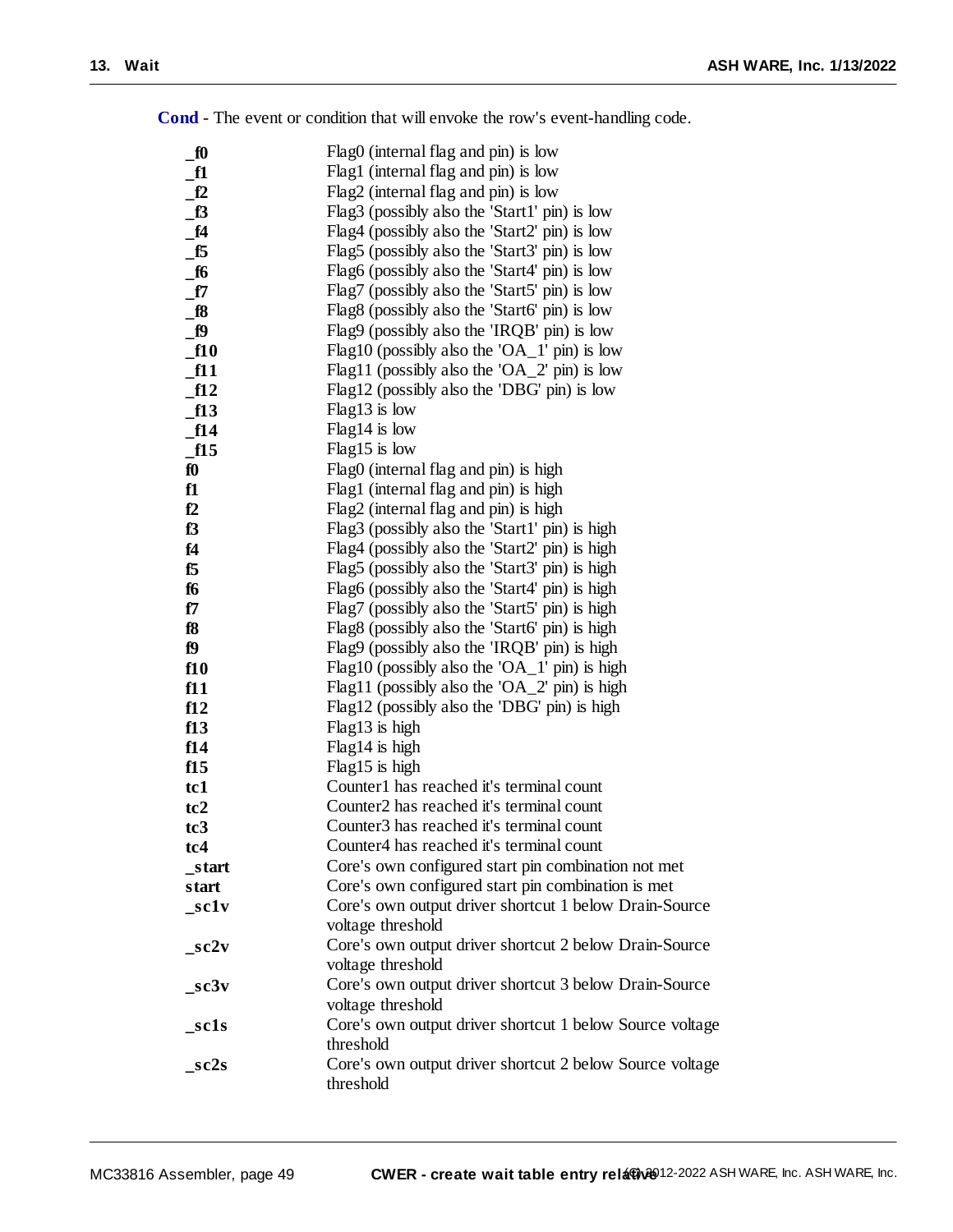| $\mathbf{f}$    | Flag0 (internal flag and pin) is low                     |
|-----------------|----------------------------------------------------------|
| $\mathbf{f1}$   | Flag1 (internal flag and pin) is low                     |
| f2              | Flag2 (internal flag and pin) is low                     |
| f3              | Flag3 (possibly also the 'Start1' pin) is low            |
| f4              | Flag4 (possibly also the 'Start2' pin) is low            |
| $\_f5$          | Flag5 (possibly also the 'Start3' pin) is low            |
| f6              | Flag6 (possibly also the 'Start4' pin) is low            |
| $\_f7$          | Flag7 (possibly also the 'Start5' pin) is low            |
| $_{18}$         | Flag8 (possibly also the 'Start6' pin) is low            |
| f9              | Flag9 (possibly also the 'IRQB' pin) is low              |
| f10             | Flag10 (possibly also the 'OA_1' pin) is low             |
| $\_$ f11        | Flag11 (possibly also the 'OA_2' pin) is low             |
| ft2             | Flag12 (possibly also the 'DBG' pin) is low              |
| $\_f13$         | $Flag13$ is low                                          |
| f14             | $Flag14$ is low                                          |
| $\_f15$         | Flag15 is low                                            |
| $f_0$           | Flag0 (internal flag and pin) is high                    |
| f1              | Flag1 (internal flag and pin) is high                    |
| f2              | Flag2 (internal flag and pin) is high                    |
| f <sub>3</sub>  | Flag3 (possibly also the 'Start1' pin) is high           |
| f4              | Flag4 (possibly also the 'Start2' pin) is high           |
| f5              | Flag5 (possibly also the 'Start3' pin) is high           |
| f6              | Flag6 (possibly also the 'Start4' pin) is high           |
| f7              | Flag7 (possibly also the 'Start5' pin) is high           |
| f8              | Flag8 (possibly also the 'Start6' pin) is high           |
| f9              | Flag9 (possibly also the 'IRQB' pin) is high             |
| f10             | Flag10 (possibly also the 'OA_1' pin) is high            |
| f11             | Flag11 (possibly also the 'OA_2' pin) is high            |
| f12             | Flag12 (possibly also the 'DBG' pin) is high             |
| f13             | Flag13 is high                                           |
| f14             | Flag14 is high                                           |
| f15             | Flag15 is high                                           |
| tc1             | Counter1 has reached it's terminal count                 |
| tc2             | Counter2 has reached it's terminal count                 |
| tc <sub>3</sub> | Counter3 has reached it's terminal count                 |
| tc4             | Counter4 has reached it's terminal count                 |
| _start          | Core's own configured start pin combination not met      |
| start           | Core's own configured start pin combination is met       |
| _sc1v           | Core's own output driver shortcut 1 below Drain-Source   |
|                 | voltage threshold                                        |
| $\_sc2v$        | Core's own output driver shortcut 2 below Drain-Source   |
|                 | voltage threshold                                        |
| sc3v            | Core's own output driver shortcut 3 below Drain-Source   |
|                 | voltage threshold                                        |
| sc1s            | Core's own output driver shortcut 1 below Source voltage |
|                 | threshold                                                |
| sc2s            | Core's own output driver shortcut 2 below Source voltage |
|                 | threshold                                                |

**Cond** - The event or condition that will envoke the row's event-handling code.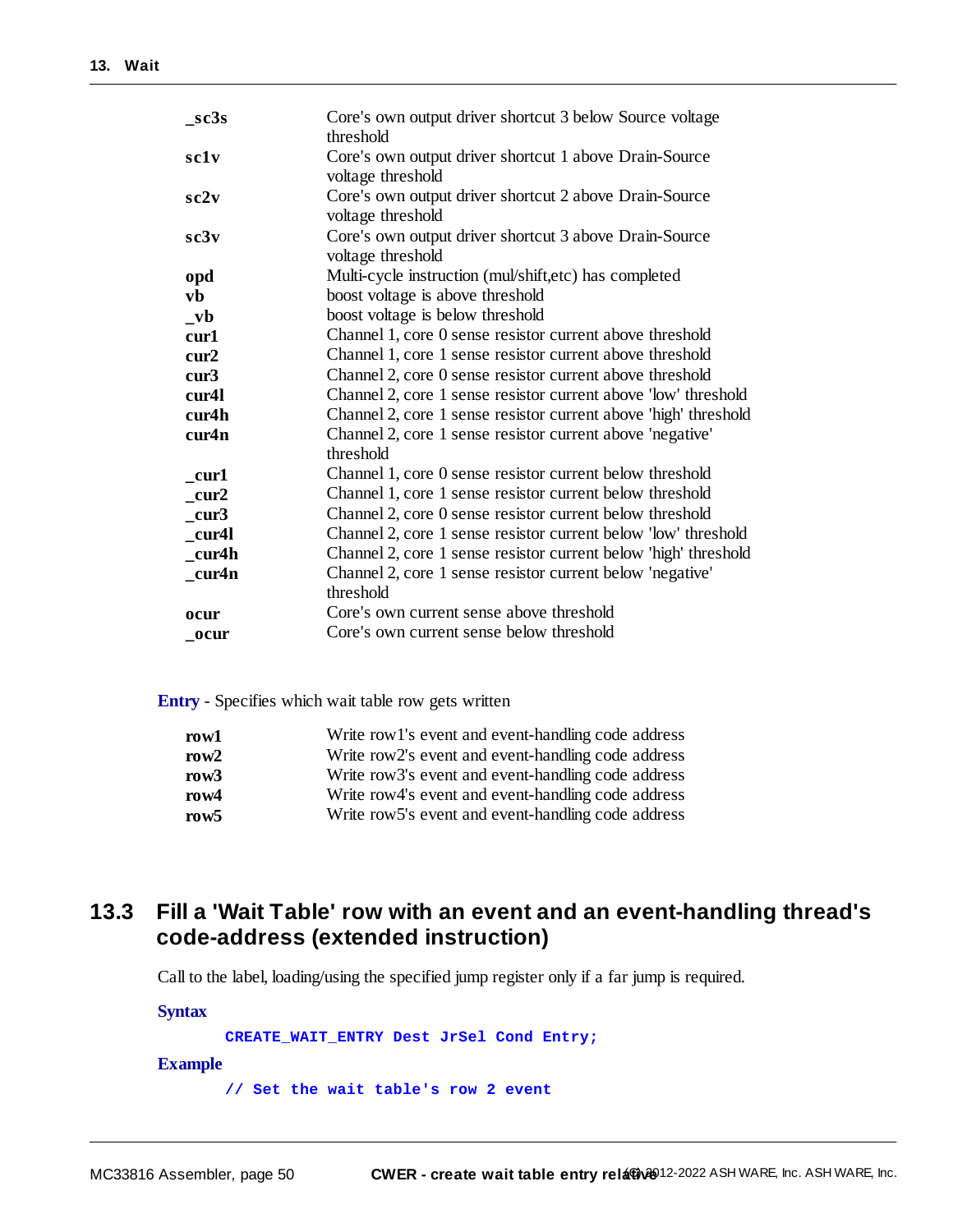| $\_sc3s$           | Core's own output driver shortcut 3 below Source voltage<br>threshold       |
|--------------------|-----------------------------------------------------------------------------|
| sclv               | Core's own output driver shortcut 1 above Drain-Source<br>voltage threshold |
| sc2v               | Core's own output driver shortcut 2 above Drain-Source<br>voltage threshold |
| sc3v               | Core's own output driver shortcut 3 above Drain-Source<br>voltage threshold |
| opd                | Multi-cycle instruction (mul/shift,etc) has completed                       |
| vb                 | boost voltage is above threshold                                            |
| $_{\mathbf{v}}$    | boost voltage is below threshold                                            |
| cur1               | Channel 1, core 0 sense resistor current above threshold                    |
| cur2               | Channel 1, core 1 sense resistor current above threshold                    |
| cur3               | Channel 2, core 0 sense resistor current above threshold                    |
| cur <sub>4</sub> l | Channel 2, core 1 sense resistor current above 'low' threshold              |
| cur4h              | Channel 2, core 1 sense resistor current above 'high' threshold             |
| cur4n              | Channel 2, core 1 sense resistor current above 'negative'                   |
|                    | threshold                                                                   |
| cur1               | Channel 1, core 0 sense resistor current below threshold                    |
| cur2               | Channel 1, core 1 sense resistor current below threshold                    |
| cur3               | Channel 2, core 0 sense resistor current below threshold                    |
| cur4l              | Channel 2, core 1 sense resistor current below 'low' threshold              |
| cur4h              | Channel 2, core 1 sense resistor current below 'high' threshold             |
| cur4n              | Channel 2, core 1 sense resistor current below 'negative'<br>threshold      |
| ocur               | Core's own current sense above threshold                                    |
| ocur               | Core's own current sense below threshold                                    |

**Entry** - Specifies which wait table row gets written

| row1    | Write row 1's event and event-handling code address |
|---------|-----------------------------------------------------|
| row $2$ | Write row2's event and event-handling code address  |
| row3    | Write row3's event and event-handling code address  |
| row $4$ | Write row4's event and event-handling code address  |
| row5    | Write row5's event and event-handling code address  |

# <span id="page-49-0"></span>**13.3 Fill a 'Wait Table' row with an event and an event-handling thread's code-address (extended instruction)**

Call to the label, loading/using the specified jump register only if a far jump is required.

**Syntax**

**CREATE\_WAIT\_ENTRY Dest JrSel Cond Entry;**

#### **Example**

**// Set the wait table's row 2 event**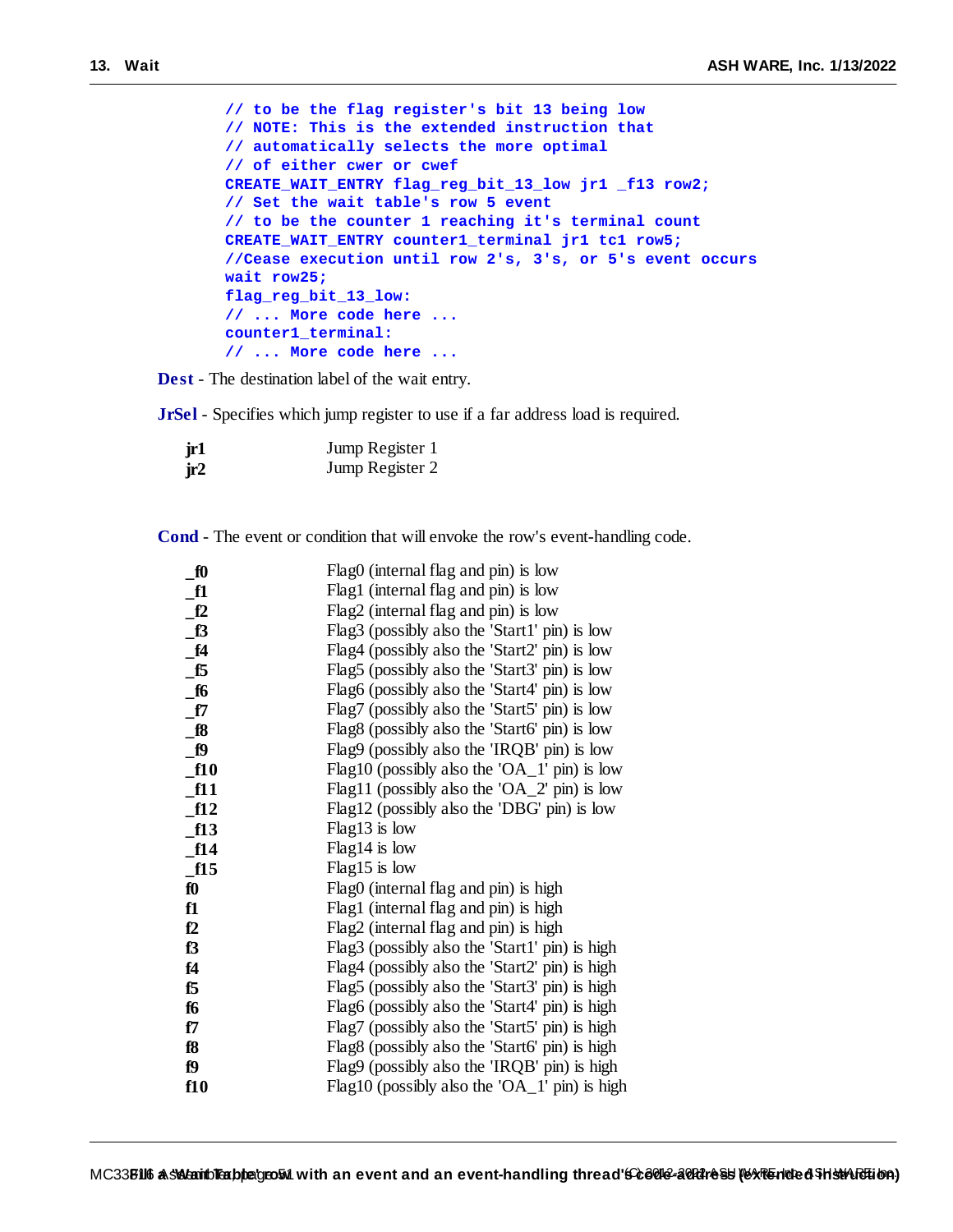```
// to be the flag register's bit 13 being low
// NOTE: This is the extended instruction that
// automatically selects the more optimal
// of either cwer or cwef
CREATE_WAIT_ENTRY flag_reg_bit_13_low jr1 _f13 row2;
// Set the wait table's row 5 event
// to be the counter 1 reaching it's terminal count
CREATE_WAIT_ENTRY counter1_terminal jr1 tc1 row5;
//Cease execution until row 2's, 3's, or 5's event occurs
wait row25;
flag_reg_bit_13_low:
// ... More code here ...
counter1_terminal:
// ... More code here ...
```
**Dest** - The destination label of the wait entry.

**JrSel** - Specifies which jump register to use if a far address load is required.

| jr1 | Jump Register 1 |
|-----|-----------------|
| ir2 | Jump Register 2 |

**Cond** - The event or condition that will envoke the row's event-handling code.

| $Flag0$ (internal flag and pin) is low         |
|------------------------------------------------|
| Flag1 (internal flag and pin) is low           |
| Flag2 (internal flag and pin) is low           |
| Flag3 (possibly also the 'Start1' pin) is low  |
| Flag4 (possibly also the 'Start2' pin) is low  |
| Flag5 (possibly also the 'Start3' pin) is low  |
| Flag6 (possibly also the 'Start4' pin) is low  |
| Flag7 (possibly also the 'Start5' pin) is low  |
| Flag8 (possibly also the 'Start6' pin) is low  |
| Flag9 (possibly also the 'IRQB' pin) is low    |
| Flag10 (possibly also the 'OA_1' pin) is low   |
| Flag11 (possibly also the 'OA_2' pin) is low   |
| Flag12 (possibly also the 'DBG' pin) is low    |
| $Flag13$ is low                                |
| $Flag14$ is low                                |
| $Flag15$ is low                                |
| Flag0 (internal flag and pin) is high          |
| Flag1 (internal flag and pin) is high          |
| Flag2 (internal flag and pin) is high          |
| Flag3 (possibly also the 'Start1' pin) is high |
| Flag4 (possibly also the 'Start2' pin) is high |
| Flag5 (possibly also the 'Start3' pin) is high |
| Flag6 (possibly also the 'Start4' pin) is high |
| Flag7 (possibly also the 'Start5' pin) is high |
| Flag8 (possibly also the 'Start6' pin) is high |
| Flag9 (possibly also the 'IRQB' pin) is high   |
| Flag10 (possibly also the 'OA_1' pin) is high  |
|                                                |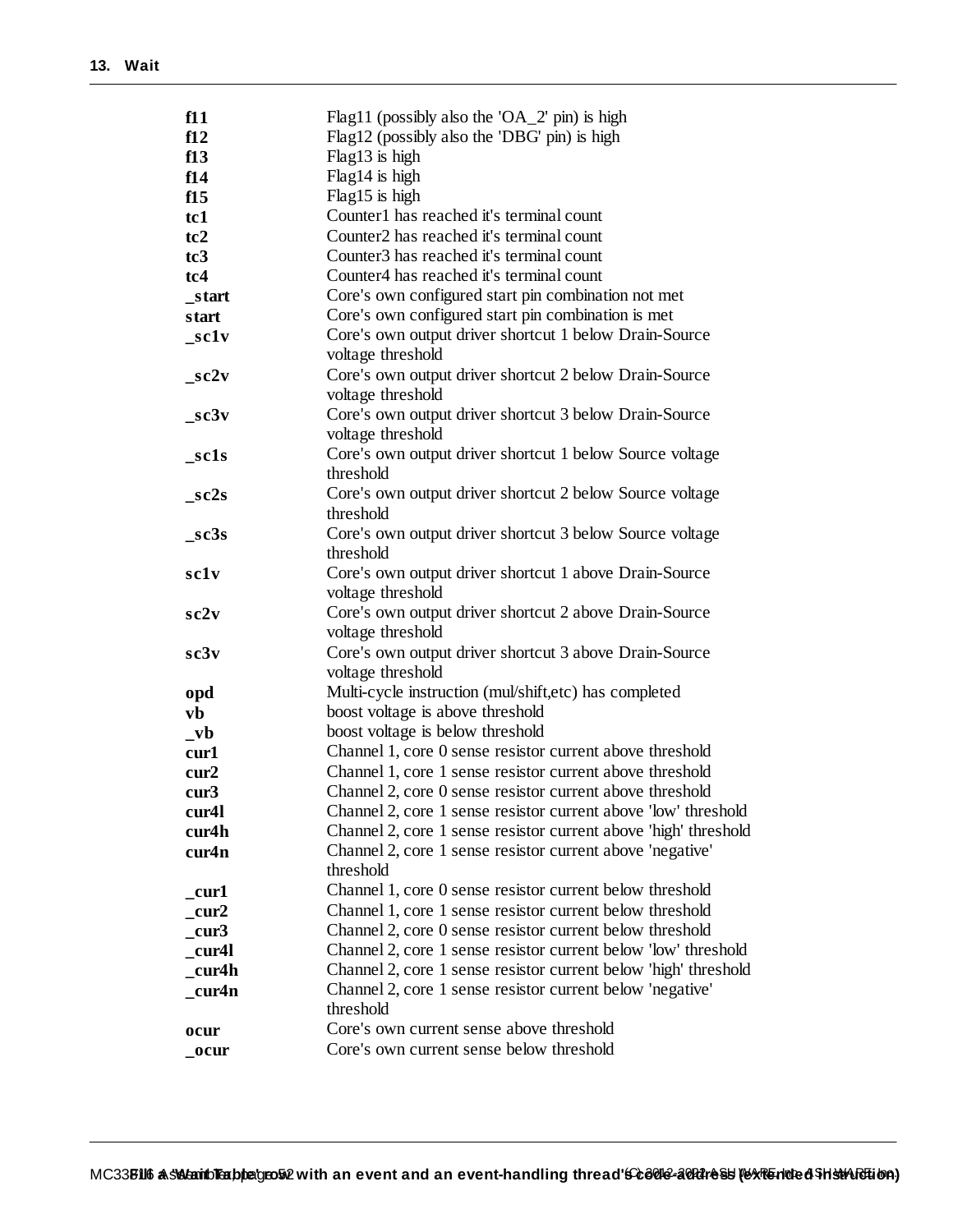| f11                                 | Flag11 (possibly also the 'OA_2' pin) is high                   |
|-------------------------------------|-----------------------------------------------------------------|
| f12                                 | Flag12 (possibly also the 'DBG' pin) is high                    |
| f13                                 | Flag13 is high                                                  |
| f14                                 | Flag14 is high                                                  |
| f15                                 | Flag15 is high                                                  |
| tc1                                 | Counter1 has reached it's terminal count                        |
| tc2                                 | Counter2 has reached it's terminal count                        |
| tc <sub>3</sub>                     | Counter3 has reached it's terminal count                        |
| tc4                                 | Counter4 has reached it's terminal count                        |
| _start                              | Core's own configured start pin combination not met             |
| start                               | Core's own configured start pin combination is met              |
| $\_sc1v$                            | Core's own output driver shortcut 1 below Drain-Source          |
|                                     | voltage threshold                                               |
| $\_sc2v$                            | Core's own output driver shortcut 2 below Drain-Source          |
|                                     | voltage threshold                                               |
| $\_sc3v$                            | Core's own output driver shortcut 3 below Drain-Source          |
|                                     | voltage threshold                                               |
| _sc1s                               | Core's own output driver shortcut 1 below Source voltage        |
|                                     | threshold                                                       |
| $\_sc2s$                            | Core's own output driver shortcut 2 below Source voltage        |
|                                     | threshold                                                       |
| $\_sc3s$                            | Core's own output driver shortcut 3 below Source voltage        |
|                                     | threshold                                                       |
| sclv                                | Core's own output driver shortcut 1 above Drain-Source          |
|                                     | voltage threshold                                               |
| sc2v                                | Core's own output driver shortcut 2 above Drain-Source          |
|                                     | voltage threshold                                               |
| sc3v                                | Core's own output driver shortcut 3 above Drain-Source          |
|                                     | voltage threshold                                               |
| opd                                 | Multi-cycle instruction (mul/shift,etc) has completed           |
| vb                                  | boost voltage is above threshold                                |
| $_{\mathbf{-}\mathbf{v}\mathbf{b}}$ | boost voltage is below threshold                                |
| cur1                                | Channel 1, core 0 sense resistor current above threshold        |
| cur2                                | Channel 1, core 1 sense resistor current above threshold        |
| cur3                                | Channel 2, core 0 sense resistor current above threshold        |
| cur4l                               | Channel 2, core 1 sense resistor current above 'low' threshold  |
| cur4h                               | Channel 2, core 1 sense resistor current above 'high' threshold |
| cur4n                               | Channel 2, core 1 sense resistor current above 'negative'       |
|                                     | threshold                                                       |
| _cur1                               | Channel 1, core 0 sense resistor current below threshold        |
| $\_cur2$                            | Channel 1, core 1 sense resistor current below threshold        |
| $_{\rm cur3}$                       | Channel 2, core 0 sense resistor current below threshold        |
| cur4l                               | Channel 2, core 1 sense resistor current below 'low' threshold  |
| _cur4h                              | Channel 2, core 1 sense resistor current below 'high' threshold |
| _cur4n                              | Channel 2, core 1 sense resistor current below 'negative'       |
|                                     | threshold                                                       |
| ocur                                | Core's own current sense above threshold                        |
| _ocur                               | Core's own current sense below threshold                        |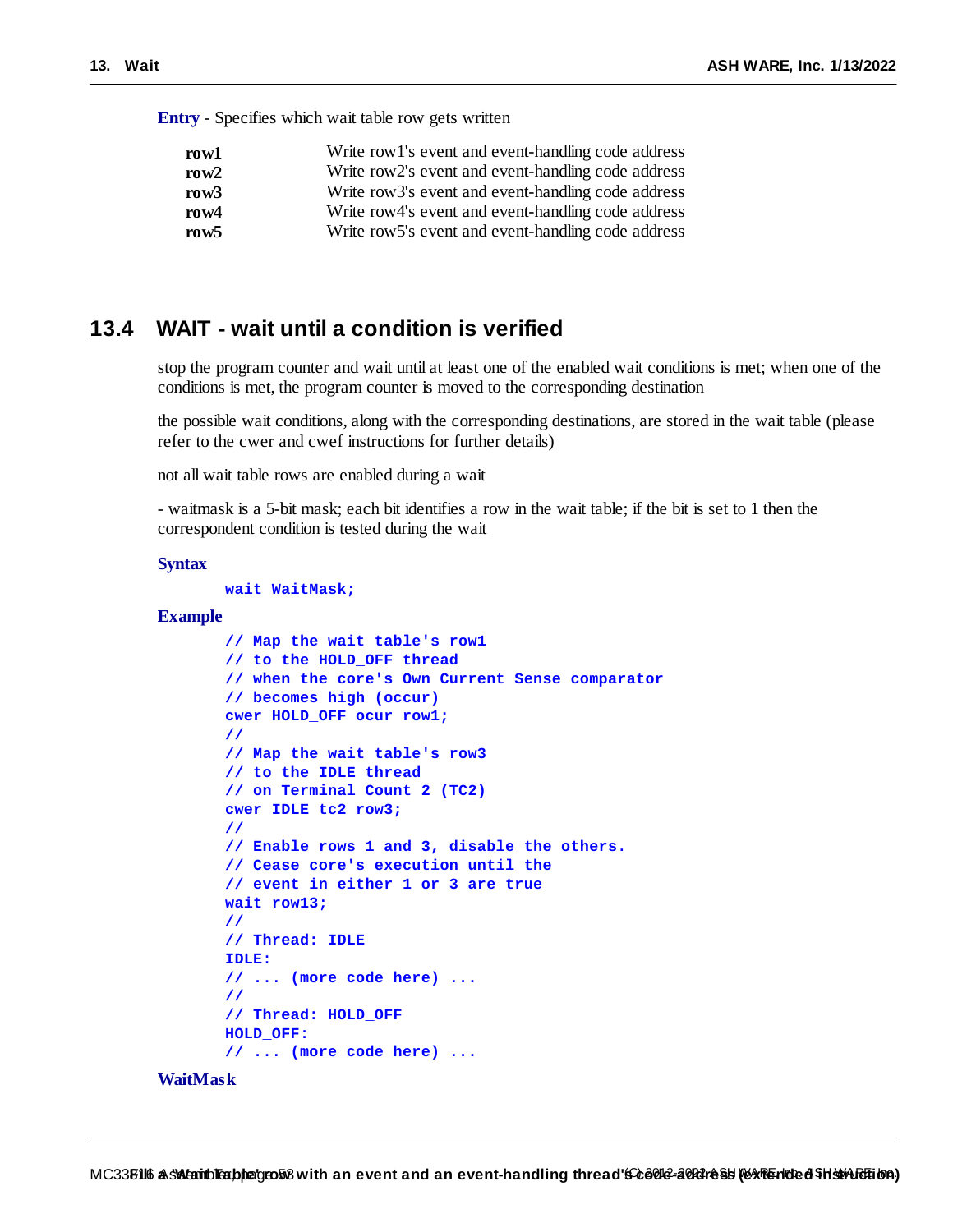**Entry** - Specifies which wait table row gets written

| row1    | Write row 1's event and event-handling code address |
|---------|-----------------------------------------------------|
| row $2$ | Write row2's event and event-handling code address  |
| row3    | Write row3's event and event-handling code address  |
| row4    | Write row4's event and event-handling code address  |
| row5    | Write row5's event and event-handling code address  |

## **13.4 WAIT - wait until a condition is verified**

stop the program counter and wait until at least one of the enabled wait conditions is met; when one of the conditions is met, the program counter is moved to the corresponding destination

the possible wait conditions, along with the corresponding destinations, are stored in the wait table (please refer to the cwer and cwef instructions for further details)

not all wait table rows are enabled during a wait

- waitmask is a 5-bit mask; each bit identifies a row in the wait table; if the bit is set to 1 then the correspondent condition is tested during the wait

#### **Syntax**

**wait WaitMask;**

#### **Example**

```
// Map the wait table's row1
// to the HOLD_OFF thread
// when the core's Own Current Sense comparator
// becomes high (occur)
cwer HOLD_OFF ocur row1;
//
// Map the wait table's row3
// to the IDLE thread
// on Terminal Count 2 (TC2)
cwer IDLE tc2 row3;
//
// Enable rows 1 and 3, disable the others.
// Cease core's execution until the
// event in either 1 or 3 are true
wait row13;
//
// Thread: IDLE
IDLE:
// ... (more code here) ...
//
// Thread: HOLD_OFF
HOLD_OFF:
// ... (more code here) ...
```
#### **WaitMask**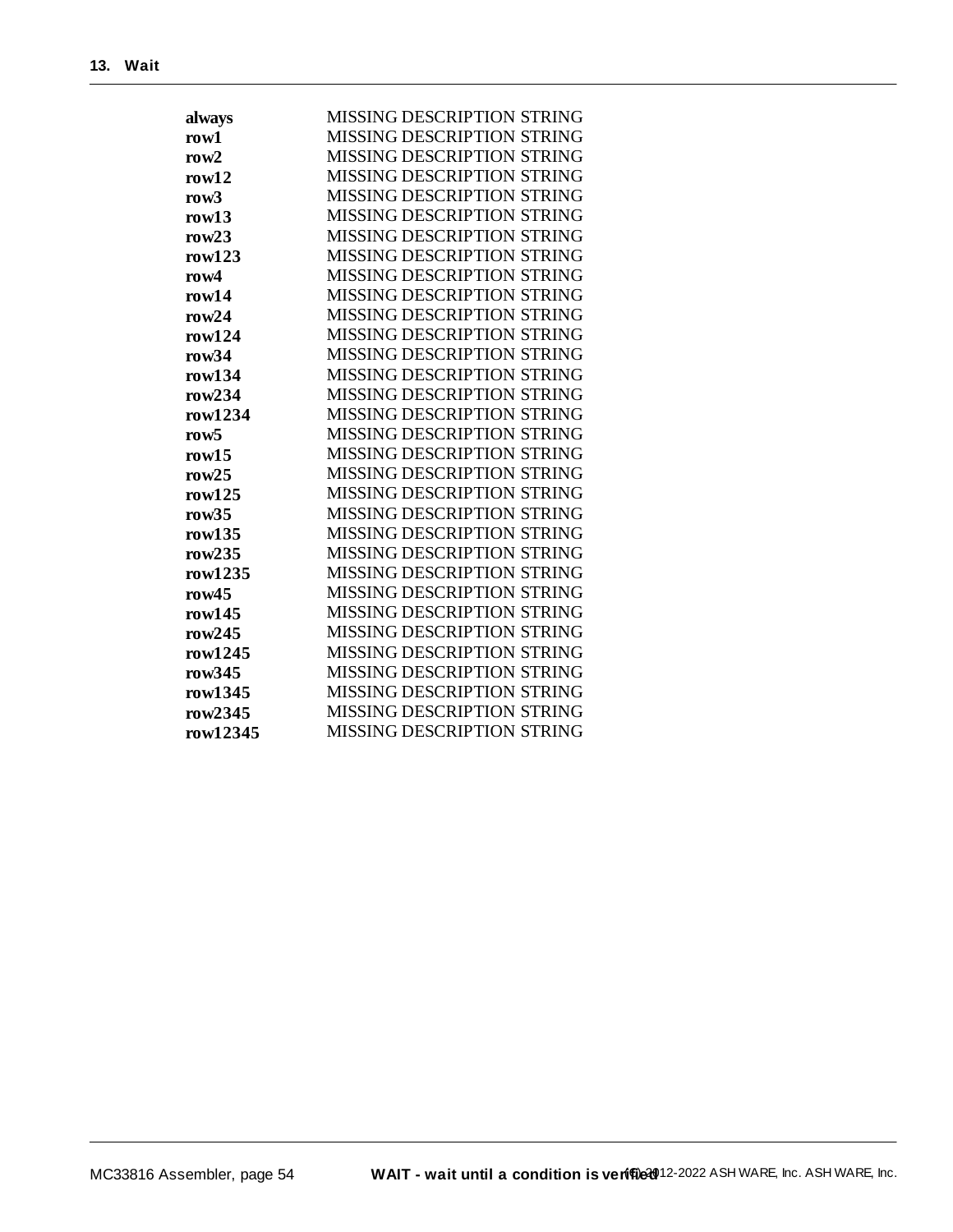| always           | <b>MISSING DESCRIPTION STRING</b> |
|------------------|-----------------------------------|
| row1             | <b>MISSING DESCRIPTION STRING</b> |
| row $2$          | MISSING DESCRIPTION STRING        |
| row12            | <b>MISSING DESCRIPTION STRING</b> |
| row3             | <b>MISSING DESCRIPTION STRING</b> |
| row13            | <b>MISSING DESCRIPTION STRING</b> |
| row23            | <b>MISSING DESCRIPTION STRING</b> |
| row123           | <b>MISSING DESCRIPTION STRING</b> |
| row4             | <b>MISSING DESCRIPTION STRING</b> |
| row14            | <b>MISSING DESCRIPTION STRING</b> |
| row24            | <b>MISSING DESCRIPTION STRING</b> |
| row124           | <b>MISSING DESCRIPTION STRING</b> |
| row34            | <b>MISSING DESCRIPTION STRING</b> |
| row134           | <b>MISSING DESCRIPTION STRING</b> |
| row234           | <b>MISSING DESCRIPTION STRING</b> |
| row1234          | <b>MISSING DESCRIPTION STRING</b> |
| row <sub>5</sub> | <b>MISSING DESCRIPTION STRING</b> |
| row15            | <b>MISSING DESCRIPTION STRING</b> |
| row $25$         | <b>MISSING DESCRIPTION STRING</b> |
| row125           | <b>MISSING DESCRIPTION STRING</b> |
| row35            | <b>MISSING DESCRIPTION STRING</b> |
| row135           | <b>MISSING DESCRIPTION STRING</b> |
| row $235$        | <b>MISSING DESCRIPTION STRING</b> |
| row1235          | <b>MISSING DESCRIPTION STRING</b> |
| row45            | <b>MISSING DESCRIPTION STRING</b> |
| row145           | <b>MISSING DESCRIPTION STRING</b> |
| row245           | <b>MISSING DESCRIPTION STRING</b> |
| row1245          | <b>MISSING DESCRIPTION STRING</b> |
| row $345$        | <b>MISSING DESCRIPTION STRING</b> |
| row1345          | <b>MISSING DESCRIPTION STRING</b> |
| row2345          | <b>MISSING DESCRIPTION STRING</b> |
| row12345         | <b>MISSING DESCRIPTION STRING</b> |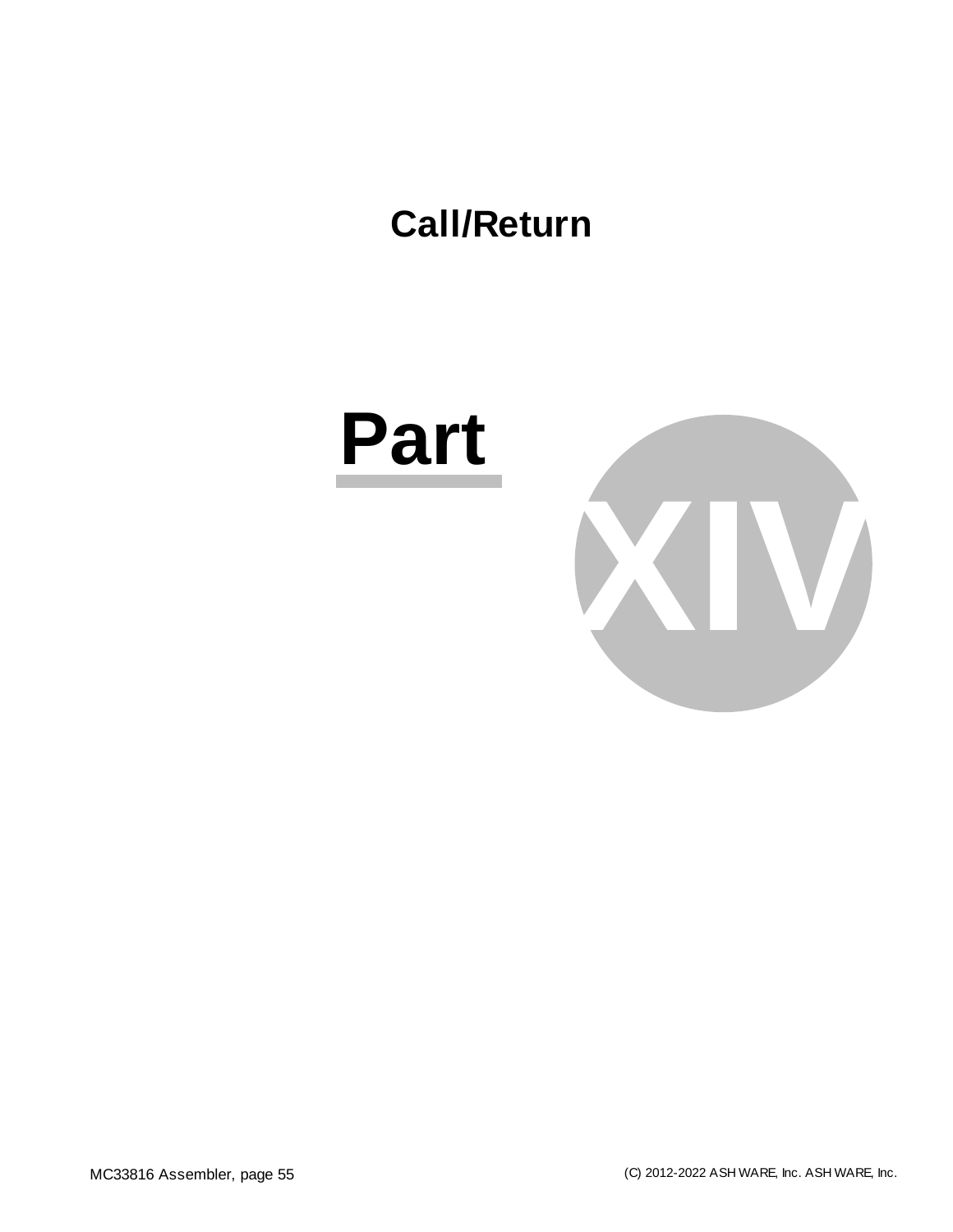# **Call/Return**

# **Part**

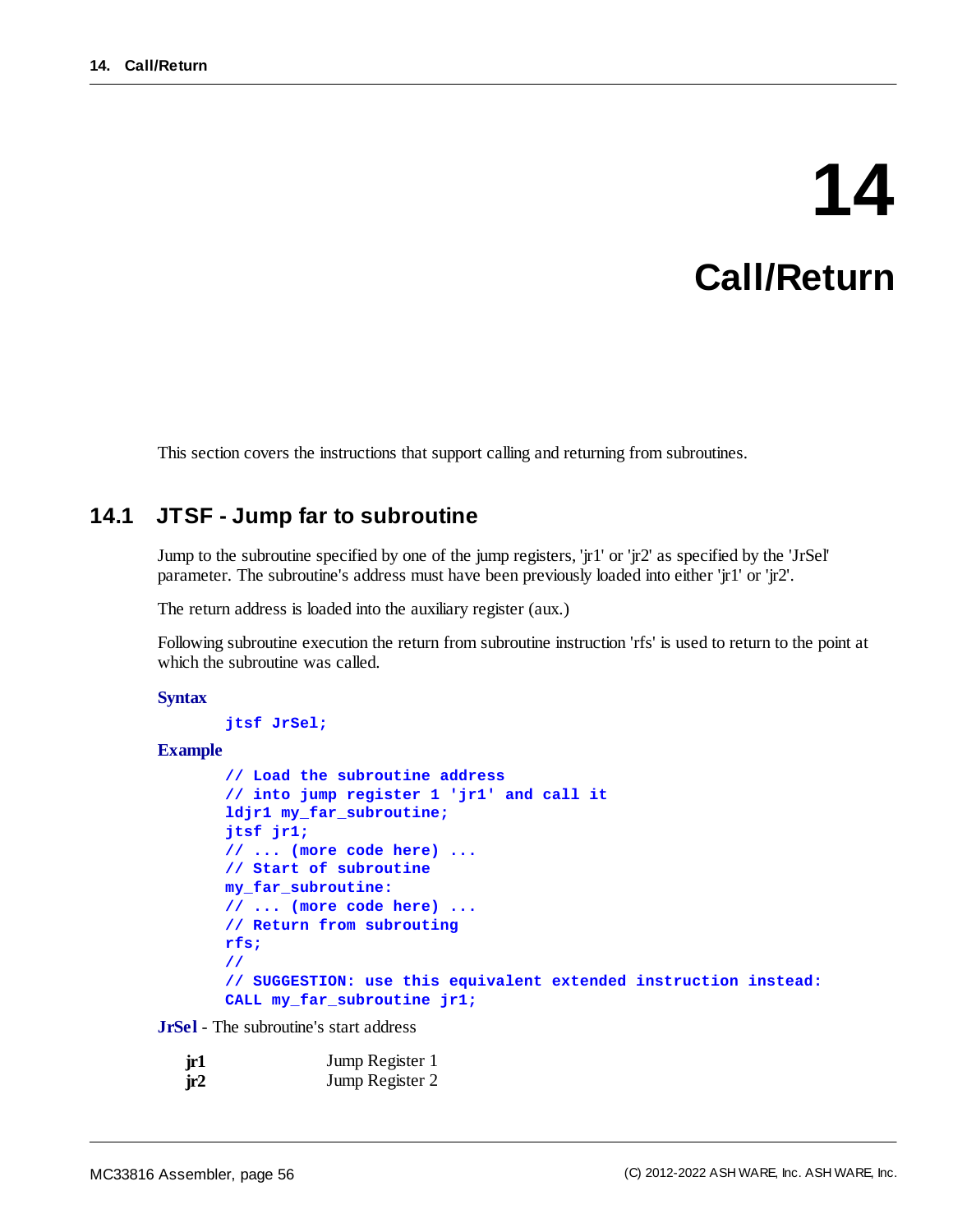# **14 Call/Return**

This section covers the instructions that support calling and returning from subroutines.

# **14.1 JTSF - Jump far to subroutine**

Jump to the subroutine specified by one of the jump registers, 'jr1' or 'jr2' as specified by the 'JrSel' parameter. The subroutine's address must have been previously loaded into either 'jr1' or 'jr2'.

The return address is loaded into the auxiliary register (aux.)

Following subroutine execution the return from subroutine instruction 'rfs' is used to return to the point at which the subroutine was called.

#### **Syntax**

```
jtsf JrSel;
```
#### **Example**

```
// Load the subroutine address
// into jump register 1 'jr1' and call it
ldjr1 my_far_subroutine;
jtsf jr1;
// ... (more code here) ...
// Start of subroutine
my_far_subroutine:
// ... (more code here) ...
// Return from subrouting
rfs;
//
// SUGGESTION: use this equivalent extended instruction instead:
CALL my_far_subroutine jr1;
```
**JrSel** - The subroutine's start address

| jr1 | Jump Register 1 |
|-----|-----------------|
| jr2 | Jump Register 2 |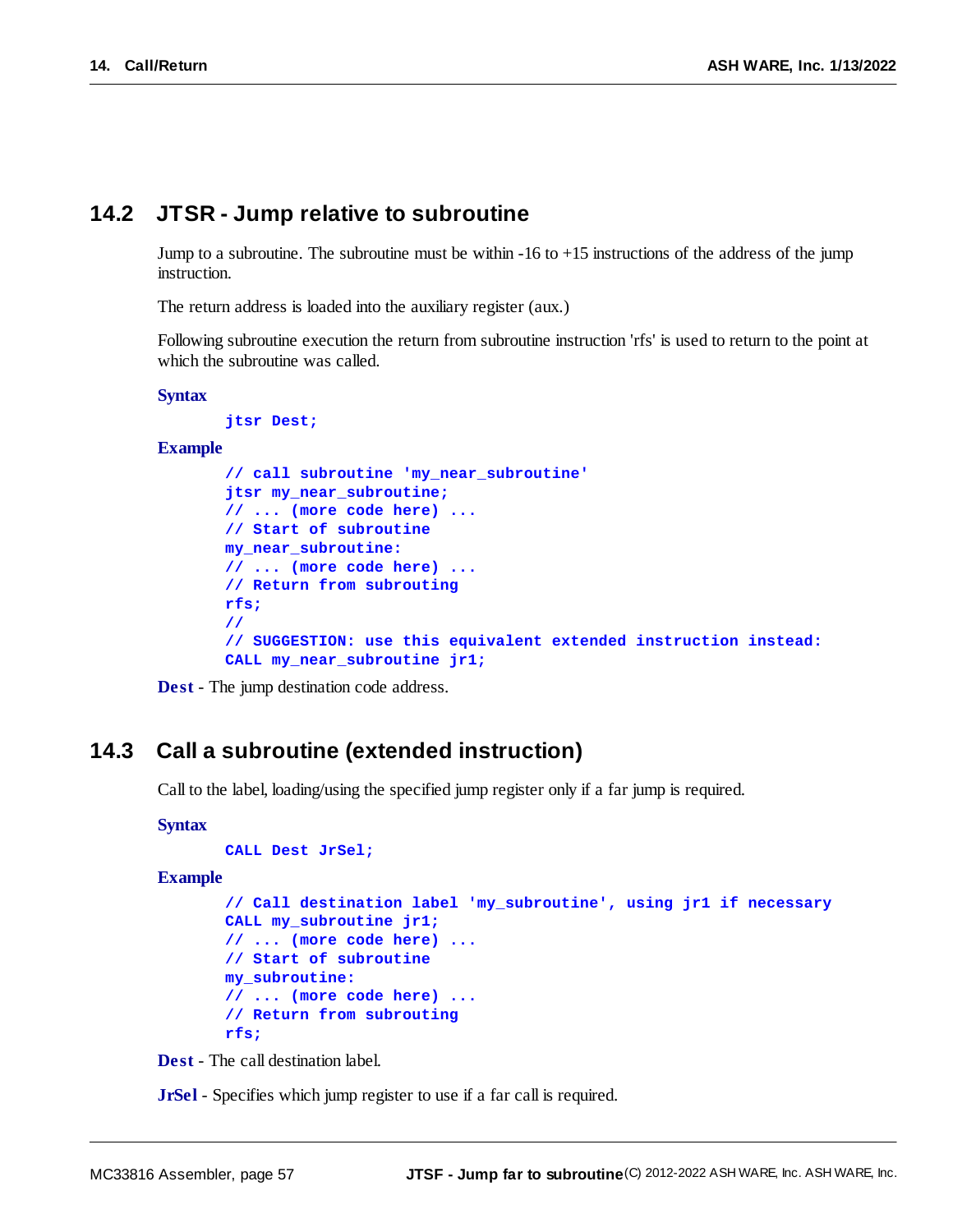## **14.2 JTSR - Jump relative to subroutine**

Jump to a subroutine. The subroutine must be within -16 to +15 instructions of the address of the jump instruction.

The return address is loaded into the auxiliary register (aux.)

Following subroutine execution the return from subroutine instruction 'rfs' is used to return to the point at which the subroutine was called.

#### **Syntax**

**jtsr Dest;**

#### **Example**

```
// call subroutine 'my_near_subroutine'
jtsr my_near_subroutine;
// ... (more code here) ...
// Start of subroutine
my_near_subroutine:
// ... (more code here) ...
// Return from subrouting
rfs;
//
// SUGGESTION: use this equivalent extended instruction instead:
CALL my_near_subroutine jr1;
```


## <span id="page-56-0"></span>**14.3 Call a subroutine (extended instruction)**

Call to the label, loading/using the specified jump register only if a far jump is required.

#### **Syntax**

```
CALL Dest JrSel;
```
#### **Example**

```
// Call destination label 'my_subroutine', using jr1 if necessary
CALL my_subroutine jr1;
// ... (more code here) ...
// Start of subroutine
my_subroutine:
// ... (more code here) ...
// Return from subrouting
rfs;
```
**Dest** - The call destination label.

**JrSel** - Specifies which jump register to use if a far call is required.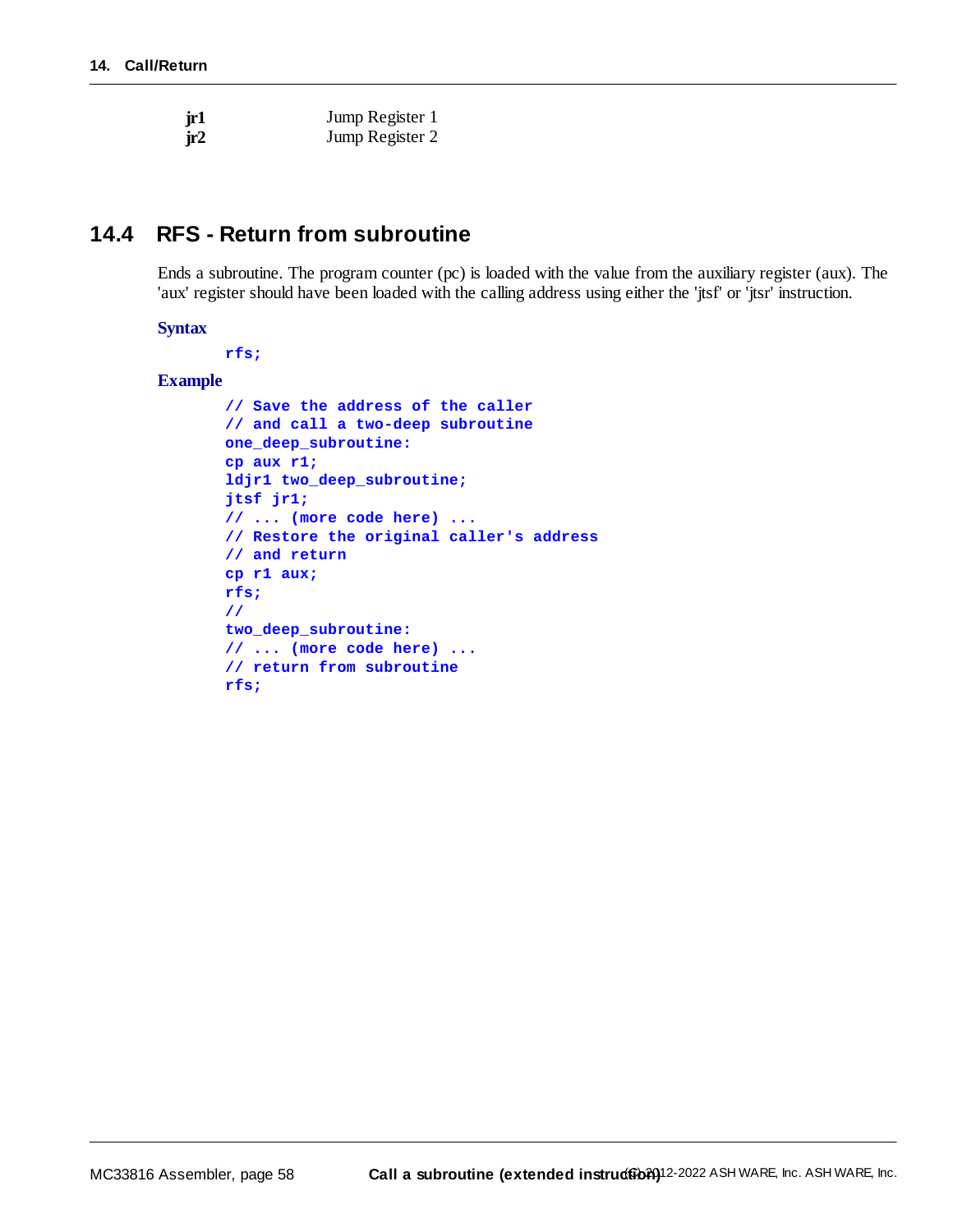| jr1 | Jump Register 1 |
|-----|-----------------|
| jr2 | Jump Register 2 |

# **14.4 RFS - Return from subroutine**

Ends a subroutine. The program counter (pc) is loaded with the value from the auxiliary register (aux). The 'aux' register should have been loaded with the calling address using either the 'jtsf' or 'jtsr' instruction.

#### **Syntax**

**rfs;**

#### **Example**

```
// Save the address of the caller
// and call a two-deep subroutine
one_deep_subroutine:
cp aux r1;
ldjr1 two_deep_subroutine;
jtsf jr1;
// ... (more code here) ...
// Restore the original caller's address
// and return
cp r1 aux;
rfs;
//
two_deep_subroutine:
// ... (more code here) ...
// return from subroutine
rfs;
```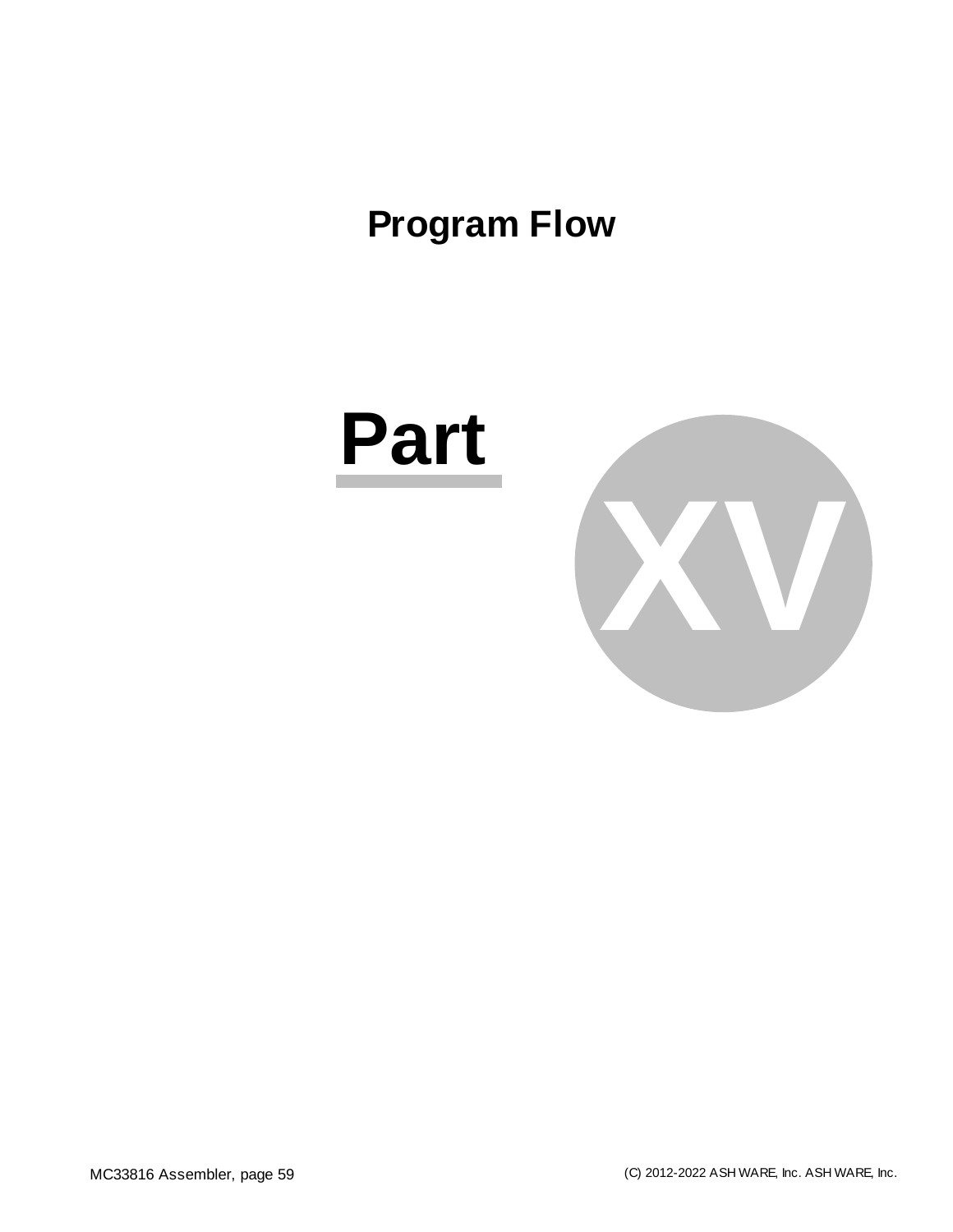# **Program Flow**

# **Part**

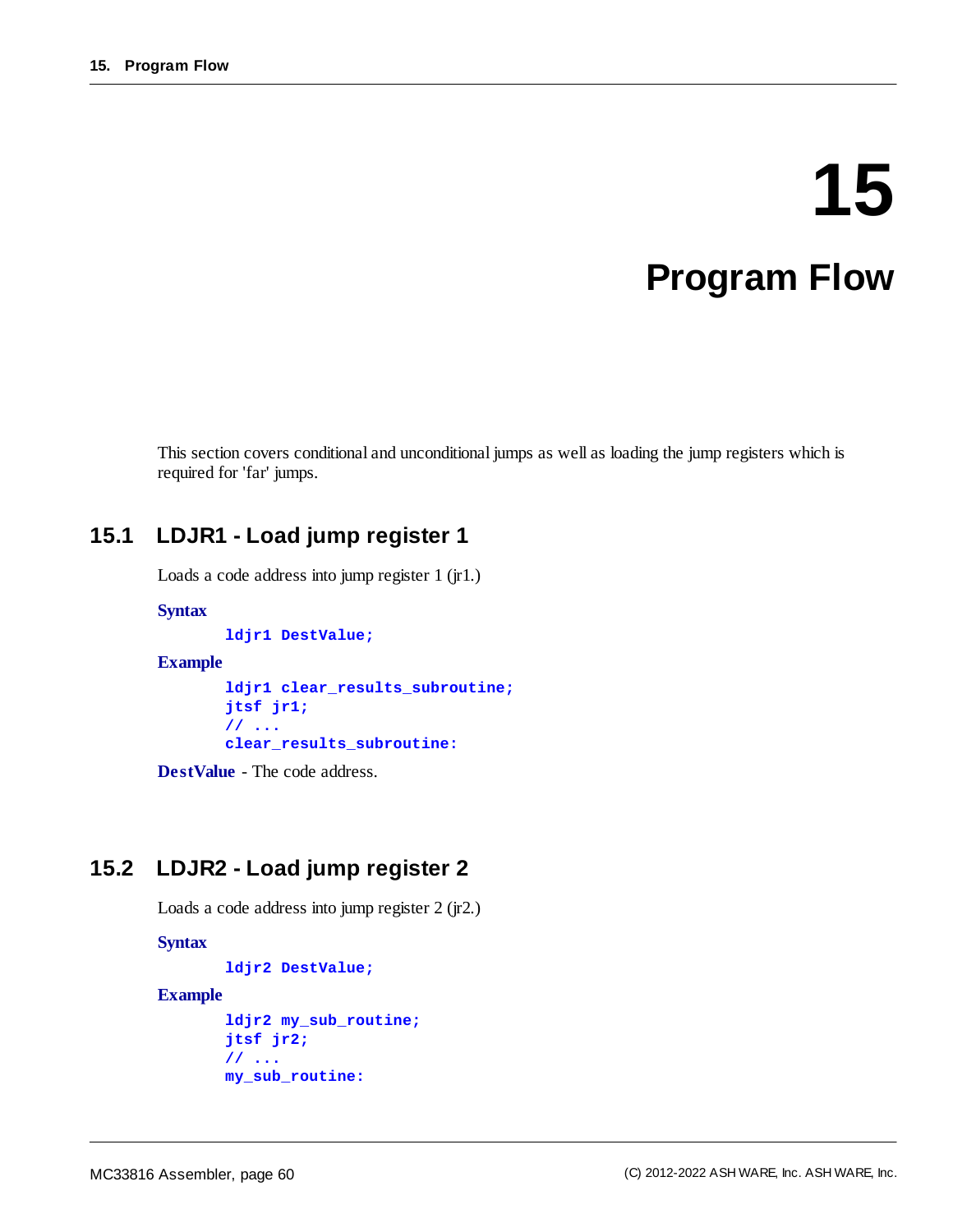# **15 Program Flow**

This section covers conditional and unconditional jumps as well as loading the jump registers which is required for 'far' jumps.

# **15.1 LDJR1 - Load jump register 1**

Loads a code address into jump register 1 (jr1.)

#### **Syntax**

**ldjr1 DestValue;**

#### **Example**

```
ldjr1 clear_results_subroutine;
jtsf jr1;
// ...
clear_results_subroutine:
```
**DestValue** - The code address.

# **15.2 LDJR2 - Load jump register 2**

Loads a code address into jump register 2 (jr2.)

**Syntax**

```
ldjr2 DestValue;
```
#### **Example**

```
ldjr2 my_sub_routine;
jtsf jr2;
// ...
my_sub_routine:
```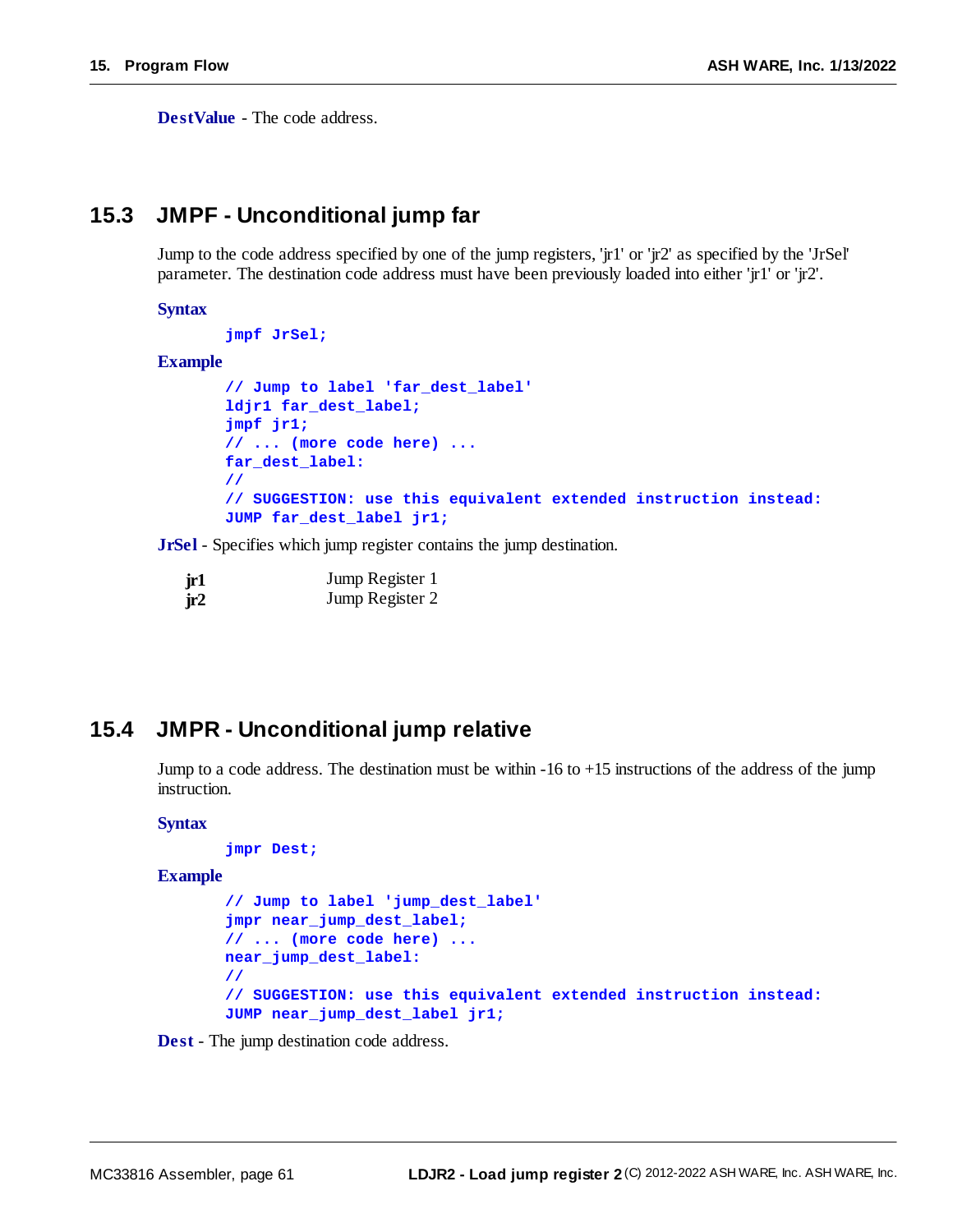**DestValue** - The code address.

# **15.3 JMPF - Unconditional jump far**

Jump to the code address specified by one of the jump registers, 'jr1' or 'jr2' as specified by the 'JrSel' parameter. The destination code address must have been previously loaded into either 'jr1' or 'jr2'.

#### **Syntax**

```
jmpf JrSel;
```
#### **Example**

```
// Jump to label 'far_dest_label'
ldjr1 far_dest_label;
jmpf jr1;
// ... (more code here) ...
far_dest_label:
//
// SUGGESTION: use this equivalent extended instruction instead:
JUMP far_dest_label jr1;
```
**JrSel** - Specifies which jump register contains the jump destination.

| jr1 | Jump Register 1 |
|-----|-----------------|
| ir2 | Jump Register 2 |

# **15.4 JMPR - Unconditional jump relative**

Jump to a code address. The destination must be within -16 to +15 instructions of the address of the jump instruction.

#### **Syntax**

```
jmpr Dest;
```
**Example**

```
// Jump to label 'jump_dest_label'
jmpr near_jump_dest_label;
// ... (more code here) ...
near_jump_dest_label:
//
// SUGGESTION: use this equivalent extended instruction instead:
JUMP near_jump_dest_label jr1;
```
**Dest** - The jump destination code address.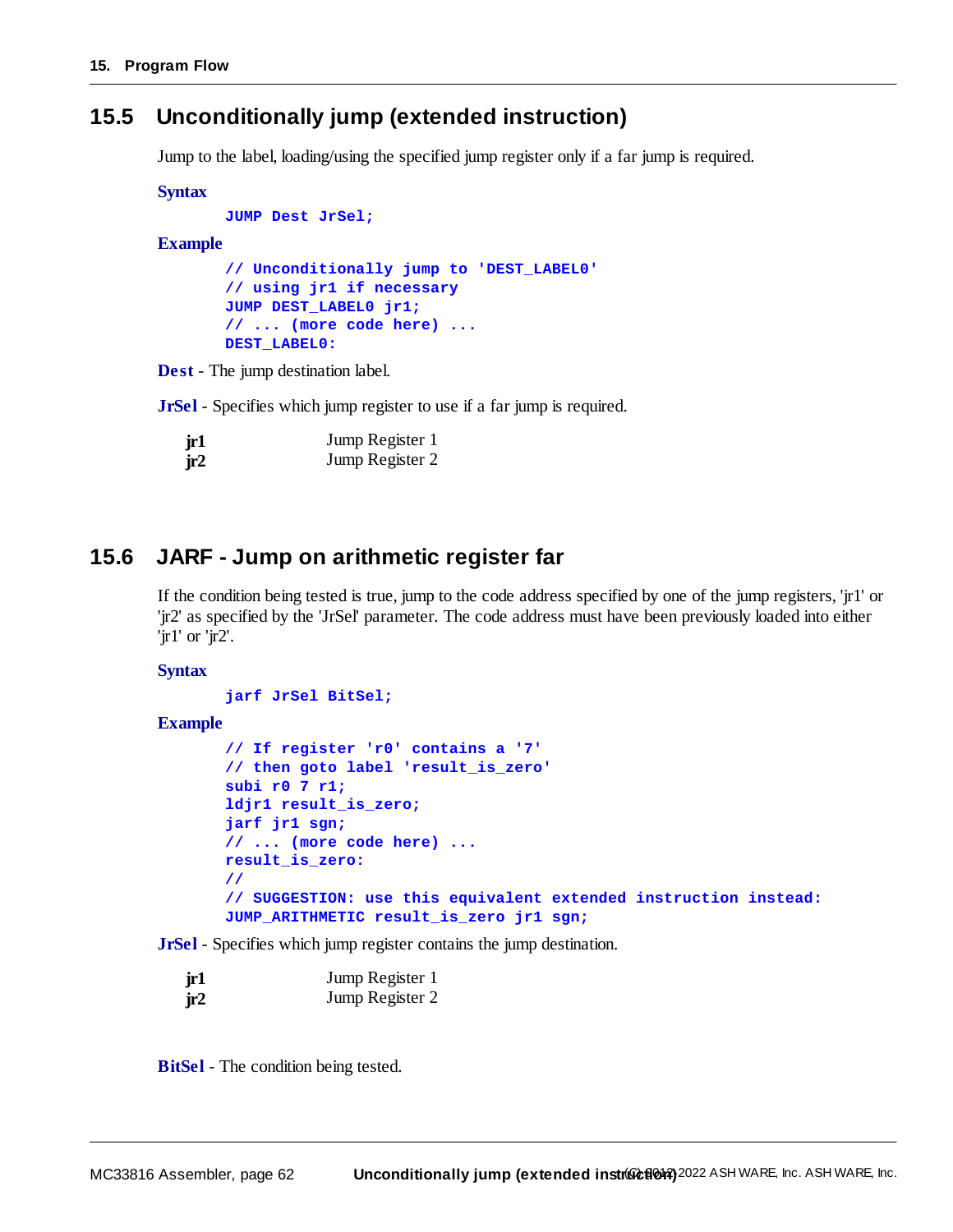# <span id="page-61-0"></span>**15.5 Unconditionally jump (extended instruction)**

Jump to the label, loading/using the specified jump register only if a far jump is required.

**Syntax**

```
JUMP Dest JrSel;
```
#### **Example**

```
// Unconditionally jump to 'DEST_LABEL0'
// using jr1 if necessary
JUMP DEST_LABEL0 jr1;
// ... (more code here) ...
DEST_LABEL0:
```
**Dest** - The jump destination label.

**JrSel** - Specifies which jump register to use if a far jump is required.

| jr1 | Jump Register 1 |
|-----|-----------------|
| jr2 | Jump Register 2 |

# **15.6 JARF - Jump on arithmetic register far**

If the condition being tested is true, jump to the code address specified by one of the jump registers, 'jr1' or 'jr2' as specified by the 'JrSel' parameter. The code address must have been previously loaded into either 'jr1' or 'jr2'.

#### **Syntax**

```
jarf JrSel BitSel;
```

```
Example
```

```
// If register 'r0' contains a '7'
// then goto label 'result_is_zero'
subi r0 7 r1;
ldjr1 result_is_zero;
jarf jr1 sgn;
// ... (more code here) ...
result_is_zero:
//
// SUGGESTION: use this equivalent extended instruction instead:
JUMP_ARITHMETIC result_is_zero jr1 sgn;
```
**JrSel** - Specifies which jump register contains the jump destination.

| jr1 | Jump Register 1 |
|-----|-----------------|
| jr2 | Jump Register 2 |

**BitSel** - The condition being tested.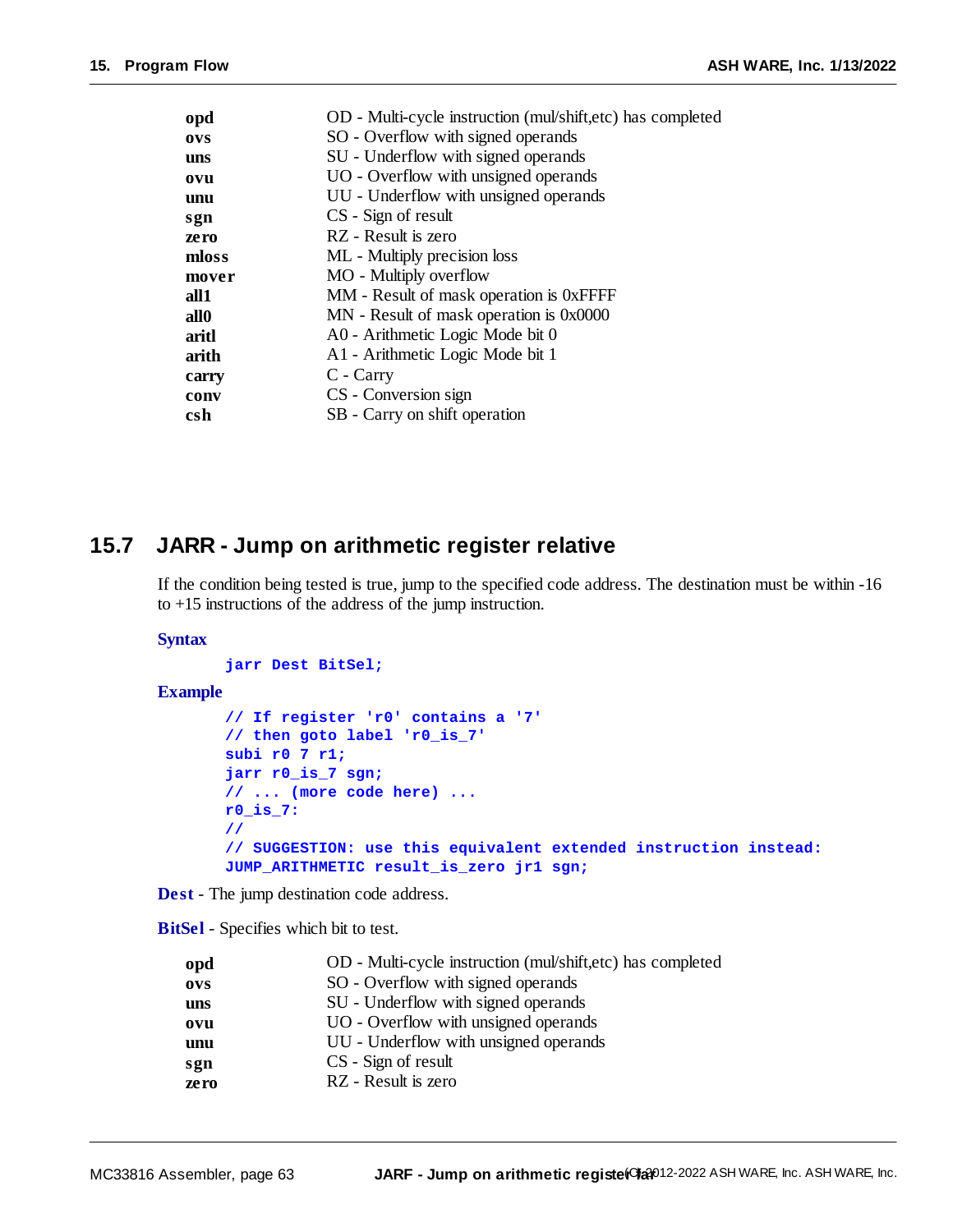| opd   | OD - Multi-cycle instruction (mul/shift,etc) has completed |
|-------|------------------------------------------------------------|
| ovs   | SO - Overflow with signed operands                         |
| uns   | SU - Underflow with signed operands                        |
| ovu   | UO - Overflow with unsigned operands                       |
| unu   | UU - Underflow with unsigned operands                      |
| sgn   | CS - Sign of result                                        |
| zero  | RZ - Result is zero                                        |
| mloss | ML - Multiply precision loss                               |
| mover | MO - Multiply overflow                                     |
| all1  | MM - Result of mask operation is 0xFFFF                    |
| all0  | MN - Result of mask operation is 0x0000                    |
| aritl | A0 - Arithmetic Logic Mode bit 0                           |
| arith | A1 - Arithmetic Logic Mode bit 1                           |
| carry | C - Carry                                                  |
| conv  | CS - Conversion sign                                       |
| csh   | SB - Carry on shift operation                              |
|       |                                                            |

# **15.7 JARR - Jump on arithmetic register relative**

If the condition being tested is true, jump to the specified code address. The destination must be within -16 to +15 instructions of the address of the jump instruction.

#### **Syntax**

```
jarr Dest BitSel;
```
#### **Example**

```
// If register 'r0' contains a '7'
// then goto label 'r0_is_7'
subi r0 7 r1;
jarr r0_is_7 sgn;
// ... (more code here) ...
r0_is_7:
//
// SUGGESTION: use this equivalent extended instruction instead:
JUMP_ARITHMETIC result_is_zero jr1 sgn;
```
**Dest** - The jump destination code address.

**BitSel** - Specifies which bit to test.

| opd        | OD - Multi-cycle instruction (mul/shift,etc) has completed |
|------------|------------------------------------------------------------|
| <b>OVS</b> | SO - Overflow with signed operands                         |
| uns        | SU - Underflow with signed operands                        |
| ovu        | UO - Overflow with unsigned operands                       |
| unu        | UU - Underflow with unsigned operands                      |
| sgn        | CS - Sign of result                                        |
| zero       | RZ - Result is zero                                        |
|            |                                                            |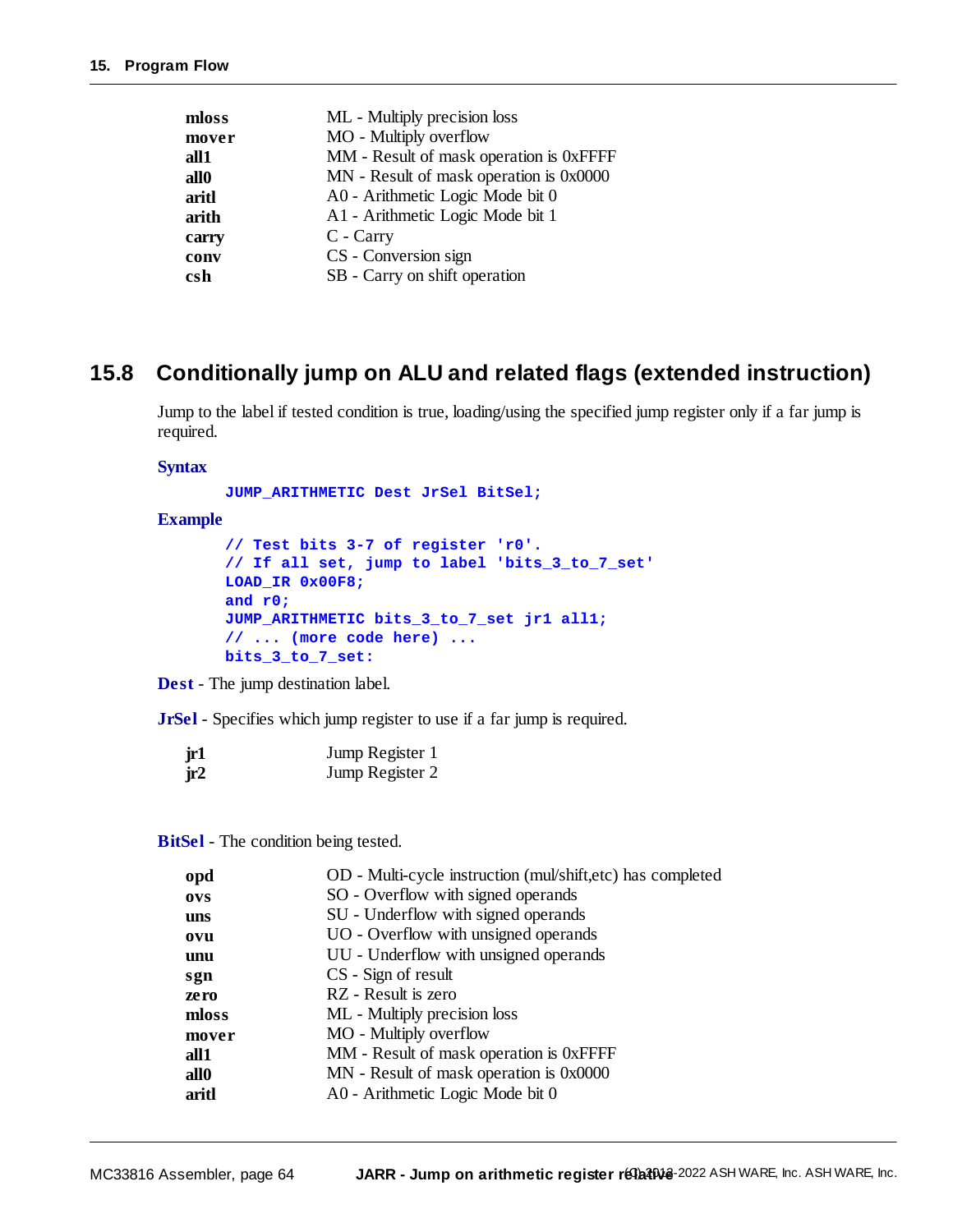| ML - Multiply precision loss            |
|-----------------------------------------|
| MO - Multiply overflow                  |
| MM - Result of mask operation is 0xFFFF |
| MN - Result of mask operation is 0x0000 |
| A0 - Arithmetic Logic Mode bit 0        |
| A1 - Arithmetic Logic Mode bit 1        |
| C - Carry                               |
| CS - Conversion sign                    |
| SB - Carry on shift operation           |
|                                         |

# <span id="page-63-0"></span>**15.8 Conditionally jump on ALU and related flags (extended instruction)**

Jump to the label if tested condition is true, loading/using the specified jump register only if a far jump is required.

#### **Syntax**

**JUMP\_ARITHMETIC Dest JrSel BitSel;**

#### **Example**

```
// Test bits 3-7 of register 'r0'.
// If all set, jump to label 'bits_3_to_7_set'
LOAD_IR 0x00F8;
and r0;
JUMP_ARITHMETIC bits_3_to_7_set jr1 all1;
// ... (more code here) ...
bits_3_to_7_set:
```
**Dest** - The jump destination label.

**JrSel** - Specifies which jump register to use if a far jump is required.

| jr1 | Jump Register 1 |
|-----|-----------------|
| ir2 | Jump Register 2 |

**BitSel** - The condition being tested.

| opd              | OD - Multi-cycle instruction (mul/shift,etc) has completed |
|------------------|------------------------------------------------------------|
| <b>OVS</b>       | SO - Overflow with signed operands                         |
| uns              | SU - Underflow with signed operands                        |
| ovu              | UO - Overflow with unsigned operands                       |
| unu              | UU - Underflow with unsigned operands                      |
| sgn              | CS - Sign of result                                        |
| zero             | RZ - Result is zero                                        |
| mloss            | ML - Multiply precision loss                               |
| mover            | MO - Multiply overflow                                     |
| all1             | MM - Result of mask operation is 0xFFFF                    |
| all <sub>0</sub> | MN - Result of mask operation is 0x0000                    |
| aritl            | A0 - Arithmetic Logic Mode bit 0                           |
|                  |                                                            |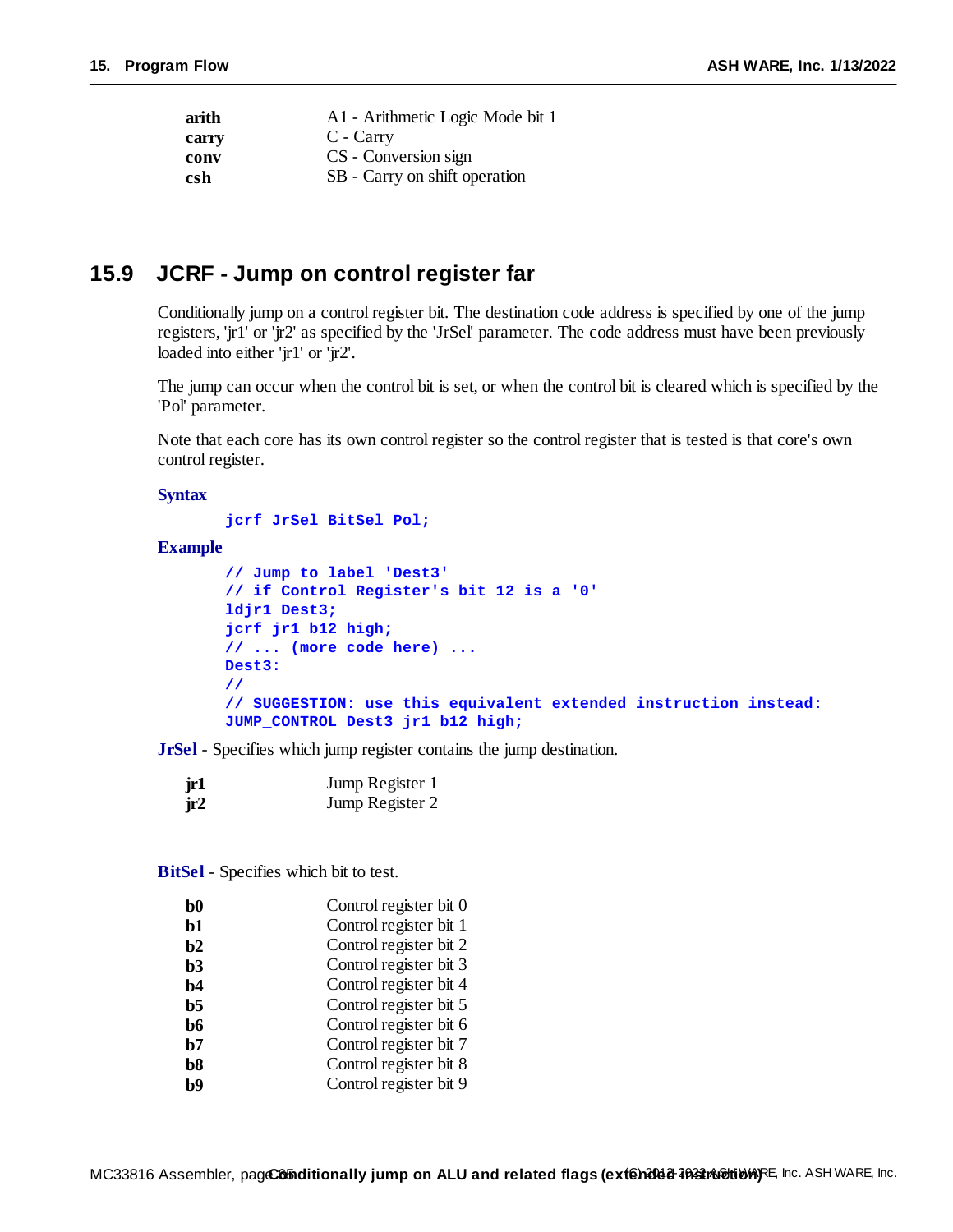| arith | A1 - Arithmetic Logic Mode bit 1 |
|-------|----------------------------------|
| carry | C - Carry                        |
| conv  | CS - Conversion sign             |
| csh   | SB - Carry on shift operation    |
|       |                                  |

### **15.9 JCRF - Jump on control register far**

Conditionally jump on a control register bit. The destination code address is specified by one of the jump registers, 'jr1' or 'jr2' as specified by the 'JrSel' parameter. The code address must have been previously loaded into either 'ir1' or 'ir2'.

The jump can occur when the control bit is set, or when the control bit is cleared which is specified by the 'Pol' parameter.

Note that each core has its own control register so the control register that is tested is that core's own control register.

#### **Syntax**

**jcrf JrSel BitSel Pol;**

#### **Example**

```
// Jump to label 'Dest3'
// if Control Register's bit 12 is a '0'
ldjr1 Dest3;
jcrf jr1 b12 high;
// ... (more code here) ...
Dest3:
//
// SUGGESTION: use this equivalent extended instruction instead:
JUMP_CONTROL Dest3 jr1 b12 high;
```
**JrSel** - Specifies which jump register contains the jump destination.

| jr1 | Jump Register 1 |
|-----|-----------------|
| jr2 | Jump Register 2 |

**BitSel** - Specifies which bit to test.

| b0 | Control register bit 0 |
|----|------------------------|
| b1 | Control register bit 1 |
| b2 | Control register bit 2 |
| b3 | Control register bit 3 |
| b4 | Control register bit 4 |
| b5 | Control register bit 5 |
| b6 | Control register bit 6 |
| b7 | Control register bit 7 |
| b8 | Control register bit 8 |
| hQ | Control register bit 9 |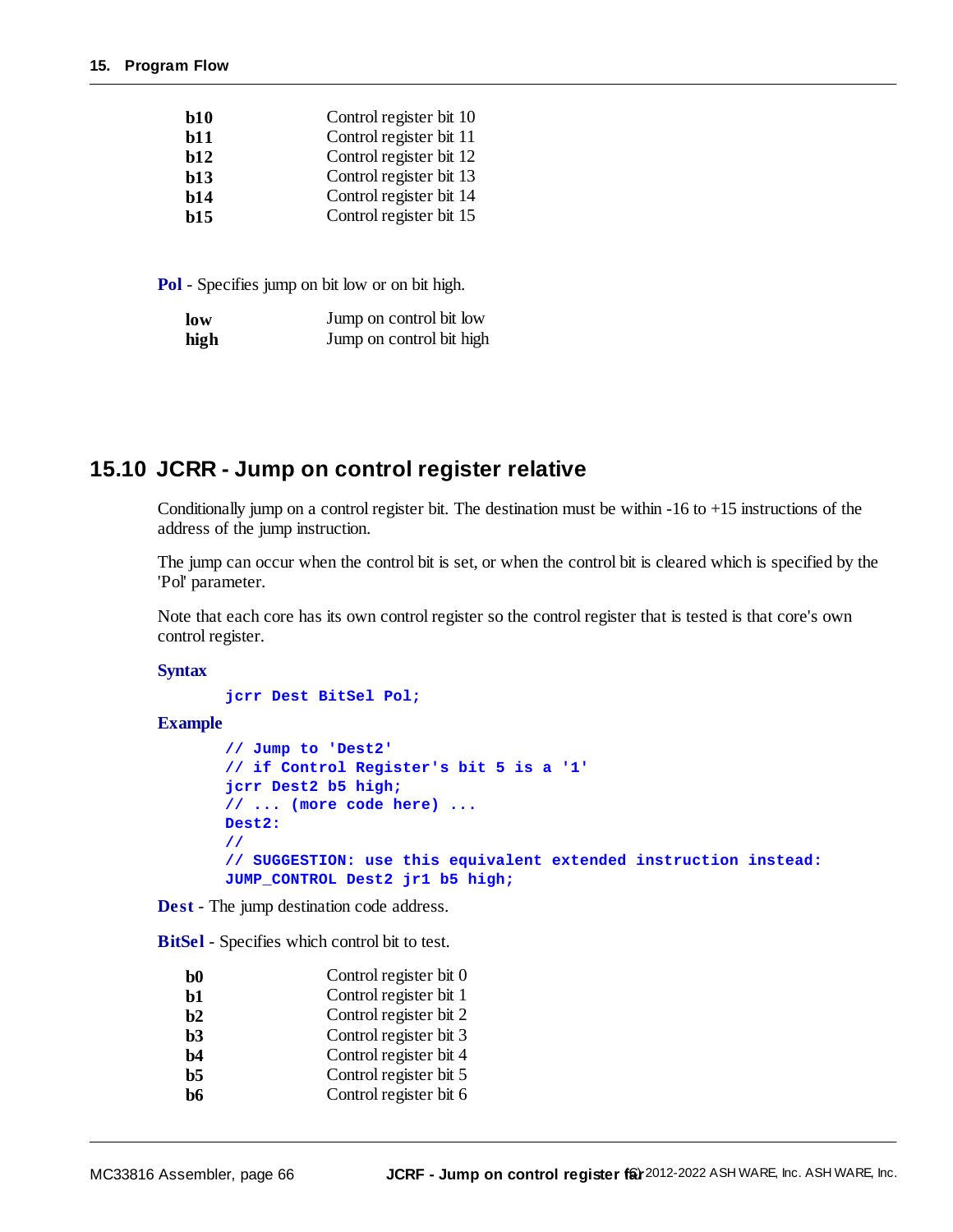| Control register bit 10 |
|-------------------------|
| Control register bit 11 |
| Control register bit 12 |
| Control register bit 13 |
| Control register bit 14 |
| Control register bit 15 |
|                         |

| low  | Jump on control bit low  |
|------|--------------------------|
| high | Jump on control bit high |

# **15.10 JCRR - Jump on control register relative**

Conditionally jump on a control register bit. The destination must be within  $-16$  to  $+15$  instructions of the address of the jump instruction.

The jump can occur when the control bit is set, or when the control bit is cleared which is specified by the 'Pol' parameter.

Note that each core has its own control register so the control register that is tested is that core's own control register.

**Syntax**

**jcrr Dest BitSel Pol;**

**Example**

```
// Jump to 'Dest2'
// if Control Register's bit 5 is a '1'
jcrr Dest2 b5 high;
// ... (more code here) ...
Dest2:
//
// SUGGESTION: use this equivalent extended instruction instead:
JUMP_CONTROL Dest2 jr1 b5 high;
```
**Dest** - The jump destination code address.

**BitSel** - Specifies which control bit to test.

| $\bf{b0}$ | Control register bit 0 |
|-----------|------------------------|
| $b1$      | Control register bit 1 |
| b2        | Control register bit 2 |
| b3        | Control register bit 3 |
| b4        | Control register bit 4 |
| $b5$      | Control register bit 5 |
| b6        | Control register bit 6 |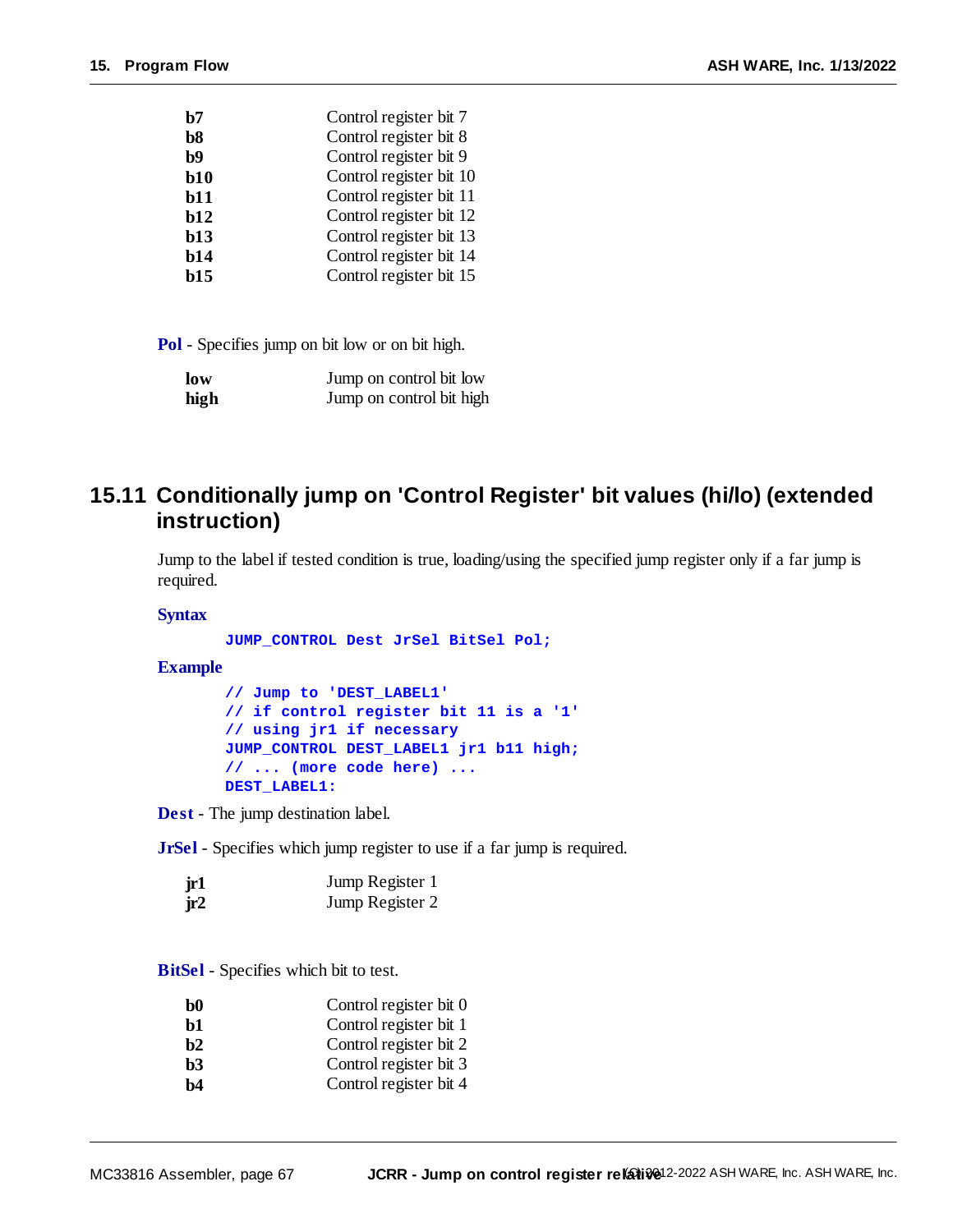| low  | Jump on control bit low  |
|------|--------------------------|
| high | Jump on control bit high |

# <span id="page-66-0"></span>**15.11 Conditionally jump on 'Control Register' bit values (hi/lo) (extended instruction)**

Jump to the label if tested condition is true, loading/using the specified jump register only if a far jump is required.

#### **Syntax**

**JUMP\_CONTROL Dest JrSel BitSel Pol;**

#### **Example**

**// Jump to 'DEST\_LABEL1' // if control register bit 11 is a '1' // using jr1 if necessary JUMP\_CONTROL DEST\_LABEL1 jr1 b11 high; // ... (more code here) ... DEST\_LABEL1:**

**Dest** - The jump destination label.

**JrSel** - Specifies which jump register to use if a far jump is required.

| jr1 | Jump Register 1 |
|-----|-----------------|
| jr2 | Jump Register 2 |

**BitSel** - Specifies which bit to test.

- **b1** Control register bit 1
- **b2** Control register bit 2
- **b3** Control register bit 3
- **b4** Control register bit 4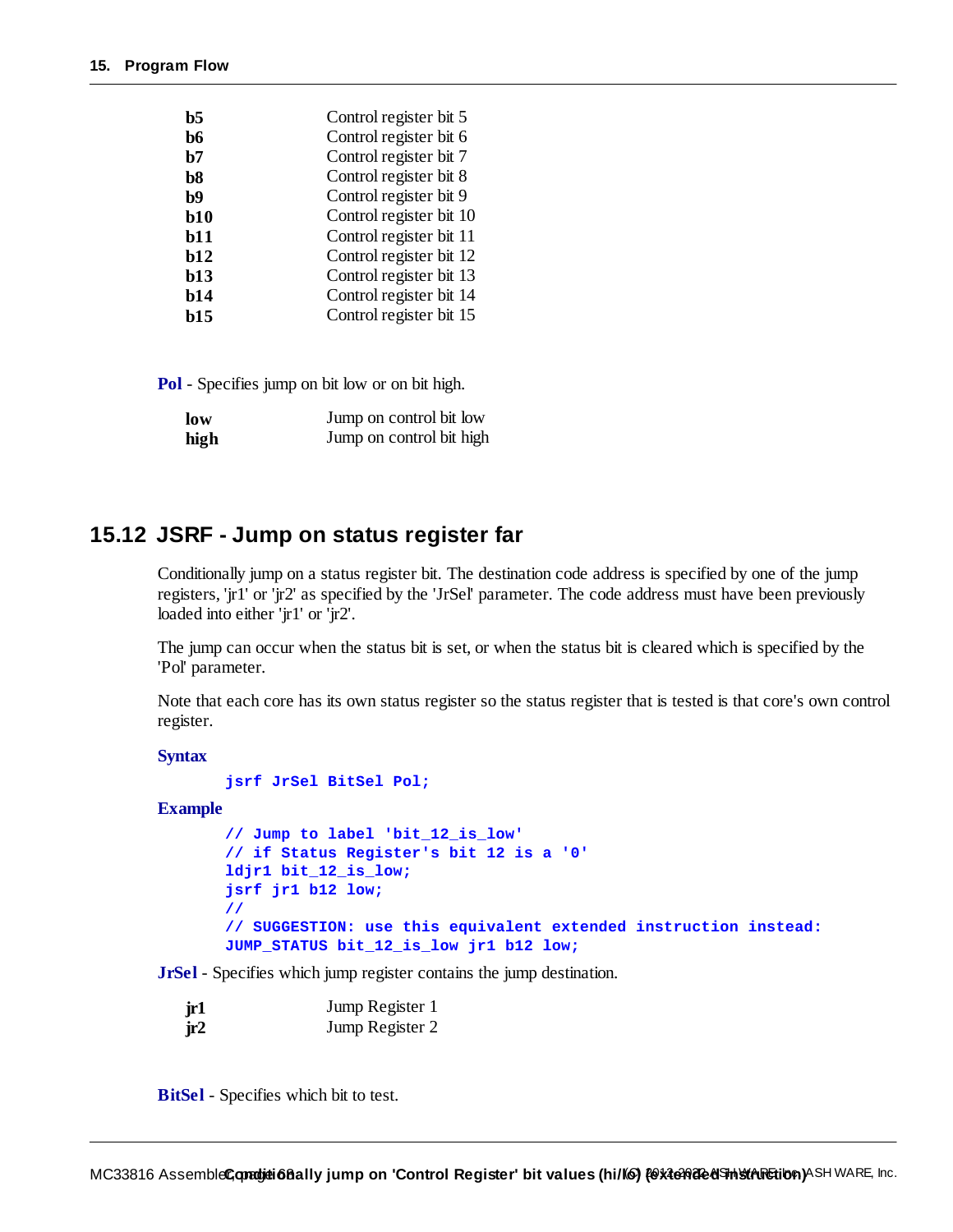| Control register bit 6<br>b6          |  |
|---------------------------------------|--|
|                                       |  |
| Control register bit 7<br>b7          |  |
| Control register bit 8<br>b8          |  |
| Control register bit 9<br>b9          |  |
| Control register bit 10<br>b10        |  |
| Control register bit 11<br>b11        |  |
| Control register bit 12<br>b12        |  |
| Control register bit 13<br><b>b13</b> |  |
| Control register bit 14<br>b14        |  |
| Control register bit 15<br>b15        |  |

| low  | Jump on control bit low  |
|------|--------------------------|
| high | Jump on control bit high |

### **15.12 JSRF - Jump on status register far**

Conditionally jump on a status register bit. The destination code address is specified by one of the jump registers, 'jr1' or 'jr2' as specified by the 'JrSel' parameter. The code address must have been previously loaded into either 'jr1' or 'jr2'.

The jump can occur when the status bit is set, or when the status bit is cleared which is specified by the 'Pol' parameter.

Note that each core has its own status register so the status register that is tested is that core's own control register.

**Syntax**

```
jsrf JrSel BitSel Pol;
```
#### **Example**

```
// Jump to label 'bit_12_is_low'
// if Status Register's bit 12 is a '0'
ldjr1 bit_12_is_low;
jsrf jr1 b12 low;
//
// SUGGESTION: use this equivalent extended instruction instead:
JUMP_STATUS bit_12_is_low jr1 b12 low;
```
**JrSel** - Specifies which jump register contains the jump destination.

| jr1 | Jump Register 1 |
|-----|-----------------|
| ir2 | Jump Register 2 |

**BitSel** - Specifies which bit to test.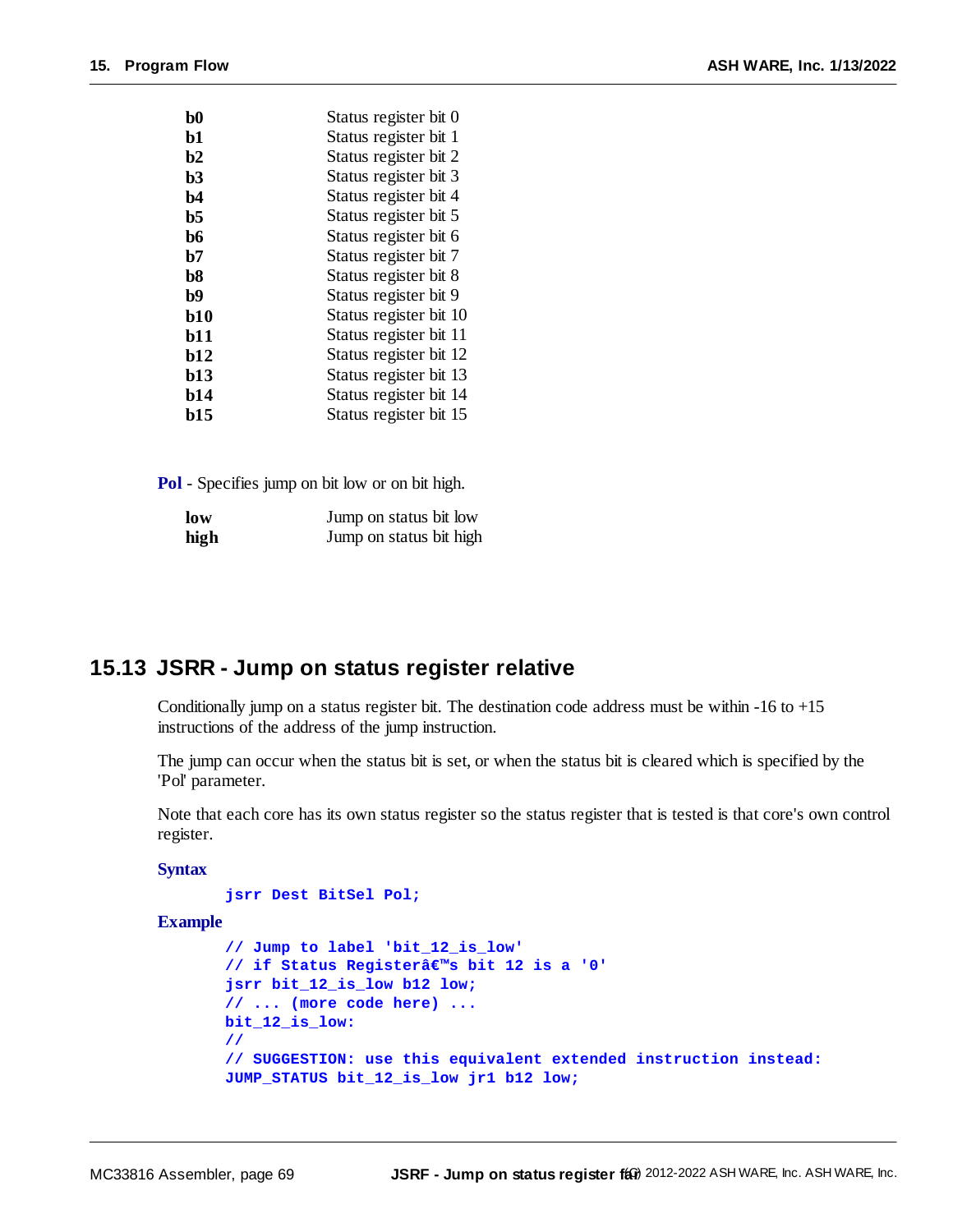| Status register bit 0  |
|------------------------|
| Status register bit 1  |
| Status register bit 2  |
| Status register bit 3  |
| Status register bit 4  |
| Status register bit 5  |
| Status register bit 6  |
| Status register bit 7  |
| Status register bit 8  |
| Status register bit 9  |
| Status register bit 10 |
| Status register bit 11 |
| Status register bit 12 |
| Status register bit 13 |
| Status register bit 14 |
| Status register bit 15 |
|                        |

| low  | Jump on status bit low  |
|------|-------------------------|
| high | Jump on status bit high |

### **15.13 JSRR - Jump on status register relative**

Conditionally jump on a status register bit. The destination code address must be within  $-16$  to  $+15$ instructions of the address of the jump instruction.

The jump can occur when the status bit is set, or when the status bit is cleared which is specified by the 'Pol' parameter.

Note that each core has its own status register so the status register that is tested is that core's own control register.

#### **Syntax**

```
jsrr Dest BitSel Pol;
```
**Example**

```
// Jump to label 'bit_12_is_low'
// if Status Register's bit 12 is a '0'
jsrr bit_12_is_low b12 low;
// ... (more code here) ...
bit_12_is_low:
//
// SUGGESTION: use this equivalent extended instruction instead:
JUMP_STATUS bit_12_is_low jr1 b12 low;
```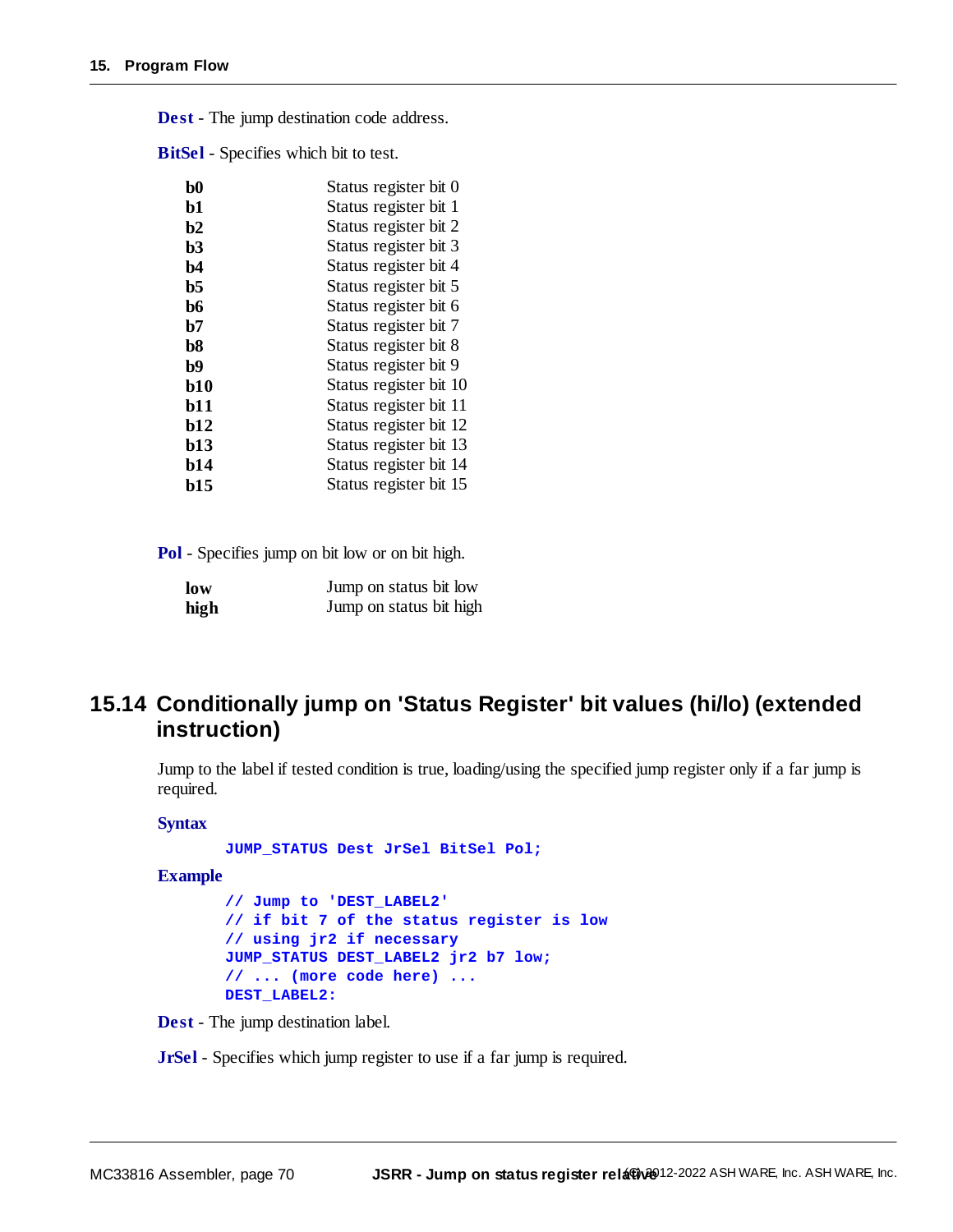| $\bf{b}0$      | Status register bit 0  |
|----------------|------------------------|
| b1             | Status register bit 1  |
| b2             | Status register bit 2  |
| b3             | Status register bit 3  |
| $b4$           | Status register bit 4  |
| b <sub>5</sub> | Status register bit 5  |
| b6             | Status register bit 6  |
| b7             | Status register bit 7  |
| b <sub>8</sub> | Status register bit 8  |
| b9             | Status register bit 9  |
| b10            | Status register bit 10 |
| b11            | Status register bit 11 |
| <b>b12</b>     | Status register bit 12 |
| b13            | Status register bit 13 |
| <b>b14</b>     | Status register bit 14 |
| b15            | Status register bit 15 |

**Dest** - The jump destination code address.

**BitSel** - Specifies which bit to test.

**Pol** - Specifies jump on bit low or on bit high.

| low  | Jump on status bit low  |
|------|-------------------------|
| high | Jump on status bit high |

# <span id="page-69-0"></span>**15.14 Conditionally jump on 'Status Register' bit values (hi/lo) (extended instruction)**

Jump to the label if tested condition is true, loading/using the specified jump register only if a far jump is required.

#### **Syntax**

**JUMP\_STATUS Dest JrSel BitSel Pol;**

**Example**

**// Jump to 'DEST\_LABEL2' // if bit 7 of the status register is low // using jr2 if necessary JUMP\_STATUS DEST\_LABEL2 jr2 b7 low; // ... (more code here) ... DEST\_LABEL2:**

**Dest** - The jump destination label.

**JrSel** - Specifies which jump register to use if a far jump is required.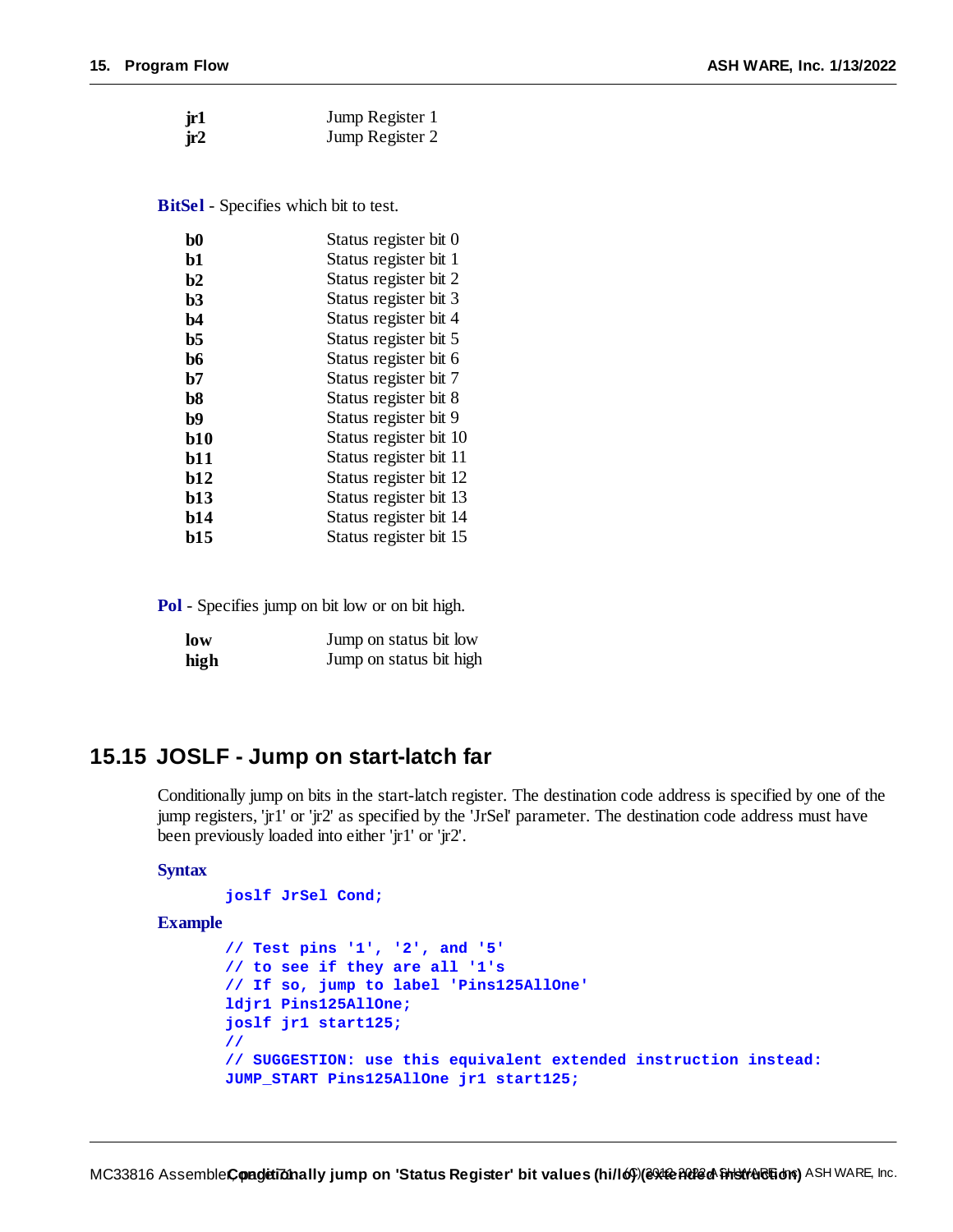| jr1 | Jump Register 1 |
|-----|-----------------|
| jr2 | Jump Register 2 |

**BitSel** - Specifies which bit to test.

| b0        | Status register bit 0  |
|-----------|------------------------|
| b1        | Status register bit 1  |
| b2        | Status register bit 2  |
| b3        | Status register bit 3  |
| b4        | Status register bit 4  |
| b5        | Status register bit 5  |
| b6        | Status register bit 6  |
| b7        | Status register bit 7  |
| $b8$      | Status register bit 8  |
| <b>b9</b> | Status register bit 9  |
| b10       | Status register bit 10 |
| b11       | Status register bit 11 |
| b12       | Status register bit 12 |
| b13       | Status register bit 13 |
| b14       | Status register bit 14 |
| b15       | Status register bit 15 |

**Pol** - Specifies jump on bit low or on bit high.

| low  | Jump on status bit low  |
|------|-------------------------|
| high | Jump on status bit high |

# **15.15 JOSLF - Jump on start-latch far**

Conditionally jump on bits in the start-latch register. The destination code address is specified by one of the jump registers, 'jr1' or 'jr2' as specified by the 'JrSel' parameter. The destination code address must have been previously loaded into either 'jr1' or 'jr2'.

#### **Syntax**

```
joslf JrSel Cond;
```
#### **Example**

```
// Test pins '1', '2', and '5'
// to see if they are all '1's
// If so, jump to label 'Pins125AllOne'
ldjr1 Pins125AllOne;
joslf jr1 start125;
//
// SUGGESTION: use this equivalent extended instruction instead:
JUMP_START Pins125AllOne jr1 start125;
```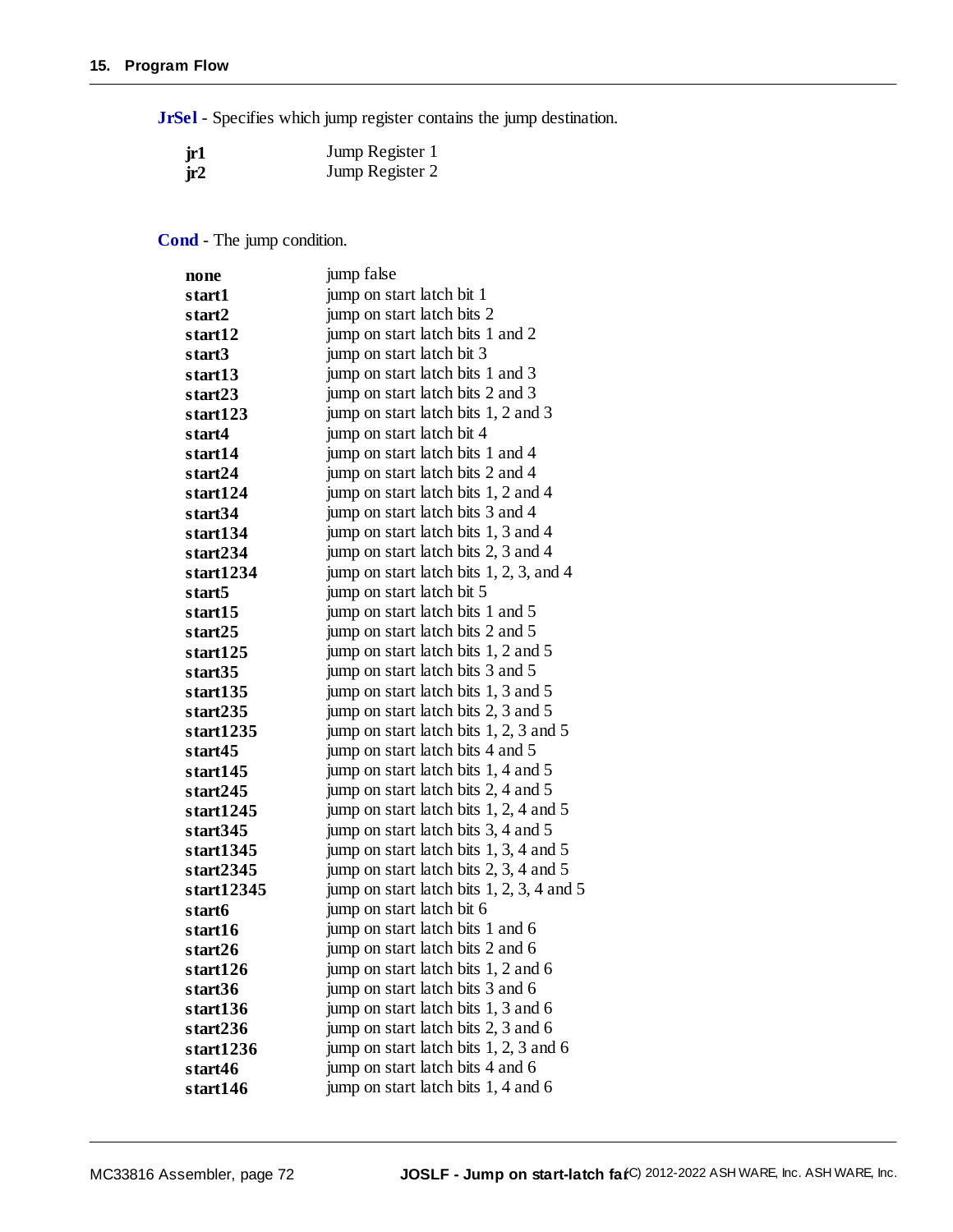**JrSel** - Specifies which jump register contains the jump destination.

| jr1 | Jump Register 1 |
|-----|-----------------|
| jr2 | Jump Register 2 |

**Cond** - The jump condition.

| none         | jump false                                |
|--------------|-------------------------------------------|
| start1       | jump on start latch bit 1                 |
| start2       | jump on start latch bits 2                |
| start12      | jump on start latch bits 1 and 2          |
| start3       | jump on start latch bit 3                 |
| start13      | jump on start latch bits 1 and 3          |
| start23      | jump on start latch bits 2 and 3          |
| start123     | jump on start latch bits 1, 2 and 3       |
| start4       | jump on start latch bit 4                 |
| start14      | jump on start latch bits 1 and 4          |
| start24      | jump on start latch bits 2 and 4          |
| start124     | jump on start latch bits 1, 2 and 4       |
| start34      | jump on start latch bits 3 and 4          |
| start134     | jump on start latch bits 1, 3 and 4       |
| start234     | jump on start latch bits 2, 3 and 4       |
| start1234    | jump on start latch bits 1, 2, 3, and 4   |
| start5       | jump on start latch bit 5                 |
| start15      | jump on start latch bits 1 and 5          |
| start25      | jump on start latch bits 2 and 5          |
| start125     | jump on start latch bits 1, 2 and 5       |
| start35      | jump on start latch bits 3 and 5          |
| start135     | jump on start latch bits 1, 3 and 5       |
| start235     | jump on start latch bits 2, 3 and 5       |
| start1235    | jump on start latch bits 1, 2, 3 and 5    |
| start45      | jump on start latch bits 4 and 5          |
| start145     | jump on start latch bits 1, 4 and 5       |
| start245     | jump on start latch bits 2, 4 and 5       |
| start1245    | jump on start latch bits 1, 2, 4 and 5    |
| start345     | jump on start latch bits 3, 4 and 5       |
| start $1345$ | jump on start latch bits 1, 3, 4 and 5    |
| start2345    | jump on start latch bits 2, 3, 4 and 5    |
| start12345   | jump on start latch bits 1, 2, 3, 4 and 5 |
| start6       | jump on start latch bit 6                 |
| start16      | jump on start latch bits 1 and 6          |
| start26      | jump on start latch bits 2 and 6          |
| start126     | jump on start latch bits 1, 2 and 6       |
| start36      | jump on start latch bits 3 and 6          |
| start136     | jump on start latch bits 1, 3 and 6       |
| start236     | jump on start latch bits 2, 3 and 6       |
| start1236    | jump on start latch bits 1, 2, 3 and 6    |
| start46      | jump on start latch bits 4 and 6          |
| start146     | jump on start latch bits 1, 4 and 6       |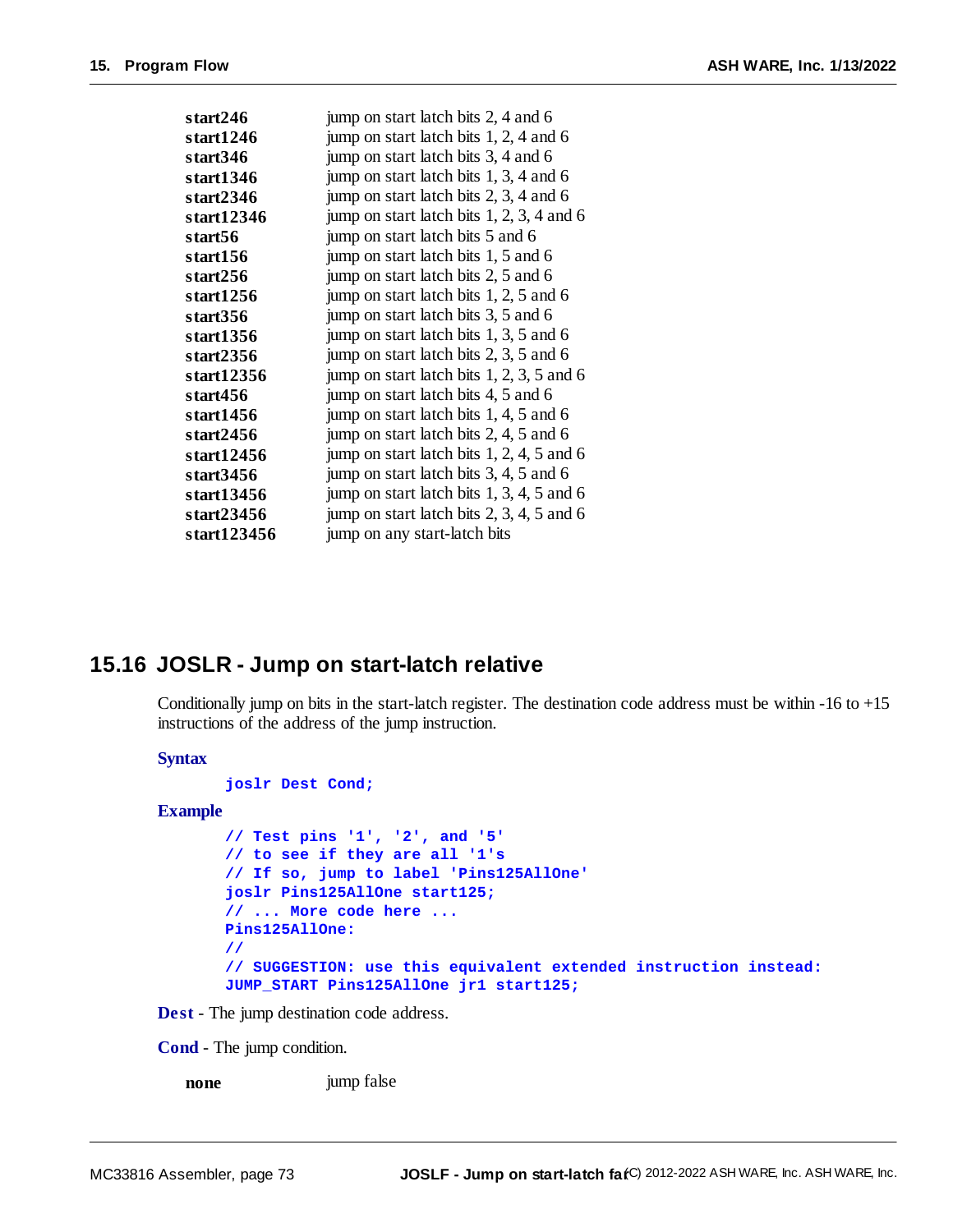| start246    | jump on start latch bits 2, 4 and 6         |
|-------------|---------------------------------------------|
| start1246   | jump on start latch bits 1, 2, 4 and 6      |
| start346    | jump on start latch bits 3, 4 and 6         |
| start1346   | jump on start latch bits 1, 3, 4 and 6      |
| start2346   | jump on start latch bits 2, 3, 4 and 6      |
| start12346  | jump on start latch bits $1, 2, 3, 4$ and 6 |
| start56     | jump on start latch bits 5 and 6            |
| start156    | jump on start latch bits 1, 5 and 6         |
| start256    | jump on start latch bits 2, 5 and 6         |
| start1256   | jump on start latch bits 1, 2, 5 and 6      |
| start356    | jump on start latch bits 3, 5 and 6         |
| start1356   | jump on start latch bits 1, 3, 5 and 6      |
| start2356   | jump on start latch bits 2, 3, 5 and 6      |
| start12356  | jump on start latch bits $1, 2, 3, 5$ and 6 |
| start456    | jump on start latch bits 4, 5 and 6         |
| start1456   | jump on start latch bits 1, 4, 5 and 6      |
| start2456   | jump on start latch bits 2, 4, 5 and 6      |
| start12456  | jump on start latch bits $1, 2, 4, 5$ and 6 |
| start3456   | jump on start latch bits 3, 4, 5 and 6      |
| start13456  | jump on start latch bits $1, 3, 4, 5$ and 6 |
| start23456  | jump on start latch bits $2, 3, 4, 5$ and 6 |
| start123456 | jump on any start-latch bits                |

#### **15.16 JOSLR - Jump on start-latch relative**

Conditionally jump on bits in the start-latch register. The destination code address must be within  $-16$  to  $+15$ instructions of the address of the jump instruction.

**Syntax**

**joslr Dest Cond;**

#### **Example**

```
// Test pins '1', '2', and '5'
// to see if they are all '1's
// If so, jump to label 'Pins125AllOne'
joslr Pins125AllOne start125;
// ... More code here ...
Pins125AllOne:
//
// SUGGESTION: use this equivalent extended instruction instead:
JUMP_START Pins125AllOne jr1 start125;
```
**Dest** - The jump destination code address.

**Cond** - The jump condition.

**none** imp false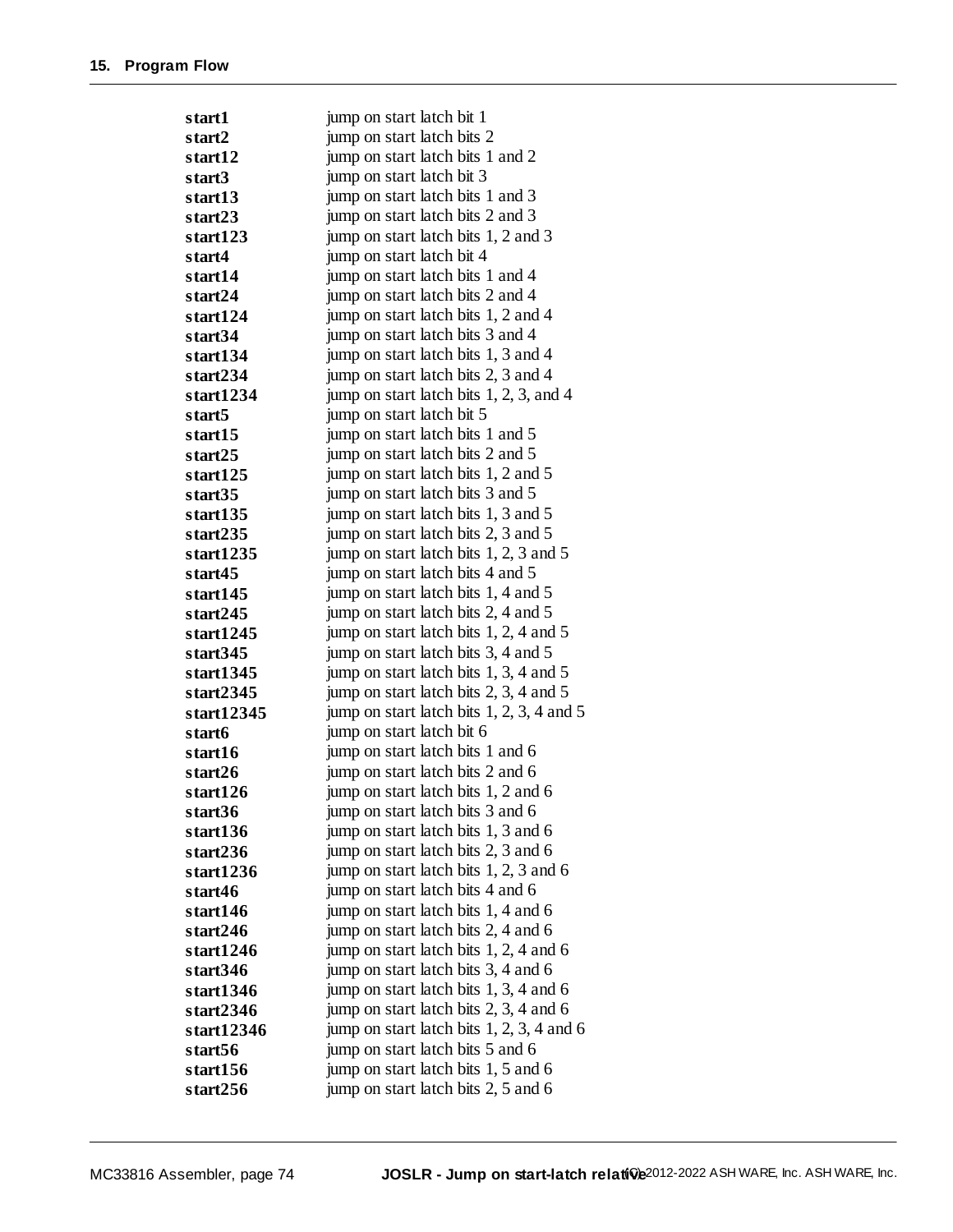| start1              | jump on start latch bit 1                   |
|---------------------|---------------------------------------------|
| start <sub>2</sub>  | jump on start latch bits 2                  |
| start12             | jump on start latch bits 1 and 2            |
| start3              | jump on start latch bit 3                   |
| start <sub>13</sub> | jump on start latch bits 1 and 3            |
| start23             | jump on start latch bits 2 and 3            |
| start123            | jump on start latch bits 1, 2 and 3         |
| start4              | jump on start latch bit 4                   |
| start14             | jump on start latch bits 1 and 4            |
| start24             | jump on start latch bits 2 and 4            |
| start124            | jump on start latch bits 1, 2 and 4         |
| start34             | jump on start latch bits 3 and 4            |
| start134            | jump on start latch bits 1, 3 and 4         |
| start234            | jump on start latch bits 2, 3 and 4         |
| start1234           | jump on start latch bits 1, 2, 3, and 4     |
| start <sub>5</sub>  | jump on start latch bit 5                   |
| start15             | jump on start latch bits 1 and 5            |
| start25             | jump on start latch bits 2 and 5            |
| start125            | jump on start latch bits 1, 2 and 5         |
| start35             | jump on start latch bits 3 and 5            |
| start135            | jump on start latch bits 1, 3 and 5         |
| start235            | jump on start latch bits 2, 3 and 5         |
| start1235           | jump on start latch bits 1, 2, 3 and 5      |
| start45             | jump on start latch bits 4 and 5            |
| start145            | jump on start latch bits 1, 4 and 5         |
| start245            | jump on start latch bits 2, 4 and 5         |
| start $1245$        | jump on start latch bits 1, 2, 4 and 5      |
| start345            | jump on start latch bits 3, 4 and 5         |
| start1345           | jump on start latch bits 1, 3, 4 and 5      |
| start2345           | jump on start latch bits 2, 3, 4 and 5      |
| start12345          | jump on start latch bits $1, 2, 3, 4$ and 5 |
| start6              | jump on start latch bit 6                   |
| start16             | jump on start latch bits 1 and 6            |
| start26             | jump on start latch bits 2 and 6            |
| start126            | jump on start latch bits 1, 2 and 6         |
| start36             | jump on start latch bits 3 and 6            |
| start136            | jump on start latch bits 1, 3 and 6         |
| start236            | jump on start latch bits 2, 3 and 6         |
| start1236           | jump on start latch bits 1, 2, 3 and 6      |
| start46             | jump on start latch bits 4 and 6            |
| start146            | jump on start latch bits 1, 4 and 6         |
| start246            | jump on start latch bits 2, 4 and 6         |
| start1246           | jump on start latch bits 1, 2, 4 and 6      |
| start346            | jump on start latch bits 3, 4 and 6         |
| start1346           | jump on start latch bits 1, 3, 4 and 6      |
| start2346           | jump on start latch bits 2, 3, 4 and 6      |
| start12346          | jump on start latch bits $1, 2, 3, 4$ and 6 |
| start <sub>56</sub> | jump on start latch bits 5 and 6            |
| start156            | jump on start latch bits 1, 5 and 6         |
| start256            | jump on start latch bits 2, 5 and 6         |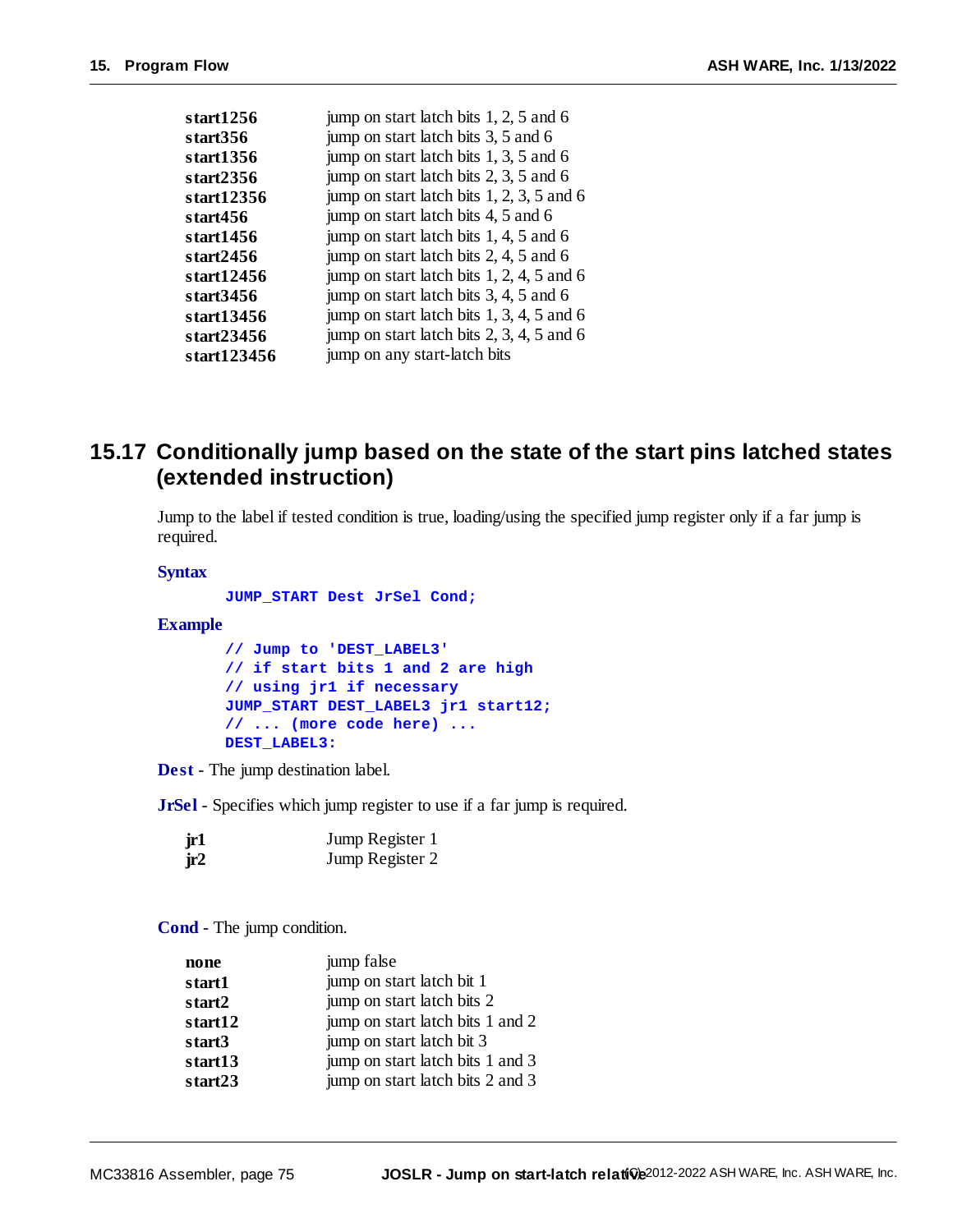| start1256     | jump on start latch bits 1, 2, 5 and 6      |
|---------------|---------------------------------------------|
| start356      | jump on start latch bits 3, 5 and 6         |
| start1356     | jump on start latch bits 1, 3, 5 and 6      |
| start2356     | jump on start latch bits 2, 3, 5 and 6      |
| start12356    | jump on start latch bits $1, 2, 3, 5$ and 6 |
| start456      | jump on start latch bits 4, 5 and 6         |
| start1456     | jump on start latch bits 1, 4, 5 and 6      |
| start $2456$  | jump on start latch bits 2, 4, 5 and 6      |
| start12456    | jump on start latch bits 1, 2, 4, 5 and 6   |
| start3456     | jump on start latch bits 3, 4, 5 and 6      |
| start13456    | jump on start latch bits $1, 3, 4, 5$ and 6 |
| start $23456$ | jump on start latch bits $2, 3, 4, 5$ and 6 |
| start123456   | jump on any start-latch bits                |

#### **15.17 Conditionally jump based on the state of the start pins latched states (extended instruction)**

Jump to the label if tested condition is true, loading/using the specified jump register only if a far jump is required.

#### **Syntax**

**JUMP\_START Dest JrSel Cond;**

#### **Example**

```
// Jump to 'DEST_LABEL3'
// if start bits 1 and 2 are high
// using jr1 if necessary
JUMP_START DEST_LABEL3 jr1 start12;
// ... (more code here) ...
DEST_LABEL3:
```
**Dest** - The jump destination label.

**JrSel** - Specifies which jump register to use if a far jump is required.

| jr1 | Jump Register 1 |
|-----|-----------------|
| jr2 | Jump Register 2 |

**Cond** - The jump condition.

| none    | jump false                       |
|---------|----------------------------------|
| start1  | jump on start latch bit 1        |
| start2  | jump on start latch bits 2       |
| start12 | jump on start latch bits 1 and 2 |
| start3  | jump on start latch bit 3        |
| start13 | jump on start latch bits 1 and 3 |
| start23 | jump on start latch bits 2 and 3 |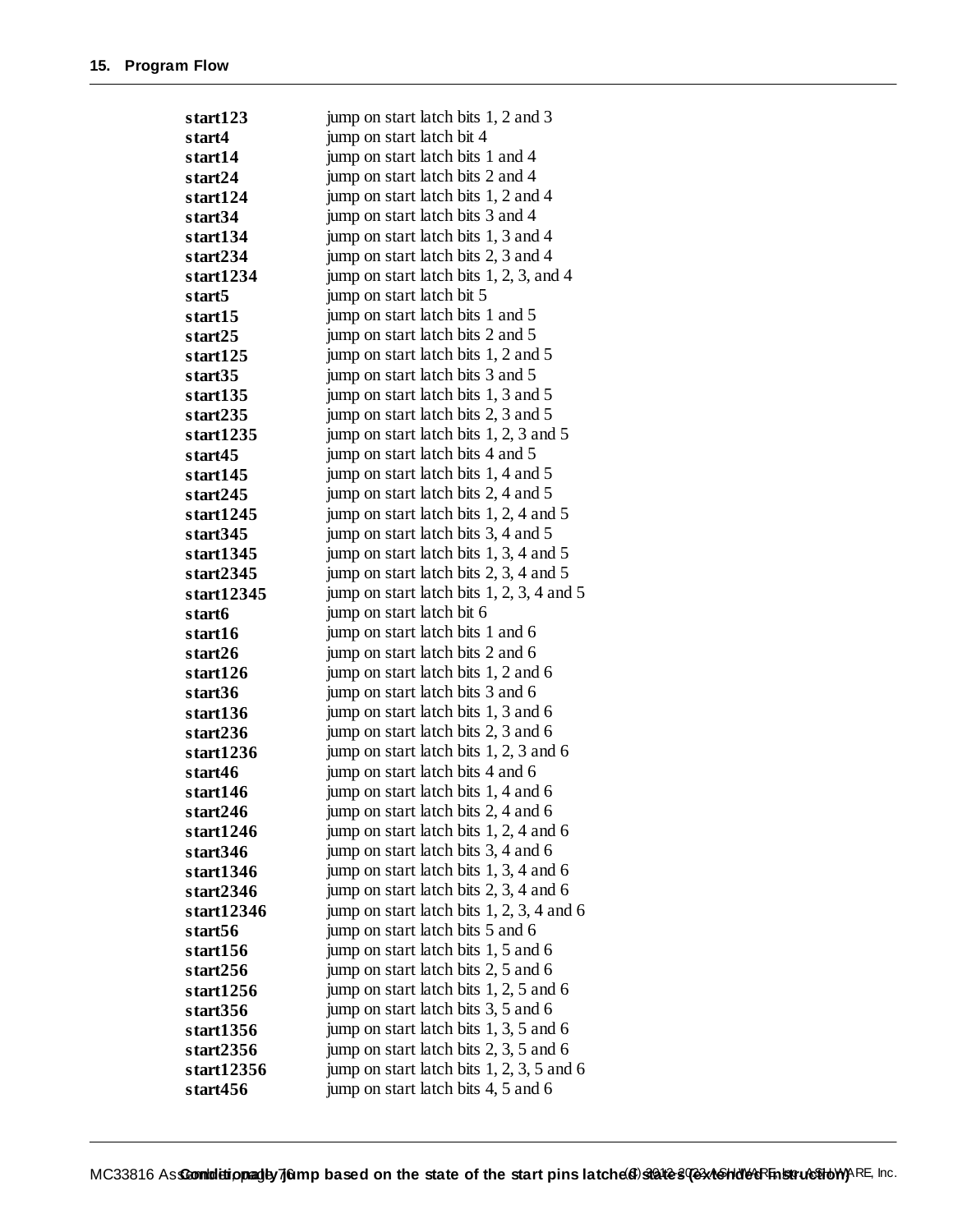| start123   | jump on start latch bits 1, 2 and 3         |
|------------|---------------------------------------------|
| start4     | jump on start latch bit 4                   |
| start14    | jump on start latch bits 1 and 4            |
| start24    | jump on start latch bits 2 and 4            |
| start124   | jump on start latch bits 1, 2 and 4         |
| start34    | jump on start latch bits 3 and 4            |
| start134   | jump on start latch bits 1, 3 and 4         |
| start234   | jump on start latch bits 2, 3 and 4         |
| start1234  | jump on start latch bits 1, 2, 3, and 4     |
| start5     | jump on start latch bit 5                   |
| start15    | jump on start latch bits 1 and 5            |
| start25    | jump on start latch bits 2 and 5            |
| start125   | jump on start latch bits 1, 2 and 5         |
| start35    | jump on start latch bits 3 and 5            |
| start135   | jump on start latch bits 1, 3 and 5         |
| start235   | jump on start latch bits 2, 3 and 5         |
| start1235  | jump on start latch bits 1, 2, 3 and 5      |
| start45    | jump on start latch bits 4 and 5            |
| start145   | jump on start latch bits 1, 4 and 5         |
| start245   | jump on start latch bits 2, 4 and 5         |
| start1245  | jump on start latch bits 1, 2, 4 and 5      |
| start345   | jump on start latch bits 3, 4 and 5         |
| start1345  | jump on start latch bits 1, 3, 4 and 5      |
| start2345  | jump on start latch bits 2, 3, 4 and 5      |
| start12345 | jump on start latch bits $1, 2, 3, 4$ and 5 |
| start6     | jump on start latch bit 6                   |
| start16    | jump on start latch bits 1 and 6            |
| start26    | jump on start latch bits 2 and 6            |
| start126   | jump on start latch bits 1, 2 and 6         |
| start36    | jump on start latch bits 3 and 6            |
| start136   | jump on start latch bits 1, 3 and 6         |
| start236   | jump on start latch bits 2, 3 and 6         |
| start1236  | jump on start latch bits 1, 2, 3 and 6      |
| start46    | jump on start latch bits 4 and 6            |
| start146   | jump on start latch bits 1, 4 and 6         |
| start246   | jump on start latch bits 2, 4 and 6         |
| start1246  | jump on start latch bits 1, 2, 4 and 6      |
| start346   | jump on start latch bits 3, 4 and 6         |
| start1346  | jump on start latch bits 1, 3, 4 and 6      |
| start2346  | jump on start latch bits 2, 3, 4 and 6      |
| start12346 | jump on start latch bits $1, 2, 3, 4$ and 6 |
| start56    | jump on start latch bits 5 and 6            |
| start156   | jump on start latch bits 1, 5 and 6         |
| start256   | jump on start latch bits 2, 5 and 6         |
| start1256  | jump on start latch bits 1, 2, 5 and 6      |
| start356   | jump on start latch bits 3, 5 and 6         |
| start1356  | jump on start latch bits 1, 3, 5 and 6      |
| start2356  | jump on start latch bits 2, 3, 5 and 6      |
| start12356 | jump on start latch bits $1, 2, 3, 5$ and 6 |
| start456   | jump on start latch bits 4, 5 and 6         |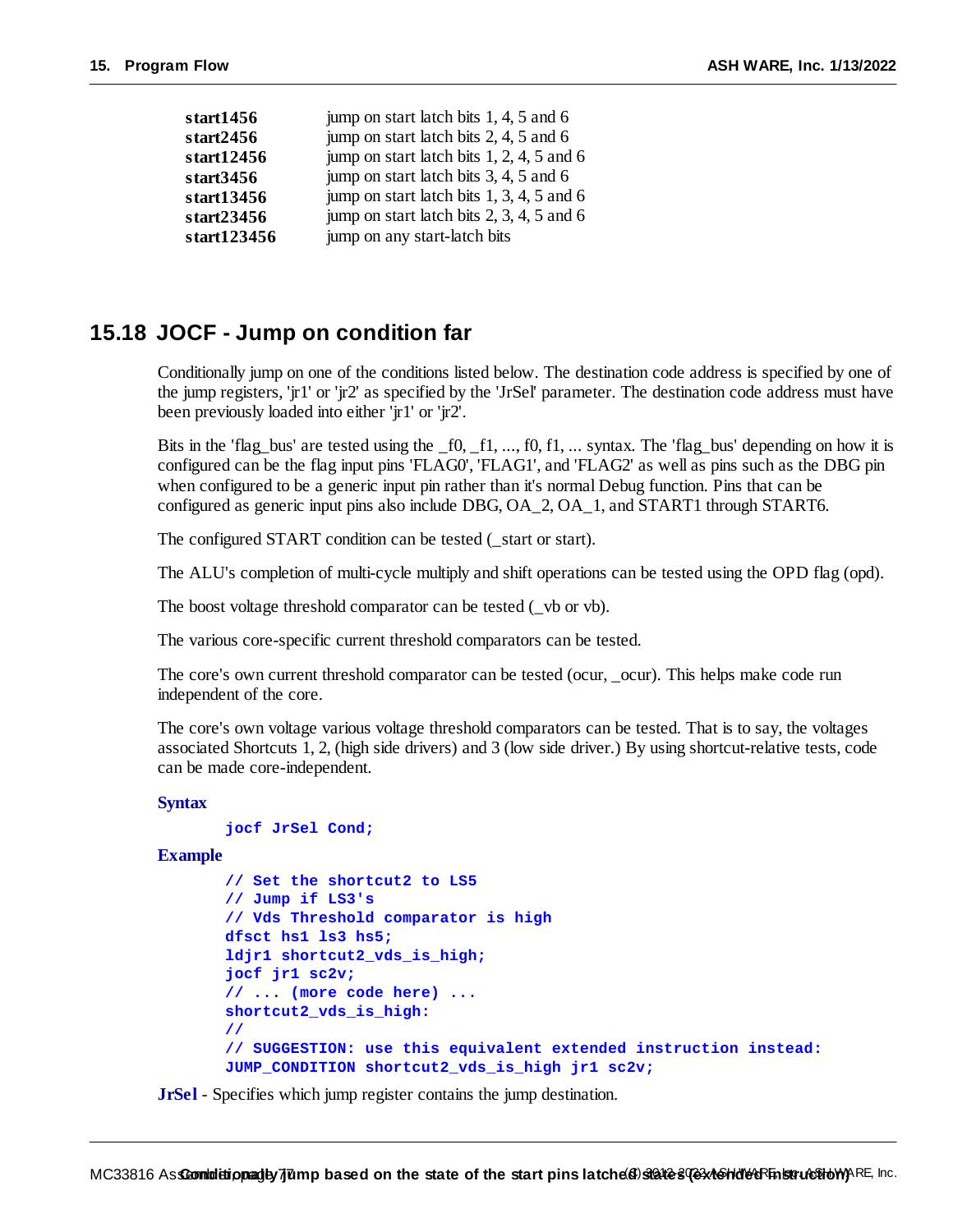| jump on start latch bits 2, 4, 5 and 6<br>start2456<br>jump on start latch bits $1, 2, 4, 5$ and 6<br>start12456<br>jump on start latch bits 3, 4, 5 and 6<br>start3456<br>jump on start latch bits 1, 3, 4, 5 and 6<br>start13456<br>jump on start latch bits 2, 3, 4, 5 and 6<br>start23456 |
|-----------------------------------------------------------------------------------------------------------------------------------------------------------------------------------------------------------------------------------------------------------------------------------------------|
|                                                                                                                                                                                                                                                                                               |
|                                                                                                                                                                                                                                                                                               |
|                                                                                                                                                                                                                                                                                               |
|                                                                                                                                                                                                                                                                                               |
|                                                                                                                                                                                                                                                                                               |
| jump on any start-latch bits<br>start123456                                                                                                                                                                                                                                                   |

#### **15.18 JOCF - Jump on condition far**

Conditionally jump on one of the conditions listed below. The destination code address is specified by one of the jump registers, 'jr1' or 'jr2' as specified by the 'JrSel' parameter. The destination code address must have been previously loaded into either 'jr1' or 'jr2'.

Bits in the 'flag bus' are tested using the  $f0, f1, \ldots, f0, f1, \ldots$  syntax. The 'flag\_bus' depending on how it is configured can be the flag input pins 'FLAG0', 'FLAG1', and 'FLAG2' as well as pins such as the DBG pin when configured to be a generic input pin rather than it's normal Debug function. Pins that can be configured as generic input pins also include DBG, OA\_2, OA\_1, and START1 through START6.

The configured START condition can be tested (\_start or start).

The ALU's completion of multi-cycle multiply and shift operations can be tested using the OPD flag (opd).

The boost voltage threshold comparator can be tested (\_vb or vb).

The various core-specific current threshold comparators can be tested.

The core's own current threshold comparator can be tested (ocur, \_ocur). This helps make code run independent of the core.

The core's own voltage various voltage threshold comparators can be tested. That is to say, the voltages associated Shortcuts 1, 2, (high side drivers) and 3 (low side driver.) By using shortcut-relative tests, code can be made core-independent.

#### **Syntax**

```
jocf JrSel Cond;
```
**Example**

```
// Set the shortcut2 to LS5
// Jump if LS3's
// Vds Threshold comparator is high
dfsct hs1 ls3 hs5;
ldjr1 shortcut2_vds_is_high;
jocf jr1 sc2v;
// ... (more code here) ...
shortcut2_vds_is_high:
//
// SUGGESTION: use this equivalent extended instruction instead:
JUMP_CONDITION shortcut2_vds_is_high jr1 sc2v;
```
**JrSel** - Specifies which jump register contains the jump destination.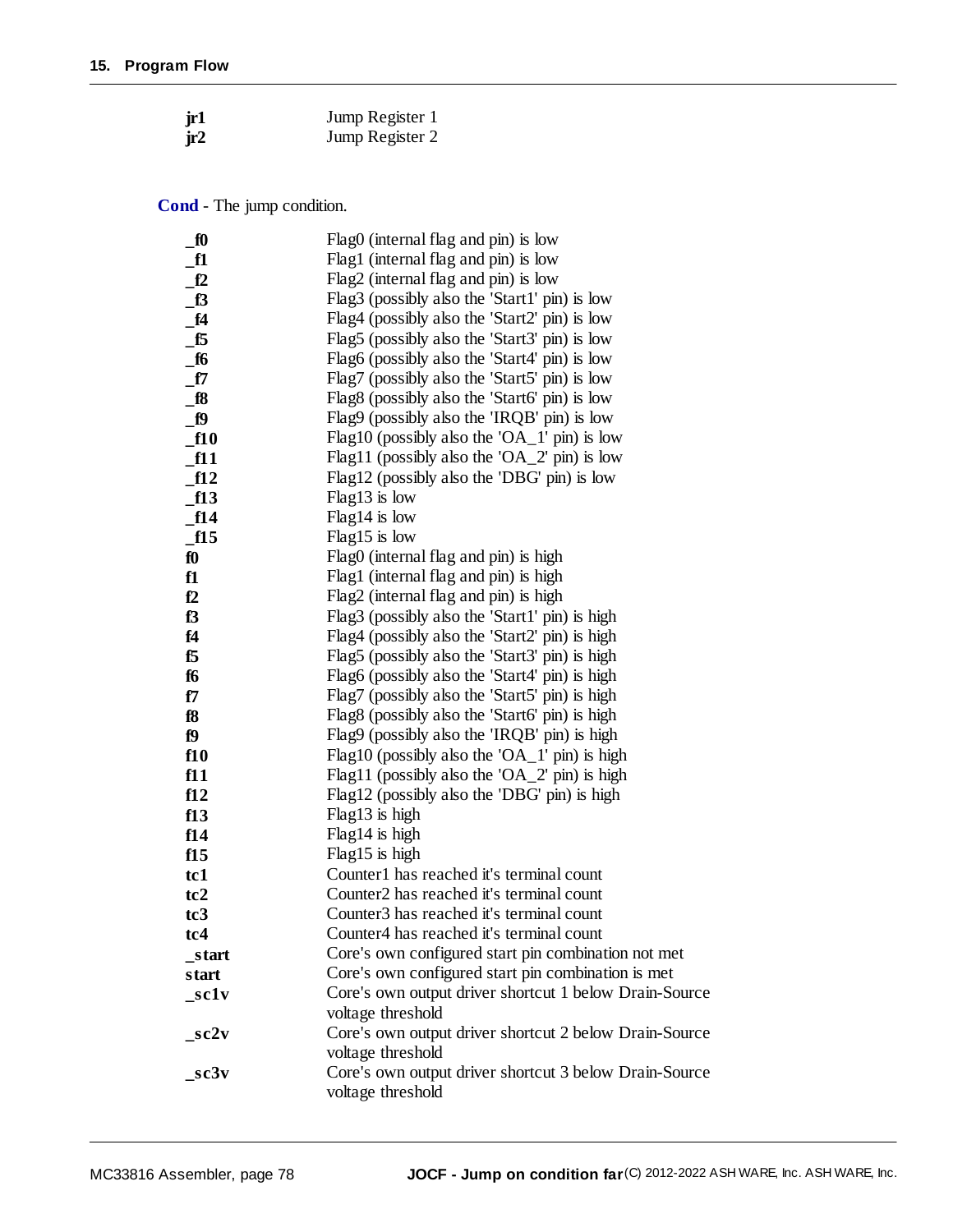| jr1 | Jump Register 1 |
|-----|-----------------|
| jr2 | Jump Register 2 |

**Cond** - The jump condition.

| $\underline{\mathbf{f0}}$ | Flag0 (internal flag and pin) is low                   |
|---------------------------|--------------------------------------------------------|
| $\_f1$                    | Flag1 (internal flag and pin) is low                   |
| f2                        | Flag2 (internal flag and pin) is low                   |
| $\mathbf{B}$              | Flag3 (possibly also the 'Start1' pin) is low          |
| $\_f4$                    | Flag4 (possibly also the 'Start2' pin) is low          |
| $\_f5$                    | Flag5 (possibly also the 'Start3' pin) is low          |
| $\_f6$                    | Flag6 (possibly also the 'Start4' pin) is low          |
| _f7                       | Flag7 (possibly also the 'Start5' pin) is low          |
| $\_$ f $8$                | Flag8 (possibly also the 'Start6' pin) is low          |
| $_{-}$ 19                 | Flag9 (possibly also the 'IRQB' pin) is low            |
| $\_f10$                   | Flag10 (possibly also the 'OA_1' pin) is low           |
| f11                       | Flag11 (possibly also the 'OA_2' pin) is low           |
| ft2                       | Flag12 (possibly also the 'DBG' pin) is low            |
| $\_f13$                   | Flag13 is low                                          |
| ft14                      | $Flag14$ is low                                        |
| $\_f15$                   | Flag15 is low                                          |
| $f_0$                     | Flag0 (internal flag and pin) is high                  |
| f1                        | Flag1 (internal flag and pin) is high                  |
| f2                        | Flag2 (internal flag and pin) is high                  |
| f3                        | Flag3 (possibly also the 'Start1' pin) is high         |
| f4                        | Flag4 (possibly also the 'Start2' pin) is high         |
| f5                        | Flag5 (possibly also the 'Start3' pin) is high         |
| f6                        | Flag6 (possibly also the 'Start4' pin) is high         |
| f7                        | Flag7 (possibly also the 'Start5' pin) is high         |
| f8                        | Flag8 (possibly also the 'Start6' pin) is high         |
| f9                        | Flag9 (possibly also the 'IRQB' pin) is high           |
| f10                       | Flag10 (possibly also the 'OA_1' pin) is high          |
| f11                       | Flag11 (possibly also the 'OA_2' pin) is high          |
| f12                       | Flag12 (possibly also the 'DBG' pin) is high           |
| f13                       | Flag13 is high                                         |
| f14                       | Flag14 is high                                         |
| f15                       | Flag15 is high                                         |
| tc1                       | Counter1 has reached it's terminal count               |
| tc2                       | Counter <sub>2</sub> has reached it's terminal count   |
| tc <sub>3</sub>           | Counter <sub>3</sub> has reached it's terminal count   |
| tc4                       | Counter4 has reached it's terminal count               |
| _start                    | Core's own configured start pin combination not met    |
| start                     | Core's own configured start pin combination is met     |
| $\_sc1v$                  | Core's own output driver shortcut 1 below Drain-Source |
|                           | voltage threshold                                      |
| $\_sc2v$                  | Core's own output driver shortcut 2 below Drain-Source |
|                           | voltage threshold                                      |
| $\_sc3v$                  | Core's own output driver shortcut 3 below Drain-Source |
|                           | voltage threshold                                      |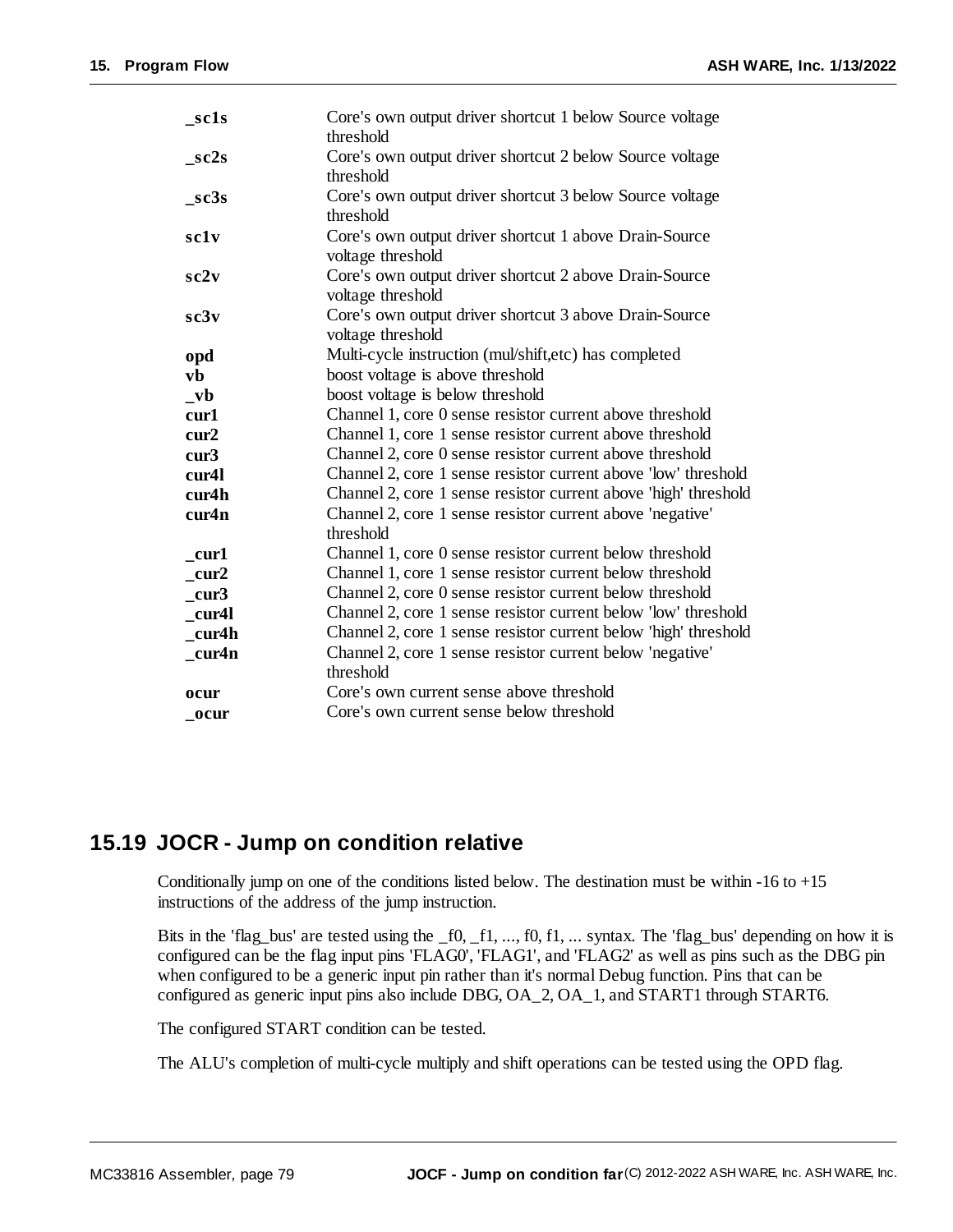| $\_sc1s$           | Core's own output driver shortcut 1 below Source voltage<br>threshold       |
|--------------------|-----------------------------------------------------------------------------|
| $_sc2s$            | Core's own output driver shortcut 2 below Source voltage<br>threshold       |
| $\_sc3s$           | Core's own output driver shortcut 3 below Source voltage<br>threshold       |
| sclv               | Core's own output driver shortcut 1 above Drain-Source<br>voltage threshold |
| sc2v               | Core's own output driver shortcut 2 above Drain-Source<br>voltage threshold |
| sc3v               | Core's own output driver shortcut 3 above Drain-Source<br>voltage threshold |
| opd                | Multi-cycle instruction (mul/shift,etc) has completed                       |
| vb                 | boost voltage is above threshold                                            |
| $_{v}$             | boost voltage is below threshold                                            |
| cur1               | Channel 1, core 0 sense resistor current above threshold                    |
| cur2               | Channel 1, core 1 sense resistor current above threshold                    |
| cur3               | Channel 2, core 0 sense resistor current above threshold                    |
| cur <sub>4</sub> l | Channel 2, core 1 sense resistor current above 'low' threshold              |
| cur4h              | Channel 2, core 1 sense resistor current above 'high' threshold             |
| cur4n              | Channel 2, core 1 sense resistor current above 'negative'<br>threshold      |
| $_{\rm curl}$      | Channel 1, core 0 sense resistor current below threshold                    |
| cur2               | Channel 1, core 1 sense resistor current below threshold                    |
| cur3               | Channel 2, core 0 sense resistor current below threshold                    |
| cur4l              | Channel 2, core 1 sense resistor current below 'low' threshold              |
| cur4h              | Channel 2, core 1 sense resistor current below 'high' threshold             |
| cur4n              | Channel 2, core 1 sense resistor current below 'negative'                   |
|                    | threshold                                                                   |
| ocur               | Core's own current sense above threshold                                    |
| ocur               | Core's own current sense below threshold                                    |

#### **15.19 JOCR - Jump on condition relative**

Conditionally jump on one of the conditions listed below. The destination must be within  $-16$  to  $+15$ instructions of the address of the jump instruction.

Bits in the 'flag\_bus' are tested using the \_f0, \_f1, ..., f0, f1, ... syntax. The 'flag\_bus' depending on how it is configured can be the flag input pins 'FLAG0', 'FLAG1', and 'FLAG2' as well as pins such as the DBG pin when configured to be a generic input pin rather than it's normal Debug function. Pins that can be configured as generic input pins also include DBG, OA\_2, OA\_1, and START1 through START6.

The configured START condition can be tested.

The ALU's completion of multi-cycle multiply and shift operations can be tested using the OPD flag.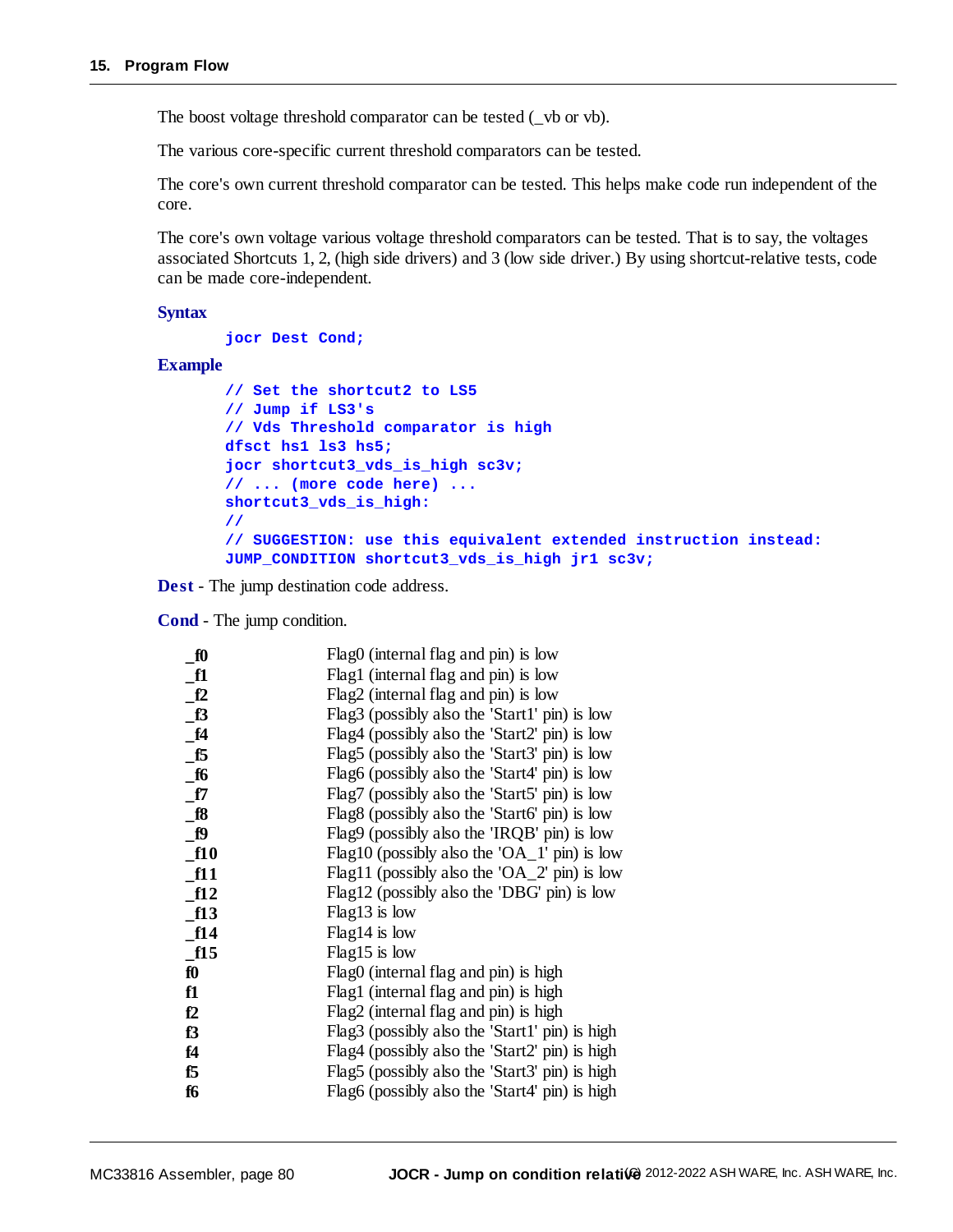The boost voltage threshold comparator can be tested ( $\vee$  b or vb).

The various core-specific current threshold comparators can be tested.

The core's own current threshold comparator can be tested. This helps make code run independent of the core.

The core's own voltage various voltage threshold comparators can be tested. That is to say, the voltages associated Shortcuts 1, 2, (high side drivers) and 3 (low side driver.) By using shortcut-relative tests, code can be made core-independent.

#### **Syntax**

**jocr Dest Cond;**

#### **Example**

```
// Set the shortcut2 to LS5
// Jump if LS3's
// Vds Threshold comparator is high
dfsct hs1 ls3 hs5;
jocr shortcut3_vds_is_high sc3v;
// ... (more code here) ...
shortcut3_vds_is_high:
//
// SUGGESTION: use this equivalent extended instruction instead:
JUMP_CONDITION shortcut3_vds_is_high jr1 sc3v;
```
**Dest** - The jump destination code address.

**Cond** - The jump condition.

| f0        | Flag0 (internal flag and pin) is low           |
|-----------|------------------------------------------------|
| f1        | Flag1 (internal flag and pin) is low           |
| f2        | Flag2 (internal flag and pin) is low           |
| $\_f3$    | Flag3 (possibly also the 'Start1' pin) is low  |
| f4        | Flag4 (possibly also the 'Start2' pin) is low  |
|           |                                                |
| f5        | Flag5 (possibly also the 'Start3' pin) is low  |
| $\_f6$    | Flag6 (possibly also the 'Start4' pin) is low  |
| $\_$ f7   | Flag7 (possibly also the 'Start5' pin) is low  |
| f8        | Flag8 (possibly also the 'Start6' pin) is low  |
| <b>f9</b> | Flag9 (possibly also the 'IRQB' pin) is low    |
| f10       | Flag10 (possibly also the 'OA_1' pin) is low   |
| f11       | Flag11 (possibly also the 'OA_2' pin) is low   |
| f12       | Flag12 (possibly also the 'DBG' pin) is low    |
| f13       | $Flag13$ is low                                |
| f14       | $Flag14$ is low                                |
| $\_f15$   | Flag15 is low                                  |
| f0        | Flag0 (internal flag and pin) is high          |
| f1        | Flag1 (internal flag and pin) is high          |
| f2        | Flag2 (internal flag and pin) is high          |
| f3        | Flag3 (possibly also the 'Start1' pin) is high |
| f4        | Flag4 (possibly also the 'Start2' pin) is high |
| f5        | Flag5 (possibly also the 'Start3' pin) is high |
| f6        | Flag6 (possibly also the 'Start4' pin) is high |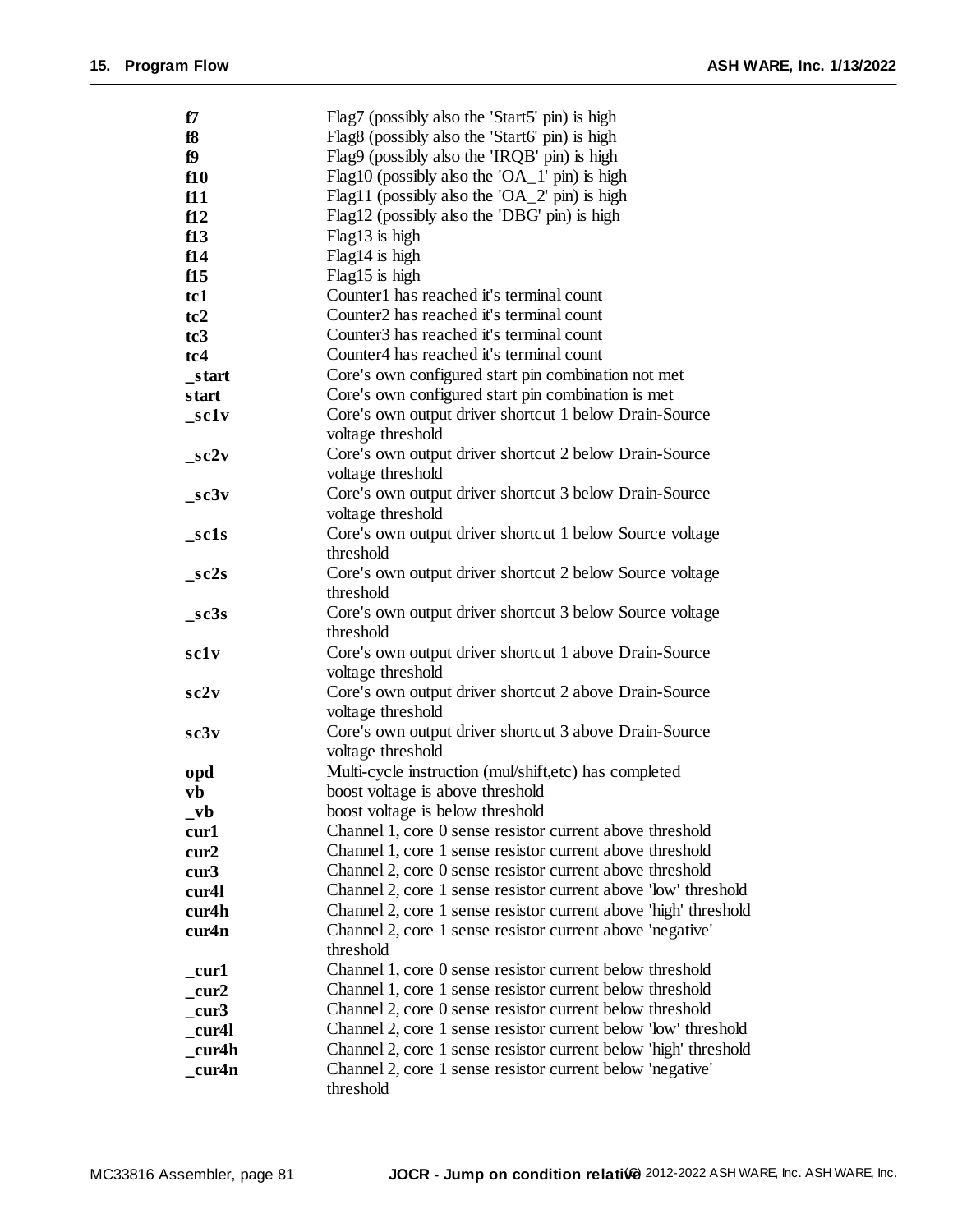| f7                           | Flag7 (possibly also the 'Start5' pin) is high                              |
|------------------------------|-----------------------------------------------------------------------------|
| f8                           | Flag8 (possibly also the 'Start6' pin) is high                              |
| f9                           | Flag9 (possibly also the 'IRQB' pin) is high                                |
| f10                          | Flag10 (possibly also the 'OA_1' pin) is high                               |
| f11                          | Flag11 (possibly also the 'OA_2' pin) is high                               |
| f12                          | Flag12 (possibly also the 'DBG' pin) is high                                |
| f13                          | Flag13 is high                                                              |
| f14                          | Flag14 is high                                                              |
| f15                          | Flag15 is high                                                              |
| tc1                          | Counter1 has reached it's terminal count                                    |
| tc2                          | Counter <sub>2</sub> has reached it's terminal count                        |
| tc3                          | Counter <sub>3</sub> has reached it's terminal count                        |
| tc4                          | Counter4 has reached it's terminal count                                    |
| _start                       | Core's own configured start pin combination not met                         |
| start                        | Core's own configured start pin combination is met                          |
|                              |                                                                             |
| sc1v                         | Core's own output driver shortcut 1 below Drain-Source<br>voltage threshold |
|                              | Core's own output driver shortcut 2 below Drain-Source                      |
| $\_sc2v$                     | voltage threshold                                                           |
|                              |                                                                             |
| $_sc3v$                      | Core's own output driver shortcut 3 below Drain-Source                      |
|                              | voltage threshold                                                           |
| $\_sc1s$                     | Core's own output driver shortcut 1 below Source voltage                    |
|                              | threshold                                                                   |
| $\_sc2s$                     | Core's own output driver shortcut 2 below Source voltage                    |
|                              | threshold                                                                   |
| $\_sc3s$                     | Core's own output driver shortcut 3 below Source voltage                    |
|                              | threshold                                                                   |
| sclv                         | Core's own output driver shortcut 1 above Drain-Source                      |
|                              | voltage threshold                                                           |
| sc2v                         | Core's own output driver shortcut 2 above Drain-Source                      |
|                              | voltage threshold                                                           |
| sc3v                         | Core's own output driver shortcut 3 above Drain-Source                      |
|                              | voltage threshold                                                           |
| opd                          | Multi-cycle instruction (mul/shift,etc) has completed                       |
| yb                           | boost voltage is above threshold                                            |
| $_{\mathbf{v}}$ <sub>b</sub> | boost voltage is below threshold                                            |
| cur1                         | Channel 1, core 0 sense resistor current above threshold                    |
| cur2                         | Channel 1, core 1 sense resistor current above threshold                    |
| cur3                         | Channel 2, core 0 sense resistor current above threshold                    |
| cur <sub>4</sub> l           | Channel 2, core 1 sense resistor current above 'low' threshold              |
| cur4h                        | Channel 2, core 1 sense resistor current above 'high' threshold             |
| cur4n                        | Channel 2, core 1 sense resistor current above 'negative'                   |
|                              | threshold                                                                   |
| cur1                         | Channel 1, core 0 sense resistor current below threshold                    |
| cur2                         | Channel 1, core 1 sense resistor current below threshold                    |
| cur3                         | Channel 2, core 0 sense resistor current below threshold                    |
| cur4l                        | Channel 2, core 1 sense resistor current below 'low' threshold              |
| cur4h                        | Channel 2, core 1 sense resistor current below 'high' threshold             |
| cur4n                        | Channel 2, core 1 sense resistor current below 'negative'                   |
|                              | threshold                                                                   |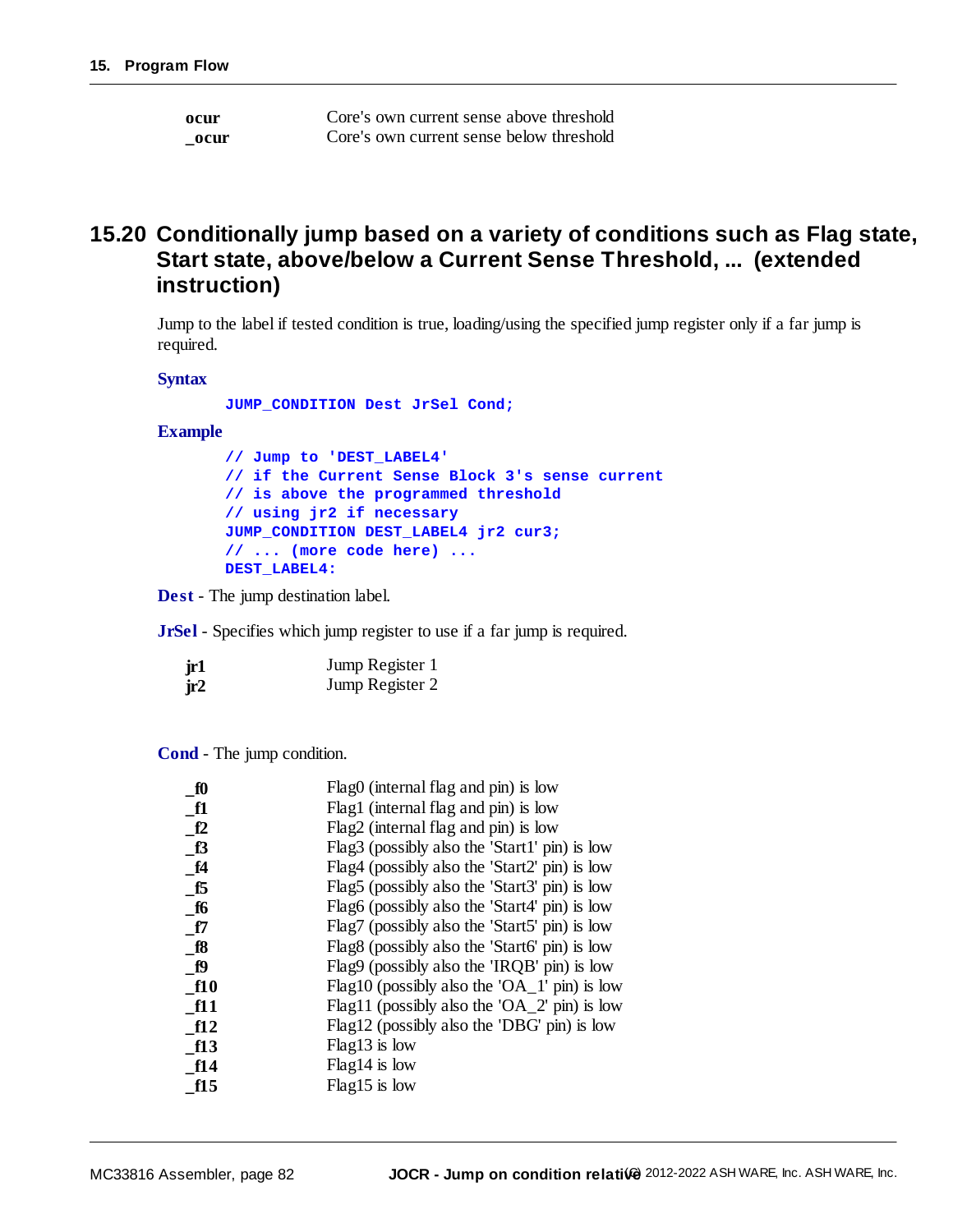| ocur | Core's own current sense above threshold |
|------|------------------------------------------|
| ocur | Core's own current sense below threshold |

#### **15.20 Conditionally jump based on a variety of conditions such as Flag state, Start state, above/below a Current Sense Threshold, ... (extended instruction)**

Jump to the label if tested condition is true, loading/using the specified jump register only if a far jump is required.

**Syntax**

**JUMP\_CONDITION Dest JrSel Cond;**

#### **Example**

**// Jump to 'DEST\_LABEL4' // if the Current Sense Block 3's sense current // is above the programmed threshold // using jr2 if necessary JUMP\_CONDITION DEST\_LABEL4 jr2 cur3; // ... (more code here) ... DEST\_LABEL4:**

**Dest** - The jump destination label.

**JrSel** - Specifies which jump register to use if a far jump is required.

| jr1 | Jump Register 1 |
|-----|-----------------|
| jr2 | Jump Register 2 |

**Cond** - The jump condition.

| $f_0$        | Flag0 (internal flag and pin) is low          |
|--------------|-----------------------------------------------|
| $_{\rm fl}$  | Flag1 (internal flag and pin) is low          |
| f2           | Flag2 (internal flag and pin) is low          |
| $\mathbf{f}$ | Flag3 (possibly also the 'Start1' pin) is low |
| f4           | Flag4 (possibly also the 'Start2' pin) is low |
| f5           | Flag5 (possibly also the 'Start3' pin) is low |
| $\_f6$       | Flag6 (possibly also the 'Start4' pin) is low |
| f7           | Flag7 (possibly also the 'Start5' pin) is low |
| <b>f8</b>    | Flag8 (possibly also the 'Start6' pin) is low |
| $\mathbf{p}$ | Flag9 (possibly also the 'IRQB' pin) is low   |
| f10          | Flag10 (possibly also the 'OA_1' pin) is low  |
| f11          | Flag11 (possibly also the 'OA_2' pin) is low  |
| f12          | Flag12 (possibly also the 'DBG' pin) is low   |
| f13          | Flag13 is low                                 |
| f14          | $Flag14$ is low                               |
| f15          | Flag15 is low                                 |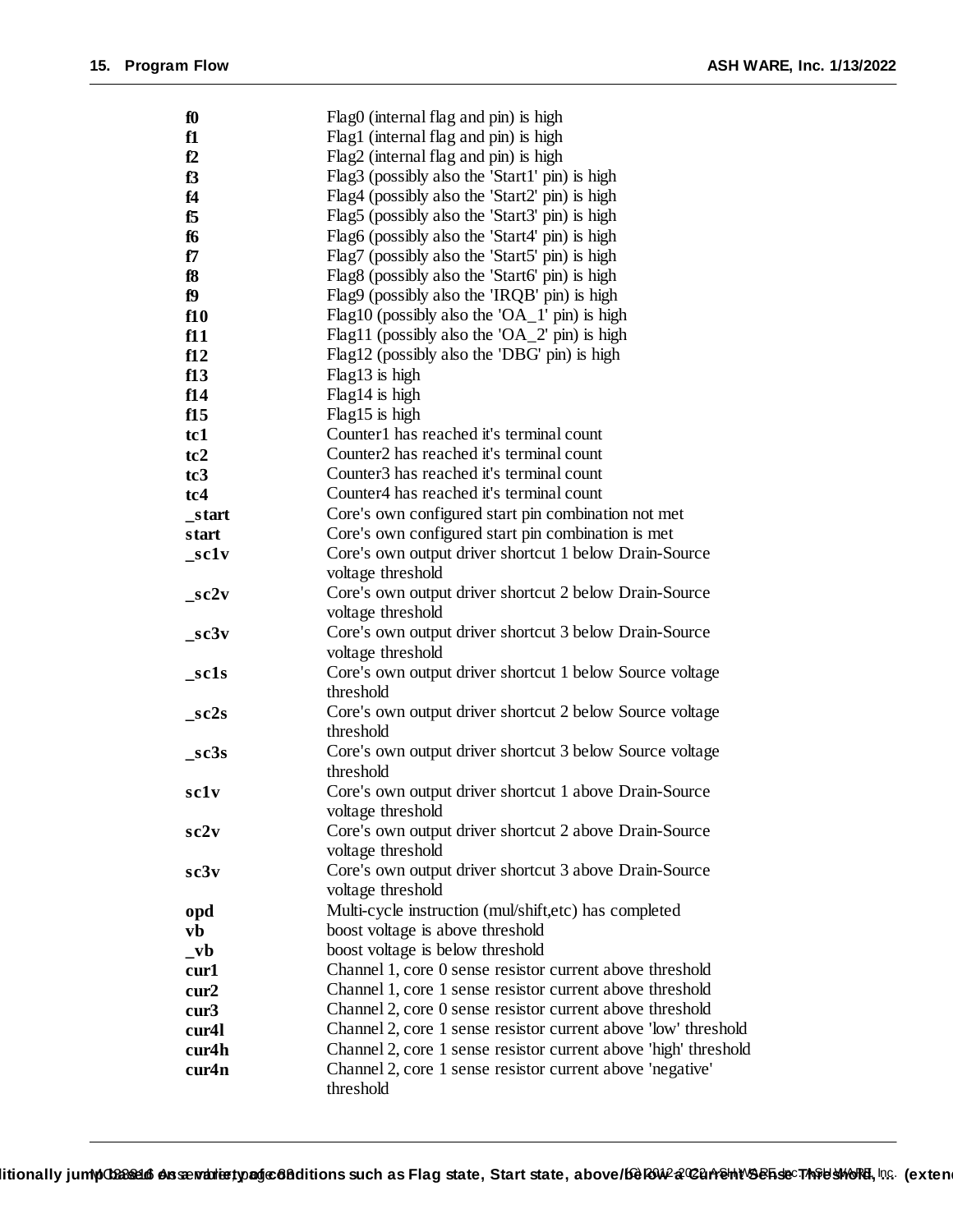| $f_0$                        | Flag0 (internal flag and pin) is high                                       |
|------------------------------|-----------------------------------------------------------------------------|
| f1                           | Flag1 (internal flag and pin) is high                                       |
| f2                           | Flag2 (internal flag and pin) is high                                       |
| f3                           | Flag3 (possibly also the 'Start1' pin) is high                              |
| f4                           | Flag4 (possibly also the 'Start2' pin) is high                              |
| f5                           | Flag5 (possibly also the 'Start3' pin) is high                              |
| f6                           | Flag6 (possibly also the 'Start4' pin) is high                              |
| f7                           | Flag7 (possibly also the 'Start5' pin) is high                              |
| f8                           | Flag8 (possibly also the 'Start6' pin) is high                              |
| f9                           | Flag9 (possibly also the 'IRQB' pin) is high                                |
| f10                          | Flag10 (possibly also the 'OA_1' pin) is high                               |
| f11                          | Flag11 (possibly also the 'OA_2' pin) is high                               |
| f12                          | Flag12 (possibly also the 'DBG' pin) is high                                |
| f13                          | Flag13 is high                                                              |
| f14                          | Flag14 is high                                                              |
| f15                          | Flag15 is high                                                              |
| tc1                          | Counter1 has reached it's terminal count                                    |
| tc2                          | Counter <sub>2</sub> has reached it's terminal count                        |
| tc <sub>3</sub>              | Counter <sub>3</sub> has reached it's terminal count                        |
| tc4                          | Counter4 has reached it's terminal count                                    |
| _start                       | Core's own configured start pin combination not met                         |
| start                        | Core's own configured start pin combination is met                          |
| sc1v                         | Core's own output driver shortcut 1 below Drain-Source                      |
|                              | voltage threshold                                                           |
| $\_sc2v$                     | Core's own output driver shortcut 2 below Drain-Source                      |
|                              | voltage threshold                                                           |
| sc3v                         | Core's own output driver shortcut 3 below Drain-Source                      |
|                              | voltage threshold                                                           |
| sc1s                         | Core's own output driver shortcut 1 below Source voltage                    |
|                              | threshold                                                                   |
| sc2s                         | Core's own output driver shortcut 2 below Source voltage                    |
|                              | threshold                                                                   |
| _sc3s                        | Core's own output driver shortcut 3 below Source voltage                    |
|                              | threshold                                                                   |
| sclv                         | Core's own output driver shortcut 1 above Drain-Source                      |
| sc2v                         | voltage threshold<br>Core's own output driver shortcut 2 above Drain-Source |
|                              | voltage threshold                                                           |
| sc3v                         | Core's own output driver shortcut 3 above Drain-Source                      |
|                              | voltage threshold                                                           |
|                              | Multi-cycle instruction (mul/shift,etc) has completed                       |
| opd<br>vb                    | boost voltage is above threshold                                            |
| $_{\mathbf{v}}$ <sub>v</sub> | boost voltage is below threshold                                            |
| cur1                         | Channel 1, core 0 sense resistor current above threshold                    |
| cur2                         | Channel 1, core 1 sense resistor current above threshold                    |
| cur3                         | Channel 2, core 0 sense resistor current above threshold                    |
| cur4l                        | Channel 2, core 1 sense resistor current above 'low' threshold              |
| cur4h                        | Channel 2, core 1 sense resistor current above 'high' threshold             |
| cur4n                        | Channel 2, core 1 sense resistor current above 'negative'                   |
|                              | threshold                                                                   |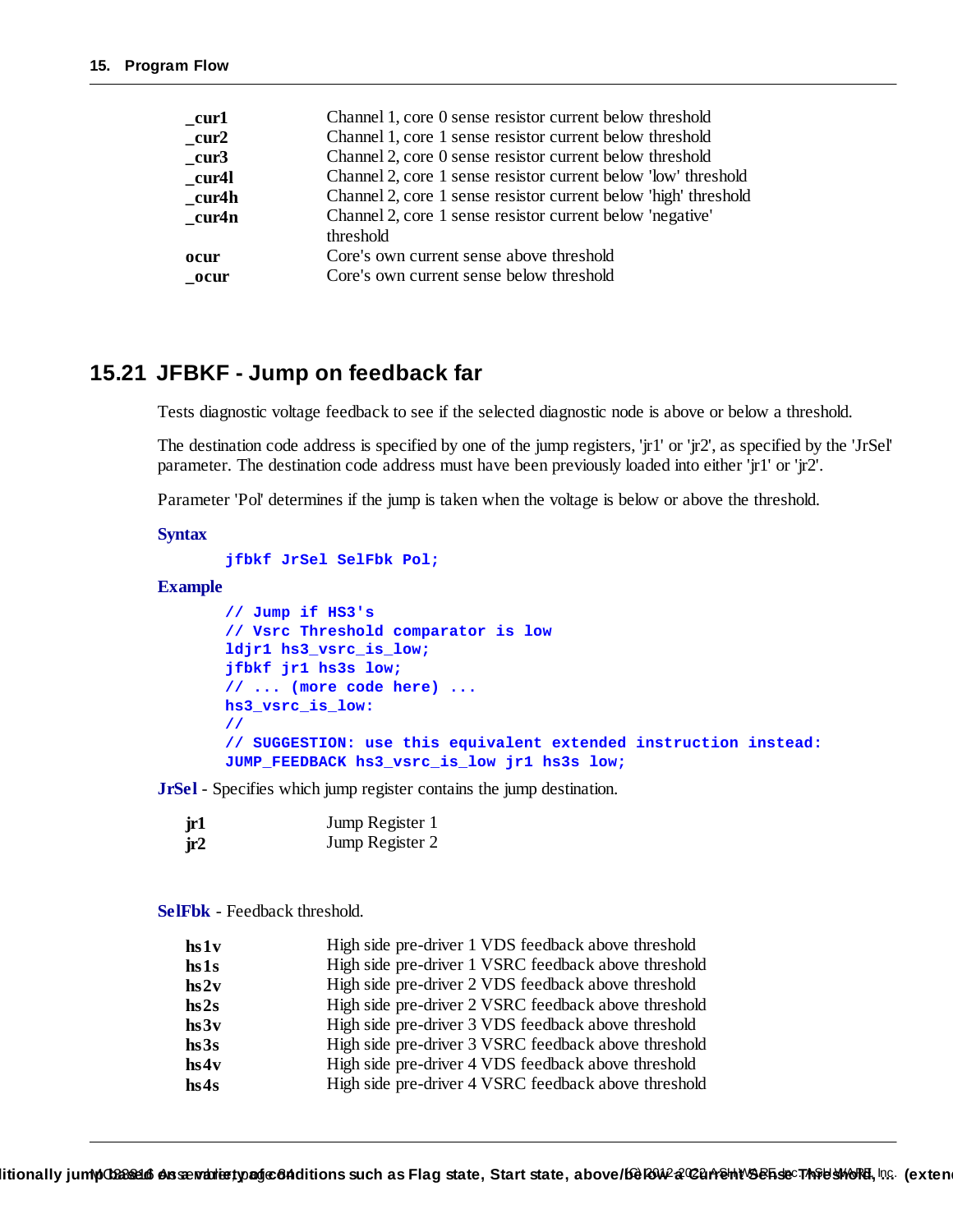| cur1  | Channel 1, core 0 sense resistor current below threshold        |
|-------|-----------------------------------------------------------------|
| cur2  | Channel 1, core 1 sense resistor current below threshold        |
| cur3  | Channel 2, core 0 sense resistor current below threshold        |
| cur4l | Channel 2, core 1 sense resistor current below 'low' threshold  |
| cur4h | Channel 2, core 1 sense resistor current below 'high' threshold |
| cur4n | Channel 2, core 1 sense resistor current below 'negative'       |
|       | threshold                                                       |
| ocur  | Core's own current sense above threshold                        |
| ocur  | Core's own current sense below threshold                        |
|       |                                                                 |

#### **15.21 JFBKF - Jump on feedback far**

Tests diagnostic voltage feedback to see if the selected diagnostic node is above or below a threshold.

The destination code address is specified by one of the jump registers, 'jr1' or 'jr2', as specified by the 'JrSel' parameter. The destination code address must have been previously loaded into either 'jr1' or 'jr2'.

Parameter 'Pol' determines if the jump is taken when the voltage is below or above the threshold.

#### **Syntax**

```
jfbkf JrSel SelFbk Pol;
```
#### **Example**

```
// Jump if HS3's
// Vsrc Threshold comparator is low
ldjr1 hs3_vsrc_is_low;
jfbkf jr1 hs3s low;
// ... (more code here) ...
hs3_vsrc_is_low:
//
// SUGGESTION: use this equivalent extended instruction instead:
JUMP_FEEDBACK hs3_vsrc_is_low jr1 hs3s low;
```
**JrSel** - Specifies which jump register contains the jump destination.

| . jr1 | Jump Register 1 |
|-------|-----------------|
| jr2   | Jump Register 2 |

**SelFbk** - Feedback threshold.

| $\mathbf{h} \mathbf{s} \mathbf{1} \mathbf{v}$ | High side pre-driver 1 VDS feedback above threshold  |
|-----------------------------------------------|------------------------------------------------------|
| hs1s                                          | High side pre-driver 1 VSRC feedback above threshold |
| hs2v                                          | High side pre-driver 2 VDS feedback above threshold  |
| hs2s                                          | High side pre-driver 2 VSRC feedback above threshold |
| hs3v                                          | High side pre-driver 3 VDS feedback above threshold  |
| hs3s                                          | High side pre-driver 3 VSRC feedback above threshold |
| hs4v                                          | High side pre-driver 4 VDS feedback above threshold  |
| hs4s                                          | High side pre-driver 4 VSRC feedback above threshold |
|                                               |                                                      |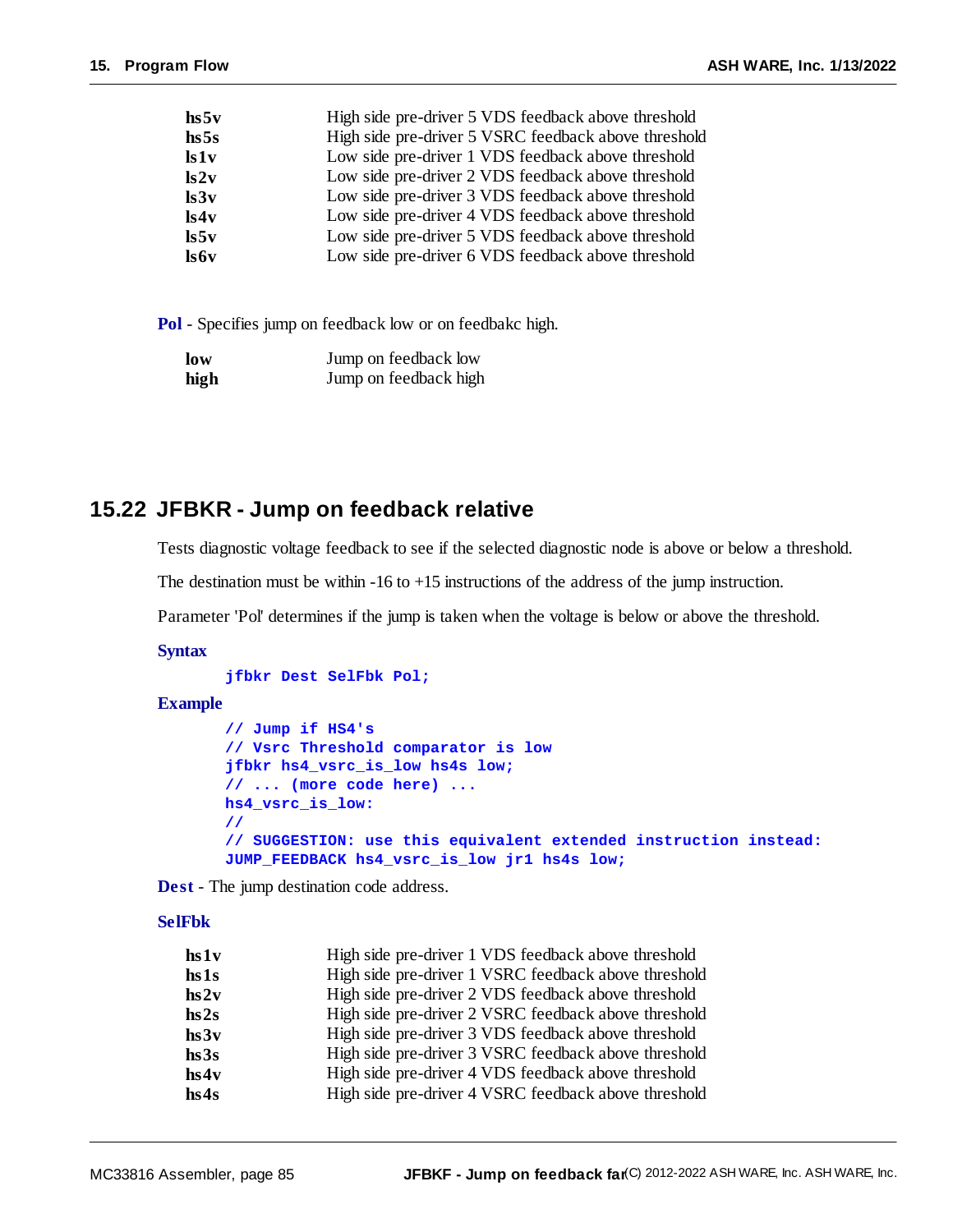| High side pre-driver 5 VDS feedback above threshold  |
|------------------------------------------------------|
| High side pre-driver 5 VSRC feedback above threshold |
| Low side pre-driver 1 VDS feedback above threshold   |
| Low side pre-driver 2 VDS feedback above threshold   |
| Low side pre-driver 3 VDS feedback above threshold   |
| Low side pre-driver 4 VDS feedback above threshold   |
| Low side pre-driver 5 VDS feedback above threshold   |
| Low side pre-driver 6 VDS feedback above threshold   |
|                                                      |

**Pol** - Specifies jump on feedback low or on feedbakc high.

| low  | Jump on feedback low  |
|------|-----------------------|
| high | Jump on feedback high |

#### **15.22 JFBKR - Jump on feedback relative**

Tests diagnostic voltage feedback to see if the selected diagnostic node is above or below a threshold.

The destination must be within -16 to +15 instructions of the address of the jump instruction.

Parameter 'Pol' determines if the jump is taken when the voltage is below or above the threshold.

#### **Syntax**

**jfbkr Dest SelFbk Pol;**

#### **Example**

```
// Jump if HS4's
// Vsrc Threshold comparator is low
jfbkr hs4_vsrc_is_low hs4s low;
// ... (more code here) ...
hs4_vsrc_is_low:
//
// SUGGESTION: use this equivalent extended instruction instead:
JUMP_FEEDBACK hs4_vsrc_is_low jr1 hs4s low;
```
**Dest** - The jump destination code address.

#### **SelFbk**

| High side pre-driver 1 VDS feedback above threshold  |
|------------------------------------------------------|
| High side pre-driver 1 VSRC feedback above threshold |
| High side pre-driver 2 VDS feedback above threshold  |
| High side pre-driver 2 VSRC feedback above threshold |
| High side pre-driver 3 VDS feedback above threshold  |
| High side pre-driver 3 VSRC feedback above threshold |
| High side pre-driver 4 VDS feedback above threshold  |
| High side pre-driver 4 VSRC feedback above threshold |
|                                                      |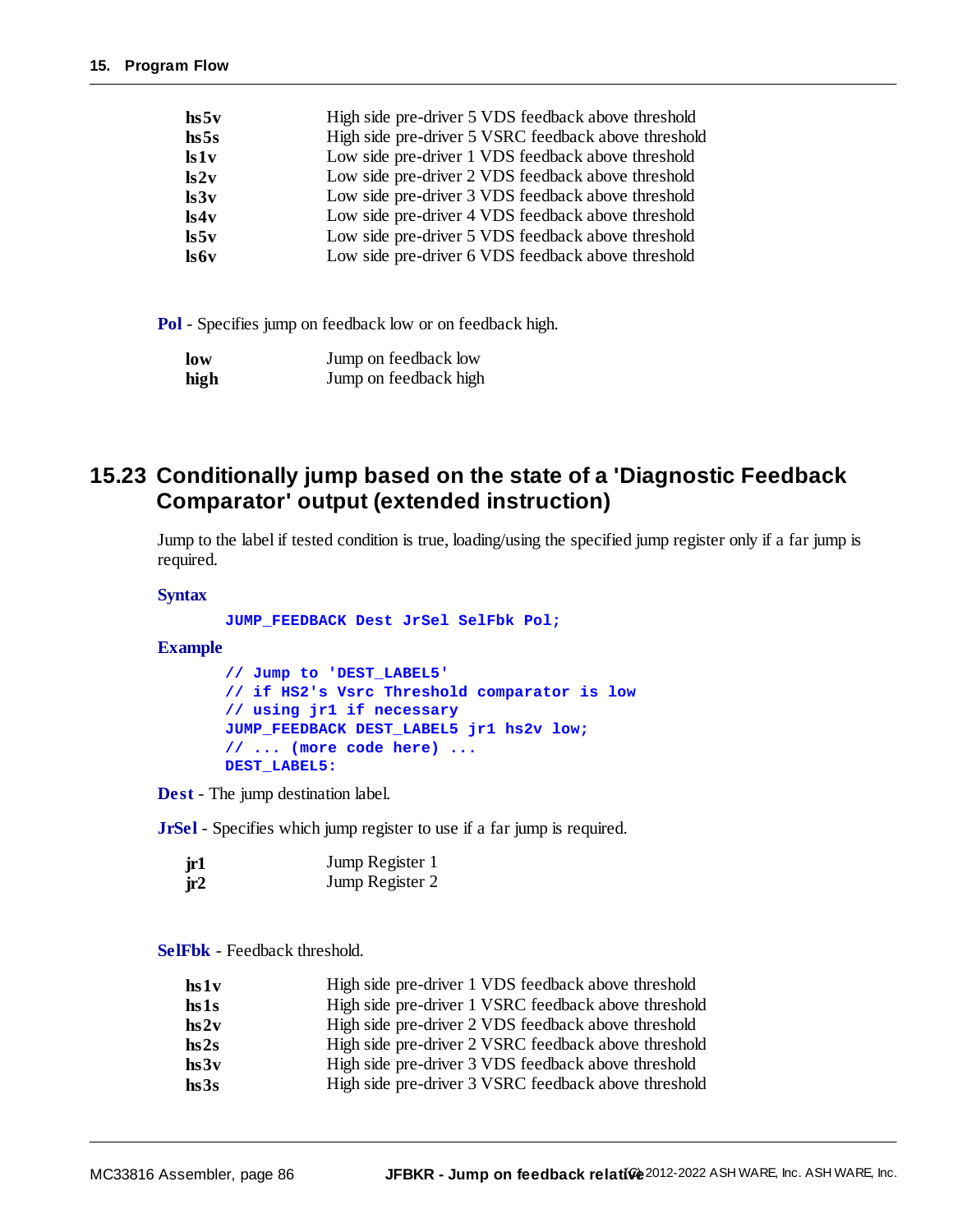| hs5v            | High side pre-driver 5 VDS feedback above threshold  |
|-----------------|------------------------------------------------------|
| hs5s            | High side pre-driver 5 VSRC feedback above threshold |
| ls1v            | Low side pre-driver 1 VDS feedback above threshold   |
| ls2v            | Low side pre-driver 2 VDS feedback above threshold   |
| $\mathbf{ls3v}$ | Low side pre-driver 3 VDS feedback above threshold   |
| ls4v            | Low side pre-driver 4 VDS feedback above threshold   |
| $\mathbf{ls5v}$ | Low side pre-driver 5 VDS feedback above threshold   |
| ls6v            | Low side pre-driver 6 VDS feedback above threshold   |

**Pol** - Specifies jump on feedback low or on feedback high.

| low  | Jump on feedback low  |
|------|-----------------------|
| high | Jump on feedback high |

#### **15.23 Conditionally jump based on the state of a 'Diagnostic Feedback Comparator' output (extended instruction)**

Jump to the label if tested condition is true, loading/using the specified jump register only if a far jump is required.

#### **Syntax**

**JUMP\_FEEDBACK Dest JrSel SelFbk Pol;**

**Example**

**// Jump to 'DEST\_LABEL5' // if HS2's Vsrc Threshold comparator is low // using jr1 if necessary JUMP\_FEEDBACK DEST\_LABEL5 jr1 hs2v low; // ... (more code here) ... DEST\_LABEL5:**

**Dest** - The jump destination label.

**JrSel** - Specifies which jump register to use if a far jump is required.

| jr1 | Jump Register 1 |
|-----|-----------------|
| jr2 | Jump Register 2 |

**SelFbk** - Feedback threshold.

| $\mathbf{h} \mathbf{s} \mathbf{1} \mathbf{v}$ | High side pre-driver 1 VDS feedback above threshold  |
|-----------------------------------------------|------------------------------------------------------|
| hs1s                                          | High side pre-driver 1 VSRC feedback above threshold |
| hs2v                                          | High side pre-driver 2 VDS feedback above threshold  |
| hs2s                                          | High side pre-driver 2 VSRC feedback above threshold |
| hs3v                                          | High side pre-driver 3 VDS feedback above threshold  |
| hs3s                                          | High side pre-driver 3 VSRC feedback above threshold |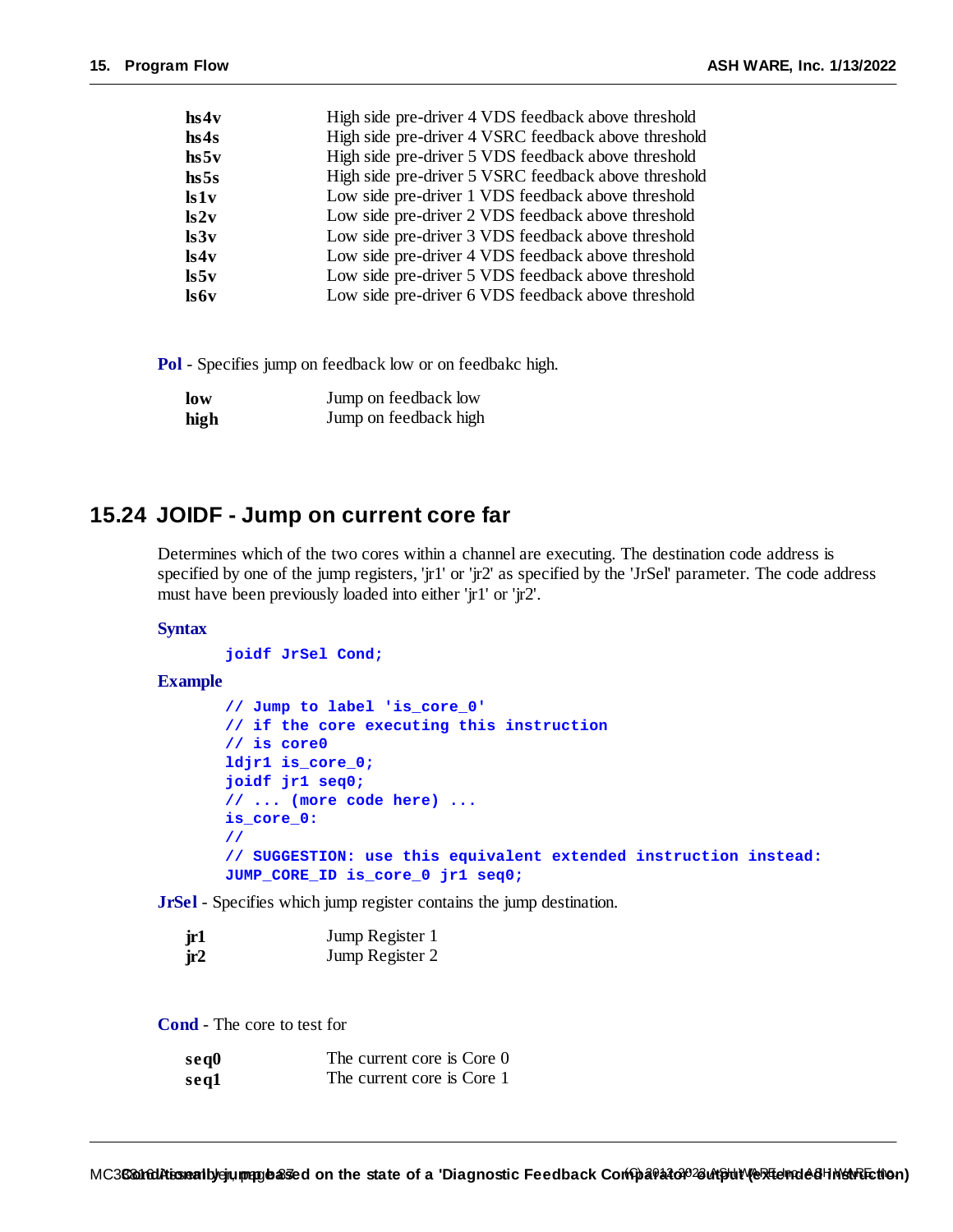| hs4v            | High side pre-driver 4 VDS feedback above threshold  |
|-----------------|------------------------------------------------------|
| hs4s            | High side pre-driver 4 VSRC feedback above threshold |
| hs5v            | High side pre-driver 5 VDS feedback above threshold  |
| hs5s            | High side pre-driver 5 VSRC feedback above threshold |
| ls1v            | Low side pre-driver 1 VDS feedback above threshold   |
| ls2v            | Low side pre-driver 2 VDS feedback above threshold   |
| ls3v            | Low side pre-driver 3 VDS feedback above threshold   |
| ls4v            | Low side pre-driver 4 VDS feedback above threshold   |
| $\mathbf{ls5v}$ | Low side pre-driver 5 VDS feedback above threshold   |
| ls6v            | Low side pre-driver 6 VDS feedback above threshold   |

**Pol** - Specifies jump on feedback low or on feedbakc high.

| low  | Jump on feedback low  |
|------|-----------------------|
| high | Jump on feedback high |

#### **15.24 JOIDF - Jump on current core far**

Determines which of the two cores within a channel are executing. The destination code address is specified by one of the jump registers, 'jr1' or 'jr2' as specified by the 'JrSel' parameter. The code address must have been previously loaded into either 'jr1' or 'jr2'.

#### **Syntax**

**joidf JrSel Cond;**

#### **Example**

```
// Jump to label 'is_core_0'
// if the core executing this instruction
// is core0
ldjr1 is_core_0;
joidf jr1 seq0;
// ... (more code here) ...
is_core_0:
//
// SUGGESTION: use this equivalent extended instruction instead:
JUMP_CORE_ID is_core_0 jr1 seq0;
```
**JrSel** - Specifies which jump register contains the jump destination.

| jr1 | Jump Register 1 |
|-----|-----------------|
| jr2 | Jump Register 2 |

**Cond** - The core to test for

| se <sub>q</sub> 0 | The current core is Core 0 |
|-------------------|----------------------------|
| seq1              | The current core is Core 1 |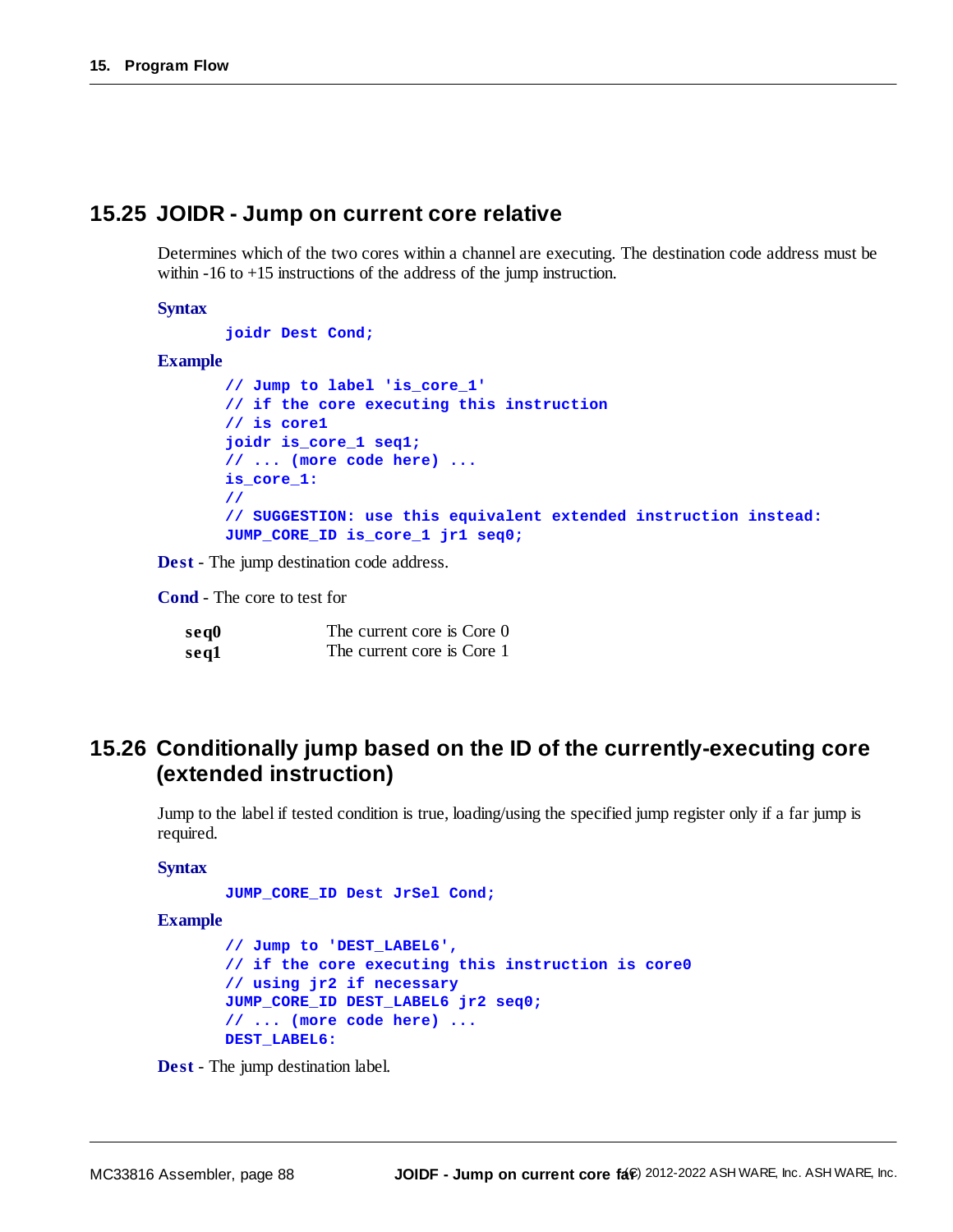#### **15.25 JOIDR - Jump on current core relative**

Determines which of the two cores within a channel are executing. The destination code address must be within -16 to +15 instructions of the address of the jump instruction.

#### **Syntax**

**joidr Dest Cond;**

#### **Example**

```
// Jump to label 'is_core_1'
// if the core executing this instruction
// is core1
joidr is_core_1 seq1;
// ... (more code here) ...
is_core_1:
//
// SUGGESTION: use this equivalent extended instruction instead:
JUMP_CORE_ID is_core_1 jr1 seq0;
```
**Dest** - The jump destination code address.

**Cond** - The core to test for

| se <sub>q</sub> 0 | The current core is Core 0 |
|-------------------|----------------------------|
| seq1              | The current core is Core 1 |

#### **15.26 Conditionally jump based on the ID of the currently-executing core (extended instruction)**

Jump to the label if tested condition is true, loading/using the specified jump register only if a far jump is required.

#### **Syntax**

**JUMP\_CORE\_ID Dest JrSel Cond;**

#### **Example**

```
// Jump to 'DEST_LABEL6',
// if the core executing this instruction is core0
// using jr2 if necessary
JUMP_CORE_ID DEST_LABEL6 jr2 seq0;
// ... (more code here) ...
DEST_LABEL6:
```
**Dest** - The jump destination label.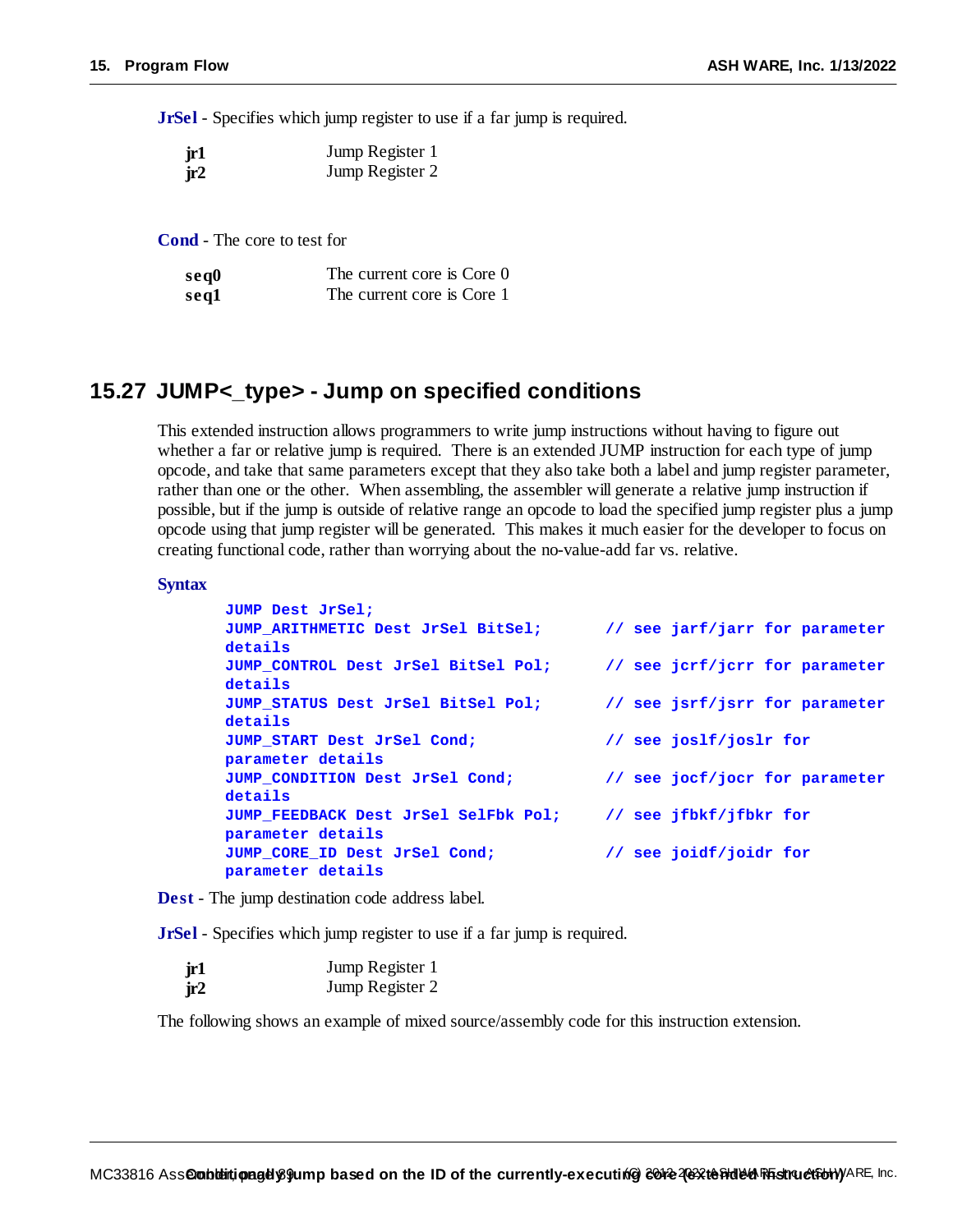**JrSel** - Specifies which jump register to use if a far jump is required.

| jr1 | Jump Register 1 |
|-----|-----------------|
| jr2 | Jump Register 2 |

**Cond** - The core to test for

| seq0 | The current core is Core 0 |
|------|----------------------------|
| seq1 | The current core is Core 1 |

#### **15.27 JUMP<\_type> - Jump on specified conditions**

This extended instruction allows programmers to write jump instructions without having to figure out whether a far or relative jump is required. There is an extended JUMP instruction for each type of jump opcode, and take that same parameters except that they also take both a label and jump register parameter, rather than one or the other. When assembling, the assembler will generate a relative jump instruction if possible, but if the jump is outside of relative range an opcode to load the specified jump register plus a jump opcode using that jump register will be generated. This makes it much easier for the developer to focus on creating functional code, rather than worrying about the no-value-add far vs. relative.

#### **Syntax**

| JUMP Dest JrSel;                     |                                |
|--------------------------------------|--------------------------------|
| JUMP ARITHMETIC Dest JrSel BitSel;   | // see jarf/jarr for parameter |
| details                              |                                |
| JUMP CONTROL Dest JrSel BitSel Pol;  | // see jcrf/jcrr for parameter |
| details                              |                                |
| JUMP STATUS Dest JrSel BitSel Pol;   | // see jsrf/jsrr for parameter |
| details                              |                                |
| JUMP START Dest JrSel Cond;          | // see joslf/joslr for         |
| parameter details                    |                                |
| JUMP CONDITION Dest JrSel Cond;      | // see jocf/jocr for parameter |
| details                              |                                |
| JUMP FEEDBACK Dest JrSel SelFbk Pol; | // see jfbkf/jfbkr for         |
| parameter details                    |                                |
| JUMP CORE ID Dest JrSel Cond;        | // see joidf/joidr for         |
| parameter details                    |                                |
|                                      |                                |

**Dest** - The jump destination code address label.

**JrSel** - Specifies which jump register to use if a far jump is required.

| jr1 | Jump Register 1 |
|-----|-----------------|
| ir2 | Jump Register 2 |

The following shows an example of mixed source/assembly code for this instruction extension.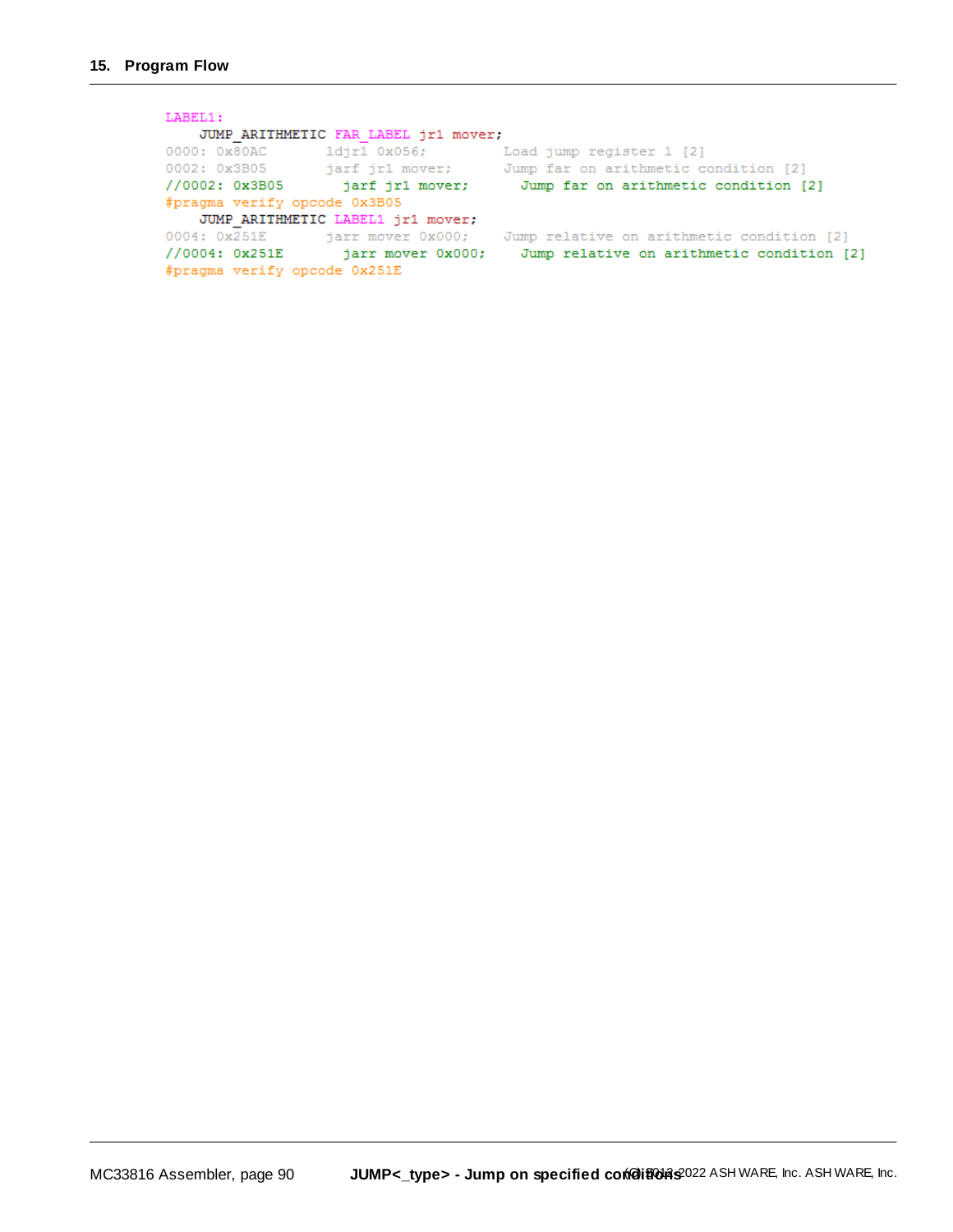LABEL1: JUMP ARITHMETIC FAR LABEL jr1 mover; 0000: 0x80AC 1djr1 0x056; Load jump register 1 [2]<br>0002: 0x3B05 jarf jr1 mover; Jump far on arithmetic condition [2]<br>//0002: 0x3B05 jarf jr1 mover; Jump far on arithmetic condition [2] #pragma verify opcode 0x3B05 JUMP\_ARITHMETIC LABEL1 jr1 mover; 0004: 0x251E jarr mover 0x000; Jump relative on arithmetic condition [2]<br>//0004: 0x251E jarr mover 0x000; Jump relative on arithmetic condition [2] #pragma verify opcode 0x251E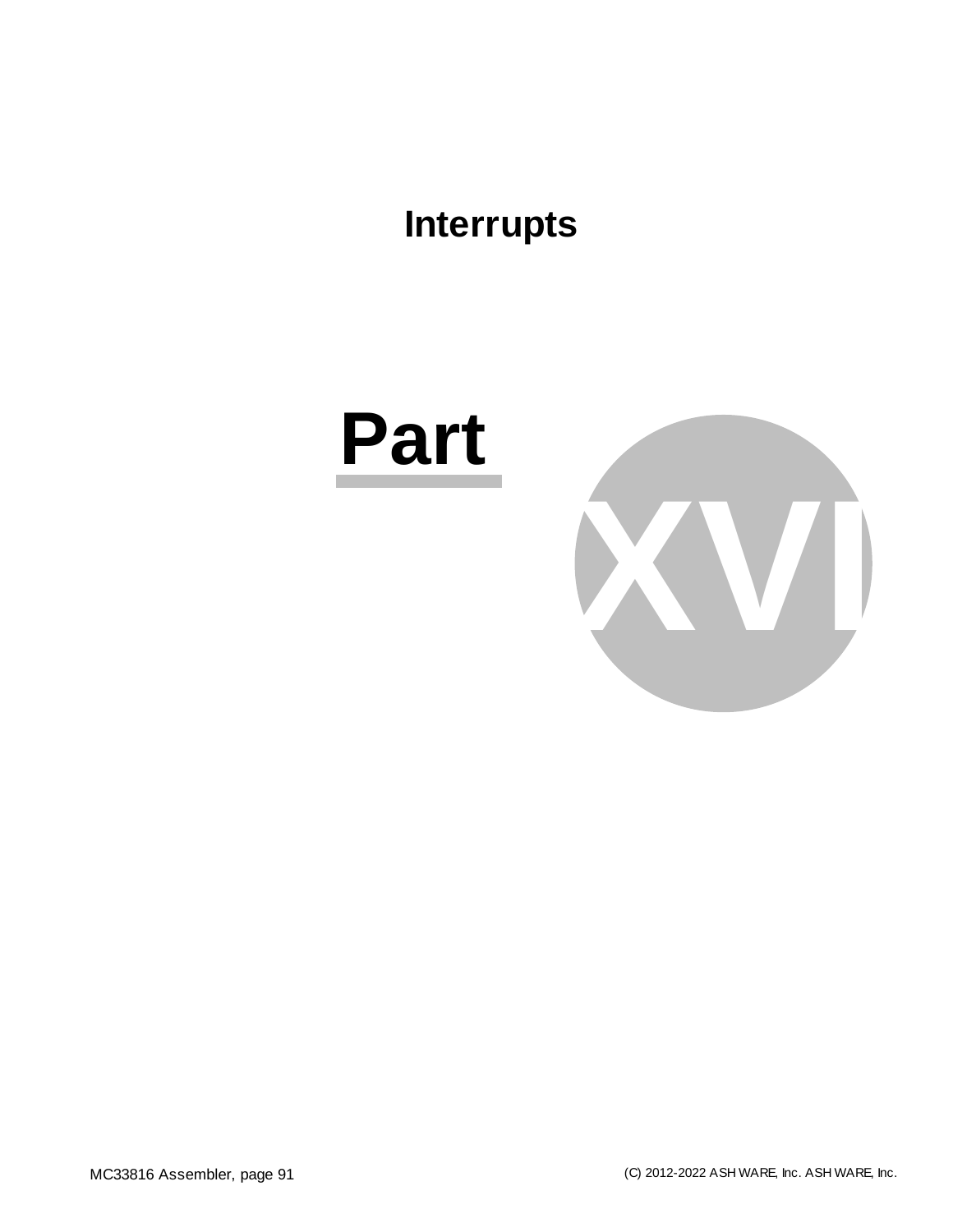### **Interrupts**

### **Part**

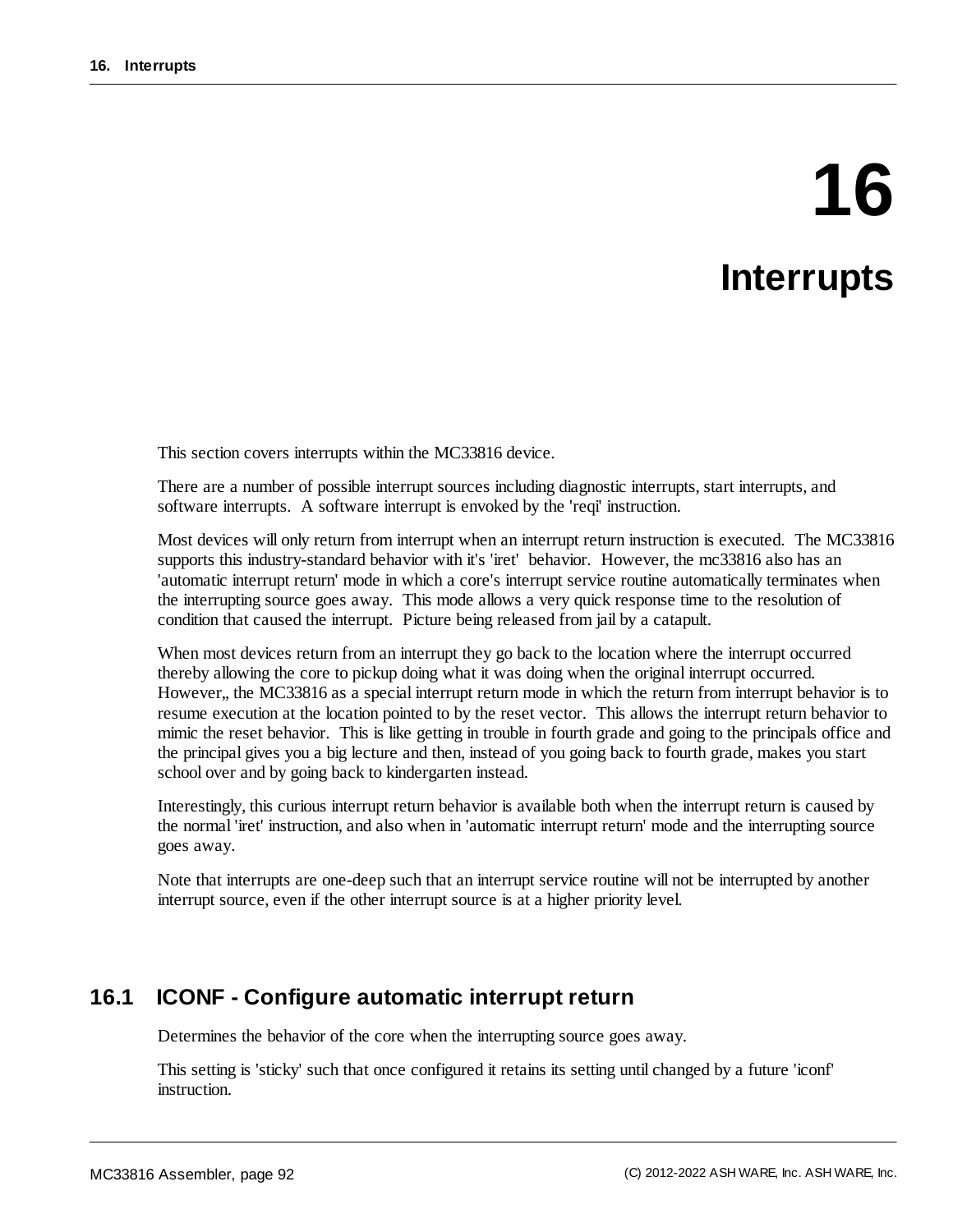# **16**

### **Interrupts**

This section covers interrupts within the MC33816 device.

There are a number of possible interrupt sources including diagnostic interrupts, start interrupts, and software interrupts. A software interrupt is envoked by the 'reqi' instruction.

Most devices will only return from interrupt when an interrupt return instruction is executed. The MC33816 supports this industry-standard behavior with it's 'iret' behavior. However, the mc33816 also has an 'automatic interrupt return' mode in which a core's interrupt service routine automatically terminates when the interrupting source goes away. This mode allows a very quick response time to the resolution of condition that caused the interrupt. Picture being released from jail by a catapult.

When most devices return from an interrupt they go back to the location where the interrupt occurred thereby allowing the core to pickup doing what it was doing when the original interrupt occurred. However,, the MC33816 as a special interrupt return mode in which the return from interrupt behavior is to resume execution at the location pointed to by the reset vector. This allows the interrupt return behavior to mimic the reset behavior. This is like getting in trouble in fourth grade and going to the principals office and the principal gives you a big lecture and then, instead of you going back to fourth grade, makes you start school over and by going back to kindergarten instead.

Interestingly, this curious interrupt return behavior is available both when the interrupt return is caused by the normal 'iret' instruction, and also when in 'automatic interrupt return' mode and the interrupting source goes away.

Note that interrupts are one-deep such that an interrupt service routine will not be interrupted by another interrupt source, even if the other interrupt source is at a higher priority level.

#### **16.1 ICONF - Configure automatic interrupt return**

Determines the behavior of the core when the interrupting source goes away.

This setting is 'sticky' such that once configured it retains its setting until changed by a future 'iconf' instruction.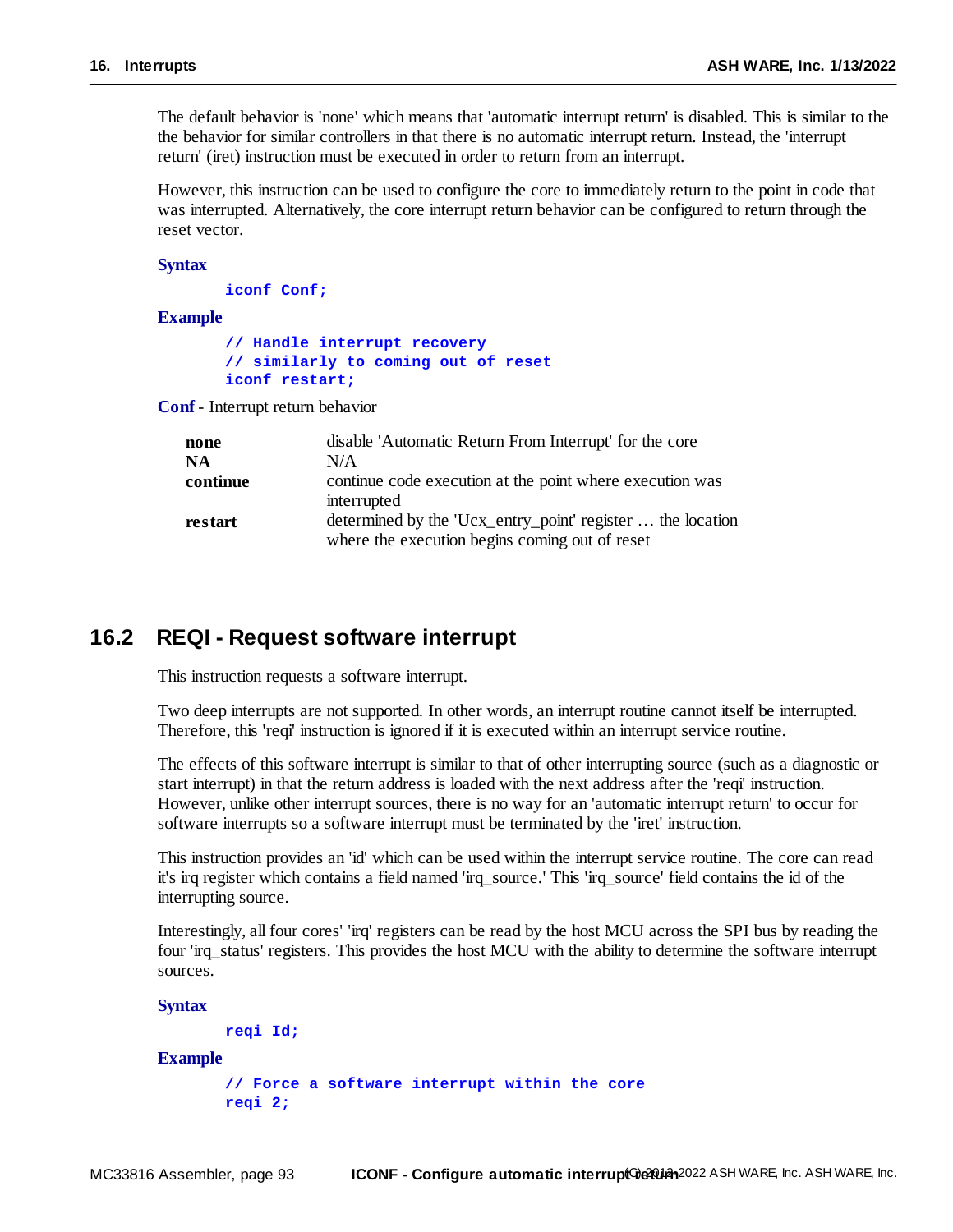The default behavior is 'none' which means that 'automatic interrupt return' is disabled. This is similar to the the behavior for similar controllers in that there is no automatic interrupt return. Instead, the 'interrupt return' (iret) instruction must be executed in order to return from an interrupt.

However, this instruction can be used to configure the core to immediately return to the point in code that was interrupted. Alternatively, the core interrupt return behavior can be configured to return through the reset vector.

**Syntax**

**iconf Conf;**

**Example**

```
// Handle interrupt recovery
// similarly to coming out of reset
iconf restart;
```
**Conf** - Interrupt return behavior

| none     | disable 'Automatic Return From Interrupt' for the core                                                       |
|----------|--------------------------------------------------------------------------------------------------------------|
| NA       | N/A                                                                                                          |
| continue | continue code execution at the point where execution was<br>interrupted                                      |
| restart  | determined by the 'Ucx_entry_point' register  the location<br>where the execution begins coming out of reset |

#### **16.2 REQI - Request software interrupt**

This instruction requests a software interrupt.

Two deep interrupts are not supported. In other words, an interrupt routine cannot itself be interrupted. Therefore, this 'reqi' instruction is ignored if it is executed within an interrupt service routine.

The effects of this software interrupt is similar to that of other interrupting source (such as a diagnostic or start interrupt) in that the return address is loaded with the next address after the 'reqi' instruction. However, unlike other interrupt sources, there is no way for an 'automatic interrupt return' to occur for software interrupts so a software interrupt must be terminated by the 'iret' instruction.

This instruction provides an 'id' which can be used within the interrupt service routine. The core can read it's irq register which contains a field named 'irq\_source.' This 'irq\_source' field contains the id of the interrupting source.

Interestingly, all four cores' 'irq' registers can be read by the host MCU across the SPI bus by reading the four 'irq status' registers. This provides the host MCU with the ability to determine the software interrupt sources.

**Syntax**

```
reqi Id;
```
#### **Example**

```
// Force a software interrupt within the core
reqi 2;
```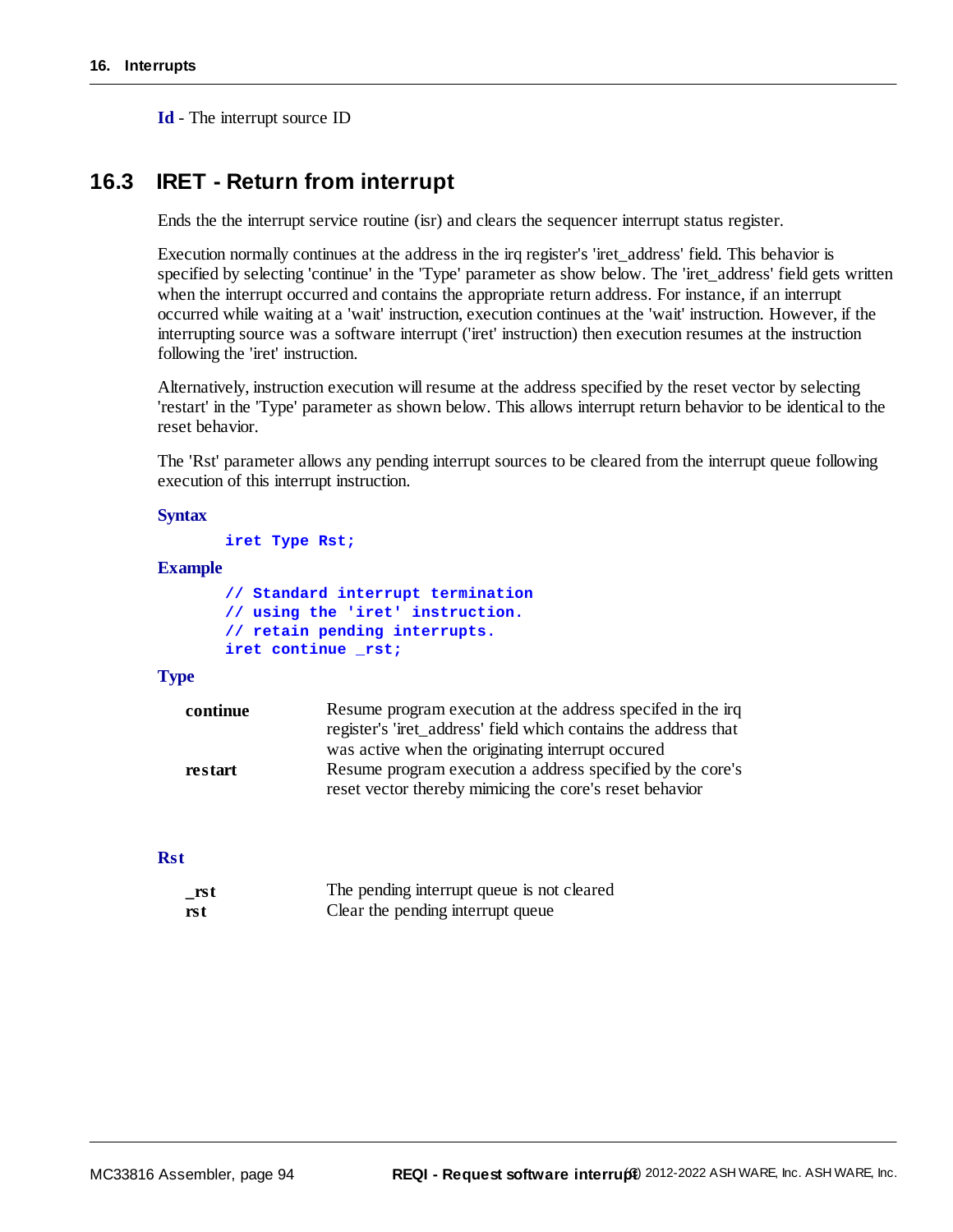**Id** - The interrupt source ID

#### **16.3 IRET - Return from interrupt**

Ends the the interrupt service routine (isr) and clears the sequencer interrupt status register.

Execution normally continues at the address in the irq register's 'iret\_address' field. This behavior is specified by selecting 'continue' in the 'Type' parameter as show below. The 'iret\_address' field gets written when the interrupt occurred and contains the appropriate return address. For instance, if an interrupt occurred while waiting at a 'wait' instruction, execution continues at the 'wait' instruction. However, if the interrupting source was a software interrupt ('iret' instruction) then execution resumes at the instruction following the 'iret' instruction.

Alternatively, instruction execution will resume at the address specified by the reset vector by selecting 'restart' in the 'Type' parameter as shown below. This allows interrupt return behavior to be identical to the reset behavior.

The 'Rst' parameter allows any pending interrupt sources to be cleared from the interrupt queue following execution of this interrupt instruction.

#### **Syntax**

**iret Type Rst;**

#### **Example**

```
// Standard interrupt termination
// using the 'iret' instruction.
// retain pending interrupts.
iret continue _rst;
```
#### **Type**

| continue | Resume program execution at the address specified in the irq    |
|----------|-----------------------------------------------------------------|
|          | register's 'iret_address' field which contains the address that |
|          | was active when the originating interrupt occured               |
| restart  | Resume program execution a address specified by the core's      |
|          | reset vector thereby mimicing the core's reset behavior         |

#### **Rst**

| $\_rst$ | The pending interrupt queue is not cleared |
|---------|--------------------------------------------|
| rst     | Clear the pending interrupt queue          |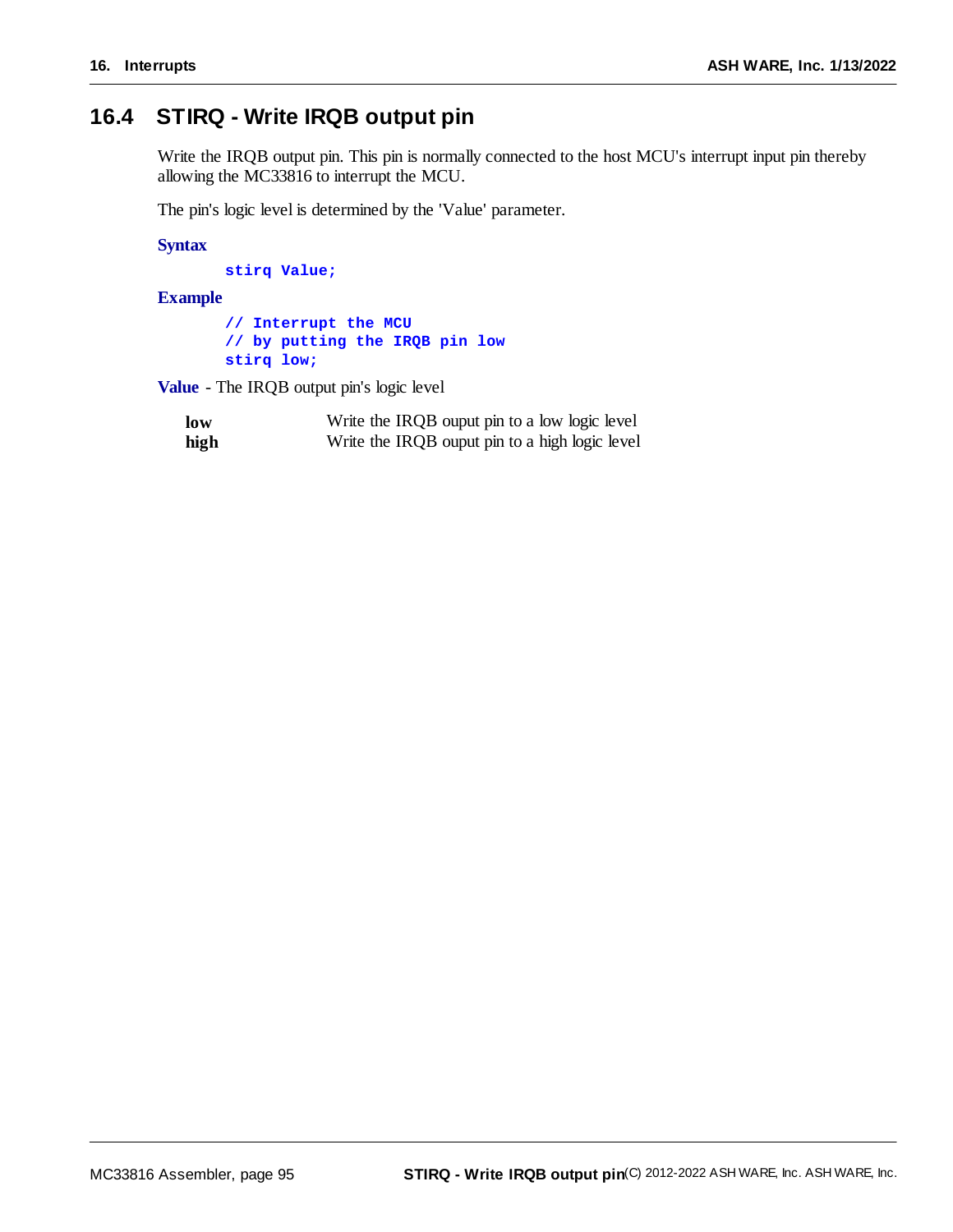#### **16.4 STIRQ - Write IRQB output pin**

Write the IRQB output pin. This pin is normally connected to the host MCU's interrupt input pin thereby allowing the MC33816 to interrupt the MCU.

The pin's logic level is determined by the 'Value' parameter.

**Syntax**

**stirq Value;**

#### **Example**

**// Interrupt the MCU // by putting the IRQB pin low stirq low;**

**Value** - The IRQB output pin's logic level

| low  | Write the IRQB ouput pin to a low logic level  |
|------|------------------------------------------------|
| high | Write the IRQB ouput pin to a high logic level |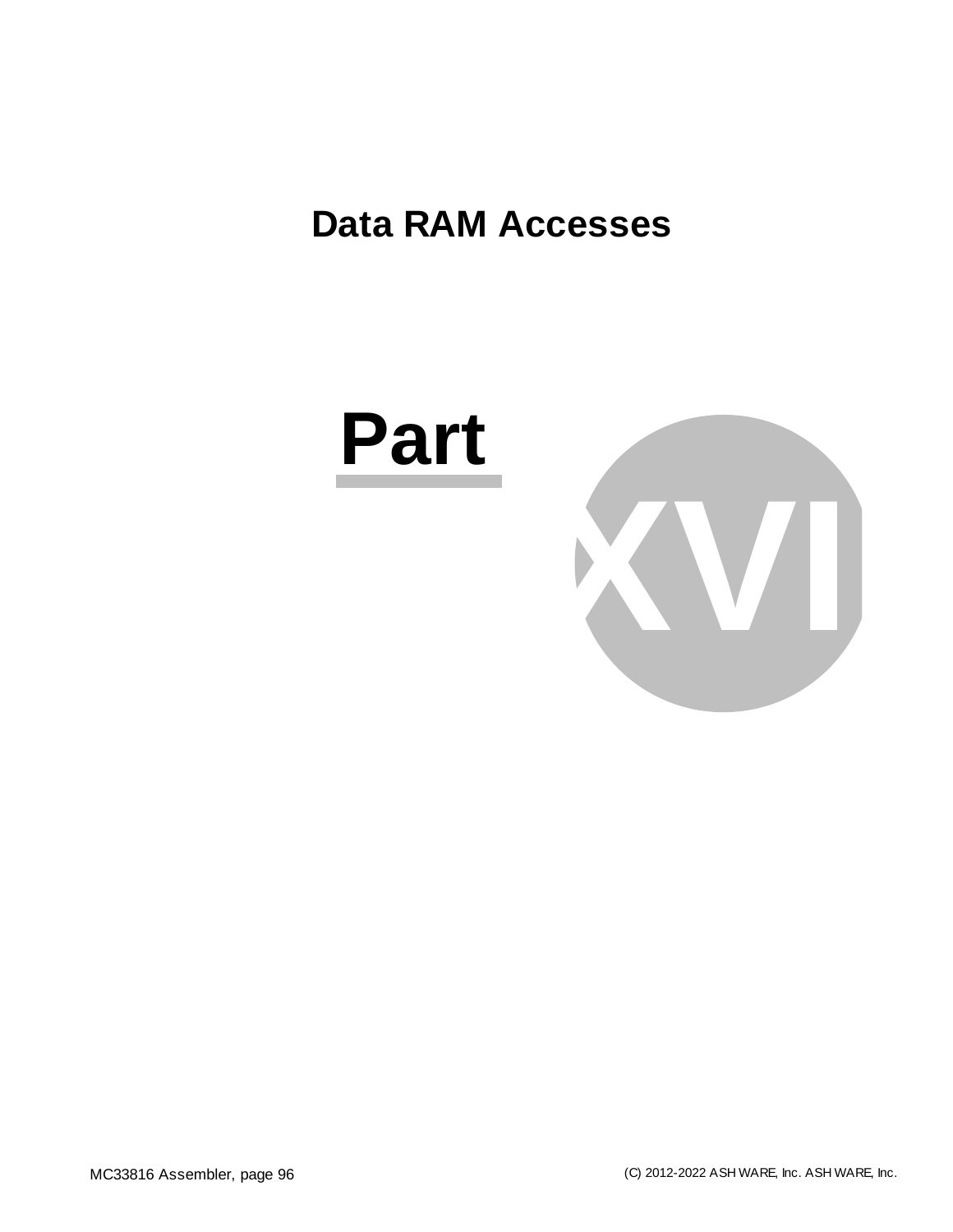### **Data RAM Accesses**



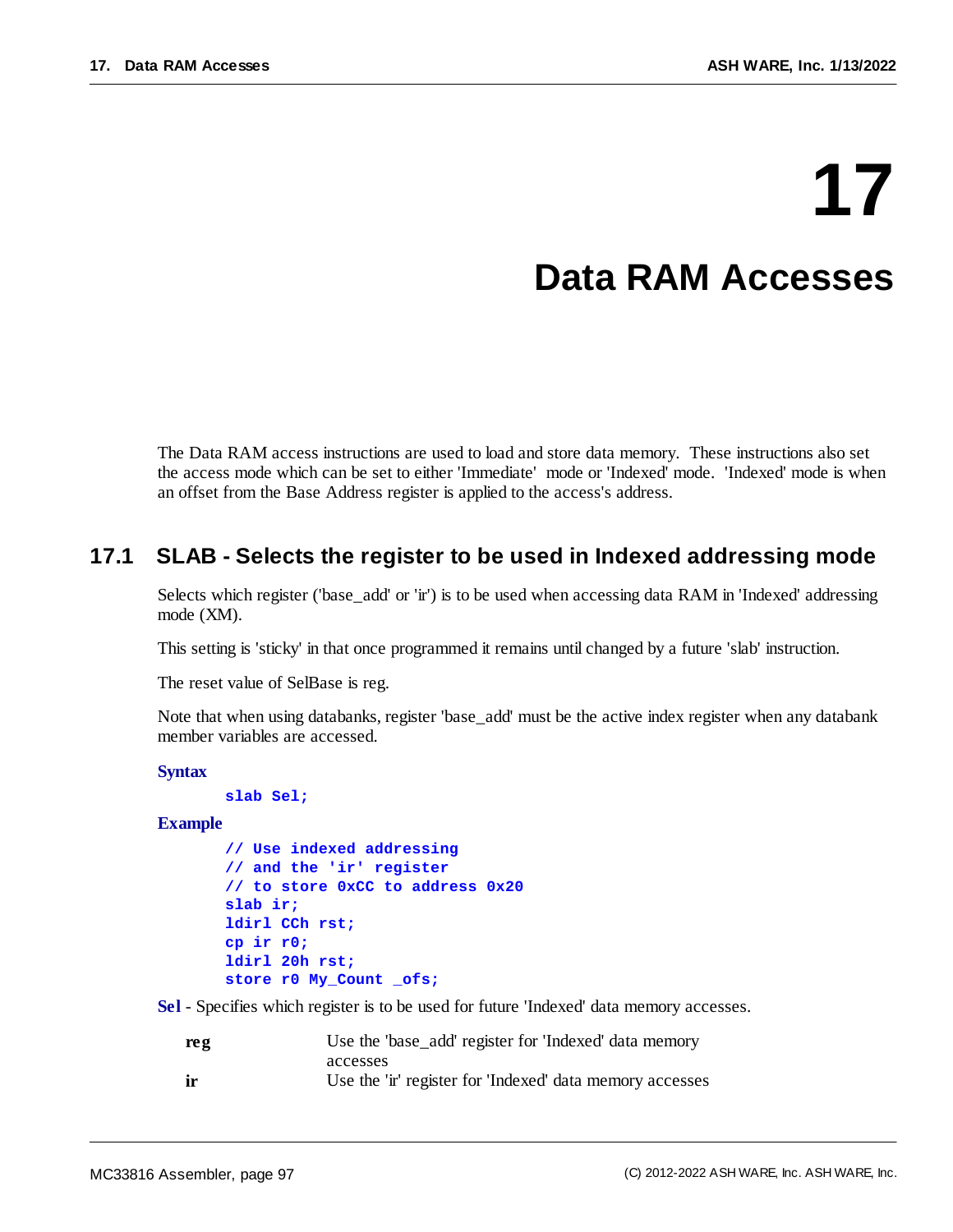## **17 Data RAM Accesses**

The Data RAM access instructions are used to load and store data memory. These instructions also set the access mode which can be set to either 'Immediate' mode or 'Indexed' mode. 'Indexed' mode is when an offset from the Base Address register is applied to the access's address.

#### **17.1 SLAB - Selects the register to be used in Indexed addressing mode**

Selects which register ('base\_add' or 'ir') is to be used when accessing data RAM in 'Indexed' addressing mode (XM).

This setting is 'sticky' in that once programmed it remains until changed by a future 'slab' instruction.

The reset value of SelBase is reg.

Note that when using databanks, register 'base\_add' must be the active index register when any databank member variables are accessed.

**Syntax**

**slab Sel;**

**Example**

```
// Use indexed addressing
// and the 'ir' register
// to store 0xCC to address 0x20
slab ir;
ldirl CCh rst;
cp ir r0;
ldirl 20h rst;
store r0 My_Count _ofs;
```
**Sel** - Specifies which register is to be used for future 'Indexed' data memory accesses.

| reg | Use the 'base_add' register for 'Indexed' data memory    |
|-----|----------------------------------------------------------|
|     | accesses                                                 |
| ir  | Use the 'ir' register for 'Indexed' data memory accesses |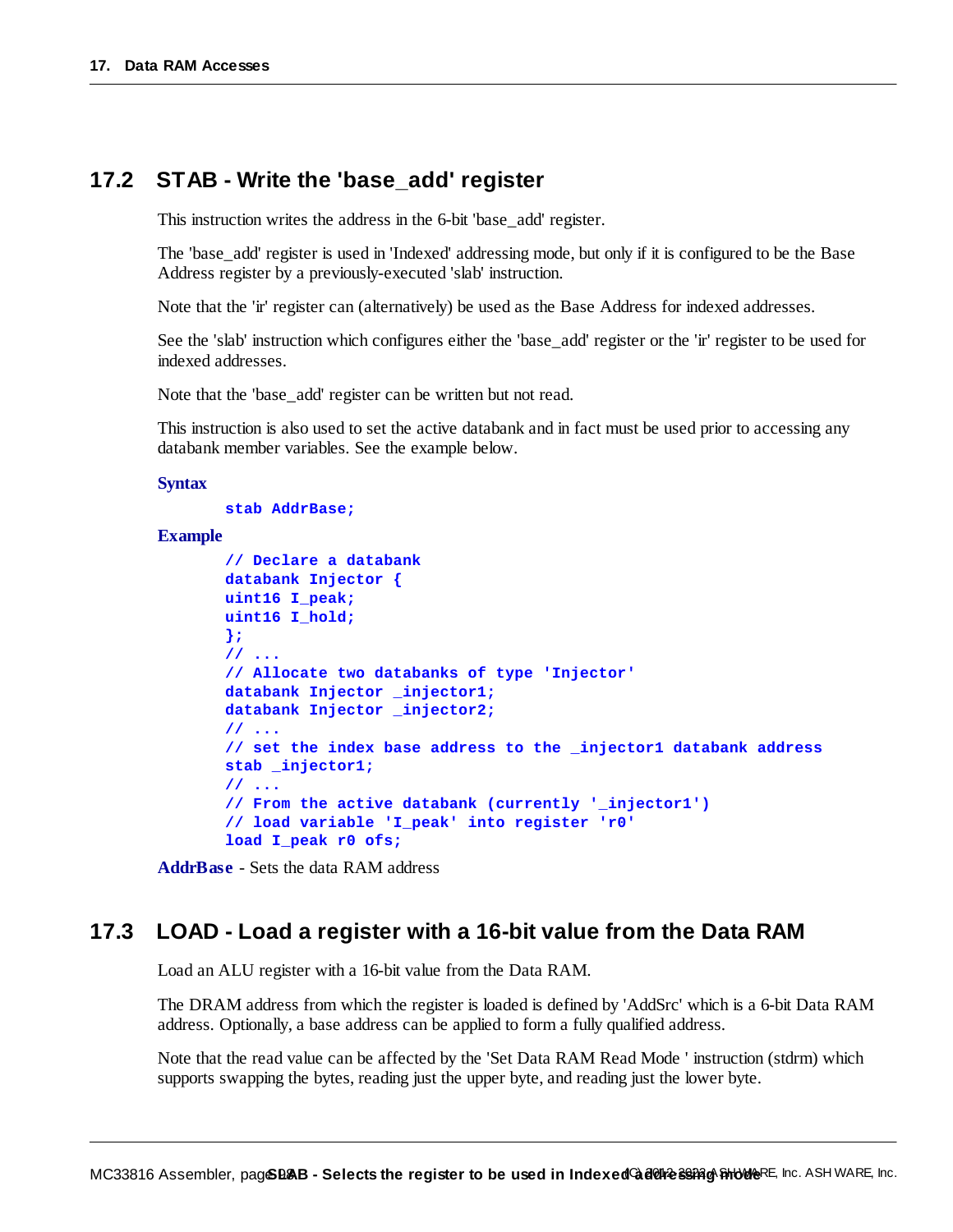#### **17.2 STAB - Write the 'base\_add' register**

This instruction writes the address in the 6-bit 'base\_add' register.

The 'base\_add' register is used in 'Indexed' addressing mode, but only if it is configured to be the Base Address register by a previously-executed 'slab' instruction.

Note that the 'ir' register can (alternatively) be used as the Base Address for indexed addresses.

See the 'slab' instruction which configures either the 'base\_add' register or the 'ir' register to be used for indexed addresses.

Note that the 'base\_add' register can be written but not read.

This instruction is also used to set the active databank and in fact must be used prior to accessing any databank member variables. See the example below.

#### **Syntax**

#### **stab AddrBase;**

#### **Example**

```
// Declare a databank
databank Injector {
uint16 I_peak;
uint16 I_hold;
};
// ...
// Allocate two databanks of type 'Injector'
databank Injector _injector1;
databank Injector _injector2;
// ...
// set the index base address to the _injector1 databank address
stab _injector1;
// ...
// From the active databank (currently '_injector1')
// load variable 'I_peak' into register 'r0'
load I_peak r0 ofs;
```
**AddrBase** - Sets the data RAM address

#### **17.3 LOAD - Load a register with a 16-bit value from the Data RAM**

Load an ALU register with a 16-bit value from the Data RAM.

The DRAM address from which the register is loaded is defined by 'AddSrc' which is a 6-bit Data RAM address. Optionally, a base address can be applied to form a fully qualified address.

Note that the read value can be affected by the 'Set Data RAM Read Mode ' instruction (stdrm) which supports swapping the bytes, reading just the upper byte, and reading just the lower byte.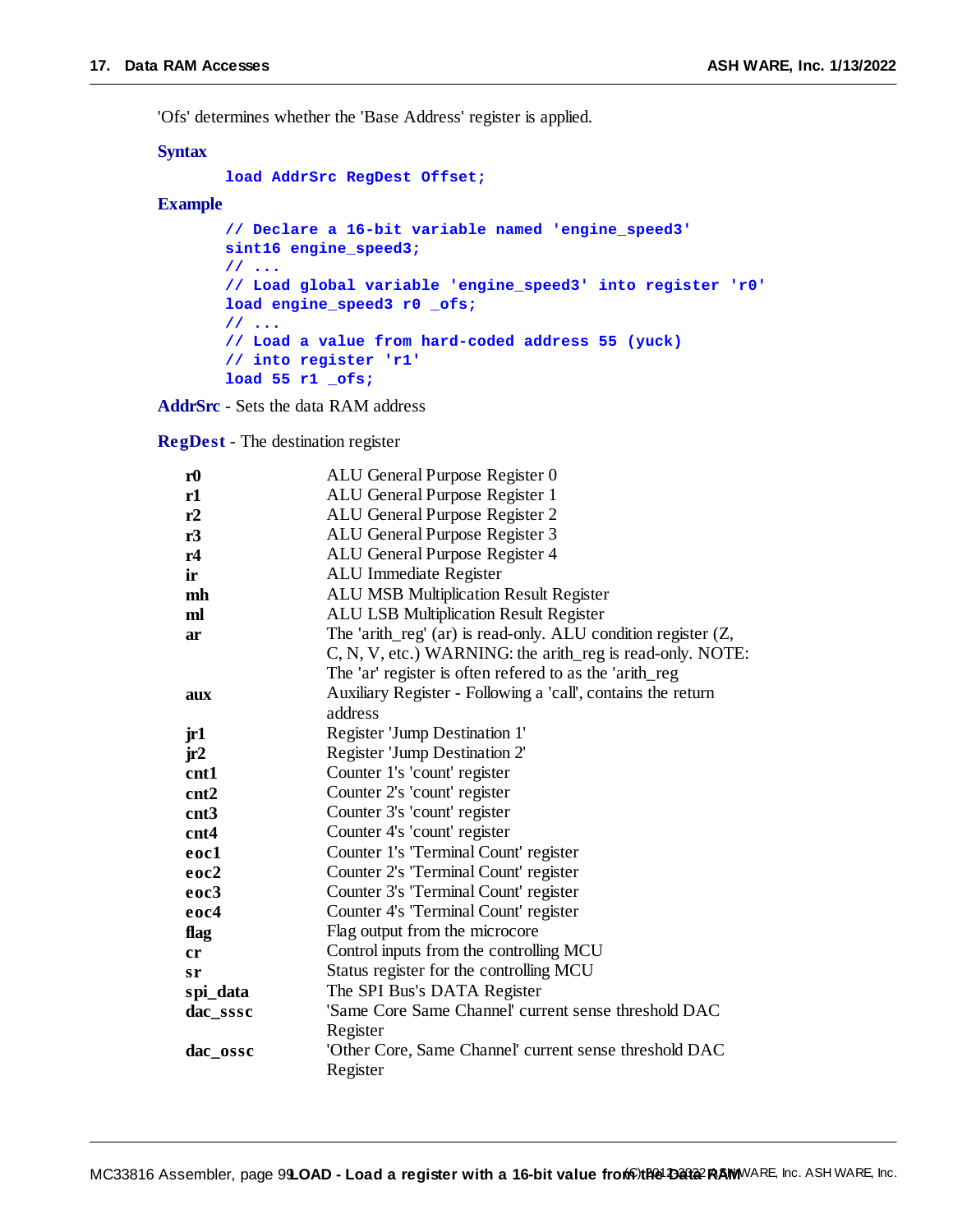'Ofs' determines whether the 'Base Address' register is applied.

#### **Syntax**

```
load AddrSrc RegDest Offset;
```
#### **Example**

```
// Declare a 16-bit variable named 'engine_speed3'
sint16 engine_speed3;
// ...
// Load global variable 'engine_speed3' into register 'r0'
load engine_speed3 r0 _ofs;
// ...
// Load a value from hard-coded address 55 (yuck)
// into register 'r1'
load 55 r1 _ofs;
```
**AddrSrc** - Sets the data RAM address

**RegDest** - The destination register

| r <sub>0</sub> | ALU General Purpose Register 0                                |
|----------------|---------------------------------------------------------------|
| r1             | ALU General Purpose Register 1                                |
| r2             | ALU General Purpose Register 2                                |
| r3             | ALU General Purpose Register 3                                |
| r4             | ALU General Purpose Register 4                                |
| ir             | ALU Immediate Register                                        |
| mh             | <b>ALU MSB Multiplication Result Register</b>                 |
| ml             | <b>ALU LSB Multiplication Result Register</b>                 |
| ar             | The 'arith_reg' (ar) is read-only. ALU condition register (Z, |
|                | C, N, V, etc.) WARNING: the arith_reg is read-only. NOTE:     |
|                | The 'ar' register is often refered to as the 'arith_reg       |
| aux            | Auxiliary Register - Following a 'call', contains the return  |
|                | address                                                       |
| jr1            | Register 'Jump Destination 1'                                 |
| jr2            | Register 'Jump Destination 2'                                 |
| cnt1           | Counter 1's 'count' register                                  |
| cnt2           | Counter 2's 'count' register                                  |
| cnt3           | Counter 3's 'count' register                                  |
| cnt4           | Counter 4's 'count' register                                  |
| eoc1           | Counter 1's 'Terminal Count' register                         |
| eoc2           | Counter 2's 'Terminal Count' register                         |
| eoc3           | Counter 3's 'Terminal Count' register                         |
| eoc4           | Counter 4's 'Terminal Count' register                         |
| flag           | Flag output from the microcore                                |
| cr             | Control inputs from the controlling MCU                       |
| sr             | Status register for the controlling MCU                       |
| spi_data       | The SPI Bus's DATA Register                                   |
| dac_sssc       | 'Same Core Same Channel' current sense threshold DAC          |
|                | Register                                                      |
| dac_ossc       | 'Other Core, Same Channel' current sense threshold DAC        |
|                | Register                                                      |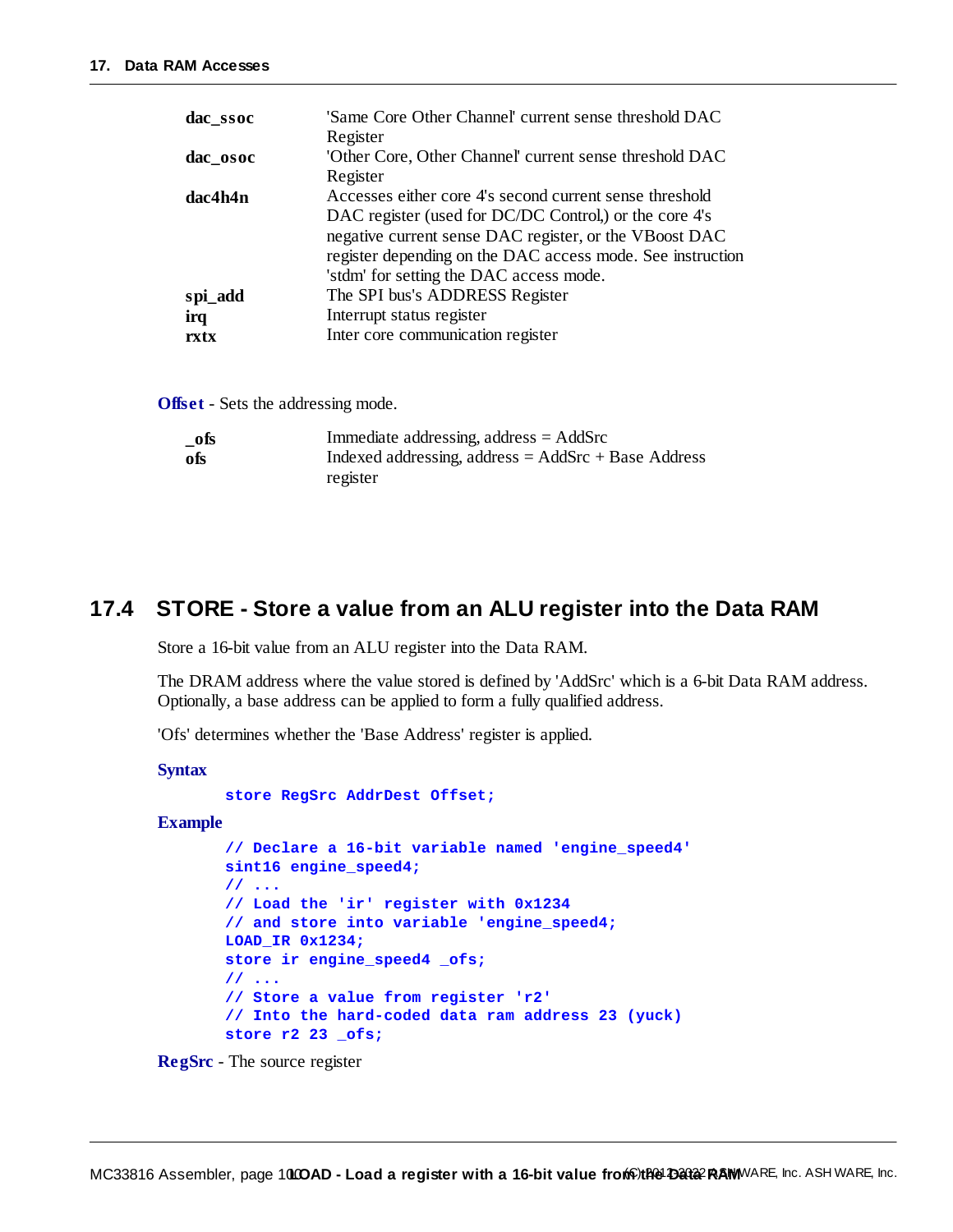| dac_ssoc | 'Same Core Other Channel' current sense threshold DAC      |
|----------|------------------------------------------------------------|
|          | Register                                                   |
| dac_osoc | 'Other Core, Other Channel' current sense threshold DAC    |
|          | Register                                                   |
| dac4h4n  | Accesses either core 4's second current sense threshold    |
|          | DAC register (used for DC/DC Control,) or the core 4's     |
|          | negative current sense DAC register, or the VBoost DAC     |
|          | register depending on the DAC access mode. See instruction |
|          | 'stdm' for setting the DAC access mode.                    |
| spi_add  | The SPI bus's ADDRESS Register                             |
| irq      | Interrupt status register                                  |
| rxtx     | Inter core communication register                          |

**Offset** - Sets the addressing mode.

| $\_$ ofs | Immediate addressing, address $=$ AddSrc              |
|----------|-------------------------------------------------------|
| ofs      | Indexed addressing, address = $AddSrc + Base Address$ |
|          | register                                              |

#### **17.4 STORE - Store a value from an ALU register into the Data RAM**

Store a 16-bit value from an ALU register into the Data RAM.

The DRAM address where the value stored is defined by 'AddSrc' which is a 6-bit Data RAM address. Optionally, a base address can be applied to form a fully qualified address.

'Ofs' determines whether the 'Base Address' register is applied.

**Syntax**

**store RegSrc AddrDest Offset;**

#### **Example**

```
// Declare a 16-bit variable named 'engine_speed4'
sint16 engine_speed4;
// ...
// Load the 'ir' register with 0x1234
// and store into variable 'engine_speed4;
LOAD_IR 0x1234;
store ir engine_speed4 _ofs;
// ...
// Store a value from register 'r2'
// Into the hard-coded data ram address 23 (yuck)
store r2 23 _ofs;
```
**RegSrc** - The source register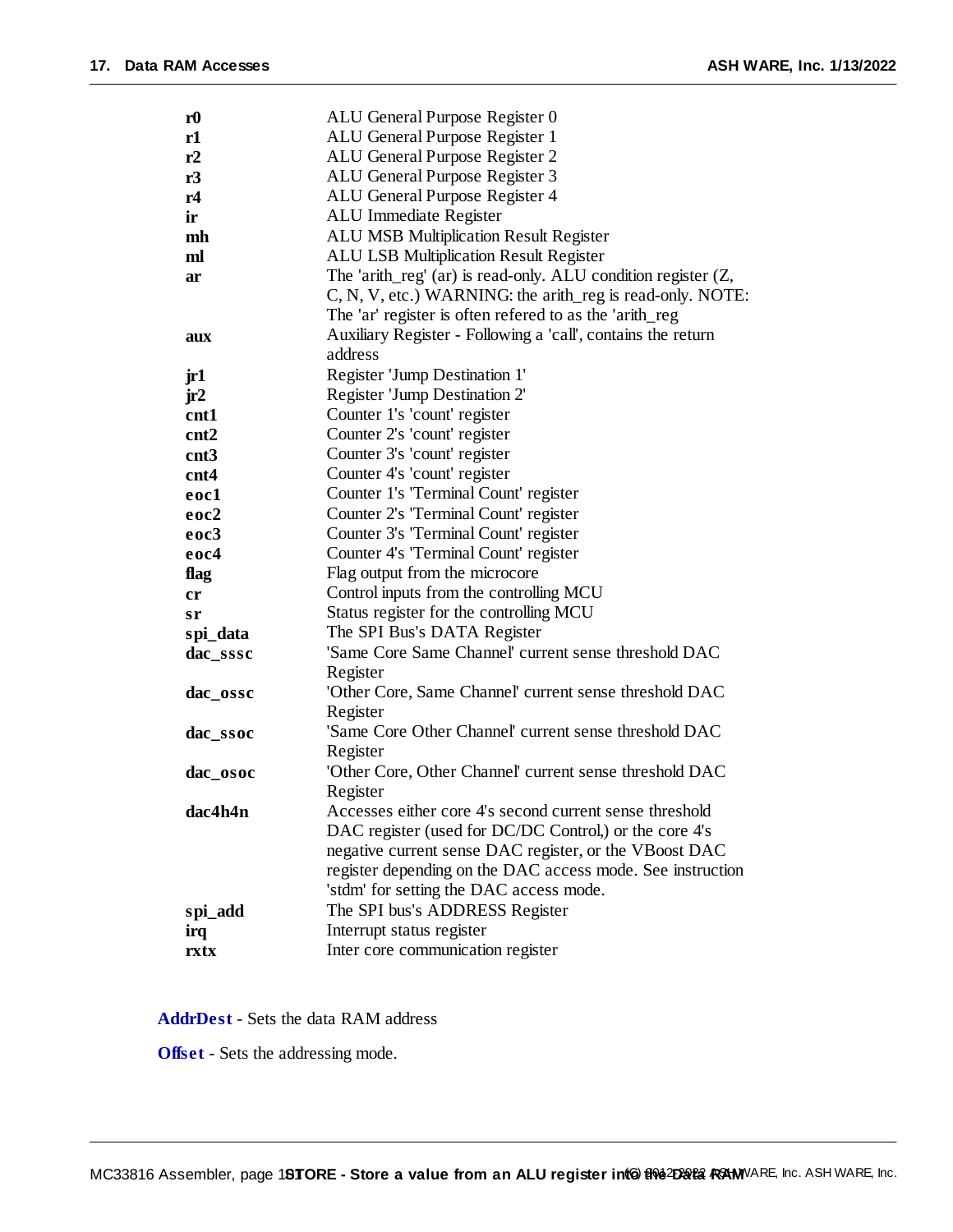| r <sub>0</sub> | ALU General Purpose Register 0                                    |  |  |  |
|----------------|-------------------------------------------------------------------|--|--|--|
| r1             | ALU General Purpose Register 1                                    |  |  |  |
| r2             | ALU General Purpose Register 2                                    |  |  |  |
| r3             | ALU General Purpose Register 3                                    |  |  |  |
| r4             | ALU General Purpose Register 4                                    |  |  |  |
| ir             | ALU Immediate Register                                            |  |  |  |
| mh             | <b>ALU MSB Multiplication Result Register</b>                     |  |  |  |
| ml             | <b>ALU LSB Multiplication Result Register</b>                     |  |  |  |
| ar             | The 'arith_reg' $(ar)$ is read-only. ALU condition register $(Z,$ |  |  |  |
|                | C, N, V, etc.) WARNING: the arith_reg is read-only. NOTE:         |  |  |  |
|                | The 'ar' register is often refered to as the 'arith_reg           |  |  |  |
| aux            | Auxiliary Register - Following a 'call', contains the return      |  |  |  |
|                | address                                                           |  |  |  |
| jr1            | Register 'Jump Destination 1'                                     |  |  |  |
| jr2            | Register 'Jump Destination 2'                                     |  |  |  |
| cnt1           | Counter 1's 'count' register                                      |  |  |  |
| cnt2           | Counter 2's 'count' register                                      |  |  |  |
| cnt3           | Counter 3's 'count' register                                      |  |  |  |
| cnt4           | Counter 4's 'count' register                                      |  |  |  |
| eoc1           | Counter 1's 'Terminal Count' register                             |  |  |  |
| eoc2           | Counter 2's 'Terminal Count' register                             |  |  |  |
| eoc3           | Counter 3's 'Terminal Count' register                             |  |  |  |
| eoc4           | Counter 4's 'Terminal Count' register                             |  |  |  |
| flag           | Flag output from the microcore                                    |  |  |  |
| cr             | Control inputs from the controlling MCU                           |  |  |  |
| sr             | Status register for the controlling MCU                           |  |  |  |
| spi_data       | The SPI Bus's DATA Register                                       |  |  |  |
| dac_sssc       | 'Same Core Same Channel' current sense threshold DAC              |  |  |  |
|                | Register                                                          |  |  |  |
| dac_ossc       | 'Other Core, Same Channel' current sense threshold DAC            |  |  |  |
|                | Register                                                          |  |  |  |
| dac ssoc       | 'Same Core Other Channel' current sense threshold DAC             |  |  |  |
|                | Register                                                          |  |  |  |
| dac osoc       | 'Other Core, Other Channel' current sense threshold DAC           |  |  |  |
|                | Register                                                          |  |  |  |
| dac4h4n        | Accesses either core 4's second current sense threshold           |  |  |  |
|                | DAC register (used for DC/DC Control,) or the core 4's            |  |  |  |
|                | negative current sense DAC register, or the VBoost DAC            |  |  |  |
|                | register depending on the DAC access mode. See instruction        |  |  |  |
|                | 'stdm' for setting the DAC access mode.                           |  |  |  |
| spi_add        | The SPI bus's ADDRESS Register                                    |  |  |  |
| irq            | Interrupt status register                                         |  |  |  |
| rxtx           | Inter core communication register                                 |  |  |  |

**AddrDest** - Sets the data RAM address

**Offset** - Sets the addressing mode.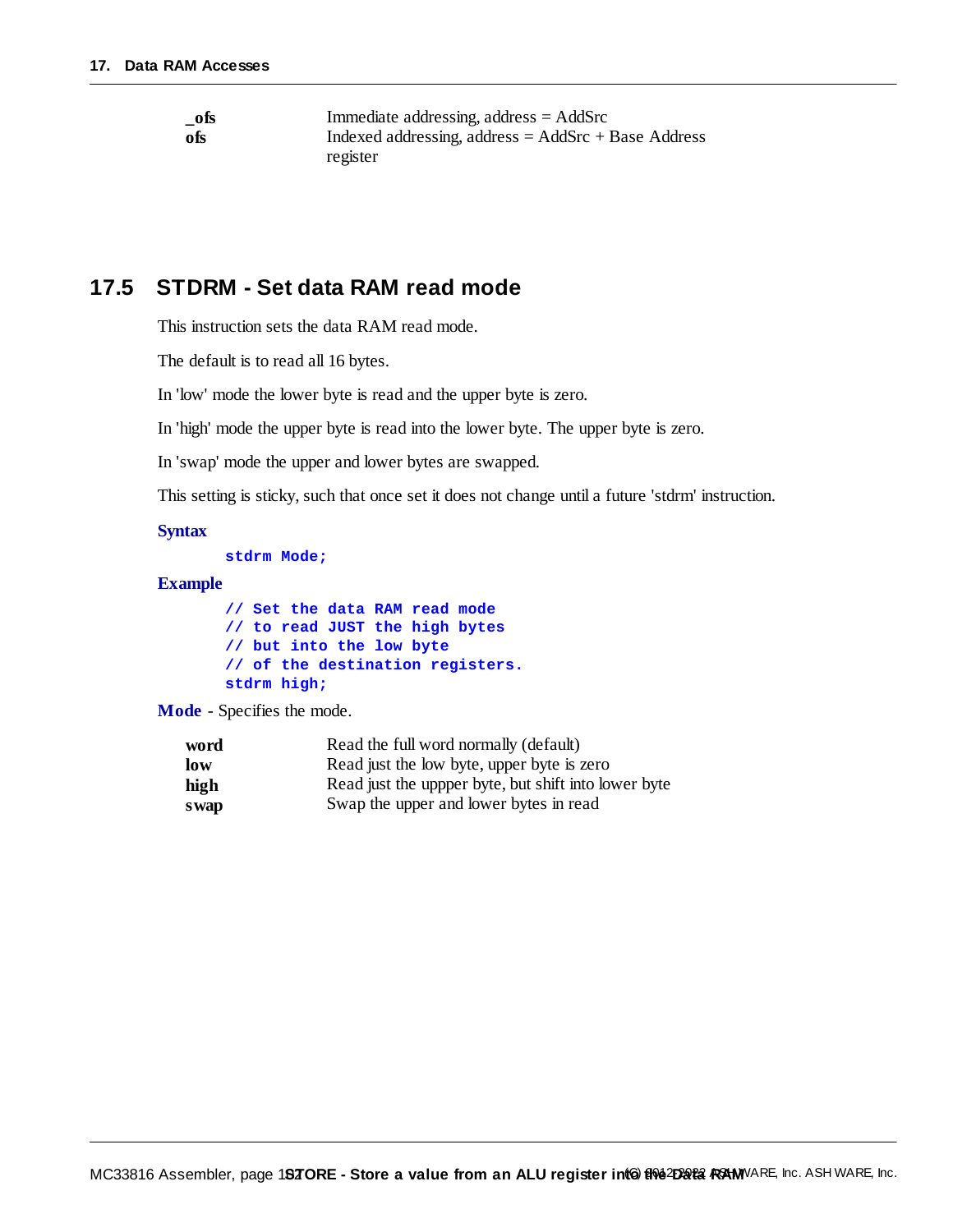| $\_$ ofs | Immediate addressing, address $=$ AddSrc              |
|----------|-------------------------------------------------------|
| -ofs     | Indexed addressing, address = $AddSrc + Base Address$ |
|          | register                                              |

#### **17.5 STDRM - Set data RAM read mode**

This instruction sets the data RAM read mode.

The default is to read all 16 bytes.

In 'low' mode the lower byte is read and the upper byte is zero.

In 'high' mode the upper byte is read into the lower byte. The upper byte is zero.

In 'swap' mode the upper and lower bytes are swapped.

This setting is sticky, such that once set it does not change until a future 'stdrm' instruction.

#### **Syntax**

**stdrm Mode;**

#### **Example**

|             |  |  | // Set the data RAM read mode |  |                                  |
|-------------|--|--|-------------------------------|--|----------------------------------|
|             |  |  |                               |  | // to read JUST the high bytes   |
|             |  |  | // but into the low byte      |  |                                  |
|             |  |  |                               |  | // of the destination registers. |
| stdrm high; |  |  |                               |  |                                  |

**Mode** - Specifies the mode.

| word  | Read the full word normally (default)                |
|-------|------------------------------------------------------|
| low   | Read just the low byte, upper byte is zero           |
| high  | Read just the uppper byte, but shift into lower byte |
| s wap | Swap the upper and lower bytes in read               |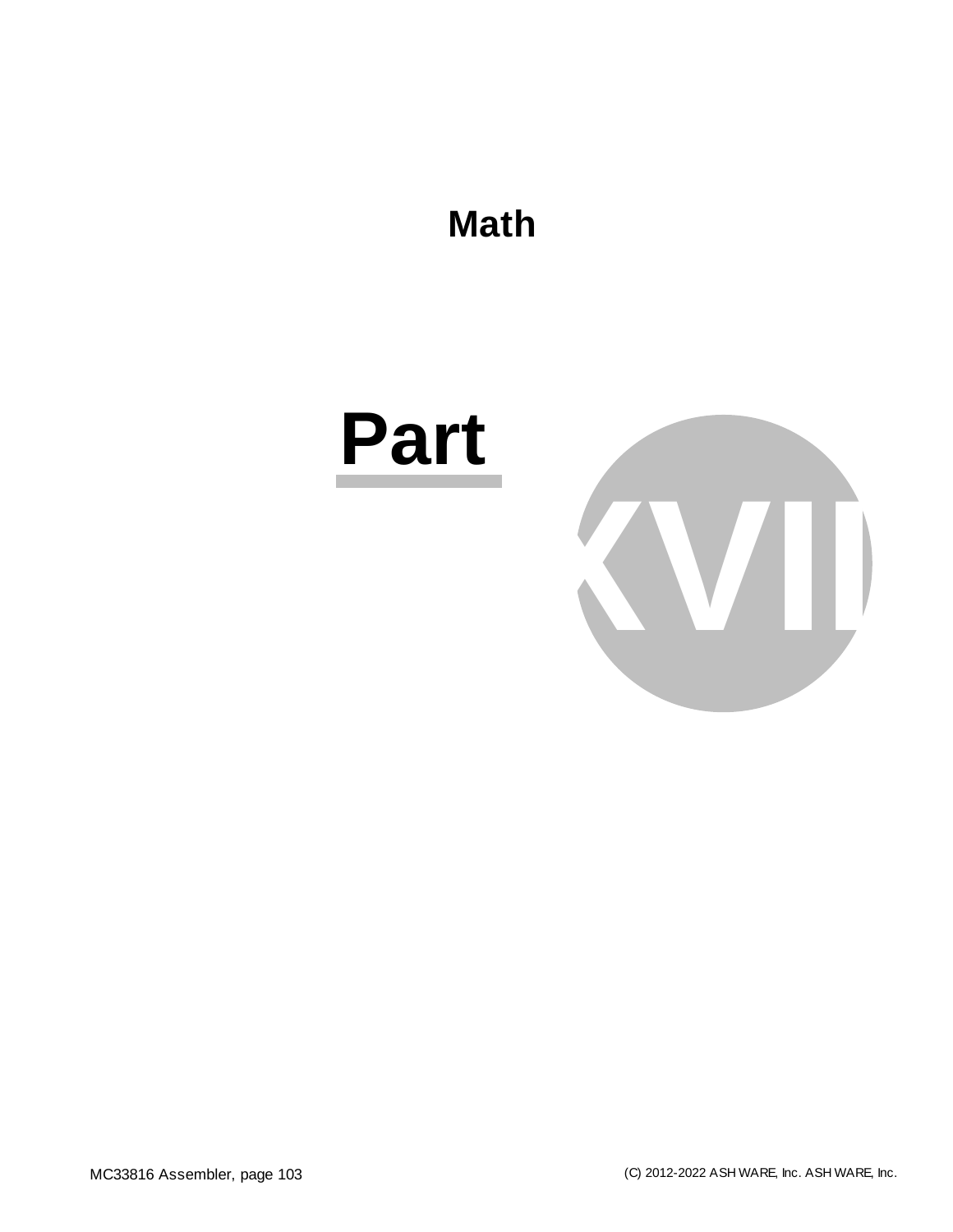

## **Part**

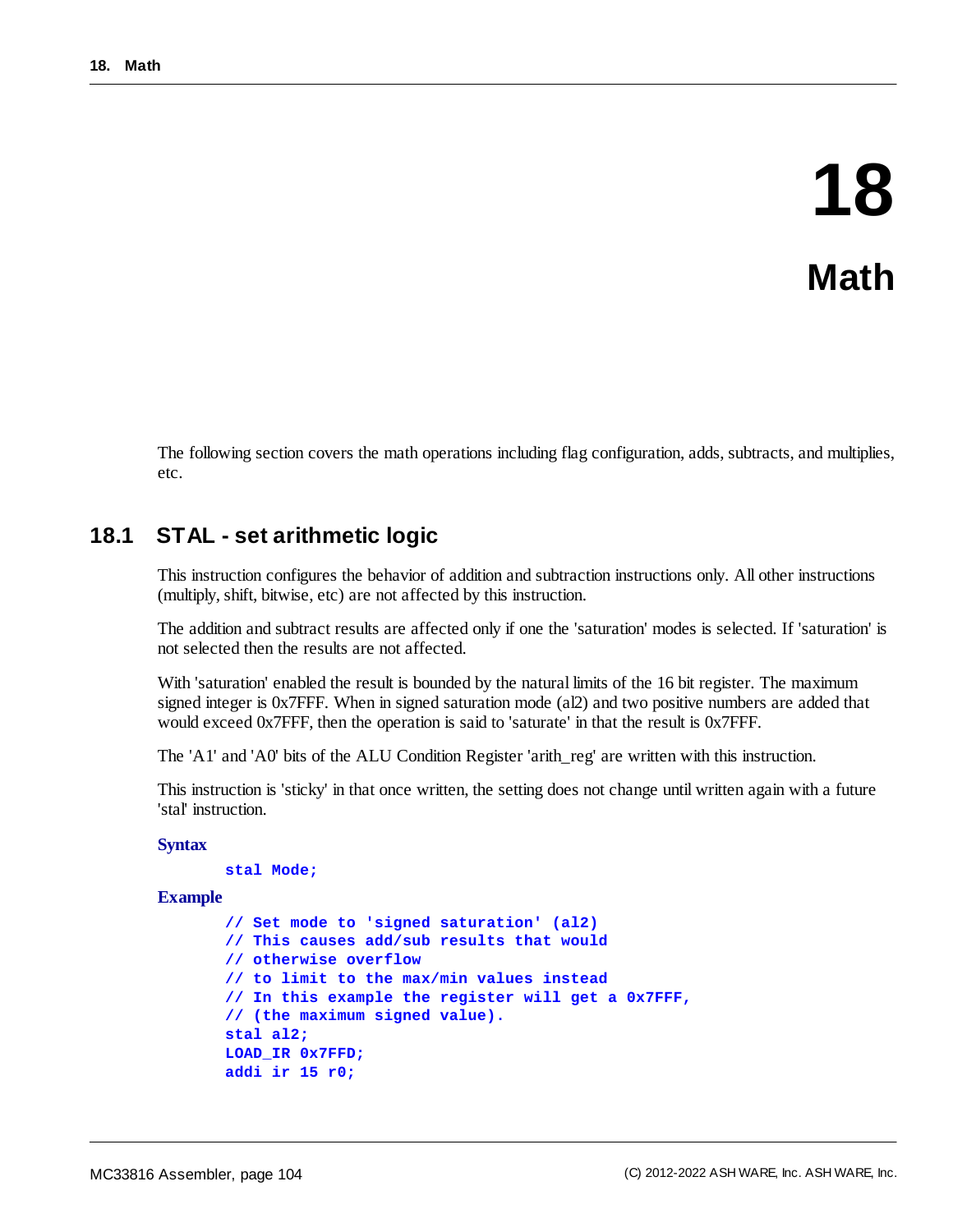## **18 Math**

The following section covers the math operations including flag configuration, adds, subtracts, and multiplies, etc.

#### **18.1 STAL - set arithmetic logic**

This instruction configures the behavior of addition and subtraction instructions only. All other instructions (multiply, shift, bitwise, etc) are not affected by this instruction.

The addition and subtract results are affected only if one the 'saturation' modes is selected. If 'saturation' is not selected then the results are not affected.

With 'saturation' enabled the result is bounded by the natural limits of the 16 bit register. The maximum signed integer is 0x7FFF. When in signed saturation mode (al2) and two positive numbers are added that would exceed 0x7FFF, then the operation is said to 'saturate' in that the result is 0x7FFF.

The 'A1' and 'A0' bits of the ALU Condition Register 'arith\_reg' are written with this instruction.

This instruction is 'sticky' in that once written, the setting does not change until written again with a future 'stal' instruction.

#### **Syntax**

```
stal Mode;
```

```
Example
```

```
// Set mode to 'signed saturation' (al2)
// This causes add/sub results that would
// otherwise overflow
// to limit to the max/min values instead
// In this example the register will get a 0x7FFF,
// (the maximum signed value).
stal al2;
LOAD_IR 0x7FFD;
addi ir 15 r0;
```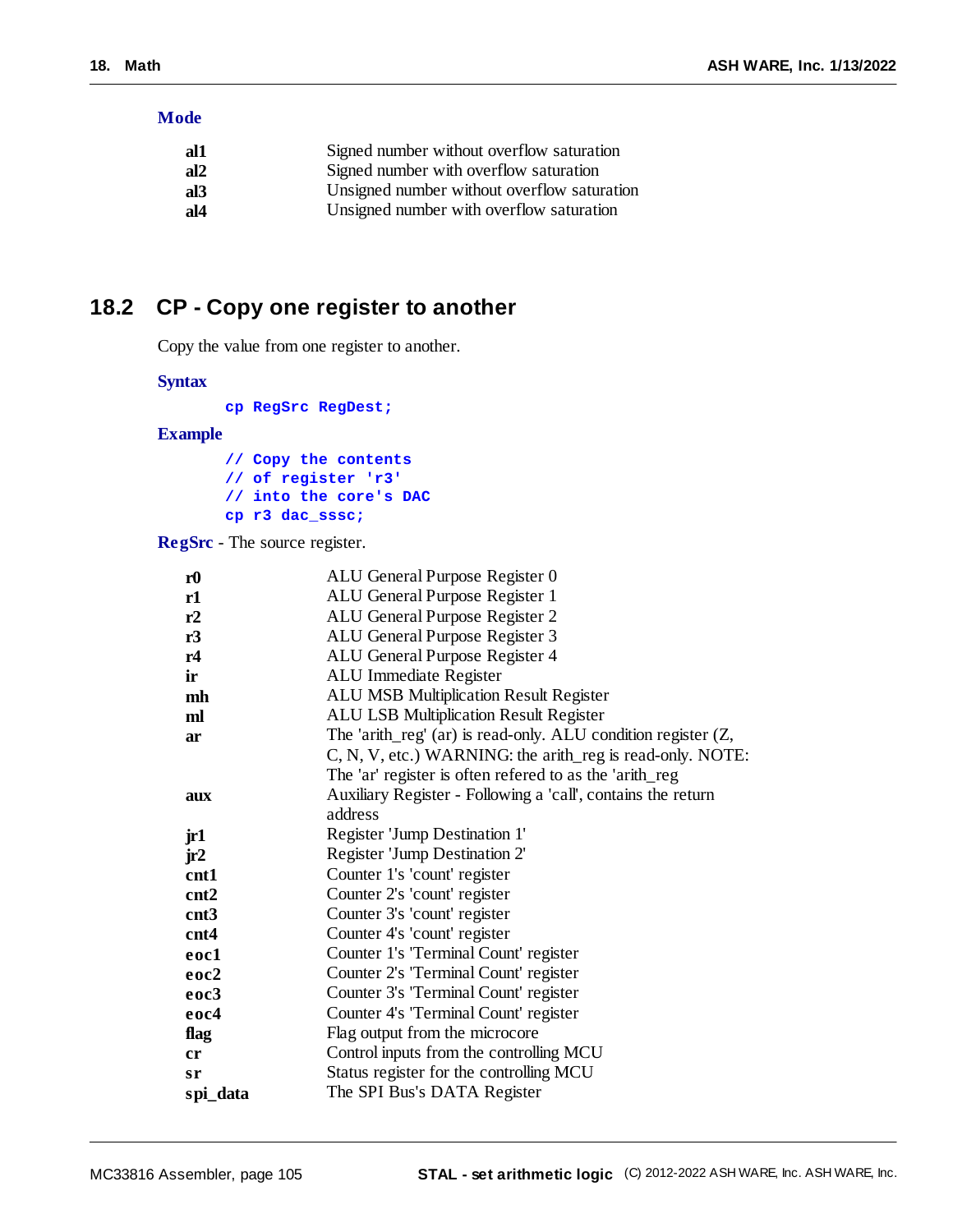#### **Mode**

| al1             | Signed number without overflow saturation   |
|-----------------|---------------------------------------------|
| al2             | Signed number with overflow saturation      |
| al <sub>3</sub> | Unsigned number without overflow saturation |
| al4             | Unsigned number with overflow saturation    |

#### **18.2 CP - Copy one register to another**

Copy the value from one register to another.

#### **Syntax**

**cp RegSrc RegDest;**

#### **Example**

**// Copy the contents // of register 'r3' // into the core's DAC cp r3 dac\_sssc;**

**RegSrc** - The source register.

| r <sub>0</sub> | ALU General Purpose Register 0                                    |  |
|----------------|-------------------------------------------------------------------|--|
| r1             | ALU General Purpose Register 1                                    |  |
| r2             | ALU General Purpose Register 2                                    |  |
| r3             | ALU General Purpose Register 3                                    |  |
| r4             | ALU General Purpose Register 4                                    |  |
| ir             | ALU Immediate Register                                            |  |
| mh             | <b>ALU MSB Multiplication Result Register</b>                     |  |
| ml             | <b>ALU LSB Multiplication Result Register</b>                     |  |
| ar             | The 'arith_reg' $(ar)$ is read-only. ALU condition register $(Z,$ |  |
|                | C, N, V, etc.) WARNING: the arith_reg is read-only. NOTE:         |  |
|                | The 'ar' register is often refered to as the 'arith_reg           |  |
| aux            | Auxiliary Register - Following a 'call', contains the return      |  |
|                | address                                                           |  |
| jr1            | Register 'Jump Destination 1'                                     |  |
| jr2            | Register 'Jump Destination 2'                                     |  |
| cnt1           | Counter 1's 'count' register                                      |  |
| cnt2           | Counter 2's 'count' register                                      |  |
| cnt3           | Counter 3's 'count' register                                      |  |
| cnt4           | Counter 4's 'count' register                                      |  |
| eoc1           | Counter 1's 'Terminal Count' register                             |  |
| eoc2           | Counter 2's 'Terminal Count' register                             |  |
| eoc3           | Counter 3's 'Terminal Count' register                             |  |
| eoc4           | Counter 4's 'Terminal Count' register                             |  |
| flag           | Flag output from the microcore                                    |  |
| cr             | Control inputs from the controlling MCU                           |  |
| sr             | Status register for the controlling MCU                           |  |
| spi_data       | The SPI Bus's DATA Register                                       |  |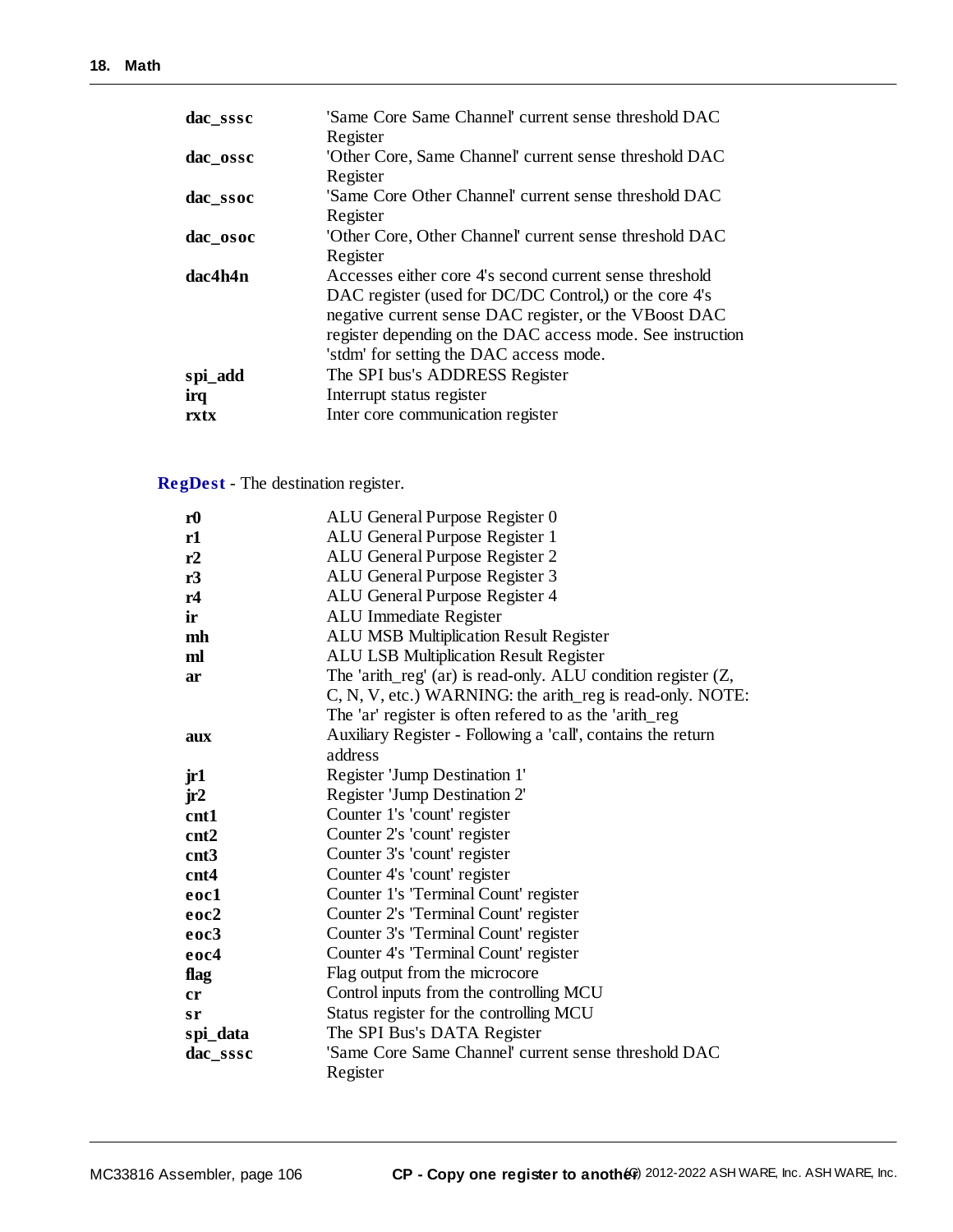| dac sssc | 'Same Core Same Channel' current sense threshold DAC<br>Register                                                                                                                                                                                                                     |
|----------|--------------------------------------------------------------------------------------------------------------------------------------------------------------------------------------------------------------------------------------------------------------------------------------|
| dac_ossc | 'Other Core, Same Channel' current sense threshold DAC<br>Register                                                                                                                                                                                                                   |
| dac_ssoc | 'Same Core Other Channel' current sense threshold DAC<br>Register                                                                                                                                                                                                                    |
| dac_osoc | 'Other Core, Other Channel' current sense threshold DAC<br>Register                                                                                                                                                                                                                  |
| dac4h4n  | Accesses either core 4's second current sense threshold<br>DAC register (used for DC/DC Control,) or the core 4's<br>negative current sense DAC register, or the VBoost DAC<br>register depending on the DAC access mode. See instruction<br>'stdm' for setting the DAC access mode. |
| spi_add  | The SPI bus's ADDRESS Register                                                                                                                                                                                                                                                       |
| irq      | Interrupt status register                                                                                                                                                                                                                                                            |
| rxtx     | Inter core communication register                                                                                                                                                                                                                                                    |

#### **RegDest** - The destination register.

| r <sub>0</sub> | ALU General Purpose Register 0                                    |
|----------------|-------------------------------------------------------------------|
| r1             | ALU General Purpose Register 1                                    |
| r2             | ALU General Purpose Register 2                                    |
| r3             | ALU General Purpose Register 3                                    |
| r4             | ALU General Purpose Register 4                                    |
| ir             | ALU Immediate Register                                            |
| mh             | <b>ALU MSB Multiplication Result Register</b>                     |
| ml             | <b>ALU LSB Multiplication Result Register</b>                     |
| ar             | The 'arith_reg' $(ar)$ is read-only. ALU condition register $(Z,$ |
|                | C, N, V, etc.) WARNING: the arith_reg is read-only. NOTE:         |
|                | The 'ar' register is often refered to as the 'arith_reg           |
| aux            | Auxiliary Register - Following a 'call', contains the return      |
|                | address                                                           |
| jr1            | Register 'Jump Destination 1'                                     |
| jr2            | Register 'Jump Destination 2'                                     |
| cnt1           | Counter 1's 'count' register                                      |
| cnt2           | Counter 2's 'count' register                                      |
| cnt3           | Counter 3's 'count' register                                      |
| cnt4           | Counter 4's 'count' register                                      |
| eoc1           | Counter 1's 'Terminal Count' register                             |
| eoc2           | Counter 2's 'Terminal Count' register                             |
| eoc3           | Counter 3's 'Terminal Count' register                             |
| eoc4           | Counter 4's 'Terminal Count' register                             |
| flag           | Flag output from the microcore                                    |
| cr             | Control inputs from the controlling MCU                           |
| sr             | Status register for the controlling MCU                           |
| spi_data       | The SPI Bus's DATA Register                                       |
| dac_sssc       | 'Same Core Same Channel' current sense threshold DAC              |
|                | Register                                                          |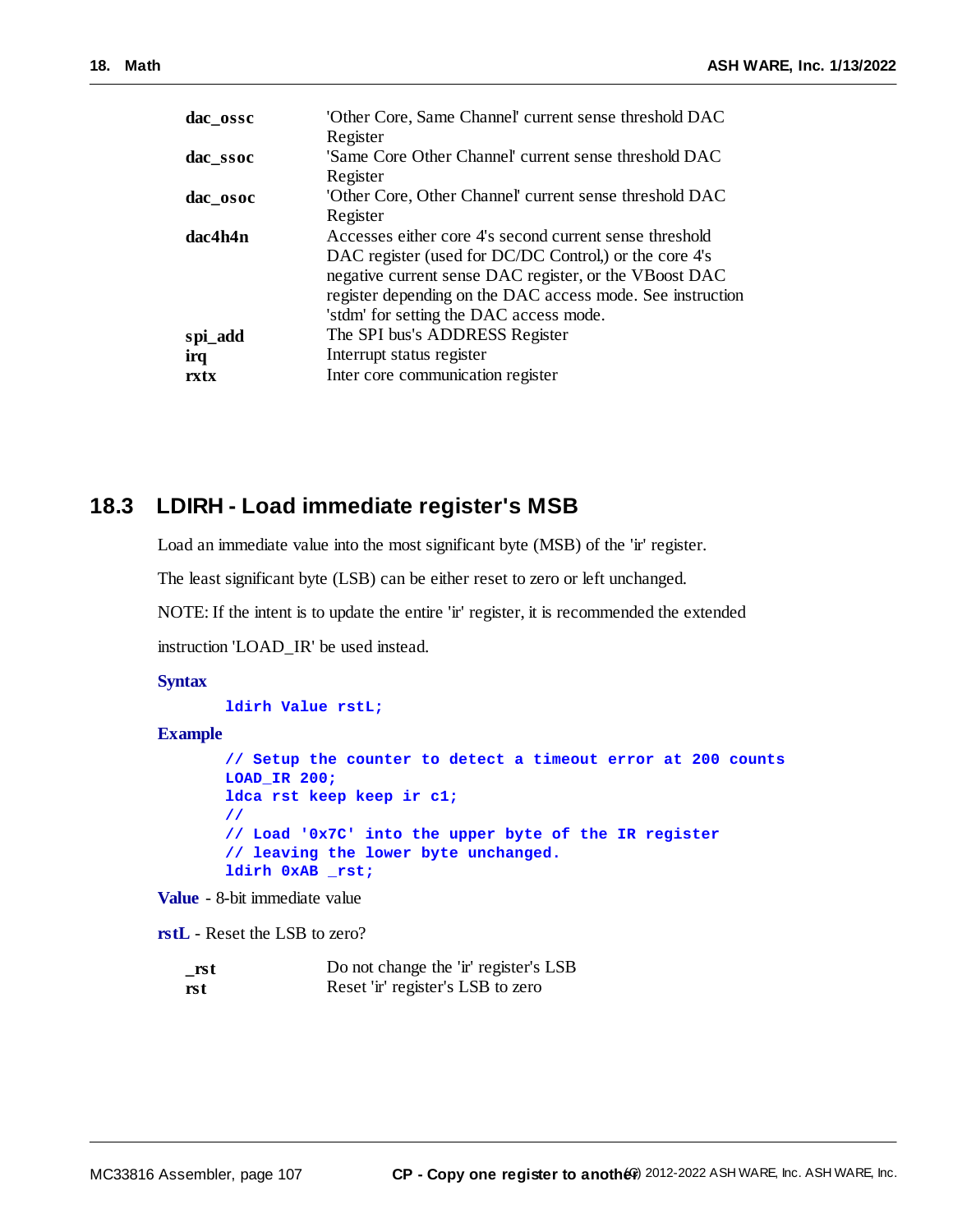| dac_ossc | 'Other Core, Same Channel' current sense threshold DAC     |
|----------|------------------------------------------------------------|
|          | Register                                                   |
| dac_ssoc | 'Same Core Other Channel' current sense threshold DAC      |
|          | Register                                                   |
| dac osoc | 'Other Core, Other Channel' current sense threshold DAC    |
|          | Register                                                   |
| dac4h4n  | Accesses either core 4's second current sense threshold    |
|          | DAC register (used for DC/DC Control,) or the core 4's     |
|          | negative current sense DAC register, or the VBoost DAC     |
|          | register depending on the DAC access mode. See instruction |
|          | 'stdm' for setting the DAC access mode.                    |
| spi_add  | The SPI bus's ADDRESS Register                             |
| irq      | Interrupt status register                                  |
| rxtx     | Inter core communication register                          |
|          |                                                            |

#### **18.3 LDIRH - Load immediate register's MSB**

Load an immediate value into the most significant byte (MSB) of the 'ir' register.

The least significant byte (LSB) can be either reset to zero or left unchanged.

NOTE: If the intent is to update the entire 'ir' register, it is recommended the extended

instruction 'LOAD\_IR' be used instead.

#### **Syntax**

**ldirh Value rstL;**

**Example**

```
// Setup the counter to detect a timeout error at 200 counts
LOAD_IR 200;
ldca rst keep keep ir c1;
//
// Load '0x7C' into the upper byte of the IR register
// leaving the lower byte unchanged.
ldirh 0xAB _rst;
```
**Value** - 8-bit immediate value

**rstL** - Reset the LSB to zero?

| rst | Do not change the 'ir' register's LSB |
|-----|---------------------------------------|
| rst | Reset 'ir' register's LSB to zero     |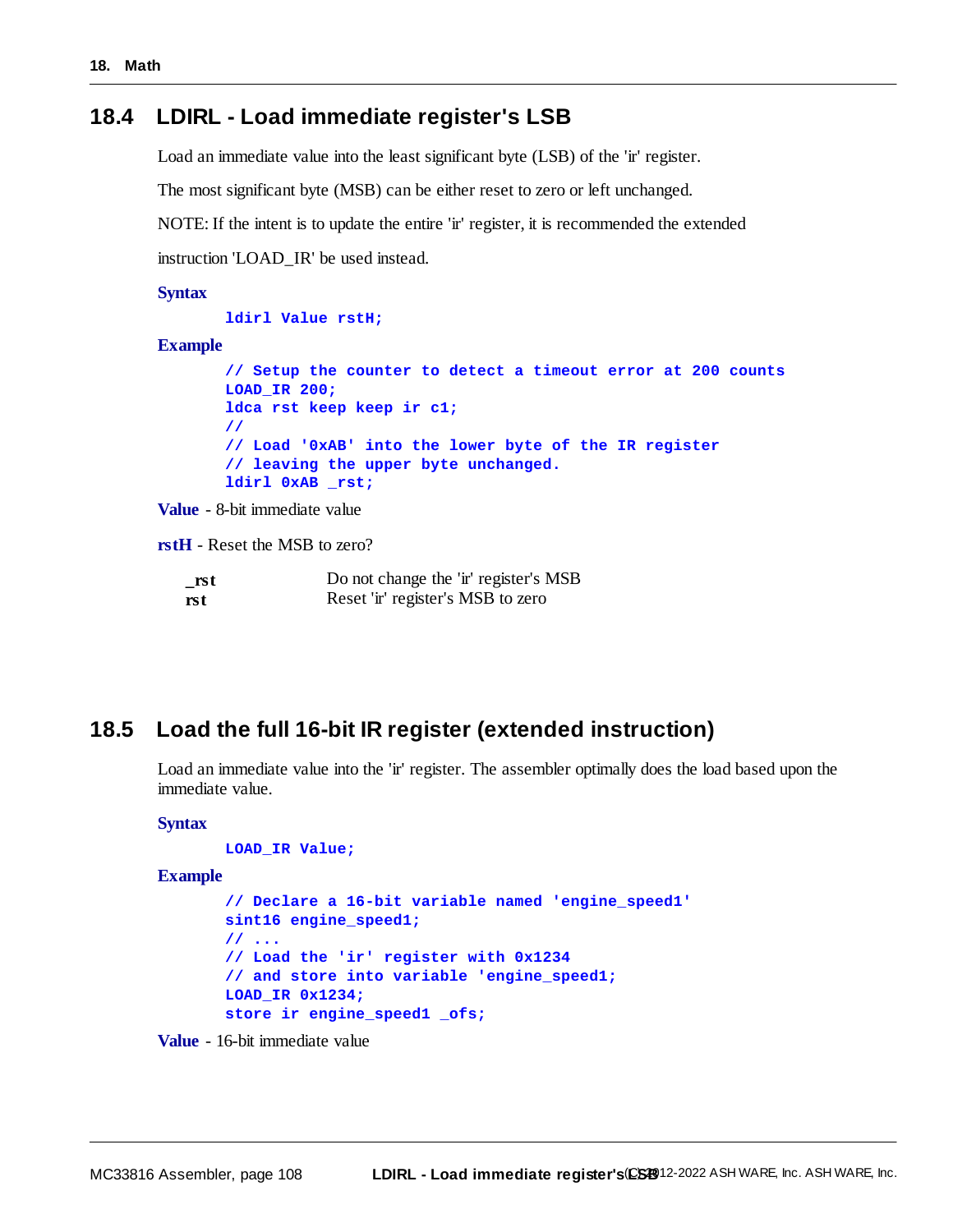#### **18.4 LDIRL - Load immediate register's LSB**

Load an immediate value into the least significant byte (LSB) of the 'ir' register.

The most significant byte (MSB) can be either reset to zero or left unchanged.

NOTE: If the intent is to update the entire 'ir' register, it is recommended the extended

instruction 'LOAD\_IR' be used instead.

#### **Syntax**

#### **ldirl Value rstH;**

#### **Example**

**// Setup the counter to detect a timeout error at 200 counts LOAD\_IR 200; ldca rst keep keep ir c1; // // Load '0xAB' into the lower byte of the IR register // leaving the upper byte unchanged. ldirl 0xAB \_rst;**

**Value** - 8-bit immediate value

**rstH** - Reset the MSB to zero?

| $\_rst$ | Do not change the 'ir' register's MSB |
|---------|---------------------------------------|
| rst     | Reset 'ir' register's MSB to zero     |

#### **18.5 Load the full 16-bit IR register (extended instruction)**

Load an immediate value into the 'ir' register. The assembler optimally does the load based upon the immediate value.

#### **Syntax**

```
LOAD_IR Value;
```
**Example**

```
// Declare a 16-bit variable named 'engine_speed1'
sint16 engine_speed1;
// ...
// Load the 'ir' register with 0x1234
// and store into variable 'engine_speed1;
LOAD_IR 0x1234;
store ir engine_speed1 _ofs;
```
**Value** - 16-bit immediate value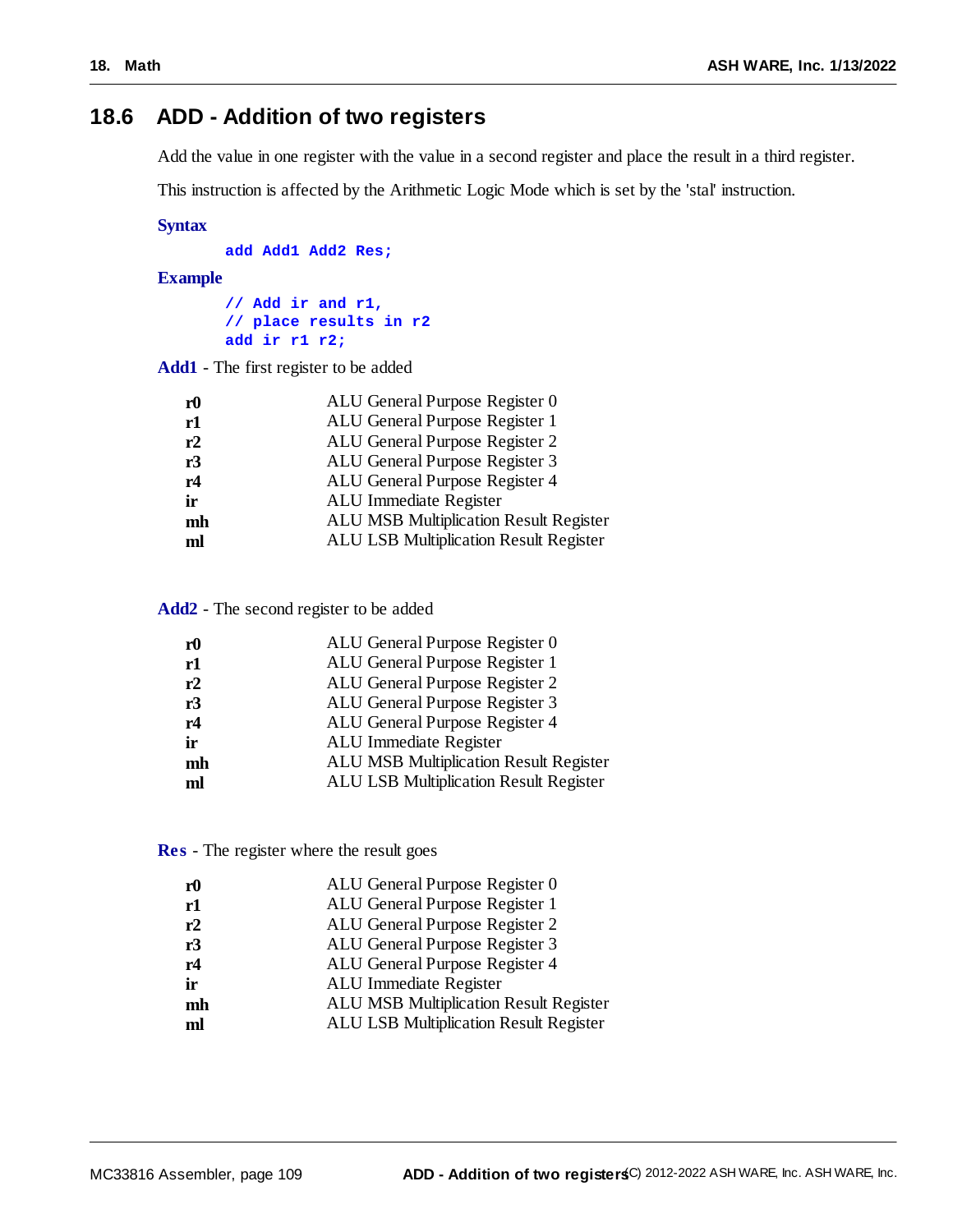# **18.6 ADD - Addition of two registers**

Add the value in one register with the value in a second register and place the result in a third register.

This instruction is affected by the Arithmetic Logic Mode which is set by the 'stal' instruction.

## **Syntax**

**add Add1 Add2 Res;**

# **Example**

**// Add ir and r1, // place results in r2 add ir r1 r2;**

**Add1** - The first register to be added

| r <sub>0</sub> | ALU General Purpose Register 0         |
|----------------|----------------------------------------|
| r1             | ALU General Purpose Register 1         |
| r2             | ALU General Purpose Register 2         |
| r3             | ALU General Purpose Register 3         |
| r4             | ALU General Purpose Register 4         |
| ir             | ALU Immediate Register                 |
| mh             | ALU MSB Multiplication Result Register |
| ml             | ALU LSB Multiplication Result Register |
|                |                                        |

**Add2** - The second register to be added

| r0 | ALU General Purpose Register 0                |
|----|-----------------------------------------------|
| r1 | ALU General Purpose Register 1                |
| r2 | ALU General Purpose Register 2                |
| r3 | ALU General Purpose Register 3                |
| r4 | ALU General Purpose Register 4                |
| ir | ALU Immediate Register                        |
| mh | <b>ALU MSB Multiplication Result Register</b> |
| ml | <b>ALU LSB Multiplication Result Register</b> |
|    |                                               |

**Res** - The register where the result goes

| r0 | ALU General Purpose Register 0                |
|----|-----------------------------------------------|
| r1 | ALU General Purpose Register 1                |
| r2 | ALU General Purpose Register 2                |
| r3 | ALU General Purpose Register 3                |
| r4 | ALU General Purpose Register 4                |
| ir | ALU Immediate Register                        |
| mh | <b>ALU MSB Multiplication Result Register</b> |
| ml | <b>ALU LSB Multiplication Result Register</b> |
|    |                                               |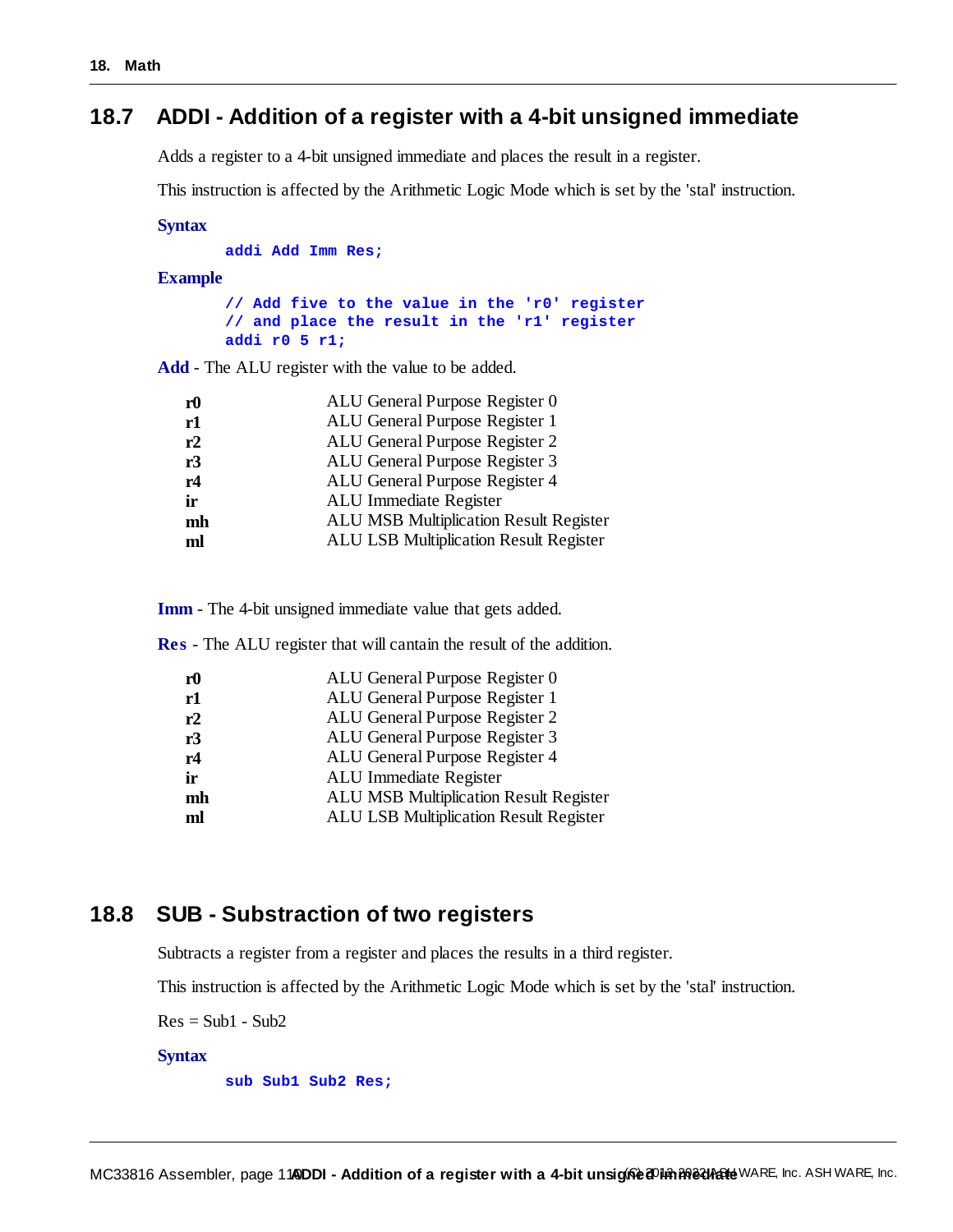# **18.7 ADDI - Addition of a register with a 4-bit unsigned immediate**

Adds a register to a 4-bit unsigned immediate and places the result in a register.

This instruction is affected by the Arithmetic Logic Mode which is set by the 'stal' instruction.

#### **Syntax**

**addi Add Imm Res;**

#### **Example**

**// Add five to the value in the 'r0' register // and place the result in the 'r1' register addi r0 5 r1;**

**Add** - The ALU register with the value to be added.

| r <sub>0</sub> | ALU General Purpose Register 0                |
|----------------|-----------------------------------------------|
| r1             | ALU General Purpose Register 1                |
| r2             | ALU General Purpose Register 2                |
| r3             | ALU General Purpose Register 3                |
| r4             | ALU General Purpose Register 4                |
| ir             | ALU Immediate Register                        |
| mh             | <b>ALU MSB Multiplication Result Register</b> |
| ml             | <b>ALU LSB Multiplication Result Register</b> |
|                |                                               |

**Imm** - The 4-bit unsigned immediate value that gets added.

**Res** - The ALU register that will cantain the result of the addition.

| ${\bf r0}$ | ALU General Purpose Register 0                |
|------------|-----------------------------------------------|
| r1         | ALU General Purpose Register 1                |
| r2         | ALU General Purpose Register 2                |
| r3         | ALU General Purpose Register 3                |
| r4         | ALU General Purpose Register 4                |
| ir         | ALU Immediate Register                        |
| mh         | <b>ALU MSB Multiplication Result Register</b> |
| ml         | <b>ALU LSB Multiplication Result Register</b> |
|            |                                               |

# **18.8 SUB - Substraction of two registers**

Subtracts a register from a register and places the results in a third register.

This instruction is affected by the Arithmetic Logic Mode which is set by the 'stal' instruction.

 $Res = Sub1 - Sub2$ 

#### **Syntax**

**sub Sub1 Sub2 Res;**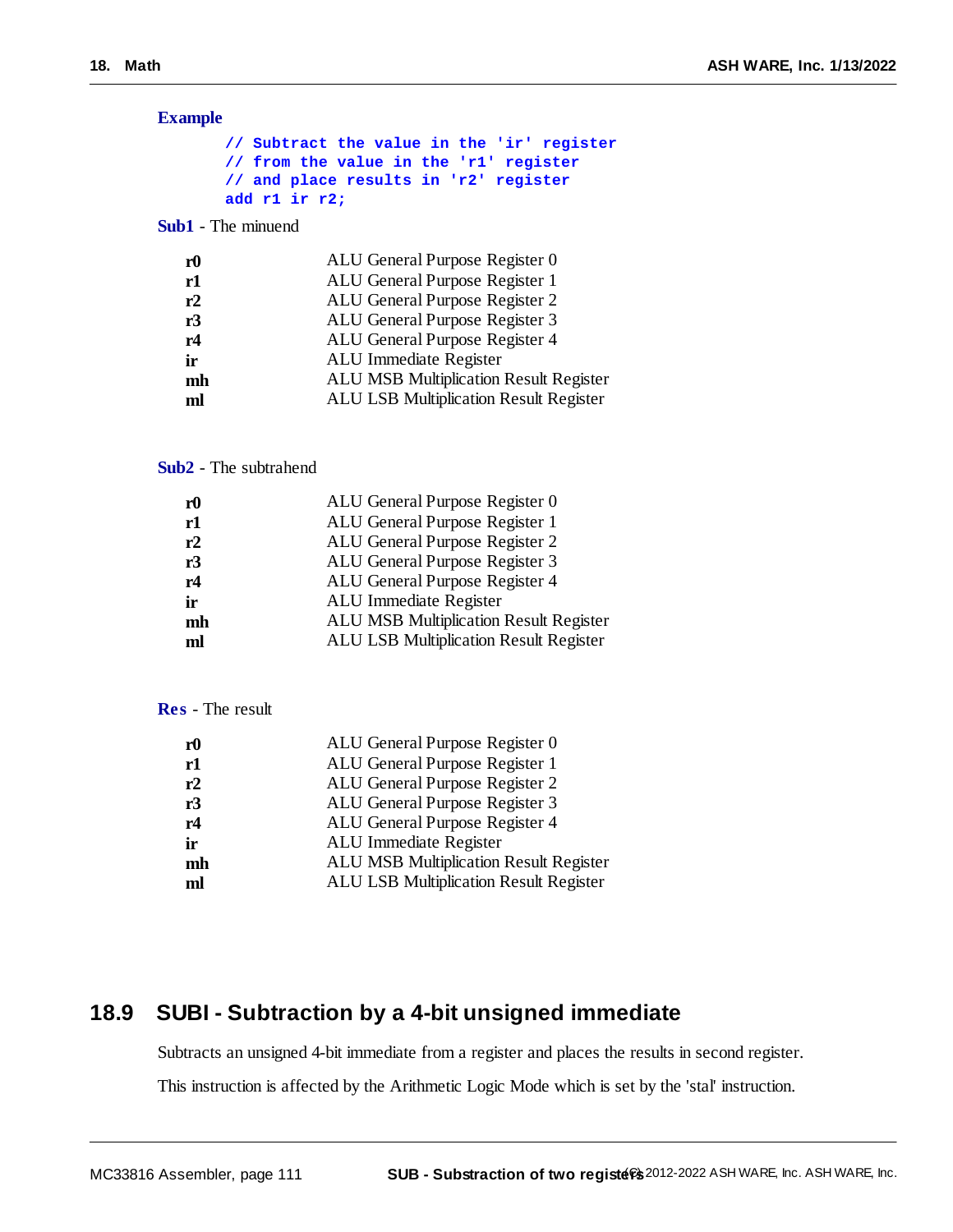# **Example**

|                                        |  | // Subtract the value in the 'ir' register |
|----------------------------------------|--|--------------------------------------------|
| // from the value in the 'r1' register |  |                                            |
| // and place results in 'r2' register  |  |                                            |
| add r $1$ ir r $2$ ;                   |  |                                            |

**Sub1** - The minuend

| r <sub>0</sub> | ALU General Purpose Register 0                |
|----------------|-----------------------------------------------|
| r1             | ALU General Purpose Register 1                |
| r2             | ALU General Purpose Register 2                |
| r3             | ALU General Purpose Register 3                |
| r4             | ALU General Purpose Register 4                |
| ir             | ALU Immediate Register                        |
| mh             | <b>ALU MSB Multiplication Result Register</b> |
| ml             | <b>ALU LSB Multiplication Result Register</b> |
|                |                                               |

#### **Sub2** - The subtrahend

| r0 | ALU General Purpose Register 0                |
|----|-----------------------------------------------|
| r1 | ALU General Purpose Register 1                |
| r2 | ALU General Purpose Register 2                |
| r3 | ALU General Purpose Register 3                |
| r4 | ALU General Purpose Register 4                |
| ir | ALU Immediate Register                        |
| mh | <b>ALU MSB Multiplication Result Register</b> |
| ml | ALU LSB Multiplication Result Register        |
|    |                                               |

# **Res** - The result

| r <sub>0</sub> | ALU General Purpose Register 0                |
|----------------|-----------------------------------------------|
| r1             | ALU General Purpose Register 1                |
| r2             | ALU General Purpose Register 2                |
| r3             | ALU General Purpose Register 3                |
| r4             | ALU General Purpose Register 4                |
| ir             | ALU Immediate Register                        |
| mh             | <b>ALU MSB Multiplication Result Register</b> |
| ml             | ALU LSB Multiplication Result Register        |
|                |                                               |

# **18.9 SUBI - Subtraction by a 4-bit unsigned immediate**

Subtracts an unsigned 4-bit immediate from a register and places the results in second register.

This instruction is affected by the Arithmetic Logic Mode which is set by the 'stal' instruction.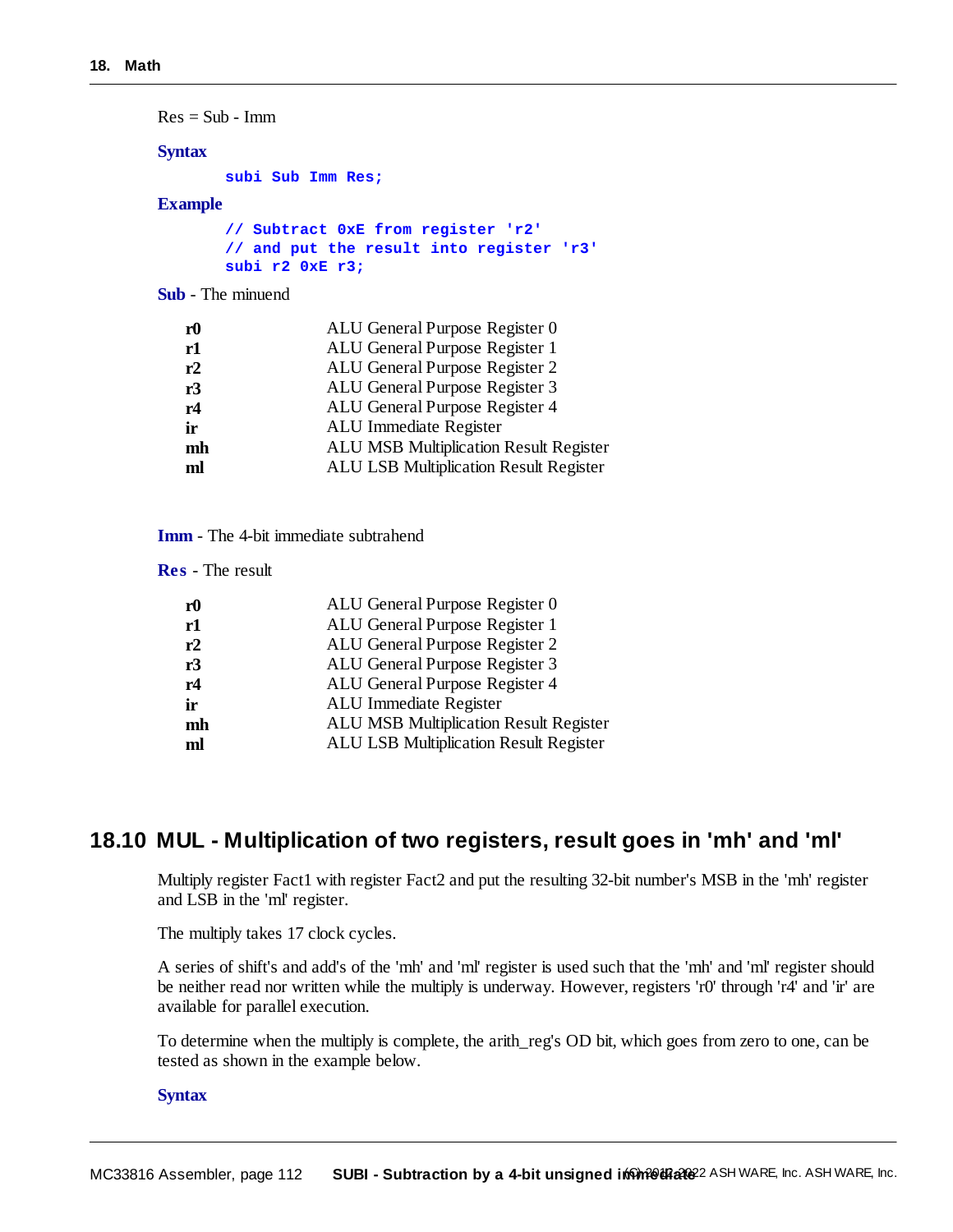$Res = Sub - Imm$ 

# **Syntax**

**subi Sub Imm Res;**

# **Example**

|  |                 |  | // Subtract 0xE from register 'r2'       |  |
|--|-----------------|--|------------------------------------------|--|
|  |                 |  | // and put the result into register 'r3' |  |
|  | subi r2 0xE r3; |  |                                          |  |

**Sub** - The minuend

| r <sub>0</sub> | ALU General Purpose Register 0                |
|----------------|-----------------------------------------------|
| r1             | ALU General Purpose Register 1                |
| r2             | ALU General Purpose Register 2                |
| r3             | ALU General Purpose Register 3                |
| r4             | ALU General Purpose Register 4                |
| ir             | ALU Immediate Register                        |
| mh             | <b>ALU MSB Multiplication Result Register</b> |
| ml             | <b>ALU LSB Multiplication Result Register</b> |
|                |                                               |

|  |  |  |  | <b>Imm</b> - The 4-bit immediate subtrahend |
|--|--|--|--|---------------------------------------------|
|--|--|--|--|---------------------------------------------|

**Res** - The result

| r <sub>0</sub> | ALU General Purpose Register 0                |
|----------------|-----------------------------------------------|
| r1             | ALU General Purpose Register 1                |
| r2             | ALU General Purpose Register 2                |
| r3             | ALU General Purpose Register 3                |
| r4             | ALU General Purpose Register 4                |
| ir             | ALU Immediate Register                        |
| mh             | <b>ALU MSB Multiplication Result Register</b> |
| ml             | <b>ALU LSB Multiplication Result Register</b> |
|                |                                               |

# **18.10 MUL - Multiplication of two registers, result goes in 'mh' and 'ml'**

Multiply register Fact1 with register Fact2 and put the resulting 32-bit number's MSB in the 'mh' register and LSB in the 'ml' register.

The multiply takes 17 clock cycles.

A series of shift's and add's of the 'mh' and 'ml' register is used such that the 'mh' and 'ml' register should be neither read nor written while the multiply is underway. However, registers 'r0' through 'r4' and 'ir' are available for parallel execution.

To determine when the multiply is complete, the arith\_reg's OD bit, which goes from zero to one, can be tested as shown in the example below.

#### **Syntax**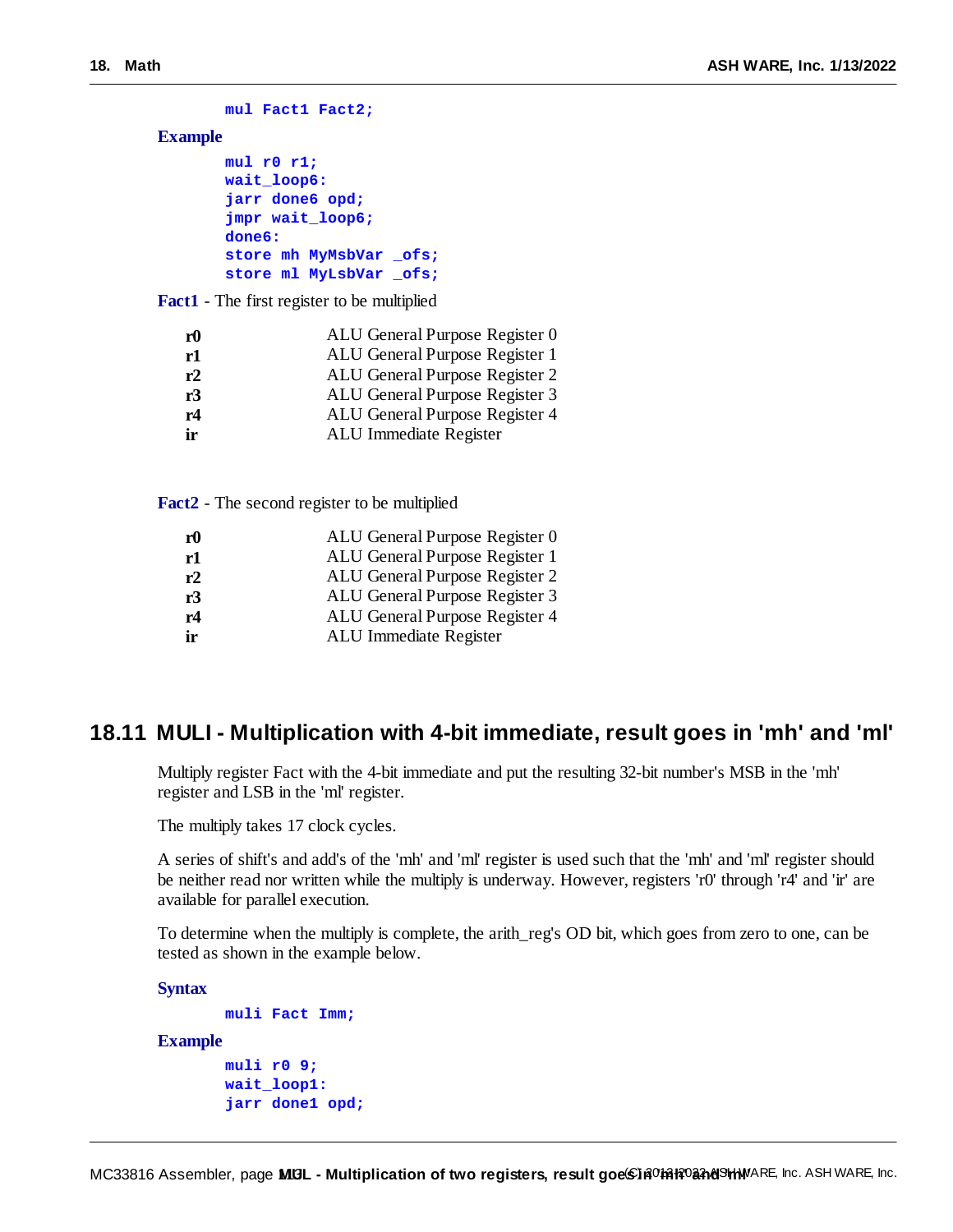```
mul Fact1 Fact2;
```
# **Example**

```
mul r0 r1;
wait_loop6:
jarr done6 opd;
jmpr wait_loop6;
done6:
store mh MyMsbVar _ofs;
store ml MyLsbVar _ofs;
```
**Fact1** - The first register to be multiplied

| r0 | ALU General Purpose Register 0 |
|----|--------------------------------|
| r1 | ALU General Purpose Register 1 |
| r2 | ALU General Purpose Register 2 |
| r3 | ALU General Purpose Register 3 |
| r4 | ALU General Purpose Register 4 |
| ir | ALU Immediate Register         |

**Fact2** - The second register to be multiplied

| r <sub>0</sub> | ALU General Purpose Register 0 |
|----------------|--------------------------------|
| r1             | ALU General Purpose Register 1 |
| r2             | ALU General Purpose Register 2 |
| r3             | ALU General Purpose Register 3 |
| r4             | ALU General Purpose Register 4 |
| ir             | ALU Immediate Register         |

# **18.11 MULI - Multiplication with 4-bit immediate, result goes in 'mh' and 'ml'**

Multiply register Fact with the 4-bit immediate and put the resulting 32-bit number's MSB in the 'mh' register and LSB in the 'ml' register.

The multiply takes 17 clock cycles.

A series of shift's and add's of the 'mh' and 'ml' register is used such that the 'mh' and 'ml' register should be neither read nor written while the multiply is underway. However, registers 'r0' through 'r4' and 'ir' are available for parallel execution.

To determine when the multiply is complete, the arith\_reg's OD bit, which goes from zero to one, can be tested as shown in the example below.

**Syntax**

```
muli Fact Imm;
Example
       muli r0 9;
       wait_loop1:
```
**jarr done1 opd;**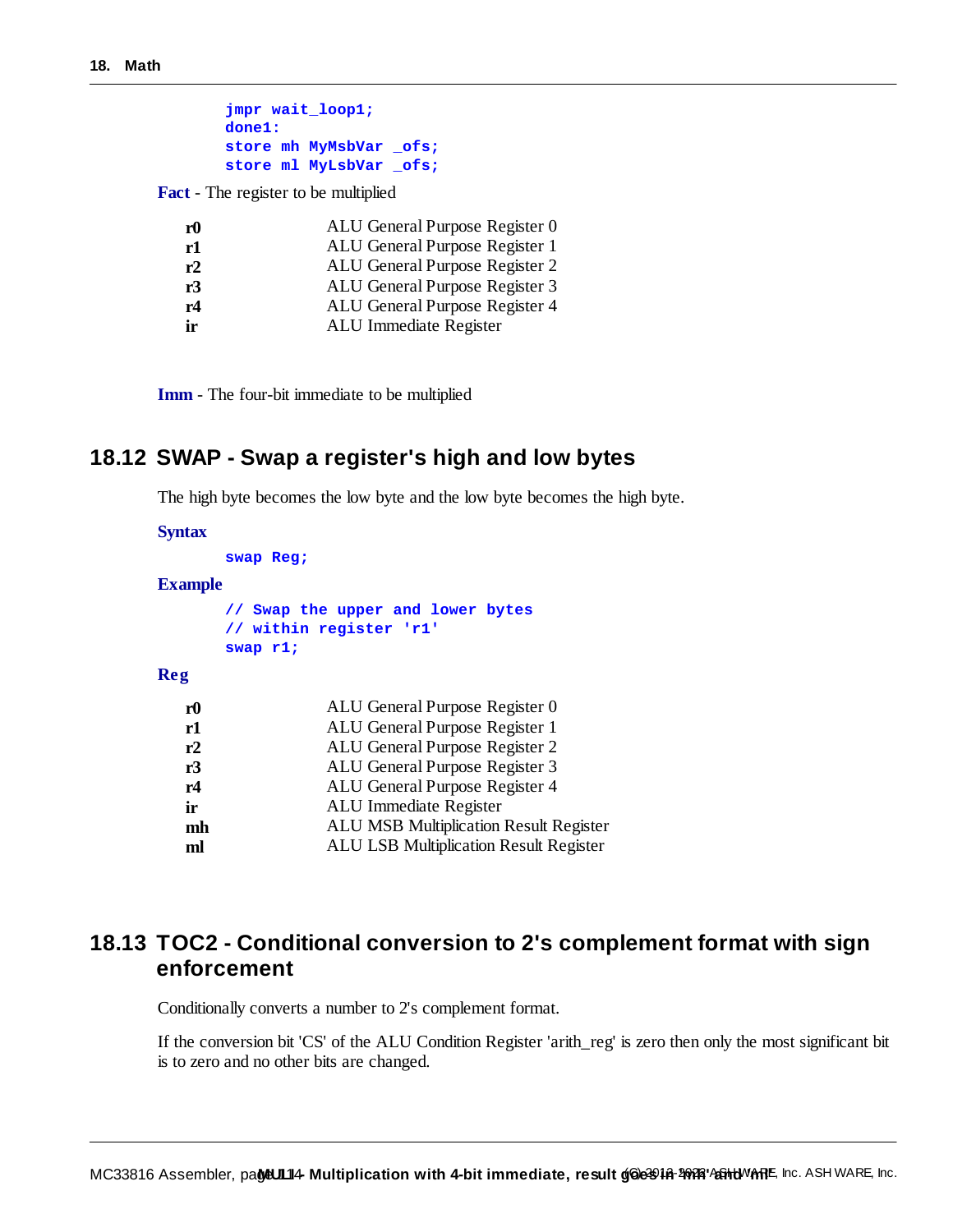| jmpr wait loop1;       |  |  |
|------------------------|--|--|
| $done1$ :              |  |  |
| store mh MyMsbVar ofs; |  |  |
| store ml MyLsbVar ofs; |  |  |

**Fact** - The register to be multiplied

| r0 | ALU General Purpose Register 0 |
|----|--------------------------------|
| r1 | ALU General Purpose Register 1 |
| r2 | ALU General Purpose Register 2 |
| r3 | ALU General Purpose Register 3 |
| r4 | ALU General Purpose Register 4 |
| ir | ALU Immediate Register         |

**Imm** - The four-bit immediate to be multiplied

# **18.12 SWAP - Swap a register's high and low bytes**

The high byte becomes the low byte and the low byte becomes the high byte.

#### **Syntax**

|                | swap Reg;                                                                  |
|----------------|----------------------------------------------------------------------------|
| <b>Example</b> |                                                                            |
|                | // Swap the upper and lower bytes<br>// within register 'r1'<br>swap $r1;$ |
| Reg            |                                                                            |
| r0             | ALU General Purpose Register 0                                             |
| r1             | ALU General Purpose Register 1                                             |
| r2             | ALU General Purpose Register 2                                             |
| r3             | ALU General Purpose Register 3                                             |
| r4             | ALU General Purpose Register 4                                             |
| ir             | ALU Immediate Register                                                     |

- **mh** ALU MSB Multiplication Result Register
- **ml** ALU LSB Multiplication Result Register

# **18.13 TOC2 - Conditional conversion to 2's complement format with sign enforcement**

Conditionally converts a number to 2's complement format.

If the conversion bit 'CS' of the ALU Condition Register 'arith\_reg' is zero then only the most significant bit is to zero and no other bits are changed.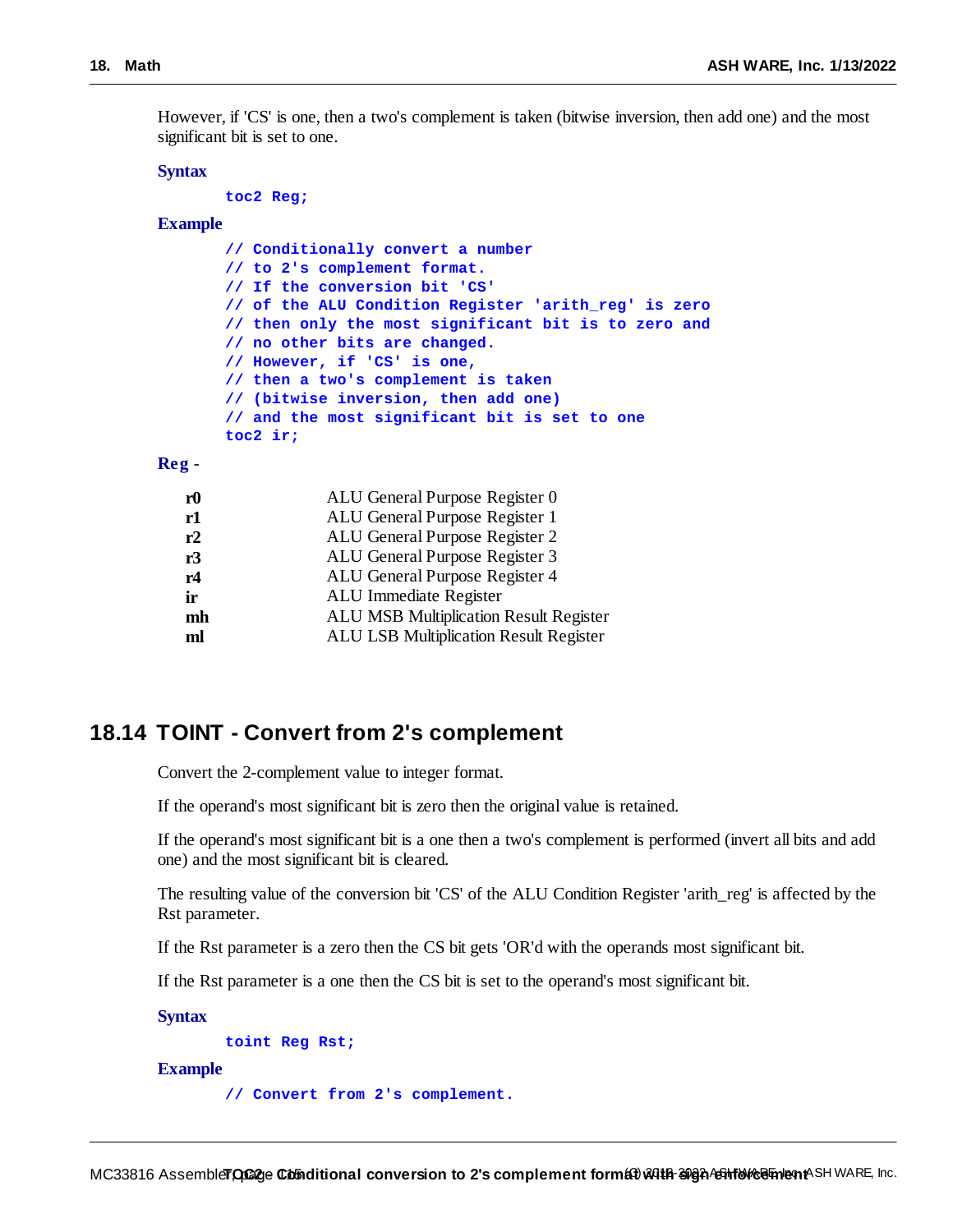However, if 'CS' is one, then a two's complement is taken (bitwise inversion, then add one) and the most significant bit is set to one.

#### **Syntax**

**toc2 Reg;**

## **Example**

| // Conditionally convert a number                    |
|------------------------------------------------------|
| // to 2's complement format.                         |
| // If the conversion bit 'CS'                        |
| // of the ALU Condition Register 'arith reg' is zero |
| // then only the most significant bit is to zero and |
| // no other bits are changed.                        |
| // However, if 'CS' is one,                          |
| // then a two's complement is taken                  |
| // (bitwise inversion, then add one)                 |
| // and the most significant bit is set to one        |
| toc2 ir;                                             |

#### **Reg** -

| r0 | ALU General Purpose Register 0                |
|----|-----------------------------------------------|
| r1 | ALU General Purpose Register 1                |
| r2 | ALU General Purpose Register 2                |
| r3 | ALU General Purpose Register 3                |
| r4 | ALU General Purpose Register 4                |
| ir | ALU Immediate Register                        |
| mh | <b>ALU MSB Multiplication Result Register</b> |
| ml | <b>ALU LSB Multiplication Result Register</b> |
|    |                                               |

# **18.14 TOINT - Convert from 2's complement**

Convert the 2-complement value to integer format.

If the operand's most significant bit is zero then the original value is retained.

If the operand's most significant bit is a one then a two's complement is performed (invert all bits and add one) and the most significant bit is cleared.

The resulting value of the conversion bit 'CS' of the ALU Condition Register 'arith\_reg' is affected by the Rst parameter.

If the Rst parameter is a zero then the CS bit gets 'OR'd with the operands most significant bit.

If the Rst parameter is a one then the CS bit is set to the operand's most significant bit.

**Syntax**

**toint Reg Rst;**

### **Example**

**// Convert from 2's complement.**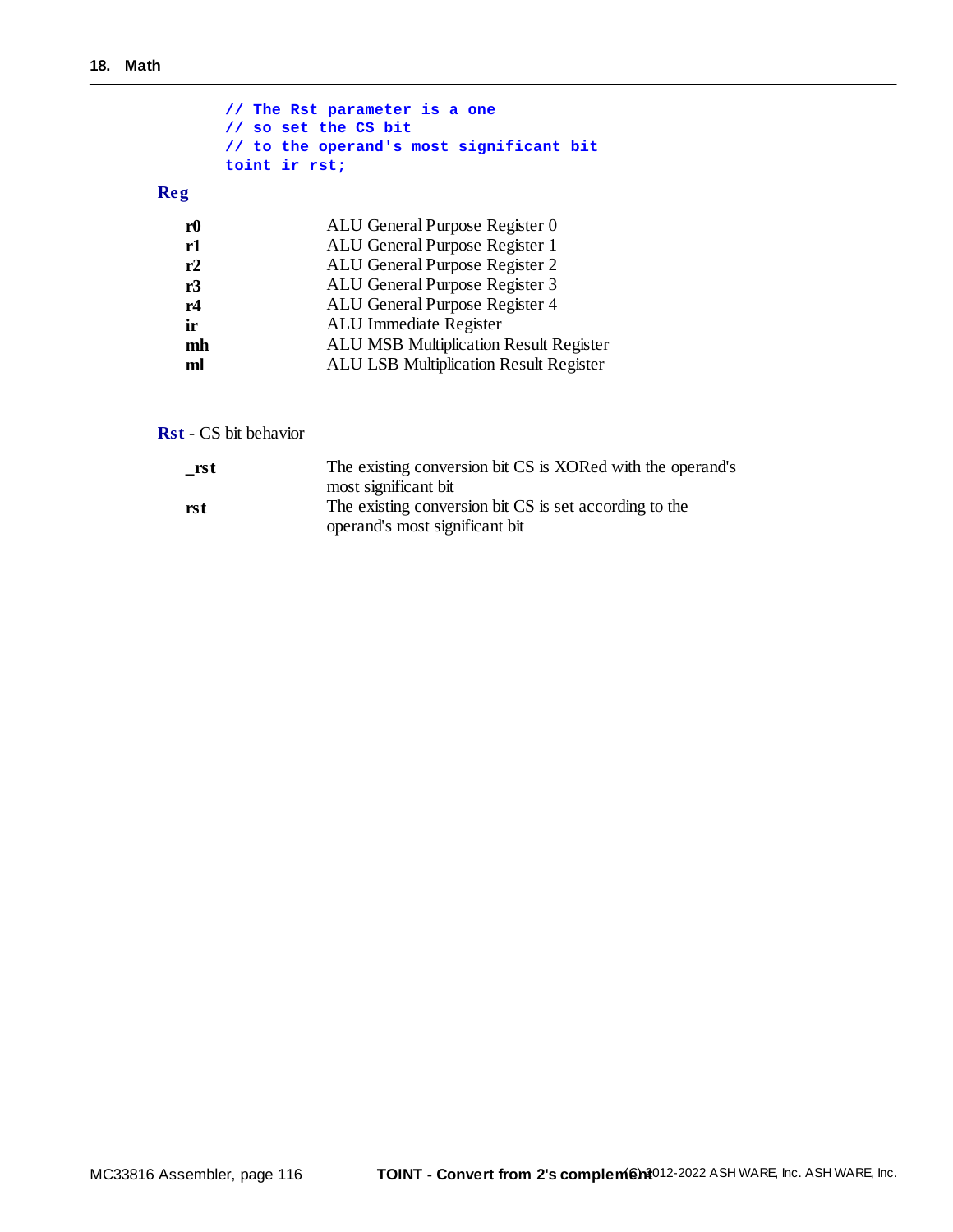|                | // The Rst parameter is a one<br>// so set the CS bit<br>// to the operand's most significant bit<br>toint ir rst; |
|----------------|--------------------------------------------------------------------------------------------------------------------|
| Reg            |                                                                                                                    |
| r <sub>0</sub> | ALU General Purpose Register 0                                                                                     |
| r1             | ALU General Purpose Register 1                                                                                     |
| r2             | ALU General Purpose Register 2                                                                                     |
| r3             | ALU General Purpose Register 3                                                                                     |
| r4             | ALU General Purpose Register 4                                                                                     |
| ir             | ALU Immediate Register                                                                                             |
| mh             | <b>ALU MSB Multiplication Result Register</b>                                                                      |
| ml             | <b>ALU LSB Multiplication Result Register</b>                                                                      |

**Rst** - CS bit behavior

| rst | The existing conversion bit CS is XORed with the operand's |
|-----|------------------------------------------------------------|
|     | most significant bit                                       |
| rst | The existing conversion bit CS is set according to the     |
|     | operand's most significant bit                             |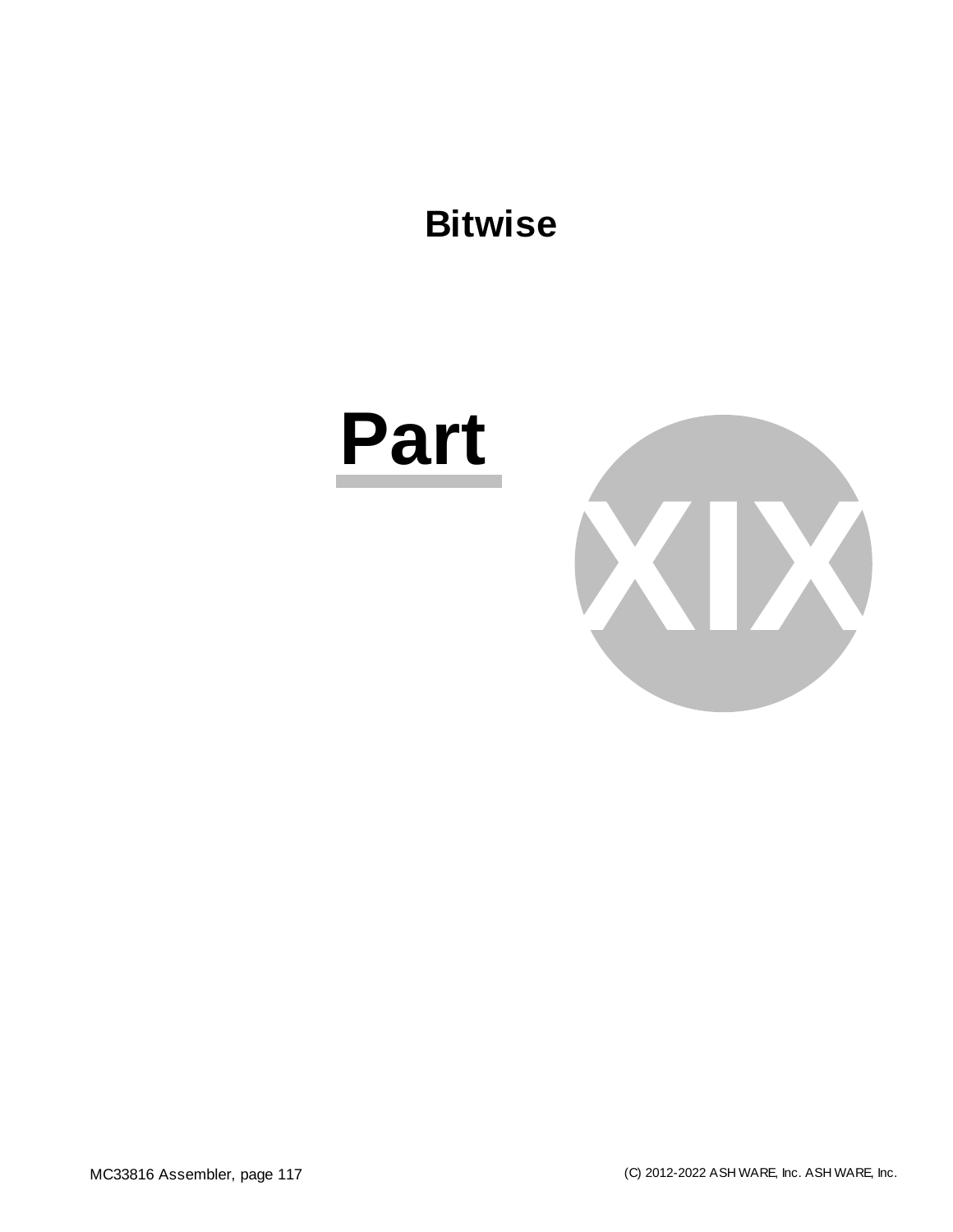# **Bitwise**

# **Part**

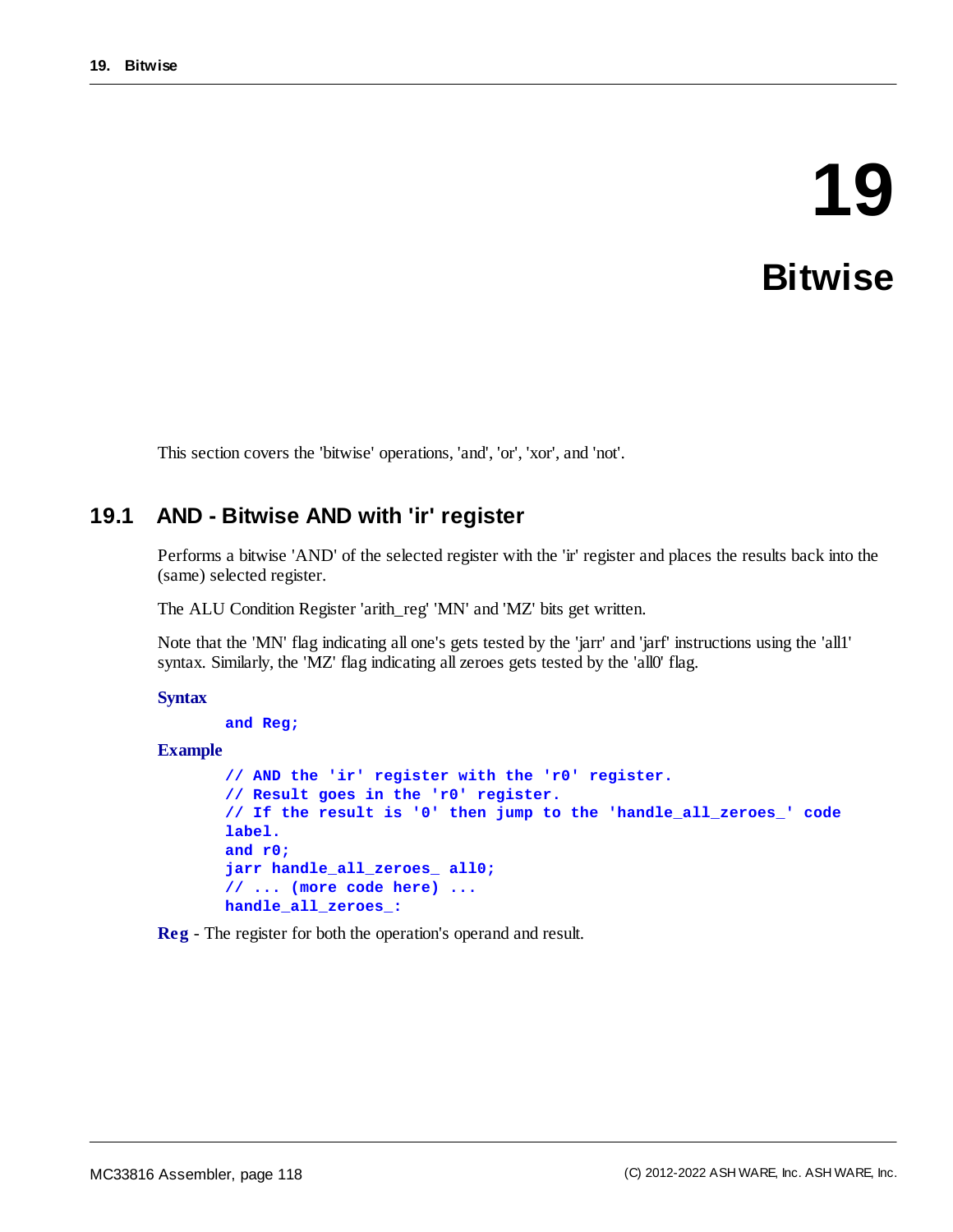# **19 Bitwise**

This section covers the 'bitwise' operations, 'and', 'or', 'xor', and 'not'.

# **19.1 AND - Bitwise AND with 'ir' register**

Performs a bitwise 'AND' of the selected register with the 'ir' register and places the results back into the (same) selected register.

The ALU Condition Register 'arith\_reg' 'MN' and 'MZ' bits get written.

Note that the 'MN' flag indicating all one's gets tested by the 'jarr' and 'jarf' instructions using the 'all1' syntax. Similarly, the 'MZ' flag indicating all zeroes gets tested by the 'all0' flag.

### **Syntax**

```
and Reg;
```
**Example**

```
// AND the 'ir' register with the 'r0' register.
// Result goes in the 'r0' register.
// If the result is '0' then jump to the 'handle_all_zeroes_' code
label.
and r0;
jarr handle_all_zeroes_ all0;
// ... (more code here) ...
handle_all_zeroes_:
```
**Reg** - The register for both the operation's operand and result.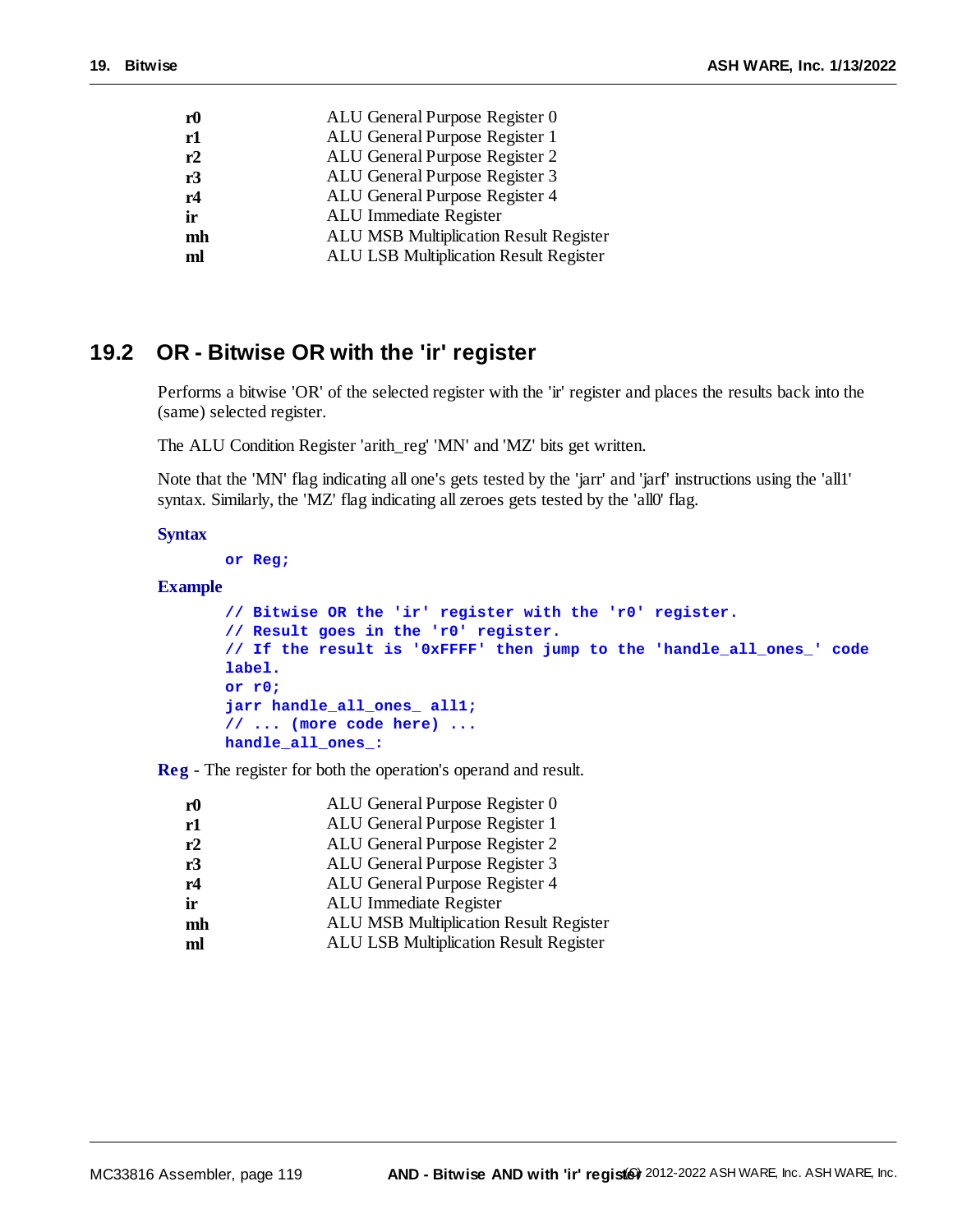| ${\bf r0}$ | ALU General Purpose Register 0                |
|------------|-----------------------------------------------|
| r1         | ALU General Purpose Register 1                |
| r2         | ALU General Purpose Register 2                |
| r3         | ALU General Purpose Register 3                |
| r4         | ALU General Purpose Register 4                |
| ir         | ALU Immediate Register                        |
| mh         | <b>ALU MSB Multiplication Result Register</b> |
| ml         | <b>ALU LSB Multiplication Result Register</b> |
|            |                                               |

# **19.2 OR - Bitwise OR with the 'ir' register**

Performs a bitwise 'OR' of the selected register with the 'ir' register and places the results back into the (same) selected register.

The ALU Condition Register 'arith\_reg' 'MN' and 'MZ' bits get written.

Note that the 'MN' flag indicating all one's gets tested by the 'jarr' and 'jarf' instructions using the 'all1' syntax. Similarly, the 'MZ' flag indicating all zeroes gets tested by the 'all0' flag.

# **Syntax**

**or Reg;**

# **Example**

```
// Bitwise OR the 'ir' register with the 'r0' register.
// Result goes in the 'r0' register.
// If the result is '0xFFFF' then jump to the 'handle_all_ones_' code
label.
or r0;
jarr handle_all_ones_ all1;
// ... (more code here) ...
handle_all_ones_:
```
**Reg** - The register for both the operation's operand and result.

| r0 | ALU General Purpose Register 0                |
|----|-----------------------------------------------|
| r1 | ALU General Purpose Register 1                |
| r2 | ALU General Purpose Register 2                |
| r3 | ALU General Purpose Register 3                |
| r4 | ALU General Purpose Register 4                |
| ir | ALU Immediate Register                        |
| mh | <b>ALU MSB Multiplication Result Register</b> |
| ml | <b>ALU LSB Multiplication Result Register</b> |
|    |                                               |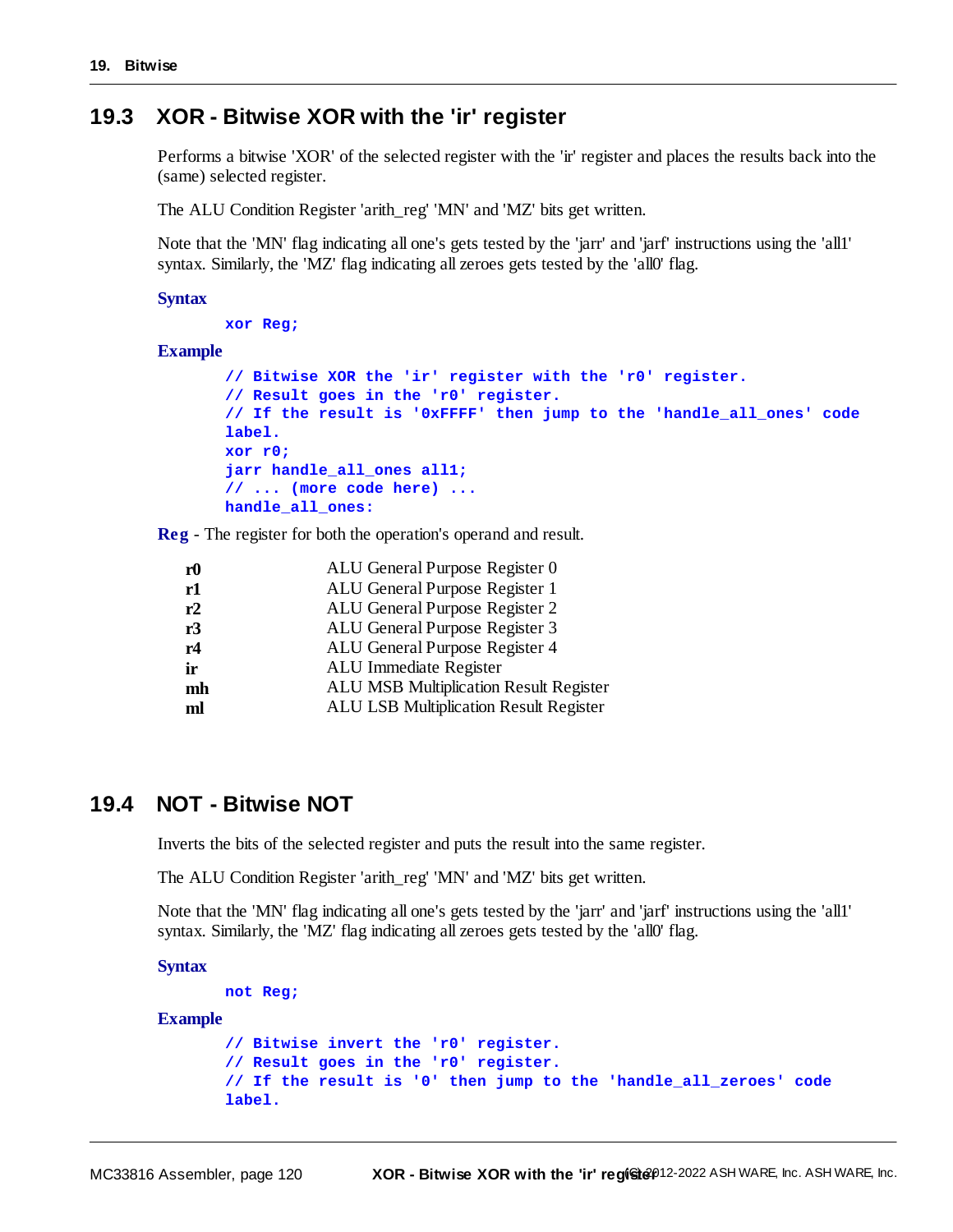# **19.3 XOR - Bitwise XOR with the 'ir' register**

Performs a bitwise 'XOR' of the selected register with the 'ir' register and places the results back into the (same) selected register.

The ALU Condition Register 'arith\_reg' 'MN' and 'MZ' bits get written.

Note that the 'MN' flag indicating all one's gets tested by the 'jarr' and 'jarf' instructions using the 'all1' syntax. Similarly, the 'MZ' flag indicating all zeroes gets tested by the 'all0' flag.

#### **Syntax**

```
xor Reg;
```
#### **Example**

```
// Bitwise XOR the 'ir' register with the 'r0' register.
// Result goes in the 'r0' register.
// If the result is '0xFFFF' then jump to the 'handle_all_ones' code
label.
xor r0;
jarr handle_all_ones all1;
// ... (more code here) ...
handle_all_ones:
```
**Reg** - The register for both the operation's operand and result.

| r <sub>0</sub> | ALU General Purpose Register 0                |
|----------------|-----------------------------------------------|
| r1             | ALU General Purpose Register 1                |
| r2             | ALU General Purpose Register 2                |
| r3             | ALU General Purpose Register 3                |
| r4             | ALU General Purpose Register 4                |
| ir             | ALU Immediate Register                        |
| mh             | <b>ALU MSB Multiplication Result Register</b> |
| ml             | ALU LSB Multiplication Result Register        |
|                |                                               |

# **19.4 NOT - Bitwise NOT**

Inverts the bits of the selected register and puts the result into the same register.

The ALU Condition Register 'arith\_reg' 'MN' and 'MZ' bits get written.

Note that the 'MN' flag indicating all one's gets tested by the 'jarr' and 'jarf' instructions using the 'all1' syntax. Similarly, the 'MZ' flag indicating all zeroes gets tested by the 'all0' flag.

**Syntax**

```
not Reg;
```
#### **Example**

```
// Bitwise invert the 'r0' register.
// Result goes in the 'r0' register.
// If the result is '0' then jump to the 'handle_all_zeroes' code
label.
```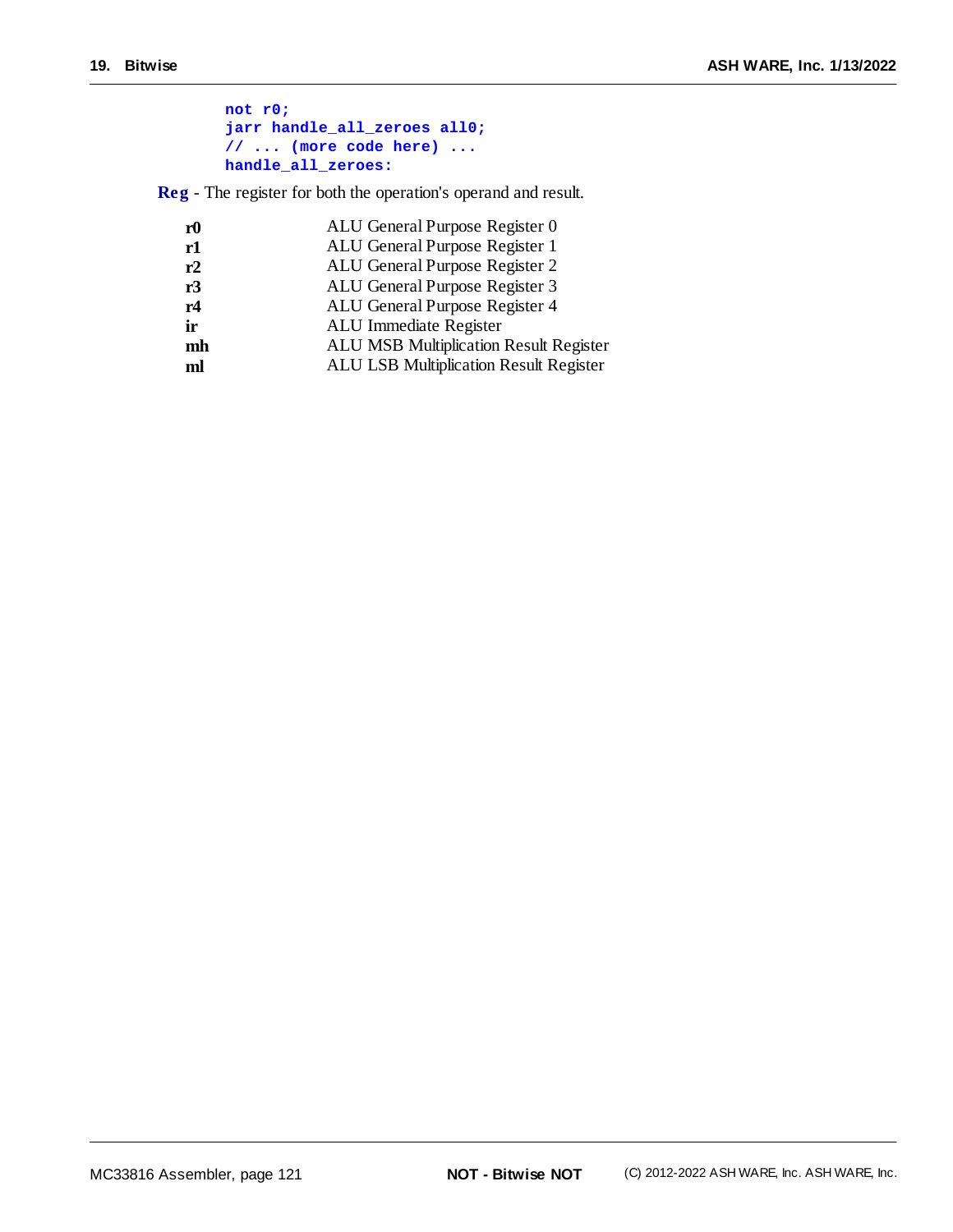| not r0:                             |
|-------------------------------------|
| jarr handle all zeroes all0;        |
| $// \dots$ (more code here) $\dots$ |
| handle all zeroes:                  |

**Reg** - The register for both the operation's operand and result.

| ALU General Purpose Register 0                |
|-----------------------------------------------|
| ALU General Purpose Register 1                |
| ALU General Purpose Register 2                |
| ALU General Purpose Register 3                |
| ALU General Purpose Register 4                |
| ALU Immediate Register                        |
| <b>ALU MSB Multiplication Result Register</b> |
| <b>ALU LSB Multiplication Result Register</b> |
|                                               |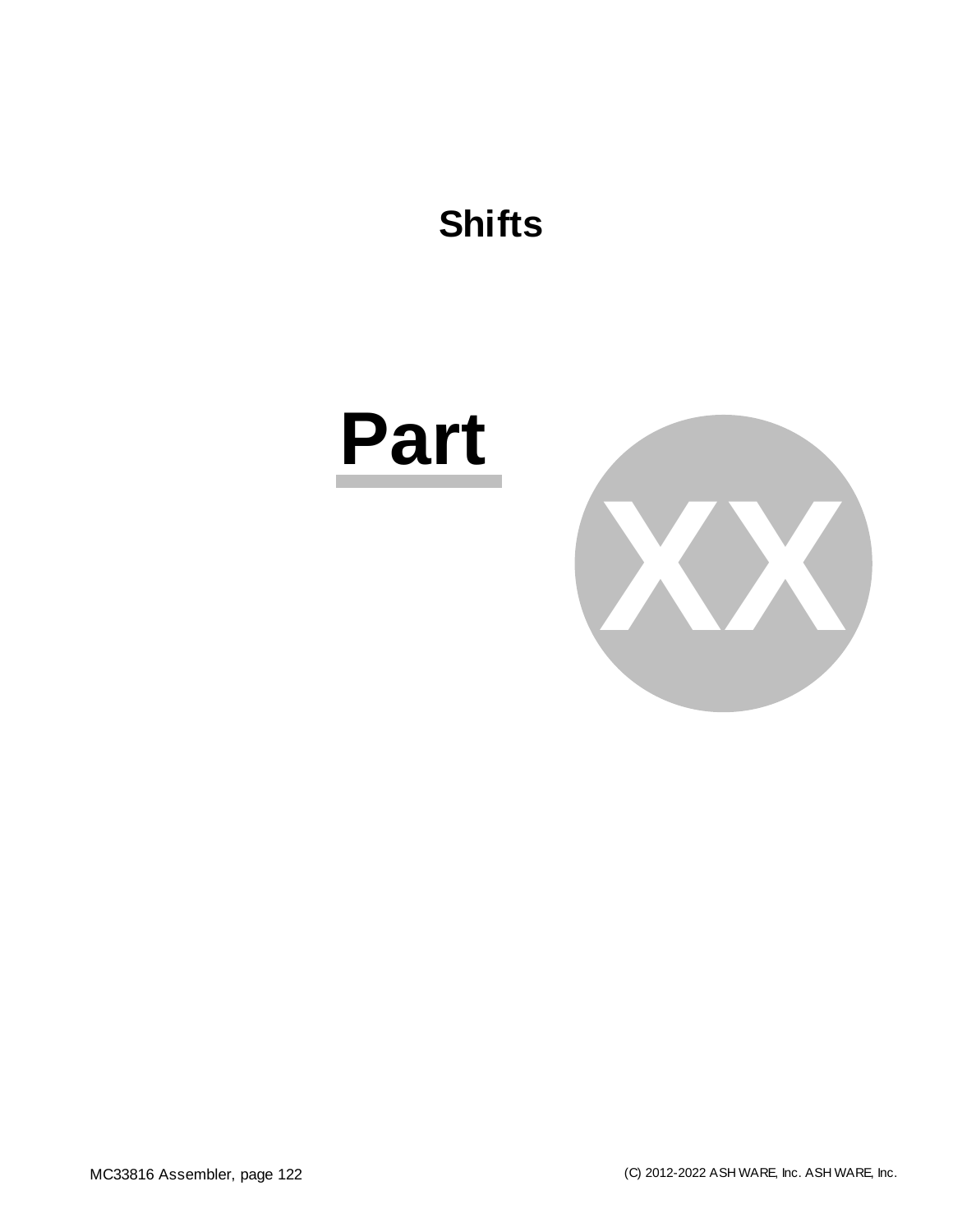



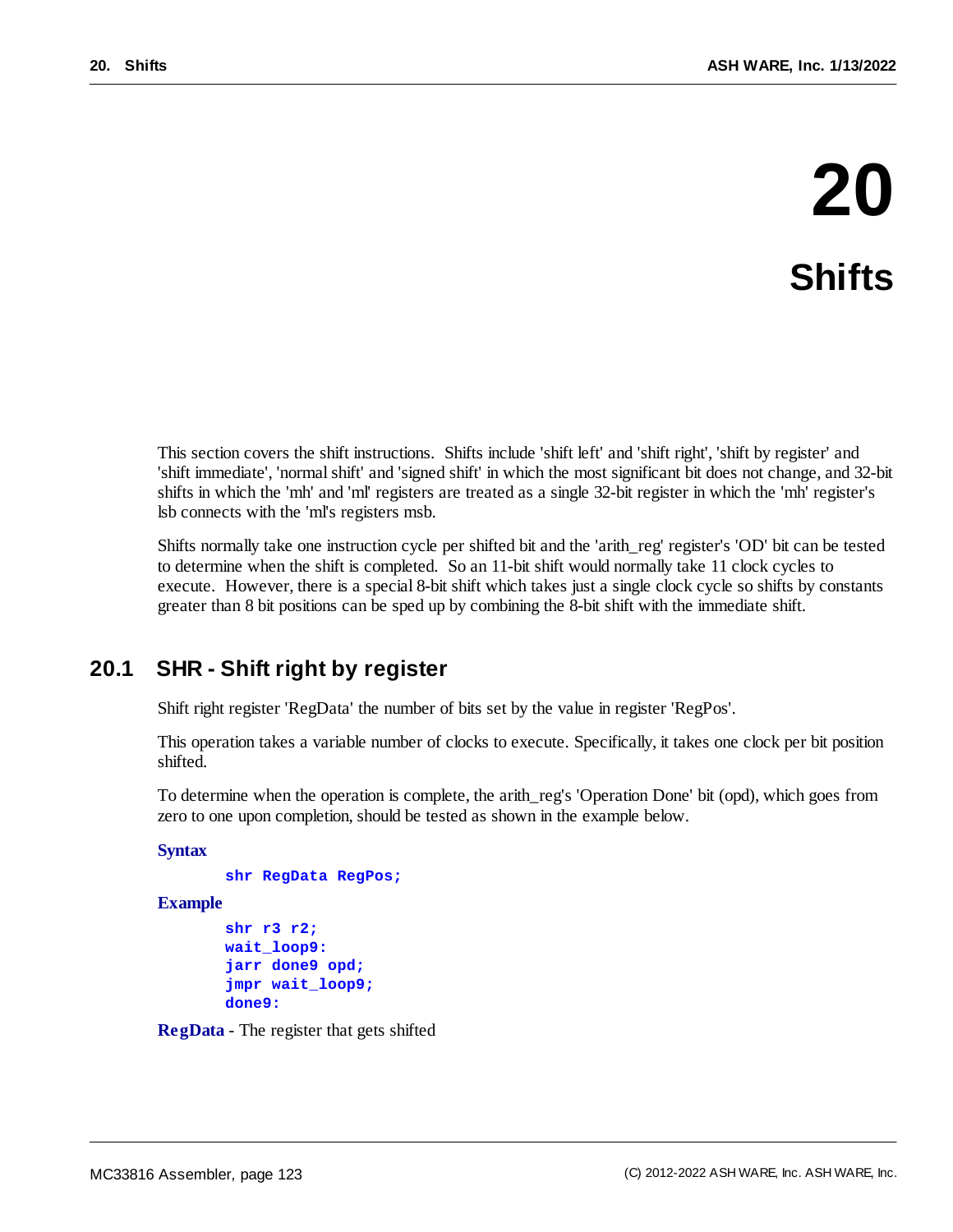# **20 Shifts**

This section covers the shift instructions. Shifts include 'shift left' and 'shift right', 'shift by register' and 'shift immediate', 'normalshift' and 'signed shift' in which the most significant bit does not change, and 32-bit shifts in which the 'mh' and 'ml' registers are treated as a single 32-bit register in which the 'mh' register's lsb connects with the 'ml's registers msb.

Shifts normally take one instruction cycle per shifted bit and the 'arith\_reg' register's 'OD' bit can be tested to determine when the shift is completed. So an 11-bit shift would normally take 11 clock cycles to execute. However, there is a special 8-bit shift which takes just a single clock cycle so shifts by constants greater than 8 bit positions can be sped up by combining the 8-bit shift with the immediate shift.

# **20.1 SHR - Shift right by register**

Shift right register 'RegData' the number of bits set by the value in register 'RegPos'.

This operation takes a variable number of clocks to execute. Specifically, it takes one clock per bit position shifted.

To determine when the operation is complete, the arith\_reg's 'Operation Done' bit (opd), which goes from zero to one upon completion, should be tested as shown in the example below.

### **Syntax**

```
shr RegData RegPos;
```
### **Example**

```
shr r3 r2;
wait_loop9:
jarr done9 opd;
jmpr wait_loop9;
done9:
```
**RegData** - The register that gets shifted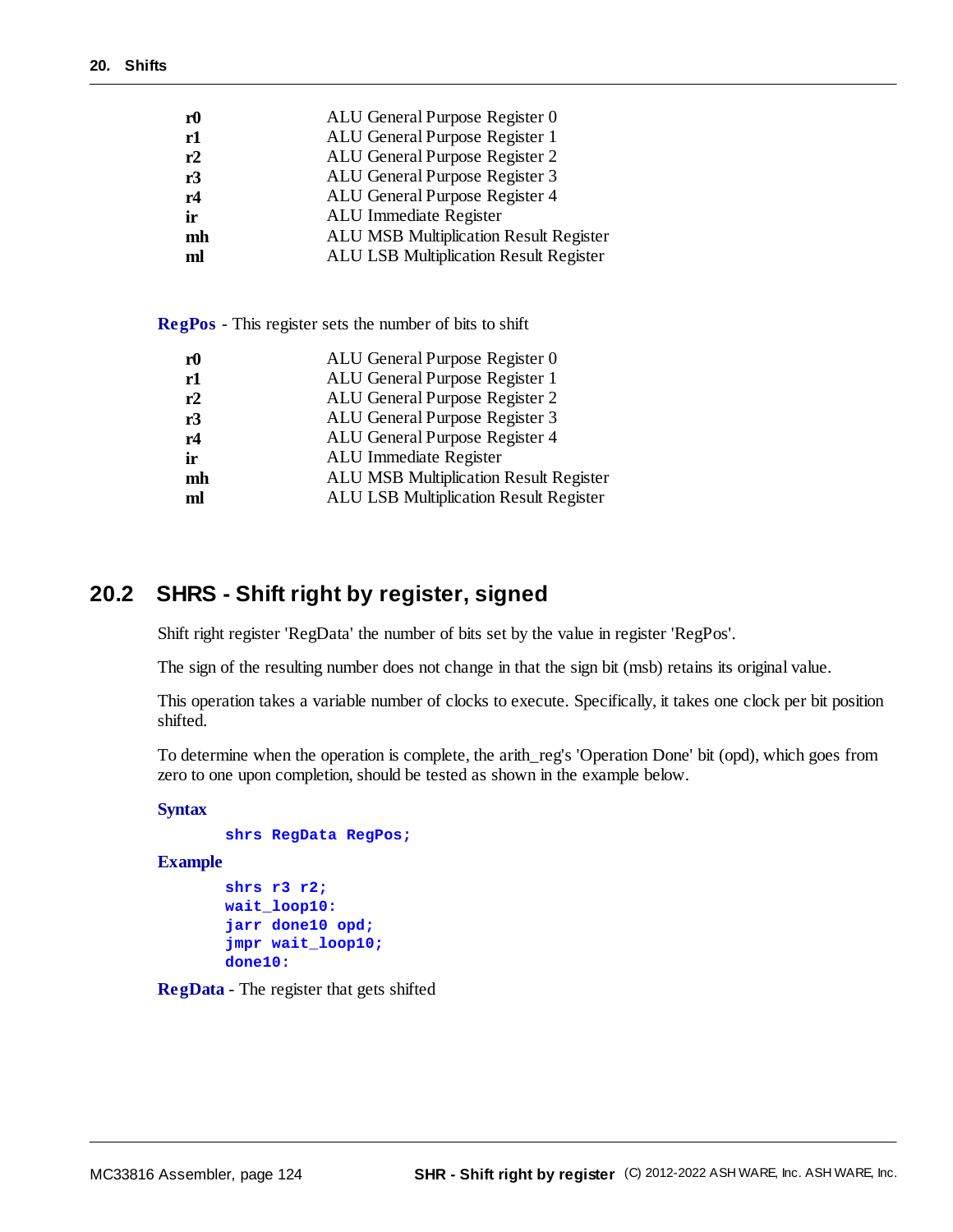| ${\bf r0}$ | ALU General Purpose Register 0                |
|------------|-----------------------------------------------|
| r1         | ALU General Purpose Register 1                |
| r2         | ALU General Purpose Register 2                |
| r3         | ALU General Purpose Register 3                |
| r4         | ALU General Purpose Register 4                |
| ir         | ALU Immediate Register                        |
| mh         | <b>ALU MSB Multiplication Result Register</b> |
| ml         | <b>ALU LSB Multiplication Result Register</b> |
|            |                                               |

**RegPos** - This register sets the number of bits to shift

| r <sub>0</sub> | ALU General Purpose Register 0                |
|----------------|-----------------------------------------------|
| r1             | ALU General Purpose Register 1                |
| r2             | ALU General Purpose Register 2                |
| r3             | ALU General Purpose Register 3                |
| r4             | ALU General Purpose Register 4                |
| ir             | ALU Immediate Register                        |
| mh             | <b>ALU MSB Multiplication Result Register</b> |
| ml             | <b>ALU LSB Multiplication Result Register</b> |
|                |                                               |

# **20.2 SHRS - Shift right by register, signed**

Shift right register 'RegData' the number of bits set by the value in register 'RegPos'.

The sign of the resulting number does not change in that the sign bit (msb) retains its original value.

This operation takes a variable number of clocks to execute. Specifically, it takes one clock per bit position shifted.

To determine when the operation is complete, the arith\_reg's 'Operation Done' bit (opd), which goes from zero to one upon completion, should be tested as shown in the example below.

# **Syntax**

```
shrs RegData RegPos;
```
### **Example**

```
shrs r3 r2;
wait_loop10:
jarr done10 opd;
jmpr wait_loop10;
done10:
```
**RegData** - The register that gets shifted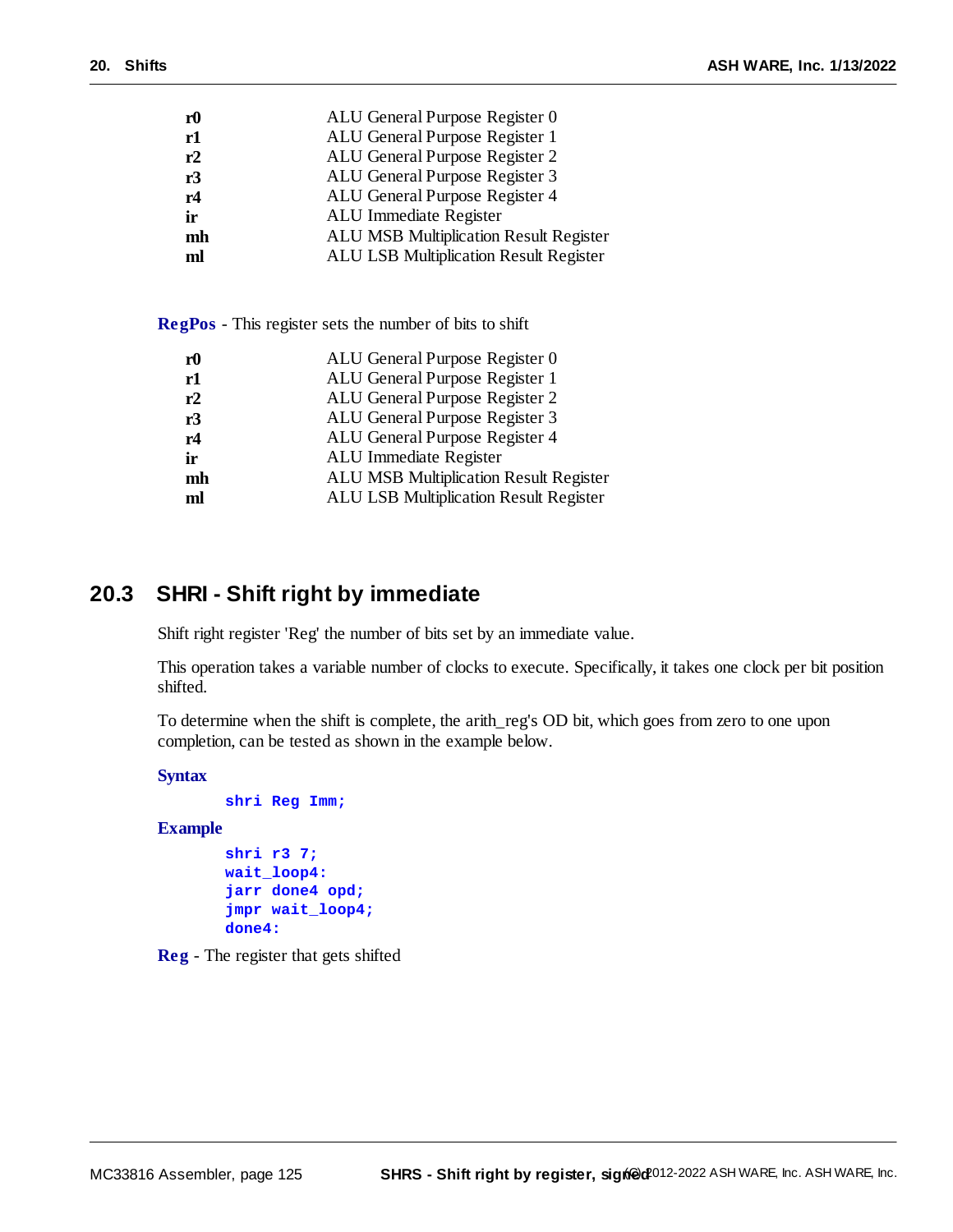| r <sub>0</sub> | ALU General Purpose Register 0                |
|----------------|-----------------------------------------------|
| r1             | ALU General Purpose Register 1                |
| r2             | ALU General Purpose Register 2                |
| r3             | ALU General Purpose Register 3                |
| r4             | ALU General Purpose Register 4                |
| ir             | ALU Immediate Register                        |
| mh             | <b>ALU MSB Multiplication Result Register</b> |
| ml             | <b>ALU LSB Multiplication Result Register</b> |
|                |                                               |

**RegPos** - This register sets the number of bits to shift

| r <sub>0</sub> | ALU General Purpose Register 0                |
|----------------|-----------------------------------------------|
| r1             | ALU General Purpose Register 1                |
| r2             | ALU General Purpose Register 2                |
| r3             | ALU General Purpose Register 3                |
| r4             | ALU General Purpose Register 4                |
| ir             | ALU Immediate Register                        |
| mh             | <b>ALU MSB Multiplication Result Register</b> |
| ml             | <b>ALU LSB Multiplication Result Register</b> |
|                |                                               |

# **20.3 SHRI - Shift right by immediate**

Shift right register 'Reg' the number of bits set by an immediate value.

This operation takes a variable number of clocks to execute. Specifically, it takes one clock per bit position shifted.

To determine when the shift is complete, the arith\_reg's OD bit, which goes from zero to one upon completion, can be tested as shown in the example below.

```
Syntax
```

```
shri Reg Imm;
Example
```

```
shri r3 7;
wait_loop4:
jarr done4 opd;
jmpr wait_loop4;
done4:
```
**Reg** - The register that gets shifted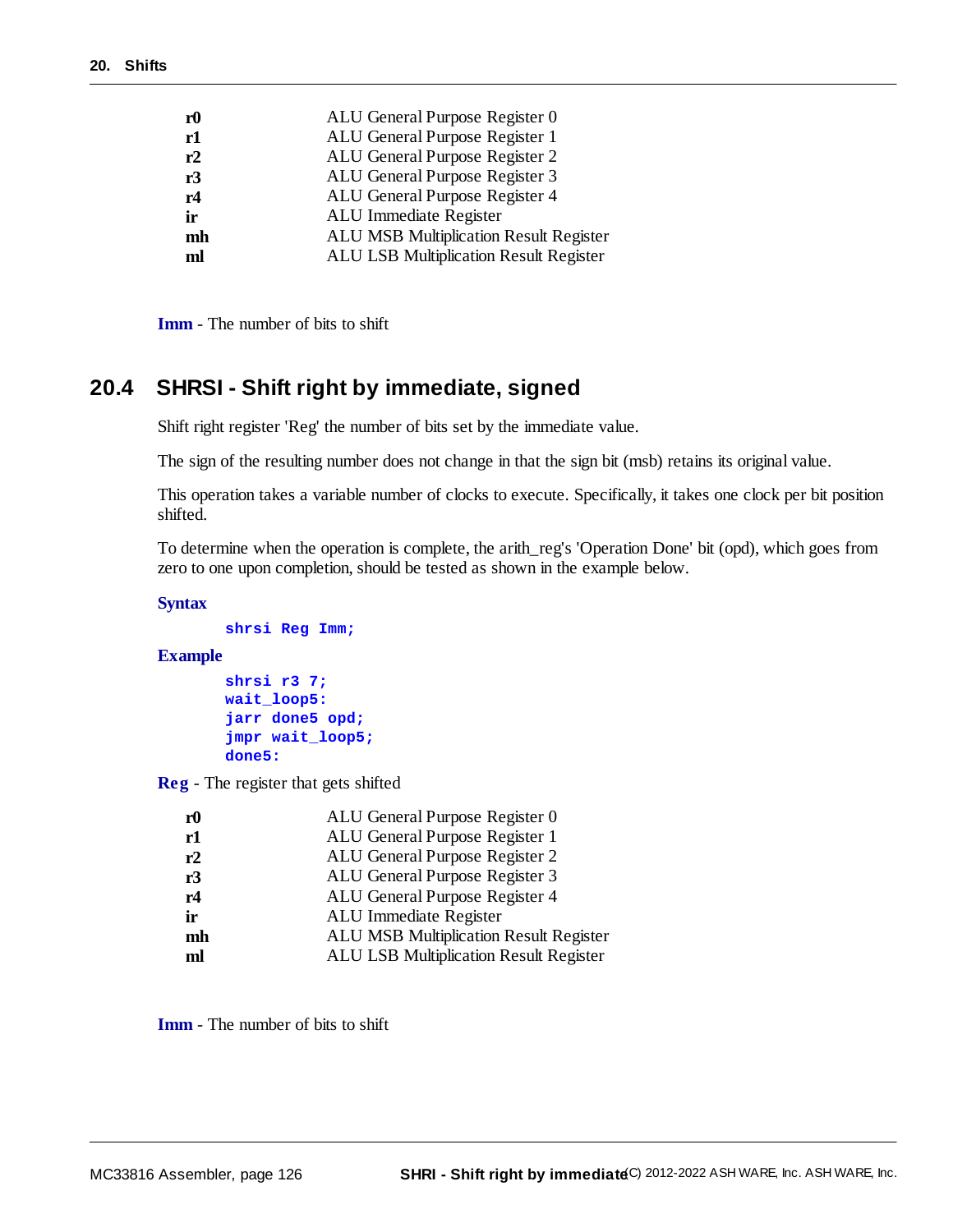| ${\bf r0}$ | ALU General Purpose Register 0                |
|------------|-----------------------------------------------|
| r1         | ALU General Purpose Register 1                |
| r2         | ALU General Purpose Register 2                |
| r3         | ALU General Purpose Register 3                |
| r4         | ALU General Purpose Register 4                |
| ir         | ALU Immediate Register                        |
| mh         | <b>ALU MSB Multiplication Result Register</b> |
| ml         | <b>ALU LSB Multiplication Result Register</b> |
|            |                                               |

**Imm** - The number of bits to shift

# **20.4 SHRSI - Shift right by immediate, signed**

Shift right register 'Reg' the number of bits set by the immediate value.

The sign of the resulting number does not change in that the sign bit (msb) retains its original value.

This operation takes a variable number of clocks to execute. Specifically, it takes one clock per bit position shifted.

To determine when the operation is complete, the arith\_reg's 'Operation Done' bit (opd), which goes from zero to one upon completion, should be tested as shown in the example below.

#### **Syntax**

```
shrsi Reg Imm;
```
#### **Example**

```
shrsi r3 7;
wait_loop5:
jarr done5 opd;
jmpr wait_loop5;
done5:
```
**Reg** - The register that gets shifted

| r <sub>0</sub> | ALU General Purpose Register 0                |
|----------------|-----------------------------------------------|
| r1             | ALU General Purpose Register 1                |
| r2             | ALU General Purpose Register 2                |
| r3             | ALU General Purpose Register 3                |
| r4             | ALU General Purpose Register 4                |
| ir             | ALU Immediate Register                        |
| mh             | <b>ALU MSB Multiplication Result Register</b> |
| ml             | ALU LSB Multiplication Result Register        |
|                |                                               |

**Imm** - The number of bits to shift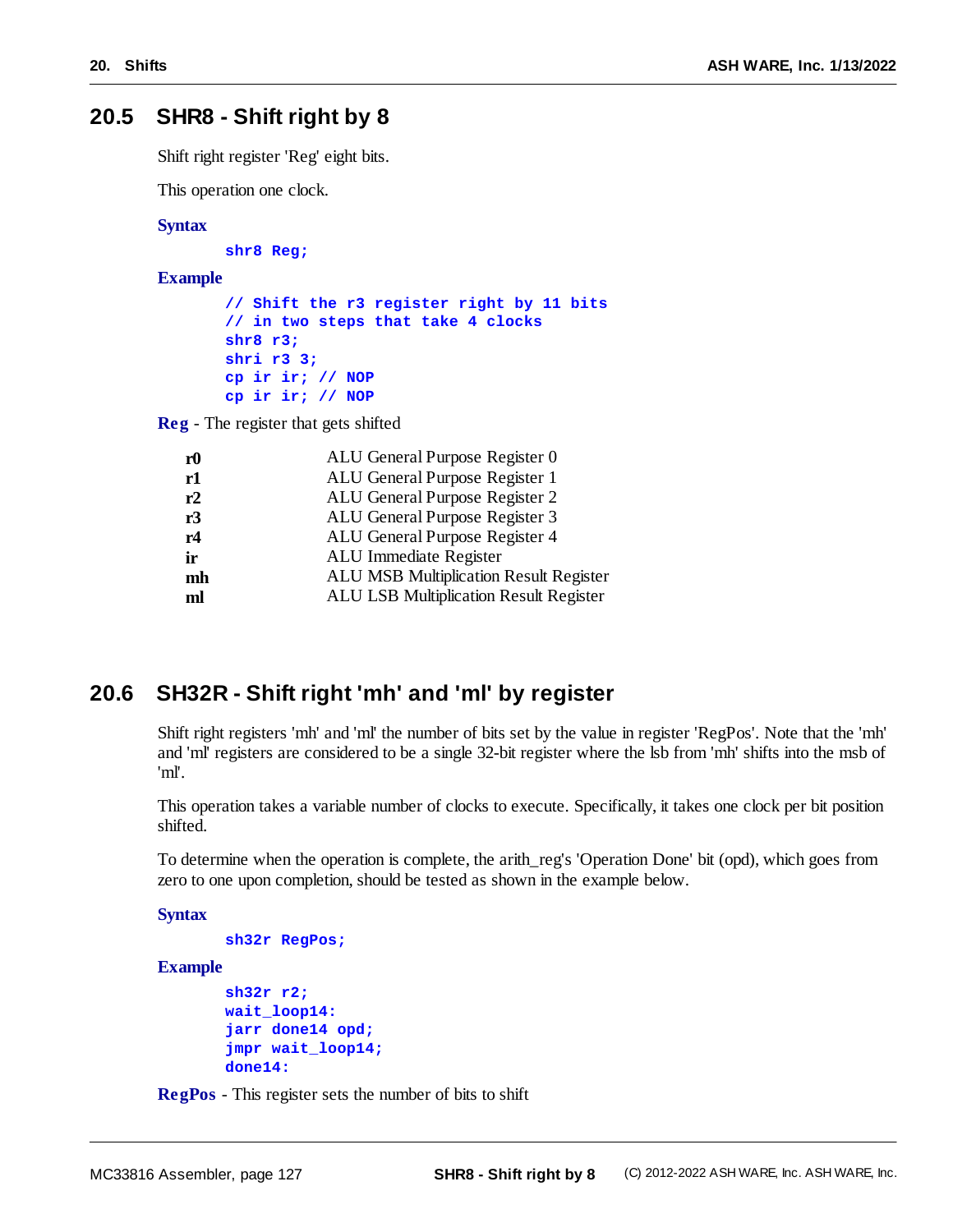# **20.5 SHR8 - Shift right by 8**

Shift right register 'Reg' eight bits.

This operation one clock.

#### **Syntax**

**shr8 Reg;**

#### **Example**

```
// Shift the r3 register right by 11 bits
// in two steps that take 4 clocks
shr8 r3;
shri r3 3;
cp ir ir; // NOP
cp ir ir; // NOP
```
**Reg** - The register that gets shifted

| r <sub>0</sub> | ALU General Purpose Register 0         |
|----------------|----------------------------------------|
| r1             | ALU General Purpose Register 1         |
| r2             | ALU General Purpose Register 2         |
| r3             | ALU General Purpose Register 3         |
| r4             | ALU General Purpose Register 4         |
| ir             | ALU Immediate Register                 |
| mh             | ALU MSB Multiplication Result Register |
| ml             | ALU LSB Multiplication Result Register |
|                |                                        |

# **20.6 SH32R - Shift right 'mh' and 'ml' by register**

Shift right registers 'mh' and 'ml' the number of bits set by the value in register 'RegPos'. Note that the 'mh' and 'ml' registers are considered to be a single 32-bit register where the lsb from 'mh' shifts into the msb of 'ml'.

This operation takes a variable number of clocks to execute. Specifically, it takes one clock per bit position shifted.

To determine when the operation is complete, the arith\_reg's 'Operation Done' bit (opd), which goes from zero to one upon completion, should be tested as shown in the example below.

#### **Syntax**

```
sh32r RegPos;
```
#### **Example**

```
sh32r r2;
wait_loop14:
jarr done14 opd;
jmpr wait_loop14;
done14:
```
**RegPos** - This register sets the number of bits to shift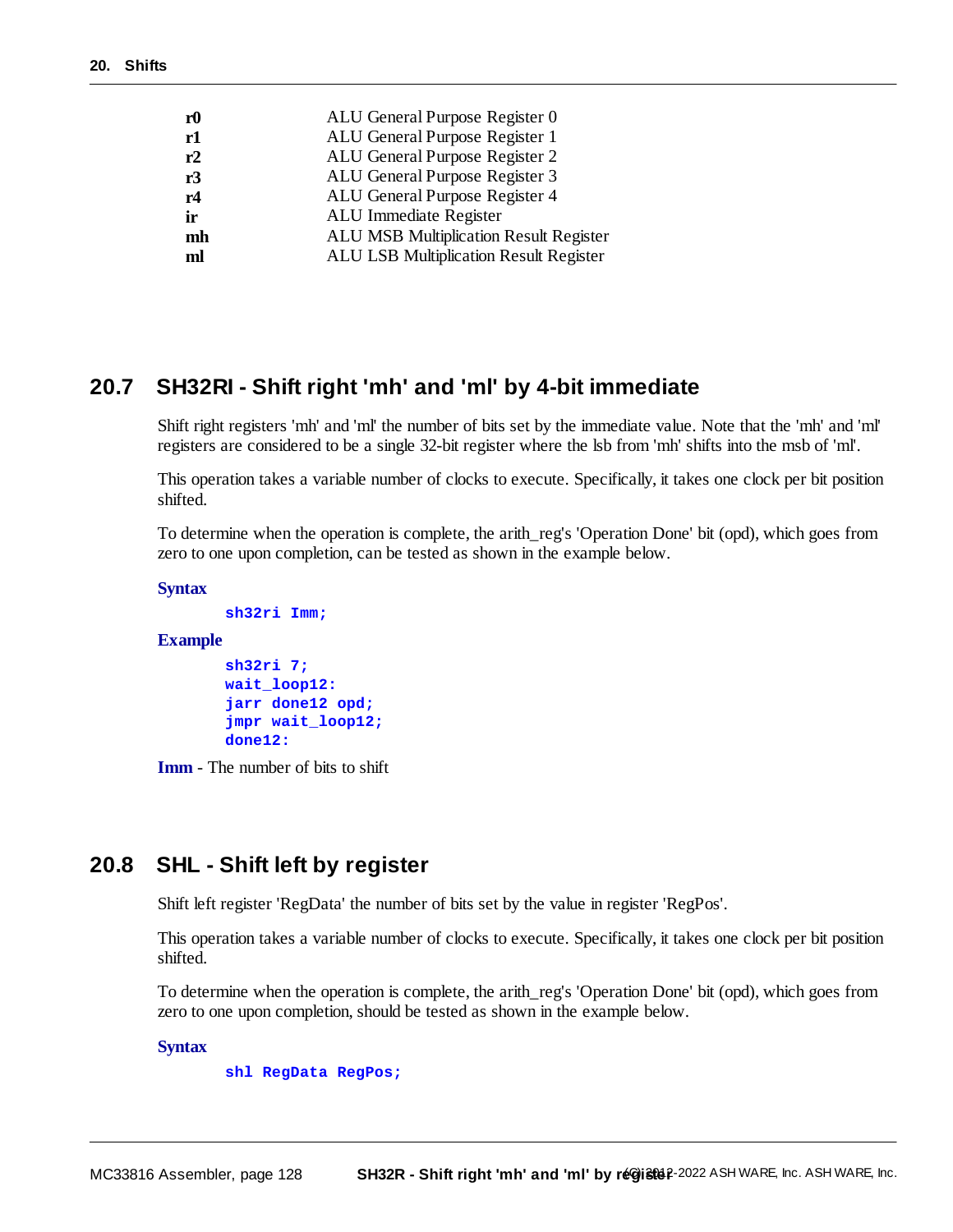| ${\bf r0}$ | ALU General Purpose Register 0                |
|------------|-----------------------------------------------|
| r1         | ALU General Purpose Register 1                |
| r2         | ALU General Purpose Register 2                |
| r3         | ALU General Purpose Register 3                |
| r4         | ALU General Purpose Register 4                |
| ir         | ALU Immediate Register                        |
| mh         | <b>ALU MSB Multiplication Result Register</b> |
| ml         | <b>ALU LSB Multiplication Result Register</b> |
|            |                                               |

# **20.7 SH32RI - Shift right 'mh' and 'ml' by 4-bit immediate**

Shift right registers 'mh' and 'ml' the number of bits set by the immediate value. Note that the 'mh' and 'ml' registers are considered to be a single 32-bit register where the lsb from 'mh' shifts into the msb of 'ml'.

This operation takes a variable number of clocks to execute. Specifically, it takes one clock per bit position shifted.

To determine when the operation is complete, the arith\_reg's 'Operation Done' bit (opd), which goes from zero to one upon completion, can be tested as shown in the example below.

**Syntax**

```
sh32ri Imm;
```
#### **Example**

```
sh32ri 7;
wait_loop12:
jarr done12 opd;
jmpr wait_loop12;
done12:
```
**Imm** - The number of bits to shift

# **20.8 SHL - Shift left by register**

Shift left register 'RegData' the number of bits set by the value in register 'RegPos'.

This operation takes a variable number of clocks to execute. Specifically, it takes one clock per bit position shifted.

To determine when the operation is complete, the arith\_reg's 'Operation Done' bit (opd), which goes from zero to one upon completion, should be tested as shown in the example below.

**Syntax**

**shl RegData RegPos;**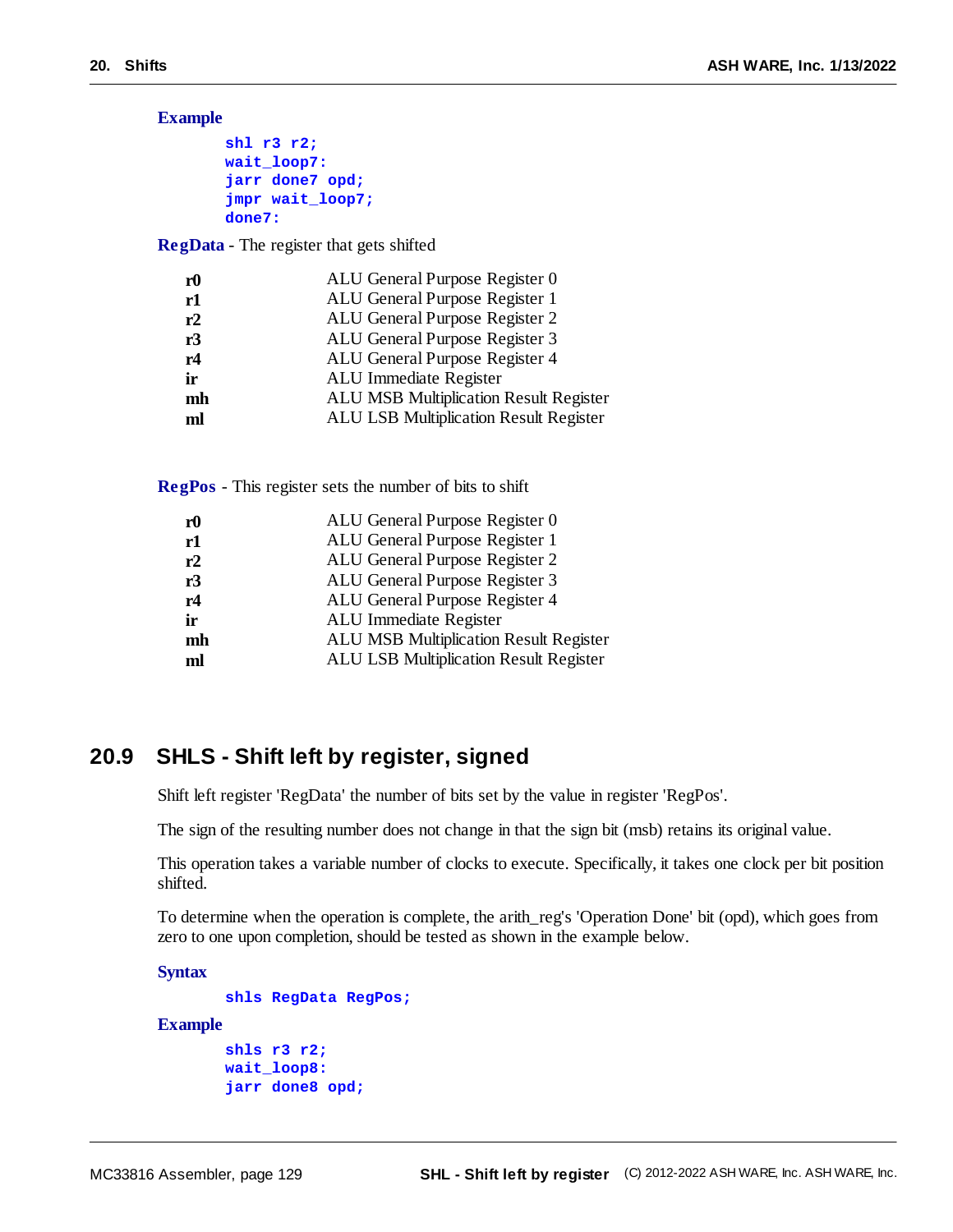**Example**

```
shl r3 r2;
wait_loop7:
jarr done7 opd;
jmpr wait_loop7;
done7:
```
**RegData** - The register that gets shifted

| r <sub>0</sub> | ALU General Purpose Register 0         |
|----------------|----------------------------------------|
| r1             | ALU General Purpose Register 1         |
| r2             | ALU General Purpose Register 2         |
| r3             | ALU General Purpose Register 3         |
| r4             | ALU General Purpose Register 4         |
| ir             | ALU Immediate Register                 |
| mh             | ALU MSB Multiplication Result Register |
| ml             | ALU LSB Multiplication Result Register |
|                |                                        |

**RegPos** - This register sets the number of bits to shift

| r0 | ALU General Purpose Register 0                |
|----|-----------------------------------------------|
| r1 | ALU General Purpose Register 1                |
| r2 | ALU General Purpose Register 2                |
| r3 | ALU General Purpose Register 3                |
| r4 | ALU General Purpose Register 4                |
| ir | ALU Immediate Register                        |
| mh | <b>ALU MSB Multiplication Result Register</b> |
| ml | <b>ALU LSB Multiplication Result Register</b> |

# **20.9 SHLS - Shift left by register, signed**

Shift left register 'RegData' the number of bits set by the value in register 'RegPos'.

The sign of the resulting number does not change in that the sign bit (msb) retains its original value.

This operation takes a variable number of clocks to execute. Specifically, it takes one clock per bit position shifted.

To determine when the operation is complete, the arith\_reg's 'Operation Done' bit (opd), which goes from zero to one upon completion, should be tested as shown in the example below.

**Syntax**

```
shls RegData RegPos;
Example
       shls r3 r2;
       wait_loop8:
```

```
jarr done8 opd;
```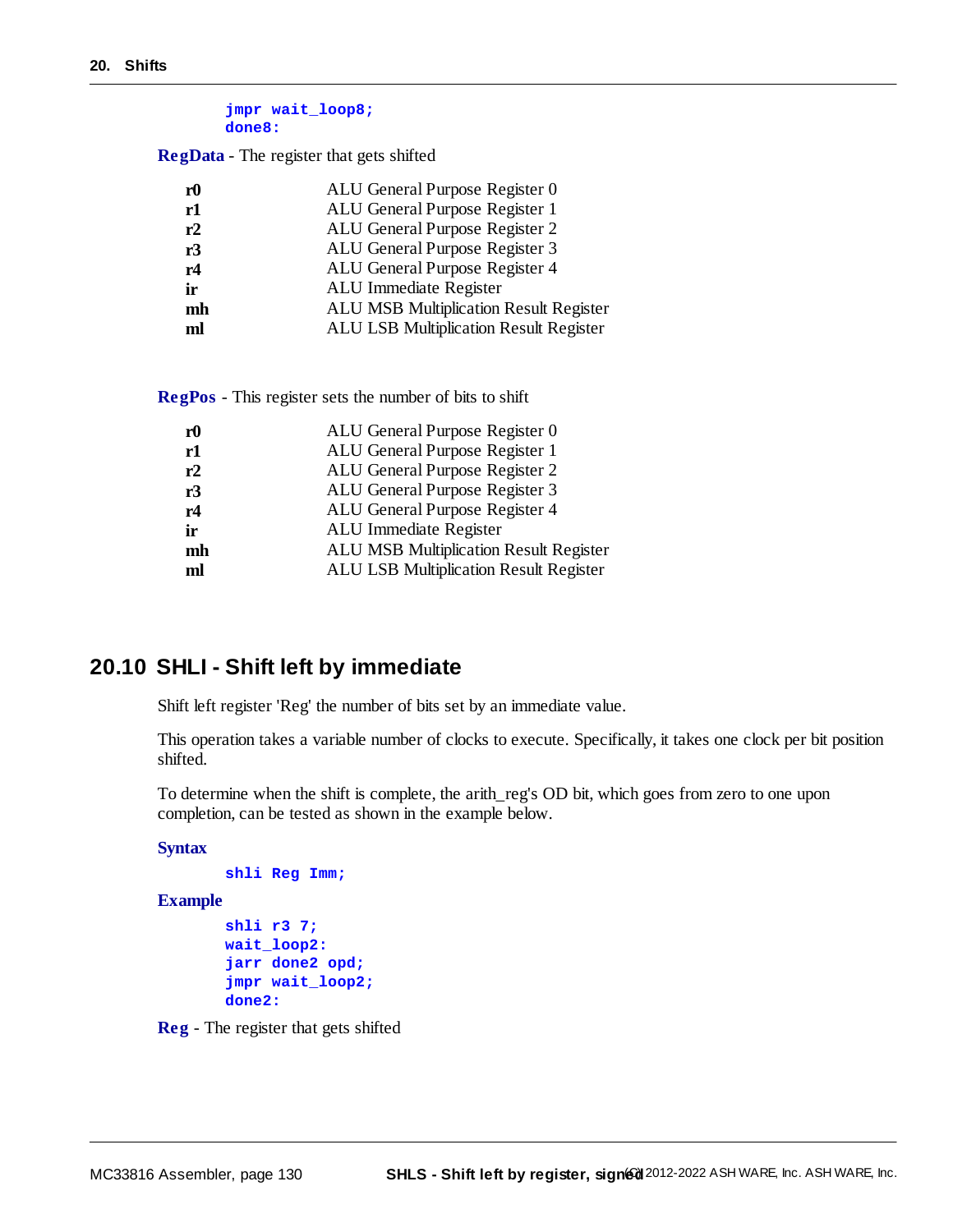```
jmpr wait_loop8;
done8:
```
**RegData** - The register that gets shifted

| r <sub>0</sub> | ALU General Purpose Register 0                |
|----------------|-----------------------------------------------|
| r1             | ALU General Purpose Register 1                |
| r2             | ALU General Purpose Register 2                |
| r3             | ALU General Purpose Register 3                |
| r4             | ALU General Purpose Register 4                |
| ir             | ALU Immediate Register                        |
| mh             | <b>ALU MSB Multiplication Result Register</b> |
| ml             | <b>ALU LSB Multiplication Result Register</b> |

**RegPos** - This register sets the number of bits to shift

| ${\bf r0}$ | ALU General Purpose Register 0                |
|------------|-----------------------------------------------|
| r1         | ALU General Purpose Register 1                |
| r2         | ALU General Purpose Register 2                |
| r3         | ALU General Purpose Register 3                |
| r4         | ALU General Purpose Register 4                |
| ir         | ALU Immediate Register                        |
| mh         | <b>ALU MSB Multiplication Result Register</b> |
| ml         | <b>ALU LSB Multiplication Result Register</b> |
|            |                                               |

# **20.10 SHLI - Shift left by immediate**

Shift left register 'Reg' the number of bits set by an immediate value.

This operation takes a variable number of clocks to execute. Specifically, it takes one clock per bit position shifted.

To determine when the shift is complete, the arith\_reg's OD bit, which goes from zero to one upon completion, can be tested as shown in the example below.

```
Syntax
```

```
shli Reg Imm;
```
#### **Example**

```
shli r3 7;
wait_loop2:
jarr done2 opd;
jmpr wait_loop2;
done2:
```
**Reg** - The register that gets shifted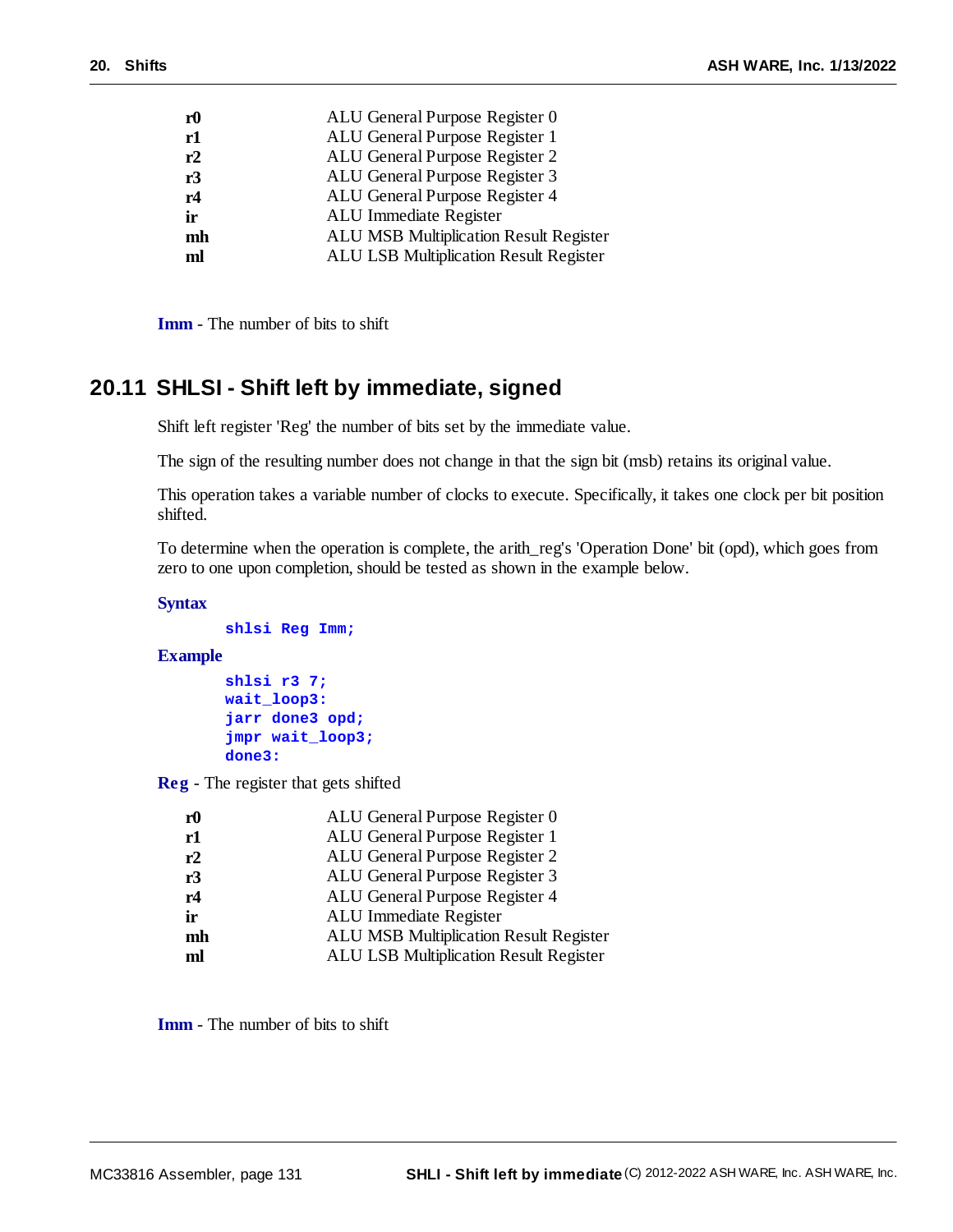| ${\bf r0}$ | ALU General Purpose Register 0                |
|------------|-----------------------------------------------|
| r1         | ALU General Purpose Register 1                |
| r2         | ALU General Purpose Register 2                |
| r3         | ALU General Purpose Register 3                |
| r4         | ALU General Purpose Register 4                |
| ir         | ALU Immediate Register                        |
| mh         | <b>ALU MSB Multiplication Result Register</b> |
| ml         | <b>ALU LSB Multiplication Result Register</b> |
|            |                                               |

**Imm** - The number of bits to shift

# **20.11 SHLSI - Shift left by immediate, signed**

Shift left register 'Reg' the number of bits set by the immediate value.

The sign of the resulting number does not change in that the sign bit (msb) retains its original value.

This operation takes a variable number of clocks to execute. Specifically, it takes one clock per bit position shifted.

To determine when the operation is complete, the arith\_reg's 'Operation Done' bit (opd), which goes from zero to one upon completion, should be tested as shown in the example below.

#### **Syntax**

```
shlsi Reg Imm;
```
#### **Example**

```
shlsi r3 7;
wait_loop3:
jarr done3 opd;
jmpr wait_loop3;
done3:
```
**Reg** - The register that gets shifted

| ${\bf r0}$ | ALU General Purpose Register 0                |
|------------|-----------------------------------------------|
| r1         | ALU General Purpose Register 1                |
| r2         | ALU General Purpose Register 2                |
| r3         | ALU General Purpose Register 3                |
| r4         | ALU General Purpose Register 4                |
| ir         | ALU Immediate Register                        |
| mh         | <b>ALU MSB Multiplication Result Register</b> |
| ml         | ALU LSB Multiplication Result Register        |
|            |                                               |

**Imm** - The number of bits to shift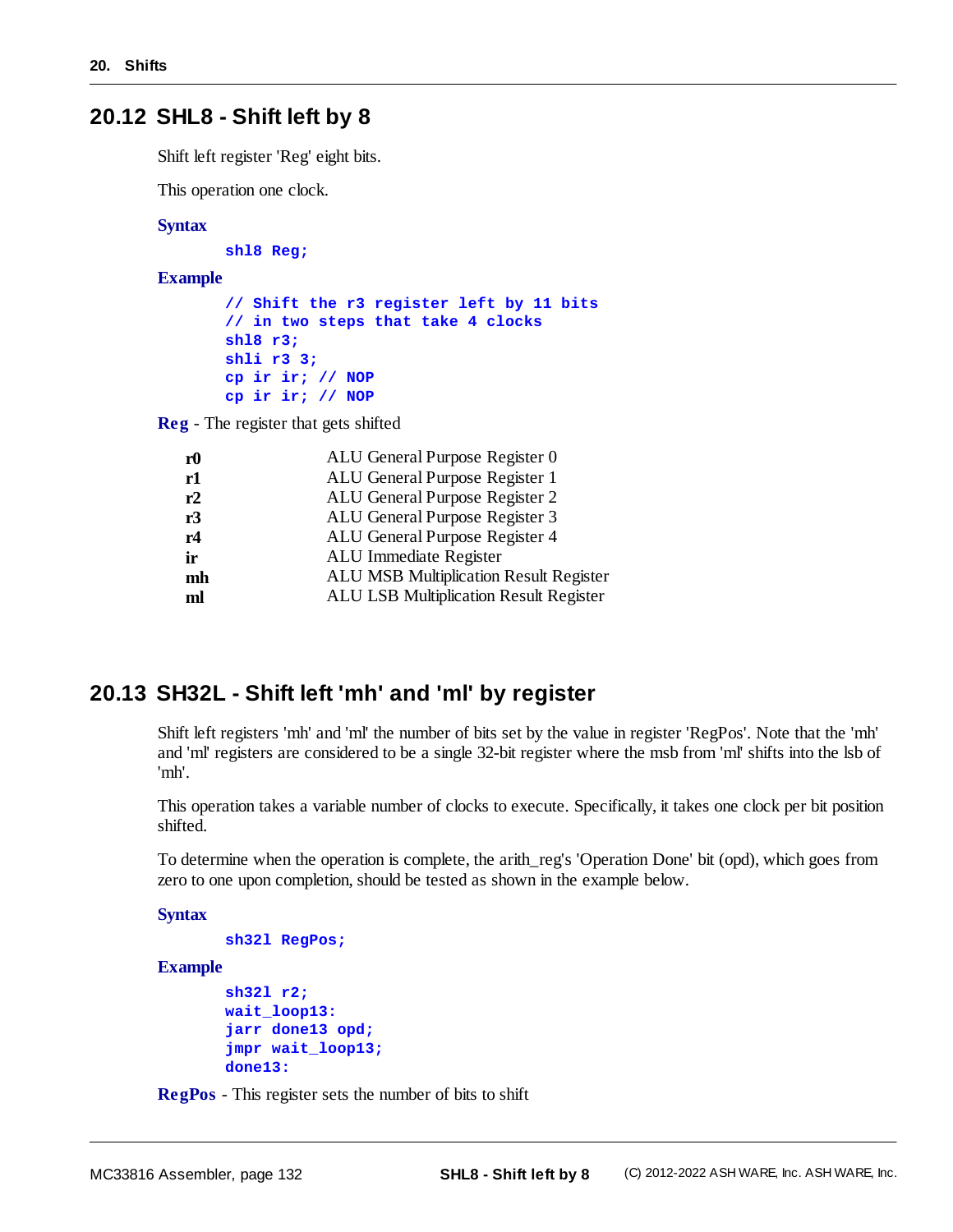# **20.12 SHL8 - Shift left by 8**

Shift left register 'Reg' eight bits.

This operation one clock.

#### **Syntax**

**shl8 Reg;**

**Example**

```
// Shift the r3 register left by 11 bits
// in two steps that take 4 clocks
shl8 r3;
shli r3 3;
cp ir ir; // NOP
cp ir ir; // NOP
```
**Reg** - The register that gets shifted

| r <sub>0</sub> | ALU General Purpose Register 0                |
|----------------|-----------------------------------------------|
| r1             | ALU General Purpose Register 1                |
| r2             | ALU General Purpose Register 2                |
| r3             | ALU General Purpose Register 3                |
| r4             | ALU General Purpose Register 4                |
| ir             | ALU Immediate Register                        |
| mh             | <b>ALU MSB Multiplication Result Register</b> |
| ml             | <b>ALU LSB Multiplication Result Register</b> |
|                |                                               |

# **20.13 SH32L - Shift left 'mh' and 'ml' by register**

Shift left registers 'mh' and 'ml' the number of bits set by the value in register 'RegPos'. Note that the 'mh' and 'ml' registers are considered to be a single 32-bit register where the msb from 'ml' shifts into the lsb of 'mh'.

This operation takes a variable number of clocks to execute. Specifically, it takes one clock per bit position shifted.

To determine when the operation is complete, the arith\_reg's 'Operation Done' bit (opd), which goes from zero to one upon completion, should be tested as shown in the example below.

**Syntax**

```
sh32l RegPos;
```
**Example**

```
sh32l r2;
wait_loop13:
jarr done13 opd;
jmpr wait_loop13;
done13:
```
**RegPos** - This register sets the number of bits to shift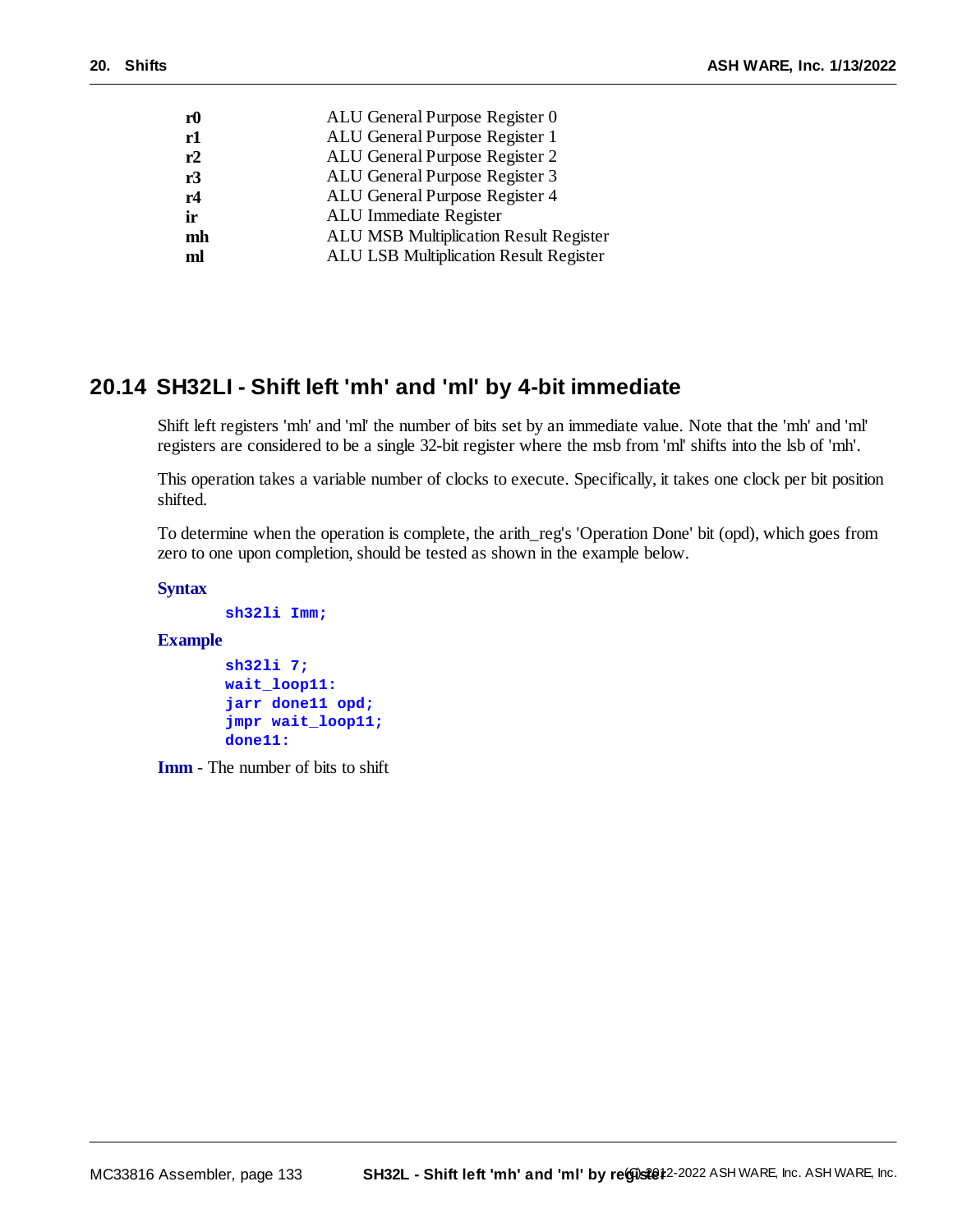| ${\bf r0}$ | ALU General Purpose Register 0                |
|------------|-----------------------------------------------|
| r1         | ALU General Purpose Register 1                |
| r2         | ALU General Purpose Register 2                |
| r3         | ALU General Purpose Register 3                |
| r4         | ALU General Purpose Register 4                |
| ir         | ALU Immediate Register                        |
| mh         | <b>ALU MSB Multiplication Result Register</b> |
| ml         | <b>ALU LSB Multiplication Result Register</b> |
|            |                                               |

# **20.14 SH32LI - Shift left 'mh' and 'ml' by 4-bit immediate**

Shift left registers 'mh' and 'ml' the number of bits set by an immediate value. Note that the 'mh' and 'ml' registers are considered to be a single 32-bit register where the msb from 'ml' shifts into the lsb of 'mh'.

This operation takes a variable number of clocks to execute. Specifically, it takes one clock per bit position shifted.

To determine when the operation is complete, the arith\_reg's 'Operation Done' bit (opd), which goes from zero to one upon completion, should be tested as shown in the example below.

**Syntax**

```
sh32li Imm;
```
#### **Example**

```
sh32li 7;
wait_loop11:
jarr done11 opd;
jmpr wait_loop11;
done11:
```
**Imm** - The number of bits to shift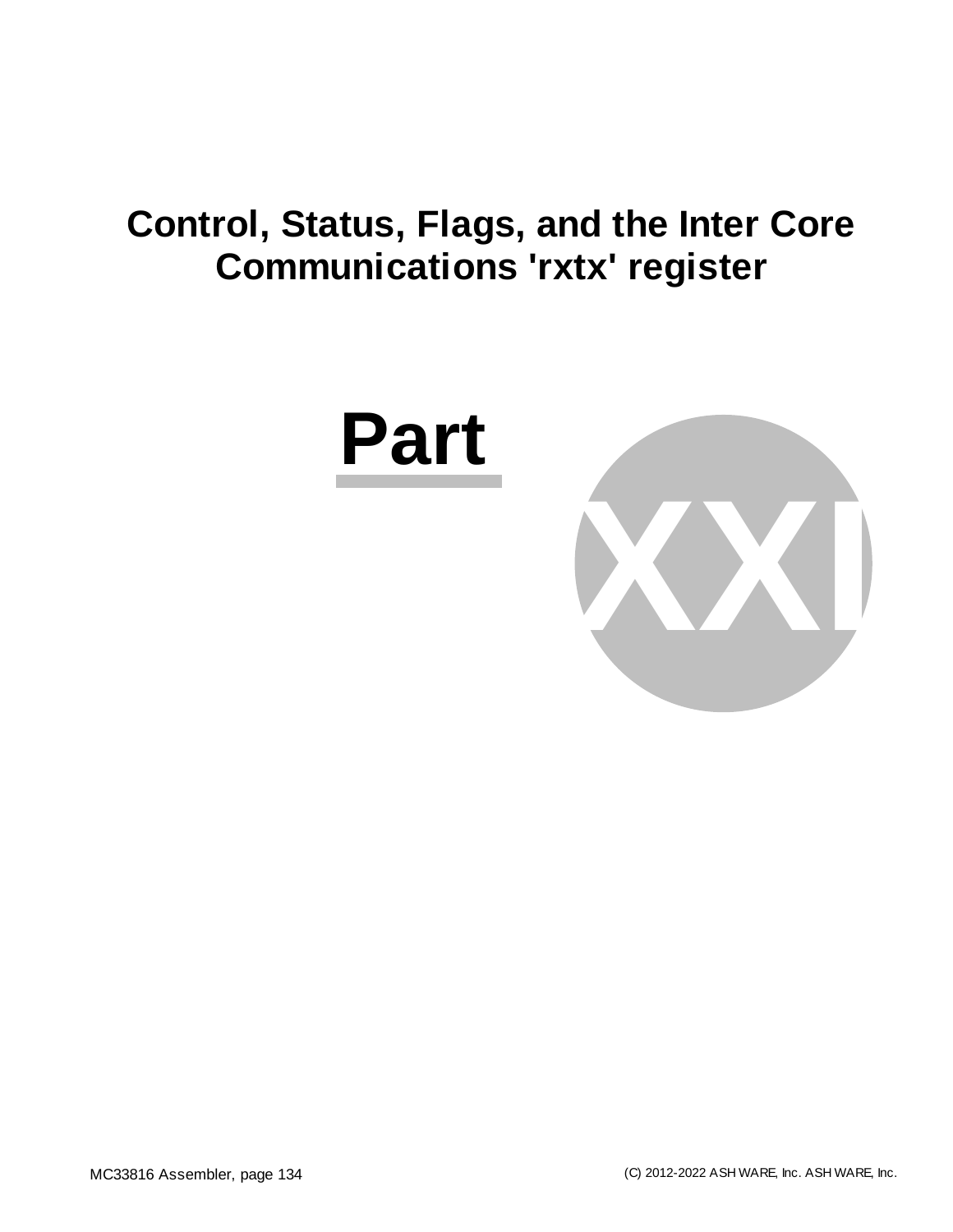# **Control, Status, Flags, and the Inter Core Communications 'rxtx' register**



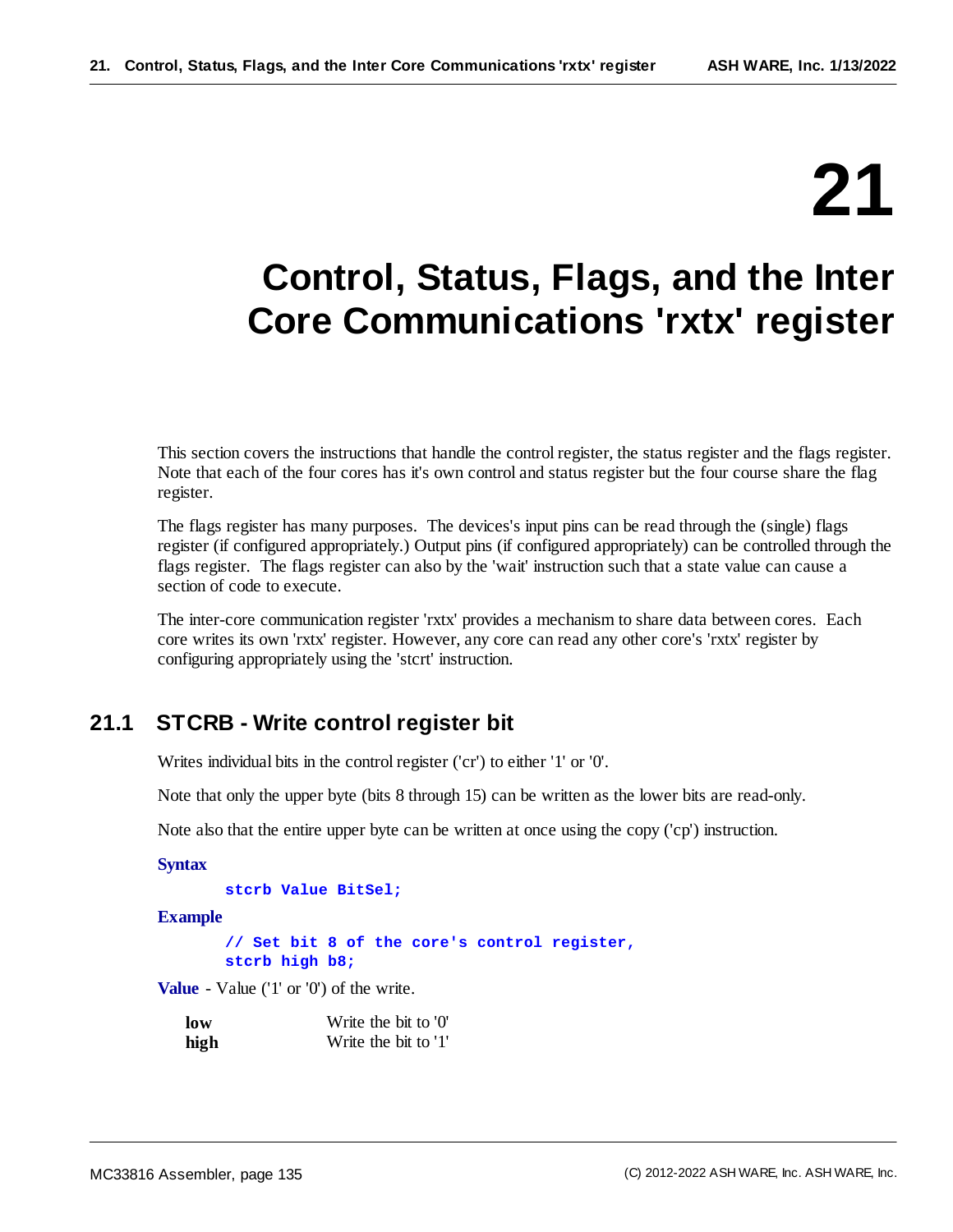# **21**

# **Control, Status, Flags, and the Inter Core Communications 'rxtx' register**

This section covers the instructions that handle the control register, the status register and the flags register. Note that each of the four cores has it's own control and status register but the four course share the flag register.

The flags register has many purposes. The devices's input pins can be read through the (single) flags register (if configured appropriately.) Output pins (if configured appropriately) can be controlled through the flags register. The flags register can also by the 'wait' instruction such that a state value can cause a section of code to execute.

The inter-core communication register 'rxtx' provides a mechanism to share data between cores. Each core writes its own 'rxtx' register. However, any core can read any other core's 'rxtx' register by configuring appropriately using the 'stcrt' instruction.

# **21.1 STCRB - Write control register bit**

Writes individual bits in the control register ('cr') to either '1' or '0'.

Note that only the upper byte (bits 8 through 15) can be written as the lower bits are read-only.

Note also that the entire upper byte can be written at once using the copy ('cp') instruction.

```
Syntax
```

```
stcrb Value BitSel;
```
**Example**

**// Set bit 8 of the core's control register, stcrb high b8;**

**Value** - Value ('1' or '0') of the write.

| low  | Write the bit to '0' |
|------|----------------------|
| high | Write the bit to '1' |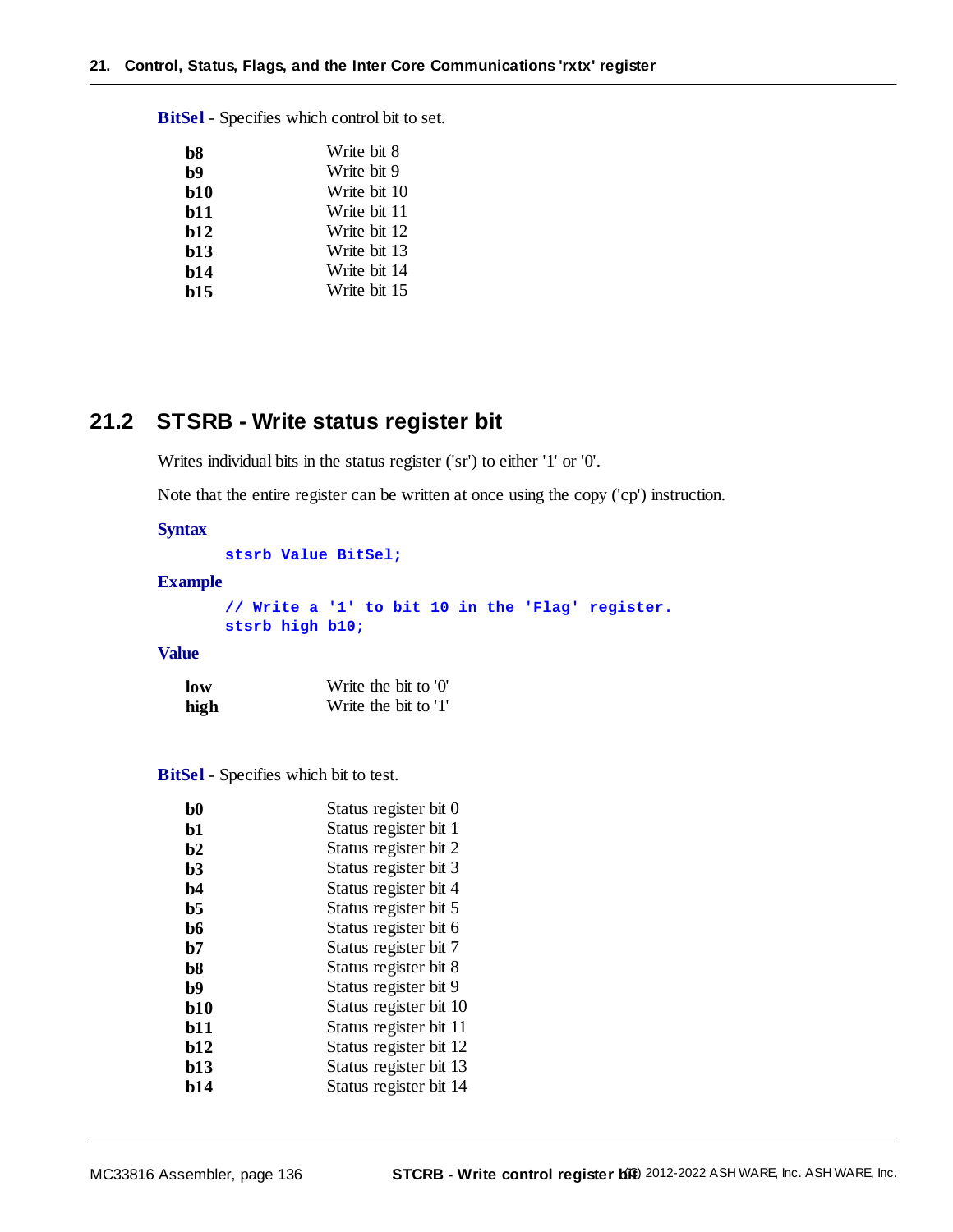**b8** Write bit 8 **b9** Write bit 9 **b10** Write bit 10 **b11** Write bit 11 **b12** Write bit 12 **b13** Write bit 13 **b14** Write bit 14 **b15** Write bit 15

**BitSel** - Specifies which control bit to set.

# **21.2 STSRB - Write status register bit**

Writes individual bits in the status register ('sr') to either '1' or '0'.

Note that the entire register can be written at once using the copy ('cp') instruction.

# **Syntax**

**stsrb Value BitSel;**

#### **Example**

**// Write a '1' to bit 10 in the 'Flag' register. stsrb high b10;**

#### **Value**

| low  | Write the bit to '0' |
|------|----------------------|
| high | Write the bit to '1' |

**BitSel** - Specifies which bit to test.

| $\bf{b}0$      | Status register bit 0  |
|----------------|------------------------|
| b1             | Status register bit 1  |
| b2             | Status register bit 2  |
| b3             | Status register bit 3  |
| b4             | Status register bit 4  |
| b5             | Status register bit 5  |
| b6             | Status register bit 6  |
| b7             | Status register bit 7  |
| b <sub>8</sub> | Status register bit 8  |
| b9             | Status register bit 9  |
| <b>b10</b>     | Status register bit 10 |
| <b>b</b> 11    | Status register bit 11 |
| <b>b12</b>     | Status register bit 12 |
| b13            | Status register bit 13 |
| b14            | Status register bit 14 |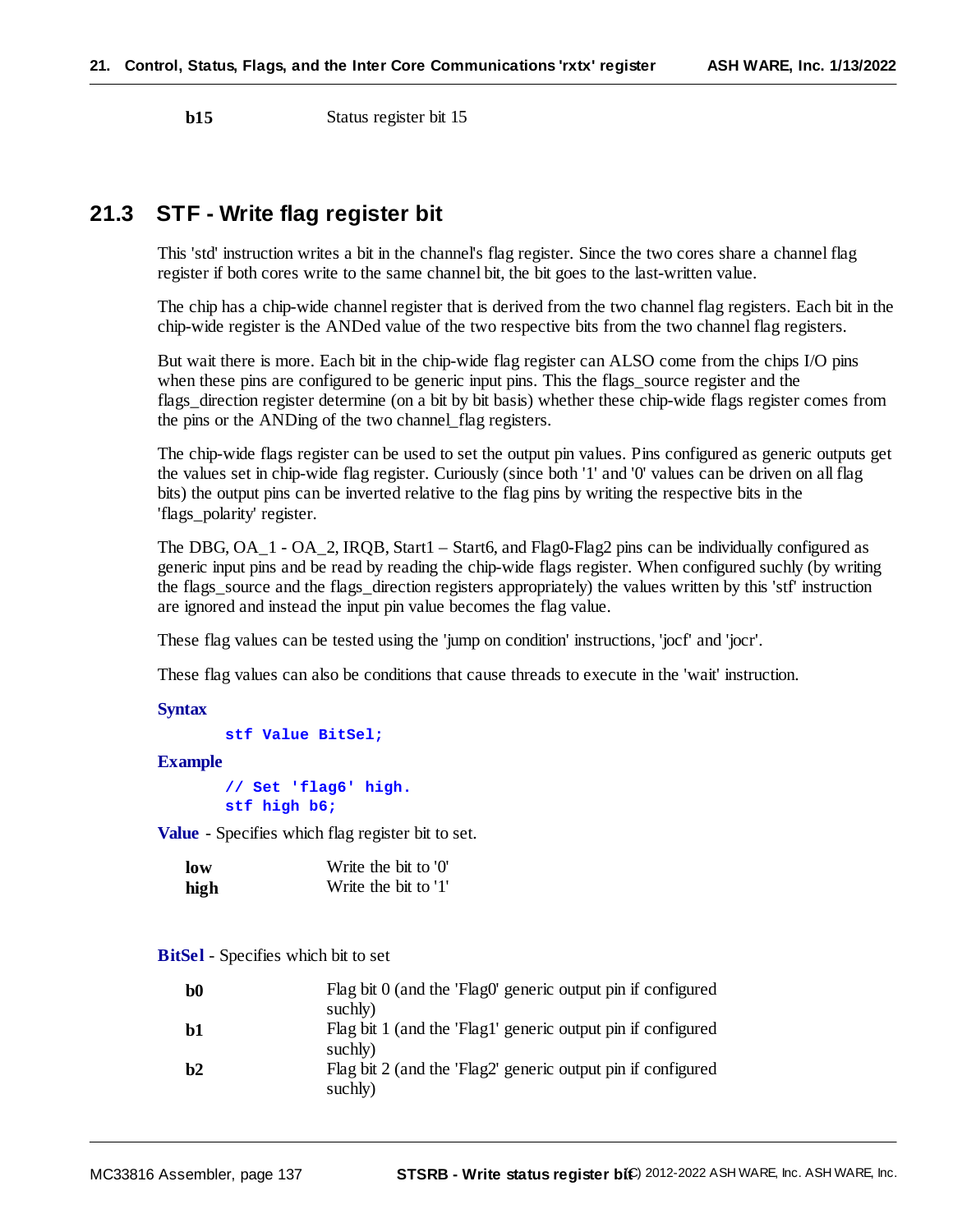**b15** Status register bit 15

# **21.3 STF - Write flag register bit**

This 'std' instruction writes a bit in the channel's flag register. Since the two cores share a channel flag register if both cores write to the same channel bit, the bit goes to the last-written value.

The chip has a chip-wide channel register that is derived from the two channel flag registers. Each bit in the chip-wide register is the ANDed value of the two respective bits from the two channel flag registers.

But wait there is more. Each bit in the chip-wide flag register can ALSO come from the chips I/O pins when these pins are configured to be generic input pins. This the flags source register and the flags\_direction register determine (on a bit by bit basis) whether these chip-wide flags register comes from the pins or the ANDing of the two channel\_flag registers.

The chip-wide flags register can be used to set the output pin values. Pins configured as generic outputs get the values set in chip-wide flag register. Curiously (since both '1' and '0' values can be driven on all flag bits) the output pins can be inverted relative to the flag pins by writing the respective bits in the 'flags\_polarity' register.

The DBG, OA\_1 - OA\_2, IRQB, Start1 – Start6, and Flag0-Flag2 pins can be individually configured as generic input pins and be read by reading the chip-wide flags register. When configured suchly (by writing the flags\_source and the flags\_direction registers appropriately) the values written by this 'stf' instruction are ignored and instead the input pin value becomes the flag value.

These flag values can be tested using the 'jump on condition' instructions, 'jocf' and 'jocr'.

These flag values can also be conditions that cause threads to execute in the 'wait' instruction.

#### **Syntax**

```
stf Value BitSel;
```
#### **Example**

**// Set 'flag6' high. stf high b6;**

**Value** - Specifies which flag register bit to set.

| low  | Write the bit to '0' |
|------|----------------------|
| high | Write the bit to '1' |

#### **BitSel** - Specifies which bit to set

| b0 | Flag bit 0 (and the 'Flag0' generic output pin if configured<br>suchly) |
|----|-------------------------------------------------------------------------|
| b1 | Flag bit 1 (and the 'Flag1' generic output pin if configured<br>suchly) |
| h2 | Flag bit 2 (and the 'Flag2' generic output pin if configured<br>suchly) |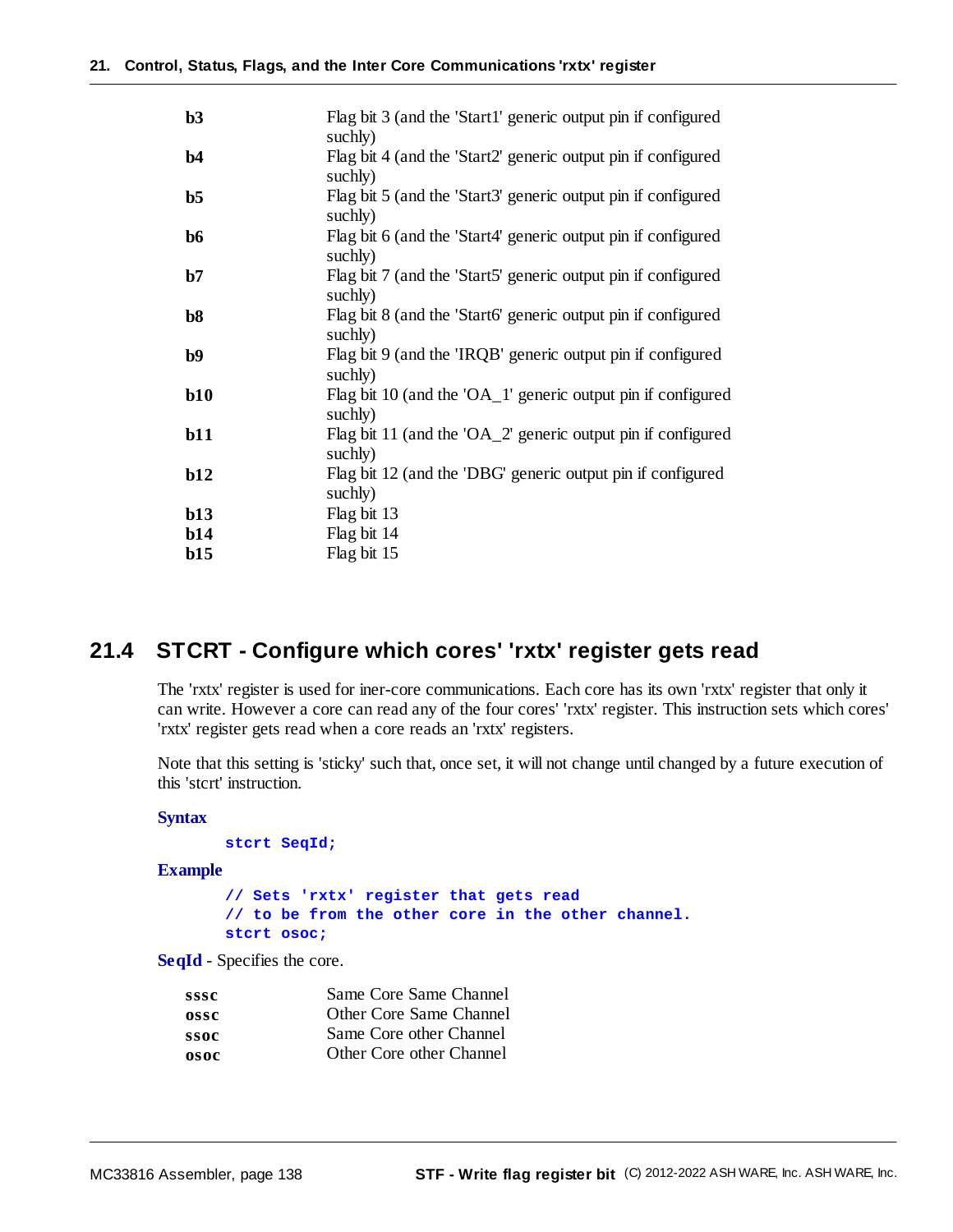| b3             | Flag bit 3 (and the 'Start1' generic output pin if configured<br>suchly) |
|----------------|--------------------------------------------------------------------------|
| b4             | Flag bit 4 (and the 'Start2' generic output pin if configured<br>suchly) |
| b <sub>5</sub> | Flag bit 5 (and the 'Start3' generic output pin if configured<br>suchly) |
| b6             | Flag bit 6 (and the 'Start4' generic output pin if configured<br>suchly) |
| b7             | Flag bit 7 (and the 'Start5' generic output pin if configured<br>suchly) |
| b8             | Flag bit 8 (and the 'Start6' generic output pin if configured<br>suchly) |
| b9             | Flag bit 9 (and the 'IRQB' generic output pin if configured<br>suchly)   |
| b10            | Flag bit 10 (and the 'OA_1' generic output pin if configured<br>suchly)  |
| b11            | Flag bit 11 (and the 'OA_2' generic output pin if configured<br>suchly)  |
| b12            | Flag bit 12 (and the 'DBG' generic output pin if configured<br>suchly)   |
| b13            | Flag bit 13                                                              |
| b14            | Flag bit 14                                                              |
| b15            | Flag bit 15                                                              |

# **21.4 STCRT - Configure which cores' 'rxtx' register gets read**

The 'rxtx' register is used for iner-core communications. Each core has its own 'rxtx' register that only it can write. However a core can read any of the four cores' 'rxtx' register. This instruction sets which cores' 'rxtx' register gets read when a core reads an 'rxtx' registers.

Note that this setting is 'sticky' such that, once set, it will not change until changed by a future execution of this 'stcrt' instruction.

### **Syntax**

```
stcrt SeqId;
```
#### **Example**

```
// Sets 'rxtx' register that gets read
// to be from the other core in the other channel.
stcrt osoc;
```
**SeqId** - Specifies the core.

| sssc | Same Core Same Channel   |
|------|--------------------------|
| ossc | Other Core Same Channel  |
| ssoc | Same Core other Channel  |
| osoc | Other Core other Channel |
|      |                          |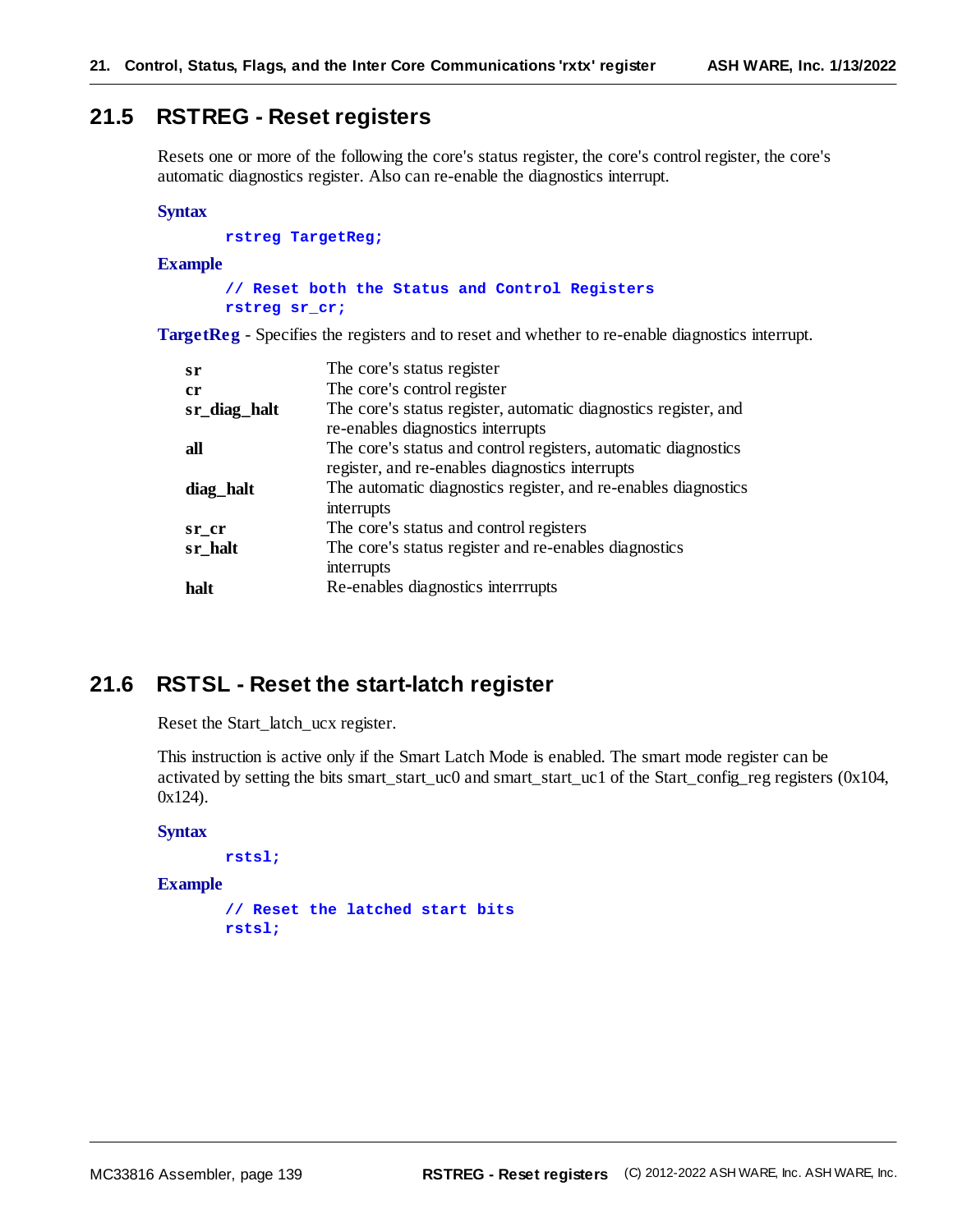# **21.5 RSTREG - Reset registers**

Resets one or more of the following the core's status register, the core's control register, the core's automatic diagnostics register. Also can re-enable the diagnostics interrupt.

#### **Syntax**

**rstreg TargetReg;**

#### **Example**

**// Reset both the Status and Control Registers rstreg sr\_cr;**

**TargetReg** - Specifies the registers and to reset and whether to re-enable diagnostics interrupt.

| sr           | The core's status register                                      |
|--------------|-----------------------------------------------------------------|
| cr           | The core's control register                                     |
| sr_diag_halt | The core's status register, automatic diagnostics register, and |
|              | re-enables diagnostics interrupts                               |
| all          | The core's status and control registers, automatic diagnostics  |
|              | register, and re-enables diagnostics interrupts                 |
| diag_halt    | The automatic diagnostics register, and re-enables diagnostics  |
|              | interrupts                                                      |
| sr cr        | The core's status and control registers                         |
| sr_halt      | The core's status register and re-enables diagnostics           |
|              | interrupts                                                      |
| halt         | Re-enables diagnostics interrrupts                              |
|              |                                                                 |

# **21.6 RSTSL - Reset the start-latch register**

Reset the Start\_latch\_ucx register.

This instruction is active only if the Smart Latch Mode is enabled. The smart mode register can be activated by setting the bits smart\_start\_uc0 and smart\_start\_uc1 of the Start\_config\_reg registers (0x104, 0x124).

#### **Syntax**

```
rstsl;
```
**Example**

```
// Reset the latched start bits
rstsl;
```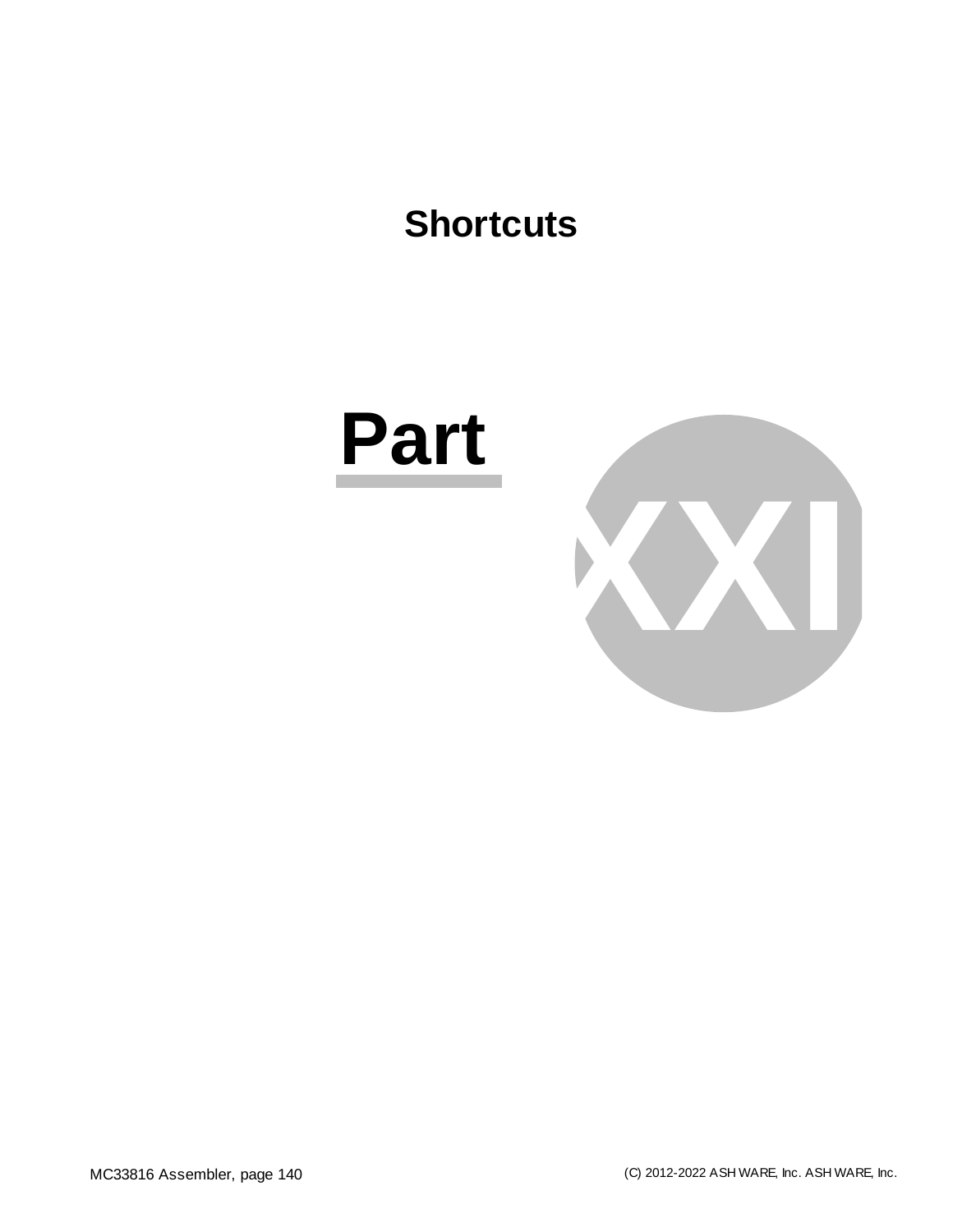# **Shortcuts**

# **Part**

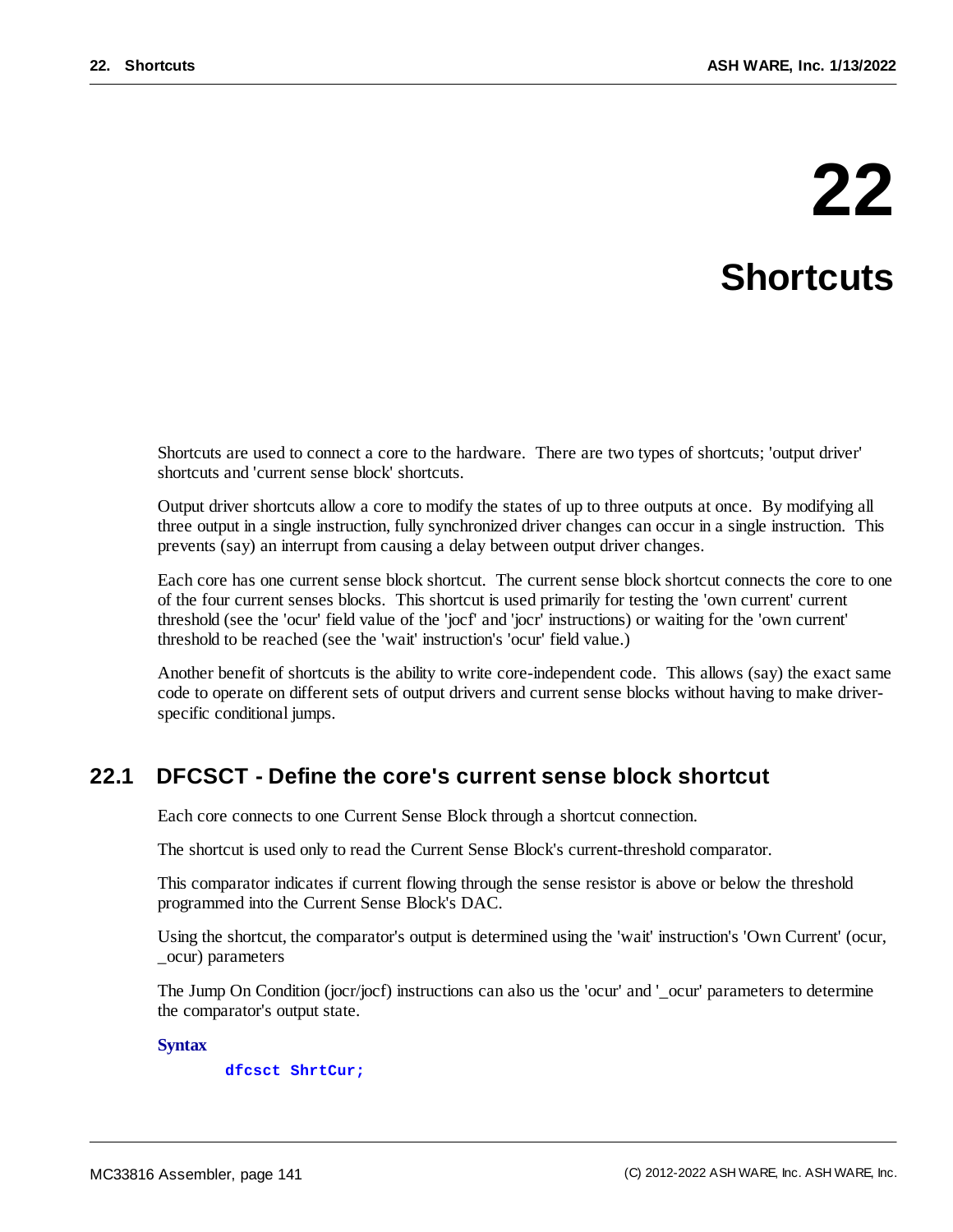# **22**

# **Shortcuts**

Shortcuts are used to connect a core to the hardware. There are two types of shortcuts; 'output driver' shortcuts and 'current sense block' shortcuts.

Output driver shortcuts allow a core to modify the states of up to three outputs at once. By modifying all three output in a single instruction, fully synchronized driver changes can occur in a single instruction. This prevents (say) an interrupt from causing a delay between output driver changes.

Each core has one current sense block shortcut. The current sense block shortcut connects the core to one of the four current senses blocks. This shortcut is used primarily for testing the 'own current' current threshold (see the 'ocur' field value of the 'jocf' and 'jocr' instructions) or waiting for the 'own current' threshold to be reached (see the 'wait' instruction's 'ocur' field value.)

Another benefit of shortcuts is the ability to write core-independent code. This allows (say) the exact same code to operate on different sets of output drivers and current sense blocks without having to make driverspecific conditional jumps.

# **22.1 DFCSCT - Define the core's current sense block shortcut**

Each core connects to one Current Sense Block through a shortcut connection.

The shortcut is used only to read the Current Sense Block's current-threshold comparator.

This comparator indicates if current flowing through the sense resistor is above or below the threshold programmed into the Current Sense Block's DAC.

Using the shortcut, the comparator's output is determined using the 'wait' instruction's 'Own Current' (ocur, \_ocur) parameters

The Jump On Condition (jocr/jocf) instructions can also us the 'ocur' and '\_ocur' parameters to determine the comparator's output state.

### **Syntax**

#### **dfcsct ShrtCur;**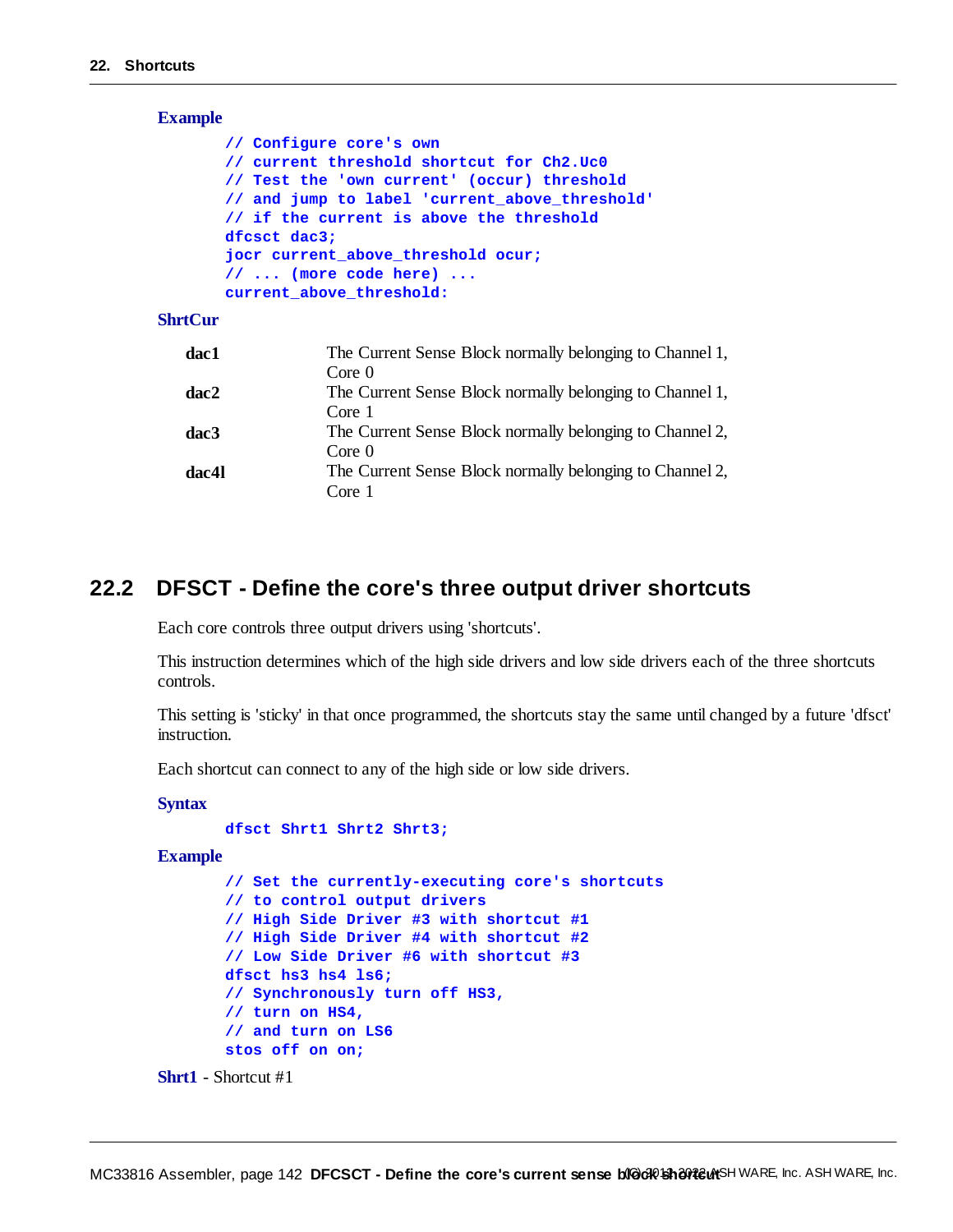| <b>Example</b> |                                                                                                                                                                       |
|----------------|-----------------------------------------------------------------------------------------------------------------------------------------------------------------------|
|                | // Configure core's own<br>// current threshold shortcut for Ch2.Uc0<br>// Test the 'own current' (occur) threshold<br>// and jump to label 'current above threshold' |
|                | // if the current is above the threshold<br>dfcsct dac3;                                                                                                              |
|                | jocr current above threshold ocur;<br>$// \dots (more code here) \dots$                                                                                               |
|                | current above threshold:                                                                                                                                              |
| $ShrtCIIr$     |                                                                                                                                                                       |

| dac1  | The Current Sense Block normally belonging to Channel 1, |
|-------|----------------------------------------------------------|
|       | Core <sub>0</sub>                                        |
| dac2  | The Current Sense Block normally belonging to Channel 1, |
|       | Core 1                                                   |
| dac3  | The Current Sense Block normally belonging to Channel 2, |
|       | Core <sub>0</sub>                                        |
| dac4l | The Current Sense Block normally belonging to Channel 2, |
|       | Core 1                                                   |

# **22.2 DFSCT - Define the core's three output driver shortcuts**

Each core controls three output drivers using 'shortcuts'.

This instruction determines which of the high side drivers and low side drivers each of the three shortcuts controls.

This setting is 'sticky' in that once programmed, the shortcuts stay the same until changed by a future 'dfsct' instruction.

Each shortcut can connect to any of the high side or low side drivers.

# **Syntax**

```
dfsct Shrt1 Shrt2 Shrt3;
```
**Example**

```
// Set the currently-executing core's shortcuts
// to control output drivers
// High Side Driver #3 with shortcut #1
// High Side Driver #4 with shortcut #2
// Low Side Driver #6 with shortcut #3
dfsct hs3 hs4 ls6;
// Synchronously turn off HS3,
// turn on HS4,
// and turn on LS6
stos off on on;
```

```
Shrt1 - Shortcut #1
```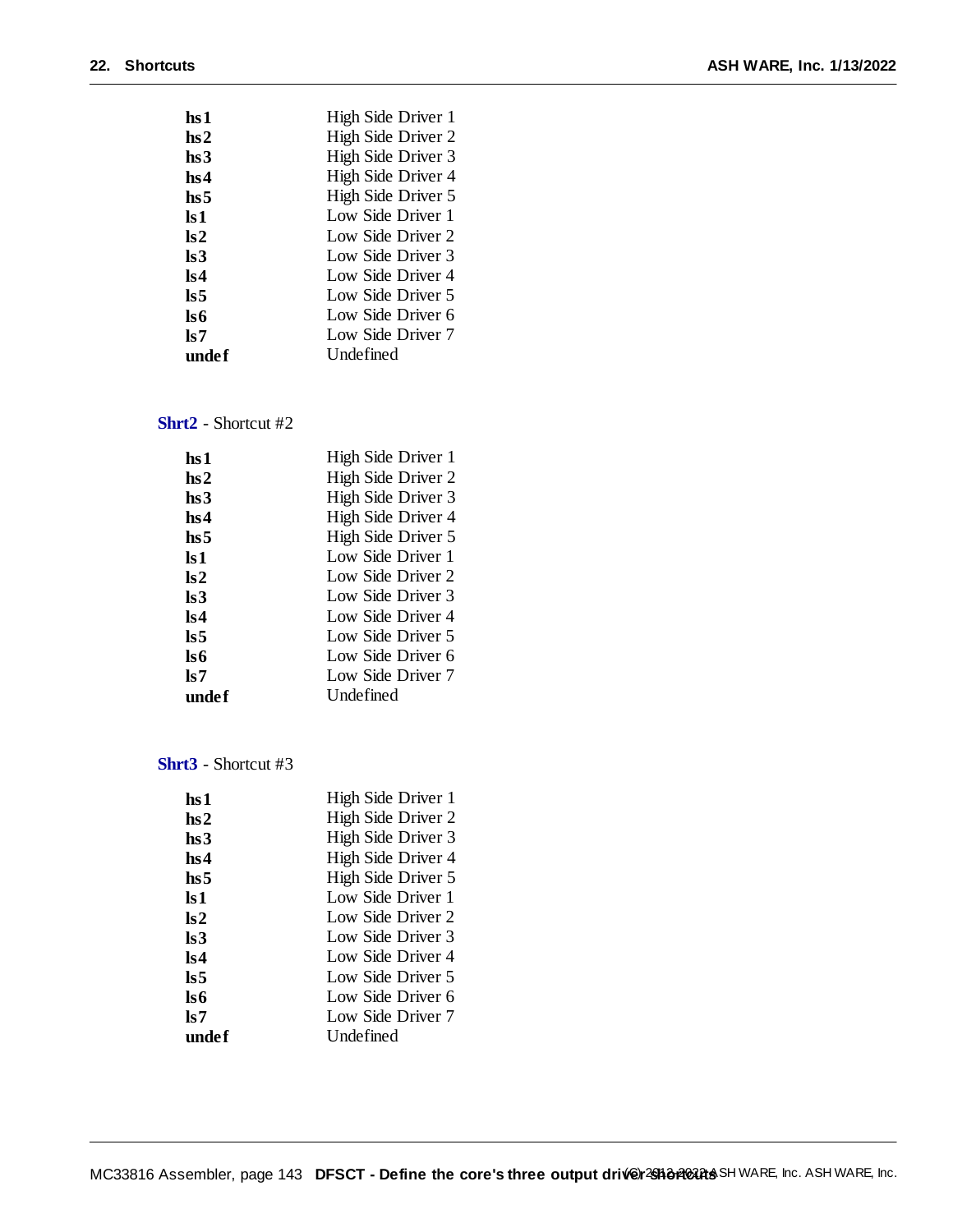| hs 1                    | High Side Driver 1 |
|-------------------------|--------------------|
| hs2                     | High Side Driver 2 |
| hs3                     | High Side Driver 3 |
| hs4                     | High Side Driver 4 |
| hs5                     | High Side Driver 5 |
| ls 1                    | Low Side Driver 1  |
| $\mathbf{ls2}$          | Low Side Driver 2  |
| ls3                     | Low Side Driver 3  |
| $\mathbf{ls4}$          | Low Side Driver 4  |
| $\overline{\text{ls}}5$ | Low Side Driver 5  |
| ls6                     | Low Side Driver 6  |
| ls 7                    | Low Side Driver 7  |
| undef                   | Undefined          |

# **Shrt2** - Shortcut #2

| hs 1            | High Side Driver 1 |
|-----------------|--------------------|
| hs2             | High Side Driver 2 |
| hs3             | High Side Driver 3 |
| hs4             | High Side Driver 4 |
| hs <sub>5</sub> | High Side Driver 5 |
| ls 1            | Low Side Driver 1  |
| $\mathbf{ls2}$  | Low Side Driver 2  |
| ls3             | Low Side Driver 3  |
| $\mathbf{ls4}$  | Low Side Driver 4  |
| ls 5            | Low Side Driver 5  |
| ls6             | Low Side Driver 6  |
| ls 7            | Low Side Driver 7  |
| undef           | Undefined          |

**Shrt3** - Shortcut #3

| hs 1                    | High Side Driver 1 |
|-------------------------|--------------------|
| hs2                     | High Side Driver 2 |
| hs3                     | High Side Driver 3 |
| hs4                     | High Side Driver 4 |
| hs <sub>5</sub>         | High Side Driver 5 |
| ls 1                    | Low Side Driver 1  |
| $\mathbf{ls2}$          | Low Side Driver 2  |
| ls3                     | Low Side Driver 3  |
| $\mathbf{ls4}$          | Low Side Driver 4  |
| $\overline{\text{ls}}5$ | Low Side Driver 5  |
| ls6                     | Low Side Driver 6  |
| ls 7                    | Low Side Driver 7  |
| undef                   | Undefined          |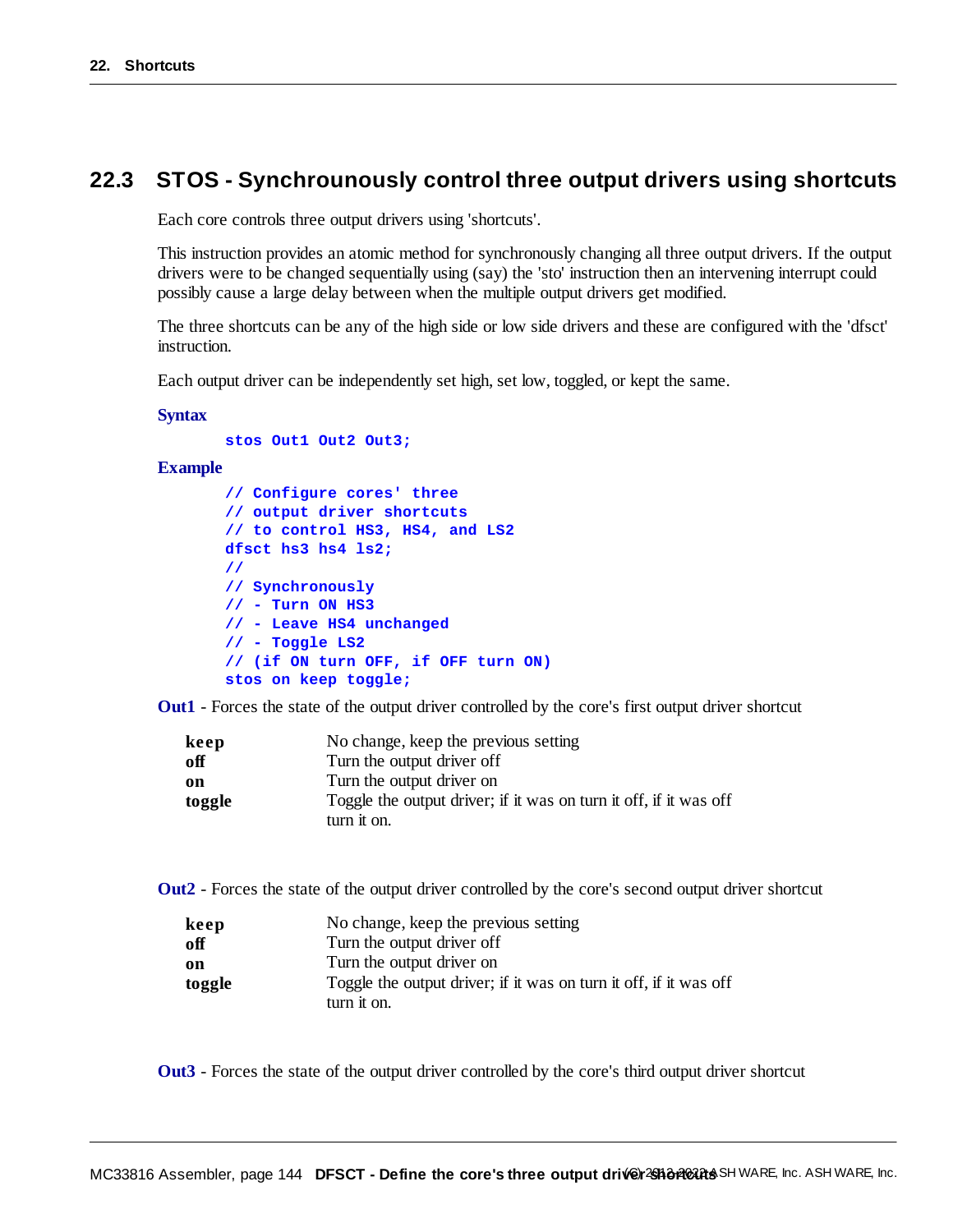# **22.3 STOS - Synchrounously control three output drivers using shortcuts**

Each core controls three output drivers using 'shortcuts'.

This instruction provides an atomic method for synchronously changing all three output drivers. If the output drivers were to be changed sequentially using (say) the 'sto' instruction then an intervening interrupt could possibly cause a large delay between when the multiple output drivers get modified.

The three shortcuts can be any of the high side or low side drivers and these are configured with the 'dfsct' instruction.

Each output driver can be independently set high, set low, toggled, or kept the same.

#### **Syntax**

**stos Out1 Out2 Out3;**

# **Example**

```
// Configure cores' three
// output driver shortcuts
// to control HS3, HS4, and LS2
dfsct hs3 hs4 ls2;
//
// Synchronously
// - Turn ON HS3
// - Leave HS4 unchanged
// - Toggle LS2
// (if ON turn OFF, if OFF turn ON)
stos on keep toggle;
```
**Out1** - Forces the state of the output driver controlled by the core's first output driver shortcut

| keep   | No change, keep the previous setting                              |
|--------|-------------------------------------------------------------------|
| off    | Turn the output driver off                                        |
| on     | Turn the output driver on                                         |
| toggle | Toggle the output driver; if it was on turn it off, if it was off |
|        | turn it on.                                                       |

**Out2** - Forces the state of the output driver controlled by the core's second output driver shortcut

| keep   | No change, keep the previous setting                              |
|--------|-------------------------------------------------------------------|
| off    | Turn the output driver off                                        |
| on     | Turn the output driver on                                         |
| toggle | Toggle the output driver; if it was on turn it off, if it was off |
|        | turn it on.                                                       |

**Out3** - Forces the state of the output driver controlled by the core's third output driver shortcut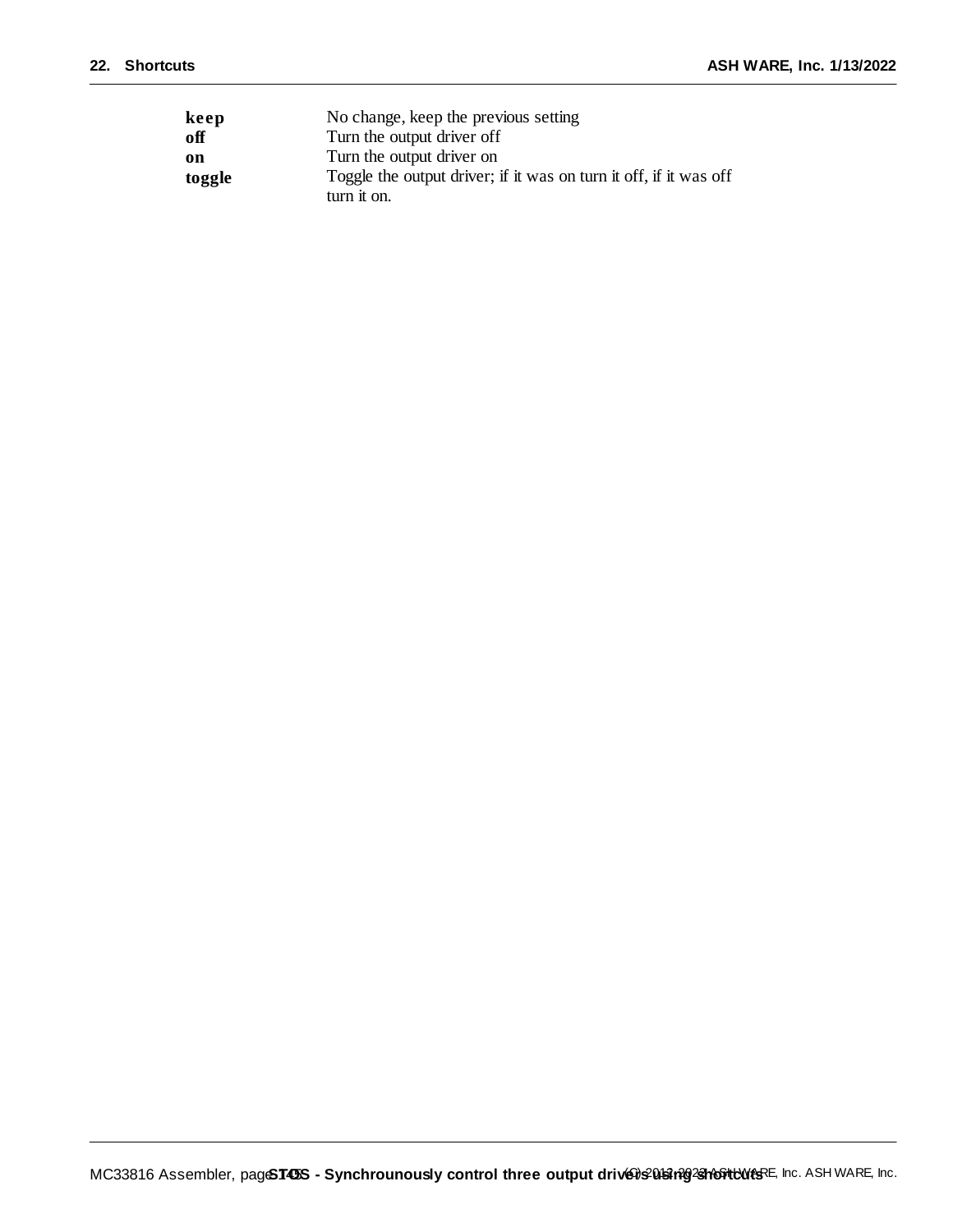| keep   | No change, keep the previous setting                              |
|--------|-------------------------------------------------------------------|
| off    | Turn the output driver off                                        |
| on     | Turn the output driver on                                         |
| toggle | Toggle the output driver; if it was on turn it off, if it was off |
|        | turn it on.                                                       |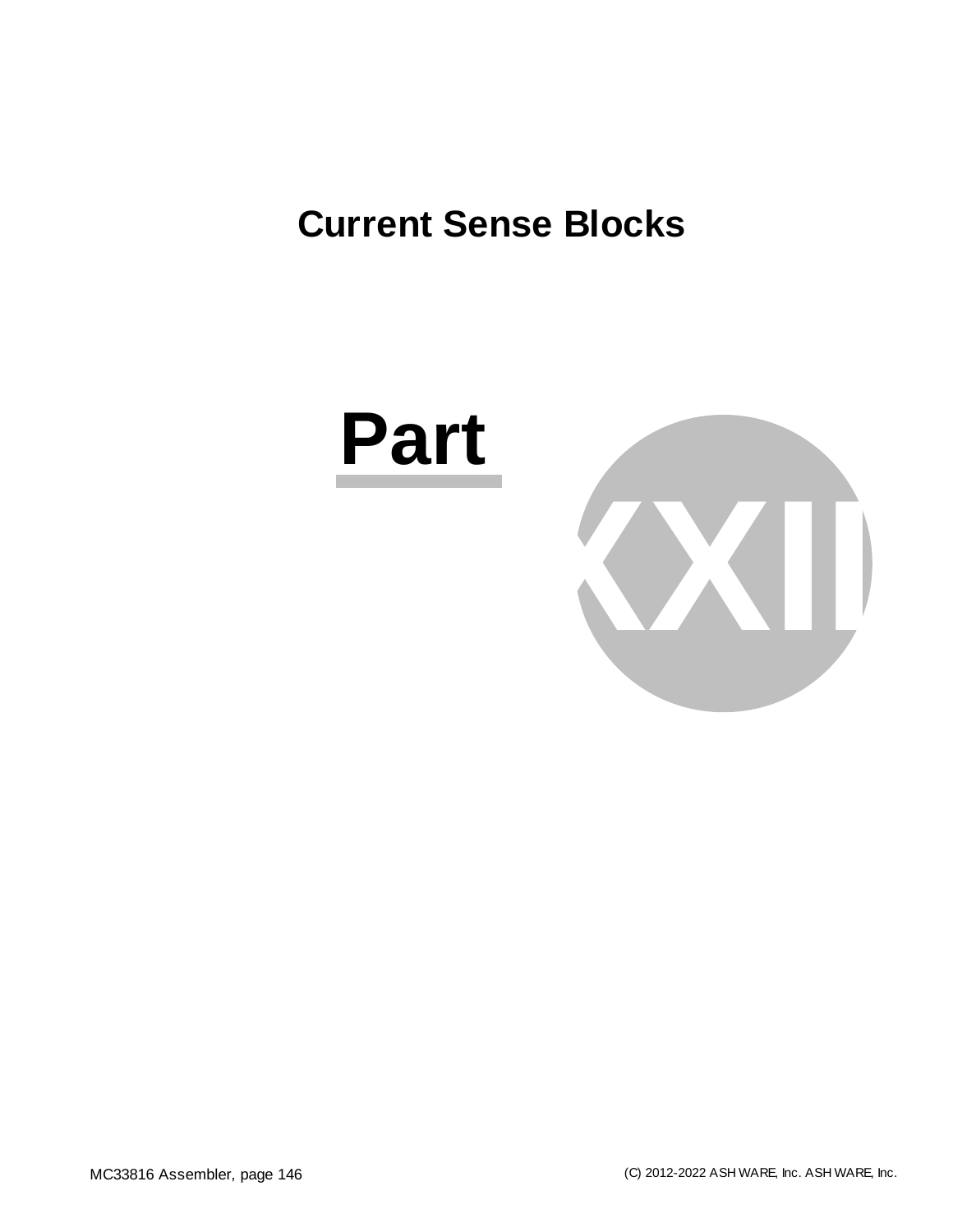# **Current Sense Blocks**



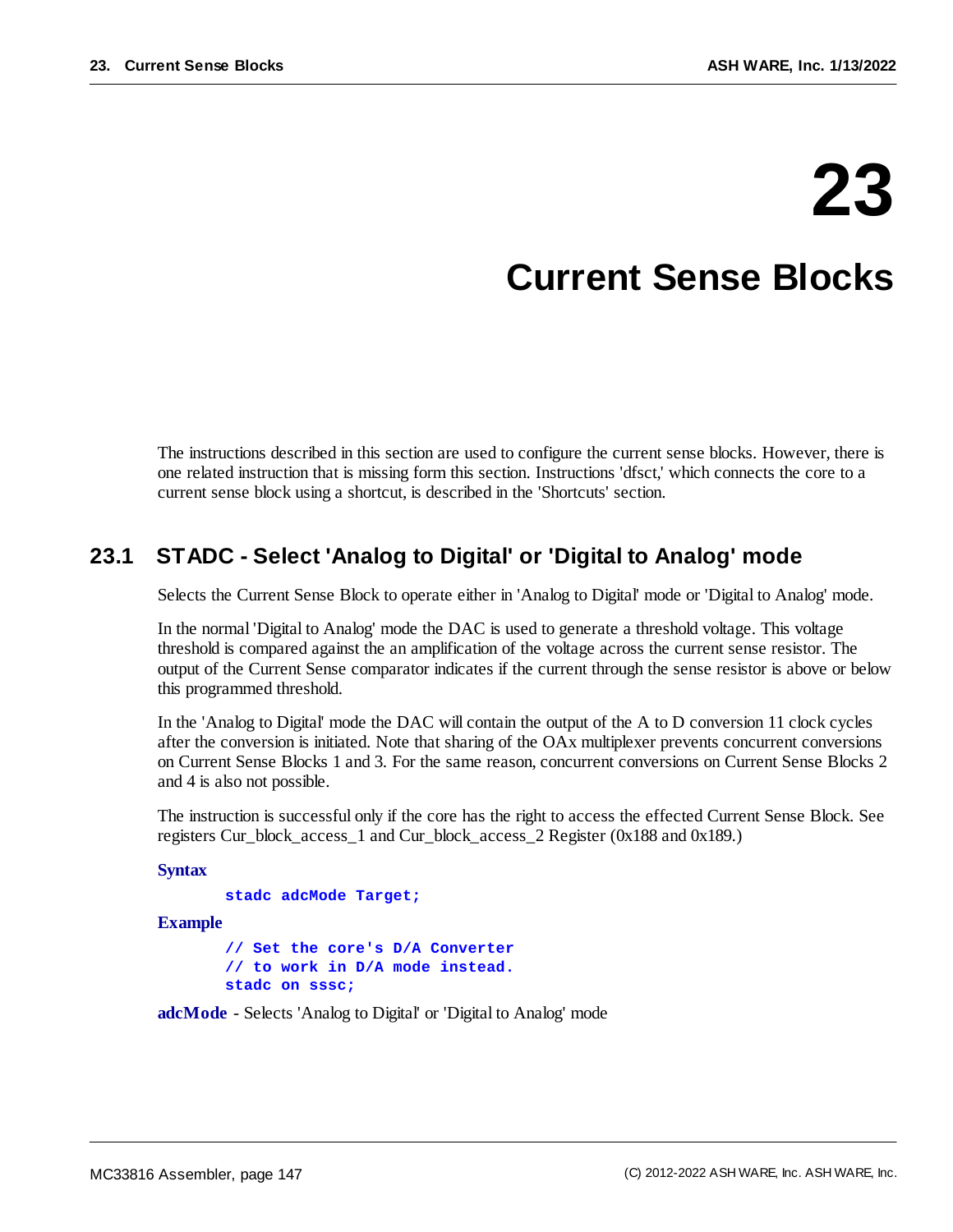# **23**

# **Current Sense Blocks**

The instructions described in this section are used to configure the current sense blocks. However, there is one related instruction that is missing form this section. Instructions 'dfsct,' which connects the core to a current sense block using a shortcut, is described in the 'Shortcuts' section.

# **23.1 STADC - Select 'Analog to Digital' or 'Digital to Analog' mode**

Selects the Current Sense Block to operate either in 'Analog to Digital' mode or 'Digital to Analog' mode.

In the normal 'Digital to Analog' mode the DAC is used to generate a threshold voltage. This voltage threshold is compared against the an amplification of the voltage across the current sense resistor. The output of the Current Sense comparator indicates if the current through the sense resistor is above or below this programmed threshold.

In the 'Analog to Digital' mode the DAC will contain the output of the A to D conversion 11 clock cycles after the conversion is initiated. Note that sharing of the OAx multiplexer prevents concurrent conversions on Current Sense Blocks 1 and 3. For the same reason, concurrent conversions on Current Sense Blocks 2 and 4 is also not possible.

The instruction is successful only if the core has the right to access the effected Current Sense Block. See registers Cur\_block\_access\_1 and Cur\_block\_access\_2 Register (0x188 and 0x189.)

```
Syntax
```
**stadc adcMode Target;**

**Example**

**// Set the core's D/A Converter // to work in D/A mode instead. stadc on sssc;**

**adcMode** - Selects 'Analog to Digital' or 'Digital to Analog' mode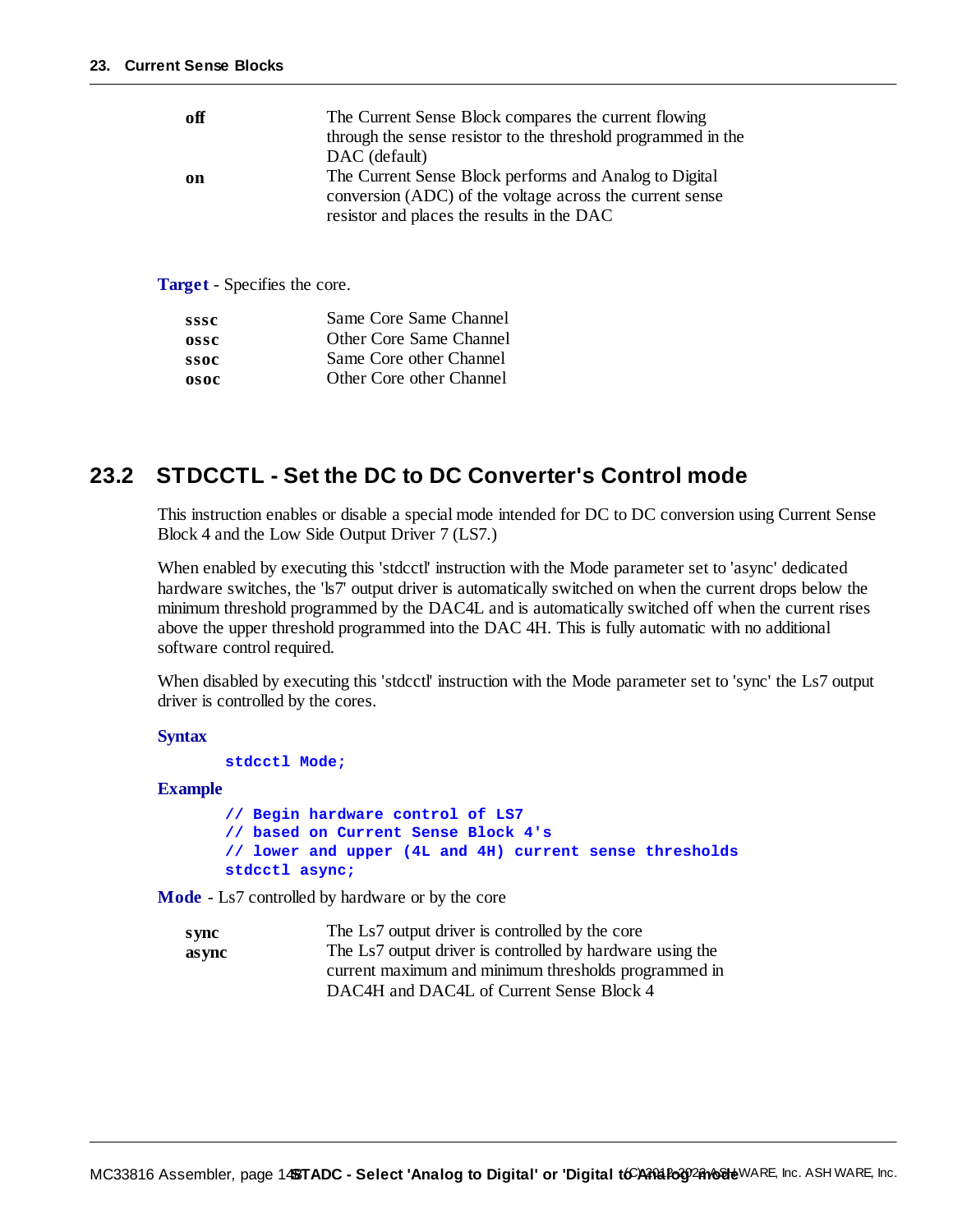| off | The Current Sense Block compares the current flowing<br>through the sense resistor to the threshold programmed in the<br>DAC (default)                           |
|-----|------------------------------------------------------------------------------------------------------------------------------------------------------------------|
| on  | The Current Sense Block performs and Analog to Digital<br>conversion (ADC) of the voltage across the current sense<br>resistor and places the results in the DAC |

**Target** - Specifies the core.

| sssc | Same Core Same Channel   |
|------|--------------------------|
| ossc | Other Core Same Channel  |
| ssoc | Same Core other Channel  |
| osoc | Other Core other Channel |
|      |                          |

## **23.2 STDCCTL - Set the DC to DC Converter's Control mode**

This instruction enables or disable a special mode intended for DC to DC conversion using Current Sense Block 4 and the Low Side Output Driver 7 (LS7.)

When enabled by executing this 'stdcctl' instruction with the Mode parameter set to 'async' dedicated hardware switches, the 'ls7' output driver is automatically switched on when the current drops below the minimum threshold programmed by the DAC4L and is automatically switched off when the current rises above the upper threshold programmed into the DAC 4H. This is fully automatic with no additional software control required.

When disabled by executing this 'stdcctl' instruction with the Mode parameter set to 'sync' the Ls7 output driver is controlled by the cores.

**Syntax**

**stdcctl Mode;**

**Example**

**// Begin hardware control of LS7 // based on Current Sense Block 4's // lower and upper (4L and 4H) current sense thresholds stdcctl async;**

**Mode** - Ls7 controlled by hardware or by the core

| s ync  | The Ls7 output driver is controlled by the core           |
|--------|-----------------------------------------------------------|
| as vnc | The Ls7 output driver is controlled by hardware using the |
|        | current maximum and minimum thresholds programmed in      |
|        | DAC4H and DAC4L of Current Sense Block 4                  |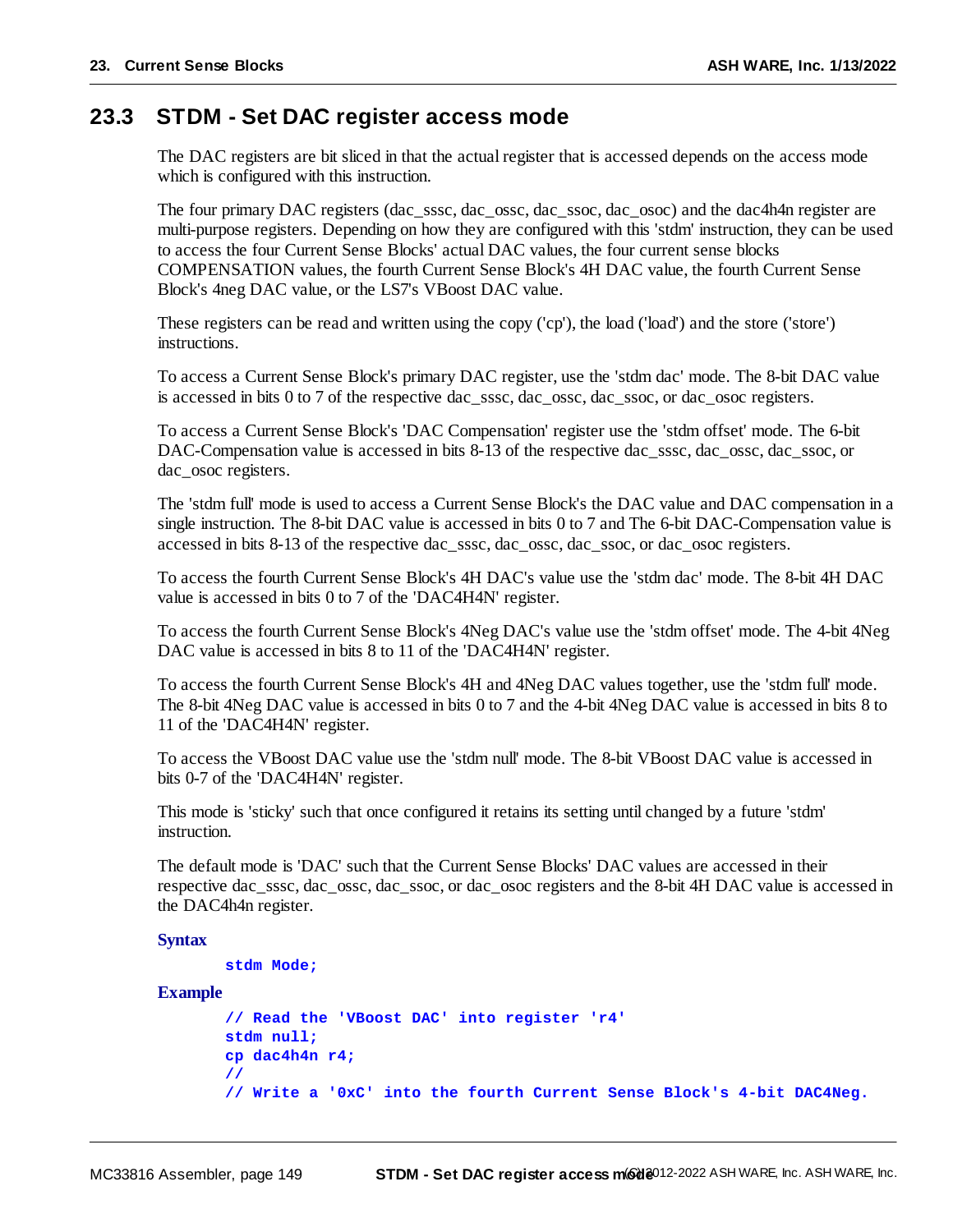## **23.3 STDM - Set DAC register access mode**

The DAC registers are bit sliced in that the actual register that is accessed depends on the access mode which is configured with this instruction.

The four primary DAC registers (dac\_sssc, dac\_ossc, dac\_ssoc, dac\_osoc) and the dac4h4n register are multi-purpose registers. Depending on how they are configured with this 'stdm' instruction, they can be used to access the four Current Sense Blocks' actual DAC values, the four current sense blocks COMPENSATION values, the fourth Current Sense Block's 4H DAC value, the fourth Current Sense Block's 4neg DAC value, or the LS7's VBoost DAC value.

These registers can be read and written using the copy ('cp'), the load ('load') and the store ('store') instructions.

To access a Current Sense Block's primary DAC register, use the 'stdm dac' mode. The 8-bit DAC value is accessed in bits 0 to 7 of the respective dac\_sssc, dac\_ossc, dac\_ssoc, or dac\_osoc registers.

To access a Current Sense Block's 'DAC Compensation' register use the 'stdm offset' mode. The 6-bit DAC-Compensation value is accessed in bits 8-13 of the respective dac\_sssc, dac\_ossc, dac\_ssoc, or dac\_osoc registers.

The 'stdm full' mode is used to access a Current Sense Block's the DAC value and DAC compensation in a single instruction. The 8-bit DAC value is accessed in bits 0 to 7 and The 6-bit DAC-Compensation value is accessed in bits 8-13 of the respective dac\_sssc, dac\_ossc, dac\_ssoc, or dac\_osoc registers.

To access the fourth Current Sense Block's 4H DAC's value use the 'stdm dac' mode. The 8-bit 4H DAC value is accessed in bits 0 to 7 of the 'DAC4H4N' register.

To access the fourth Current Sense Block's 4Neg DAC's value use the 'stdm offset' mode. The 4-bit 4Neg DAC value is accessed in bits 8 to 11 of the 'DAC4H4N' register.

To access the fourth Current Sense Block's 4H and 4Neg DAC values together, use the 'stdm full' mode. The 8-bit 4Neg DAC value is accessed in bits 0 to 7 and the 4-bit 4Neg DAC value is accessed in bits 8 to 11 of the 'DAC4H4N' register.

To access the VBoost DAC value use the 'stdm null' mode. The 8-bit VBoost DAC value is accessed in bits 0-7 of the 'DAC4H4N' register.

This mode is 'sticky' such that once configured it retains its setting until changed by a future 'stdm' instruction.

The default mode is 'DAC' such that the Current Sense Blocks' DAC values are accessed in their respective dac\_sssc, dac\_ossc, dac\_ssoc, or dac\_osoc registers and the 8-bit 4H DAC value is accessed in the DAC4h4n register.

#### **Syntax**

```
stdm Mode;
```
#### **Example**

```
// Read the 'VBoost DAC' into register 'r4'
stdm null;
cp dac4h4n r4;
//
// Write a '0xC' into the fourth Current Sense Block's 4-bit DAC4Neg.
```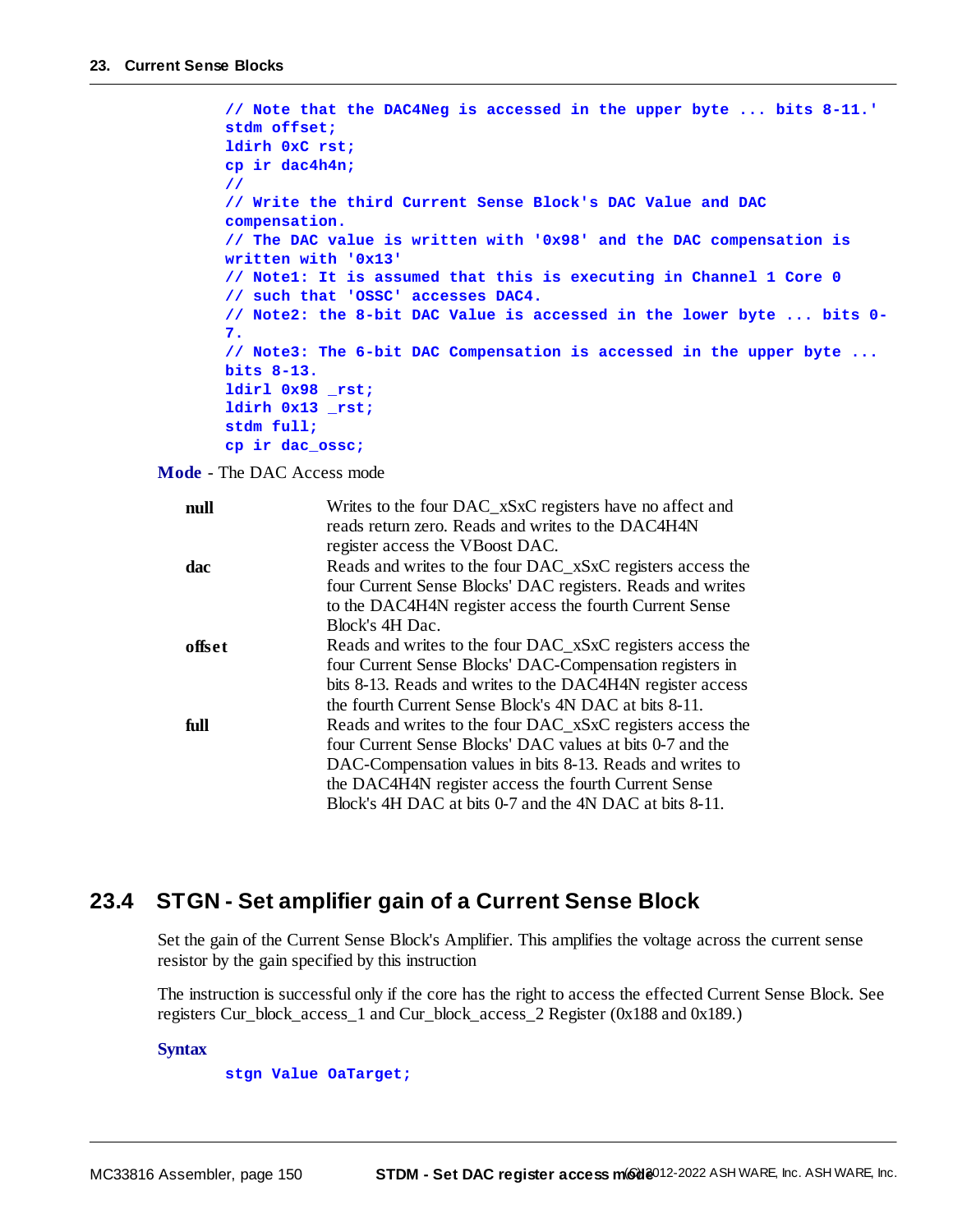```
// Note that the DAC4Neg is accessed in the upper byte ... bits 8-11.'
stdm offset;
ldirh 0xC rst;
cp ir dac4h4n;
//
// Write the third Current Sense Block's DAC Value and DAC
compensation.
// The DAC value is written with '0x98' and the DAC compensation is
written with '0x13'
// Note1: It is assumed that this is executing in Channel 1 Core 0
// such that 'OSSC' accesses DAC4.
// Note2: the 8-bit DAC Value is accessed in the lower byte ... bits 0-
7.
// Note3: The 6-bit DAC Compensation is accessed in the upper byte ...
bits 8-13.
ldirl 0x98 _rst;
ldirh 0x13 _rst;
stdm full;
cp ir dac_ossc;
```
**Mode** - The DAC Access mode

| null   | Writes to the four DAC_xSxC registers have no affect and   |
|--------|------------------------------------------------------------|
|        | reads return zero. Reads and writes to the DAC4H4N         |
|        | register access the VBoost DAC.                            |
| dac    | Reads and writes to the four DAC_xSxC registers access the |
|        | four Current Sense Blocks' DAC registers. Reads and writes |
|        | to the DAC4H4N register access the fourth Current Sense    |
|        | Block's 4H Dac.                                            |
| offset | Reads and writes to the four DAC_xSxC registers access the |
|        | four Current Sense Blocks' DAC-Compensation registers in   |
|        | bits 8-13. Reads and writes to the DAC4H4N register access |
|        | the fourth Current Sense Block's 4N DAC at bits 8-11.      |
| full   | Reads and writes to the four DAC_xSxC registers access the |
|        | four Current Sense Blocks' DAC values at bits 0-7 and the  |
|        | DAC-Compensation values in bits 8-13. Reads and writes to  |
|        | the DAC4H4N register access the fourth Current Sense       |
|        | Block's 4H DAC at bits 0-7 and the 4N DAC at bits 8-11.    |

### **23.4 STGN - Set amplifier gain of a Current Sense Block**

Set the gain of the Current Sense Block's Amplifier. This amplifies the voltage across the current sense resistor by the gain specified by this instruction

The instruction is successful only if the core has the right to access the effected Current Sense Block. See registers Cur\_block\_access\_1 and Cur\_block\_access\_2 Register (0x188 and 0x189.)

#### **Syntax**

#### **stgn Value OaTarget;**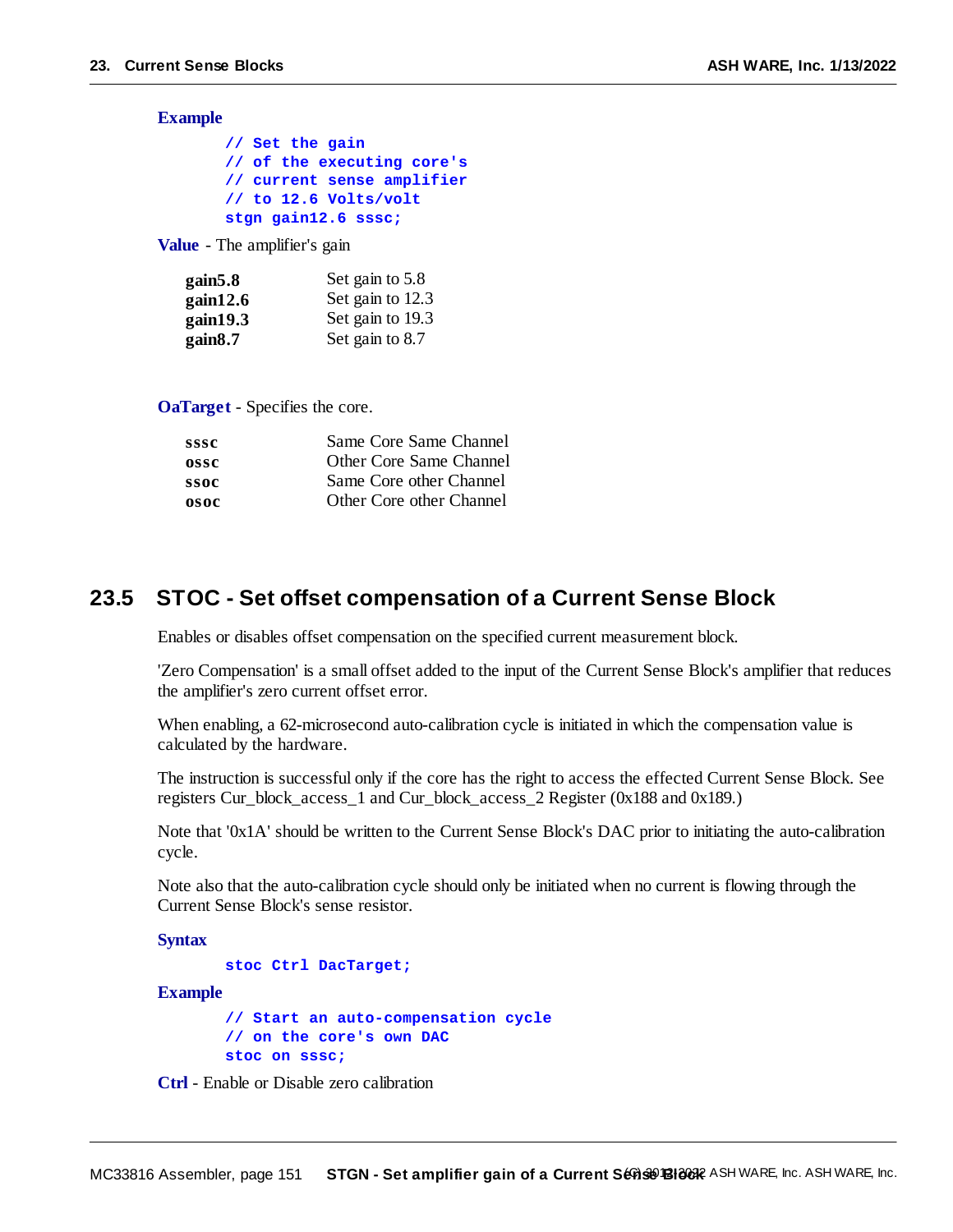**Example**

| // Set the gain            |
|----------------------------|
| // of the executing core's |
| // current sense amplifier |
| // to 12.6 Volts/volt      |
| stgn gain12.6 sssc;        |

**Value** - The amplifier's gain

| gain5.8  | Set gain to 5.8  |
|----------|------------------|
| gain12.6 | Set gain to 12.3 |
| gain19.3 | Set gain to 19.3 |
| gain8.7  | Set gain to 8.7  |

**OaTarget** - Specifies the core.

| sssc | Same Core Same Channel   |
|------|--------------------------|
| ossc | Other Core Same Channel  |
| ssoc | Same Core other Channel  |
| osoc | Other Core other Channel |
|      |                          |

## **23.5 STOC - Set offset compensation of a Current Sense Block**

Enables or disables offset compensation on the specified current measurement block.

'Zero Compensation' is a small offset added to the input of the Current Sense Block's amplifier that reduces the amplifier's zero current offset error.

When enabling, a 62-microsecond auto-calibration cycle is initiated in which the compensation value is calculated by the hardware.

The instruction is successful only if the core has the right to access the effected Current Sense Block. See registers Cur\_block\_access\_1 and Cur\_block\_access\_2 Register (0x188 and 0x189.)

Note that '0x1A' should be written to the Current Sense Block's DAC prior to initiating the auto-calibration cycle.

Note also that the auto-calibration cycle should only be initiated when no current is flowing through the Current Sense Block's sense resistor.

**Syntax**

```
stoc Ctrl DacTarget;
```
**Example**

**// Start an auto-compensation cycle // on the core's own DAC stoc on sssc;**

**Ctrl** - Enable or Disable zero calibration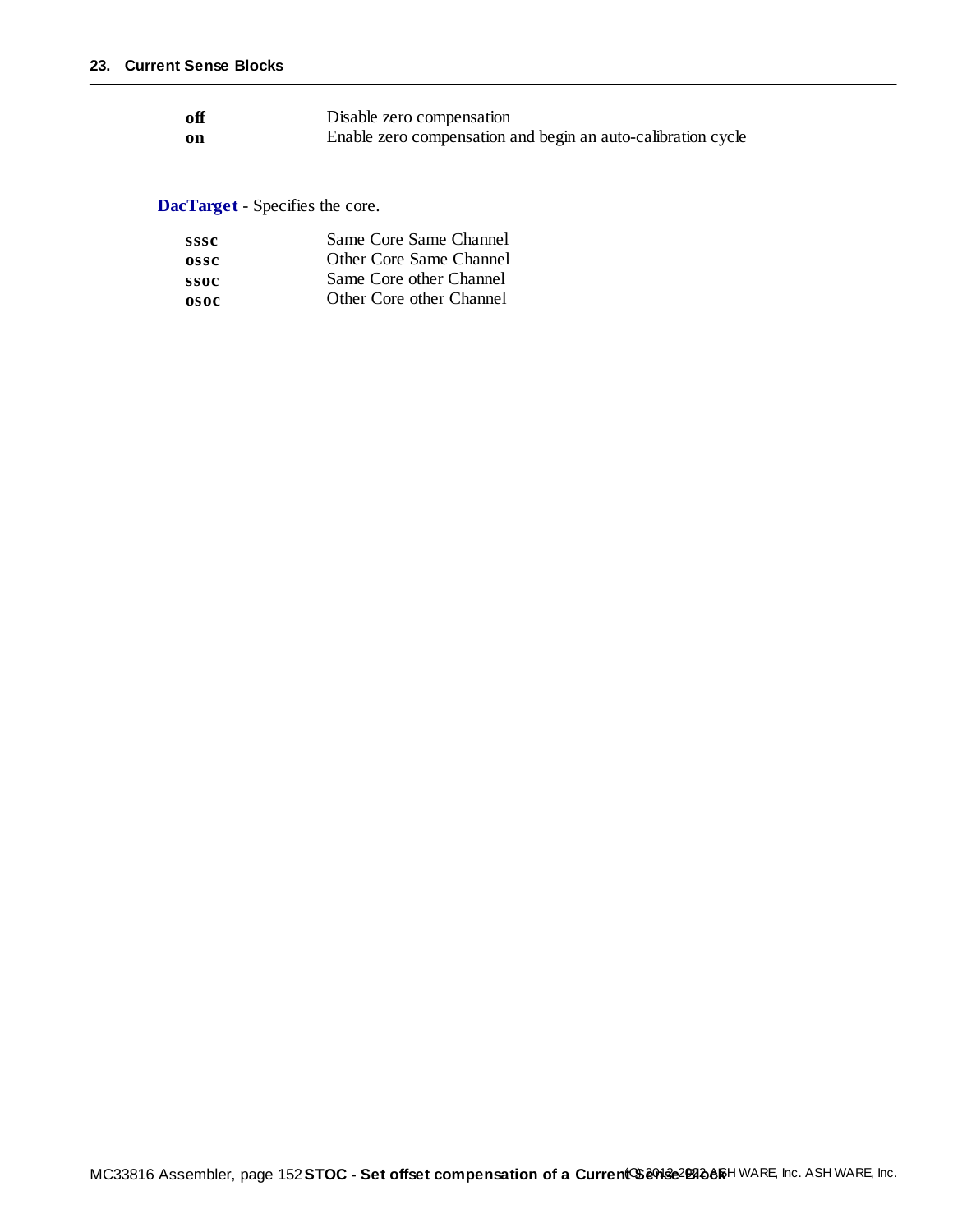| off           | Disable zero compensation                                    |
|---------------|--------------------------------------------------------------|
| <sub>on</sub> | Enable zero compensation and begin an auto-calibration cycle |

**DacTarget** - Specifies the core.

| sssc | Same Core Same Channel   |
|------|--------------------------|
| ossc | Other Core Same Channel  |
| ssoc | Same Core other Channel  |
| osoc | Other Core other Channel |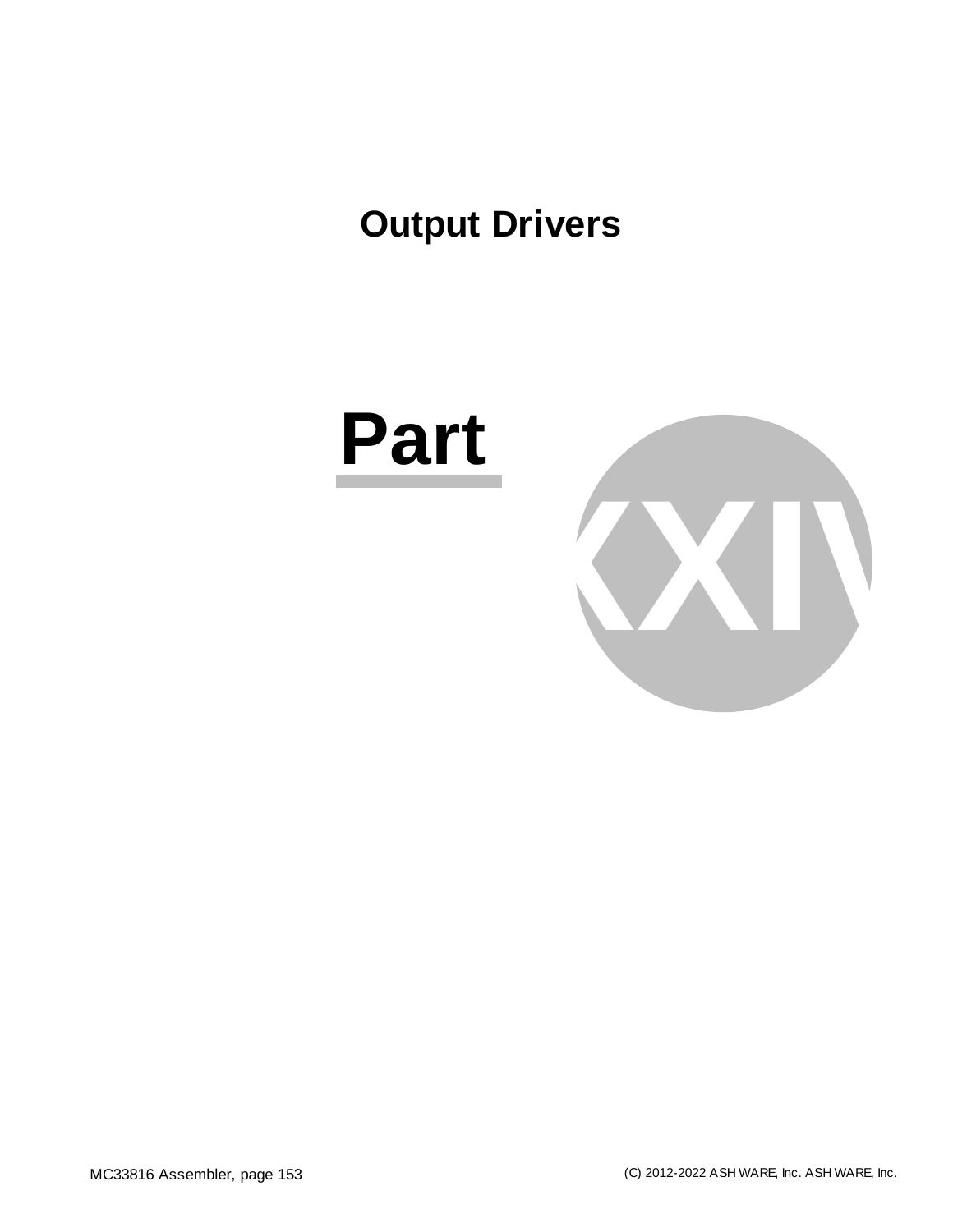# **Output Drivers**



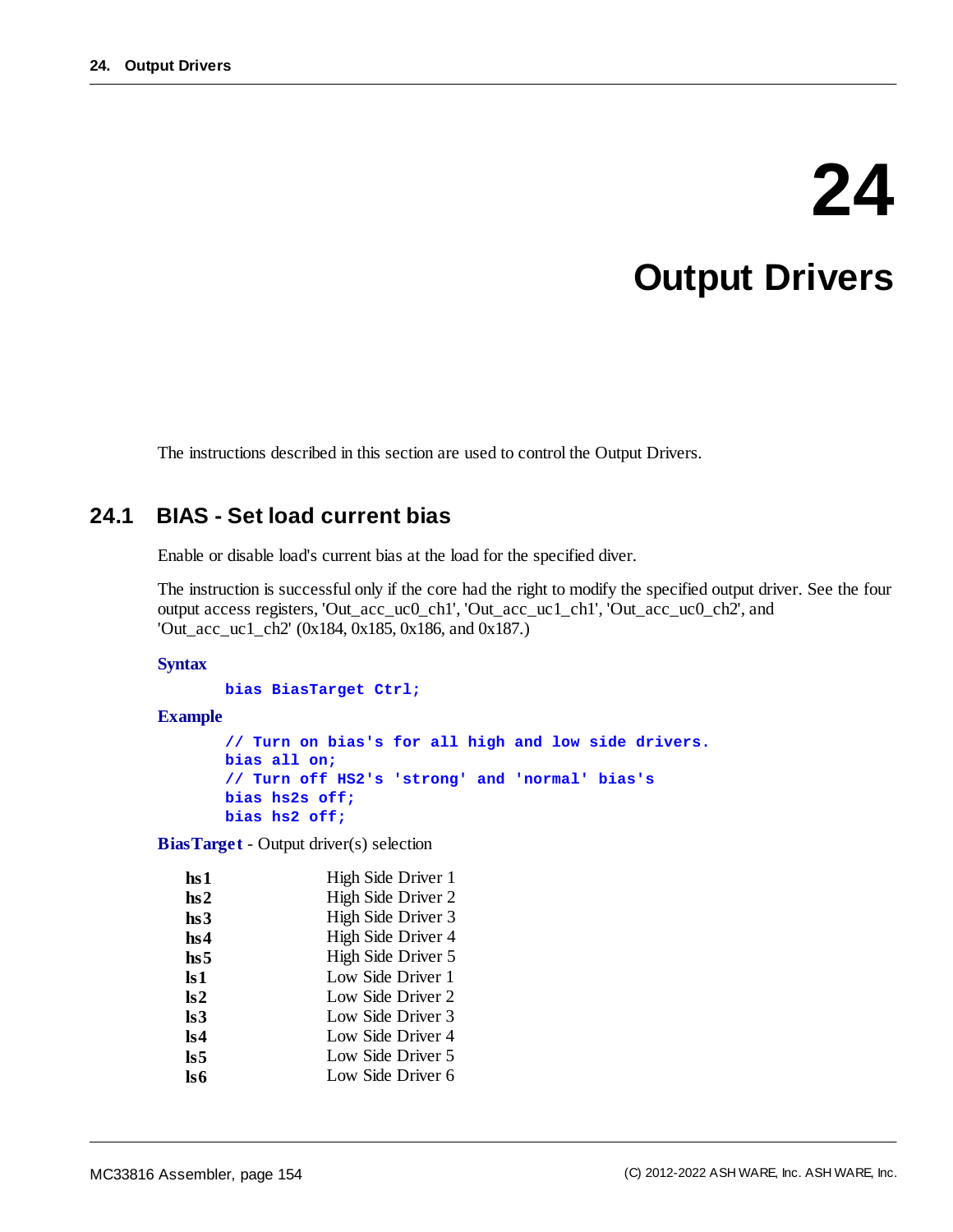# **24**

# **Output Drivers**

The instructions described in this section are used to control the Output Drivers.

## **24.1 BIAS - Set load current bias**

Enable or disable load's current bias at the load for the specified diver.

The instruction is successful only if the core had the right to modify the specified output driver. See the four output access registers, 'Out\_acc\_uc0\_ch1', 'Out\_acc\_uc1\_ch1', 'Out\_acc\_uc0\_ch2', and 'Out\_acc\_uc1\_ch2' (0x184, 0x185, 0x186, and 0x187.)

#### **Syntax**

**bias BiasTarget Ctrl;**

#### **Example**

**// Turn on bias's for all high and low side drivers. bias all on; // Turn off HS2's 'strong' and 'normal' bias's bias hs2s off; bias hs2 off;**

**BiasTarget** - Output driver(s) selection

| hs 1                    | High Side Driver 1 |
|-------------------------|--------------------|
| hs2                     | High Side Driver 2 |
| hs3                     | High Side Driver 3 |
| hs4                     | High Side Driver 4 |
| hs 5                    | High Side Driver 5 |
| $\mathbf{ls1}$          | Low Side Driver 1  |
| $\mathbf{ls2}$          | Low Side Driver 2  |
| $\mathbf{ls3}$          | Low Side Driver 3  |
| ls4                     | Low Side Driver 4  |
| $\overline{\text{ls}}5$ | Low Side Driver 5  |
| ls6                     | Low Side Driver 6  |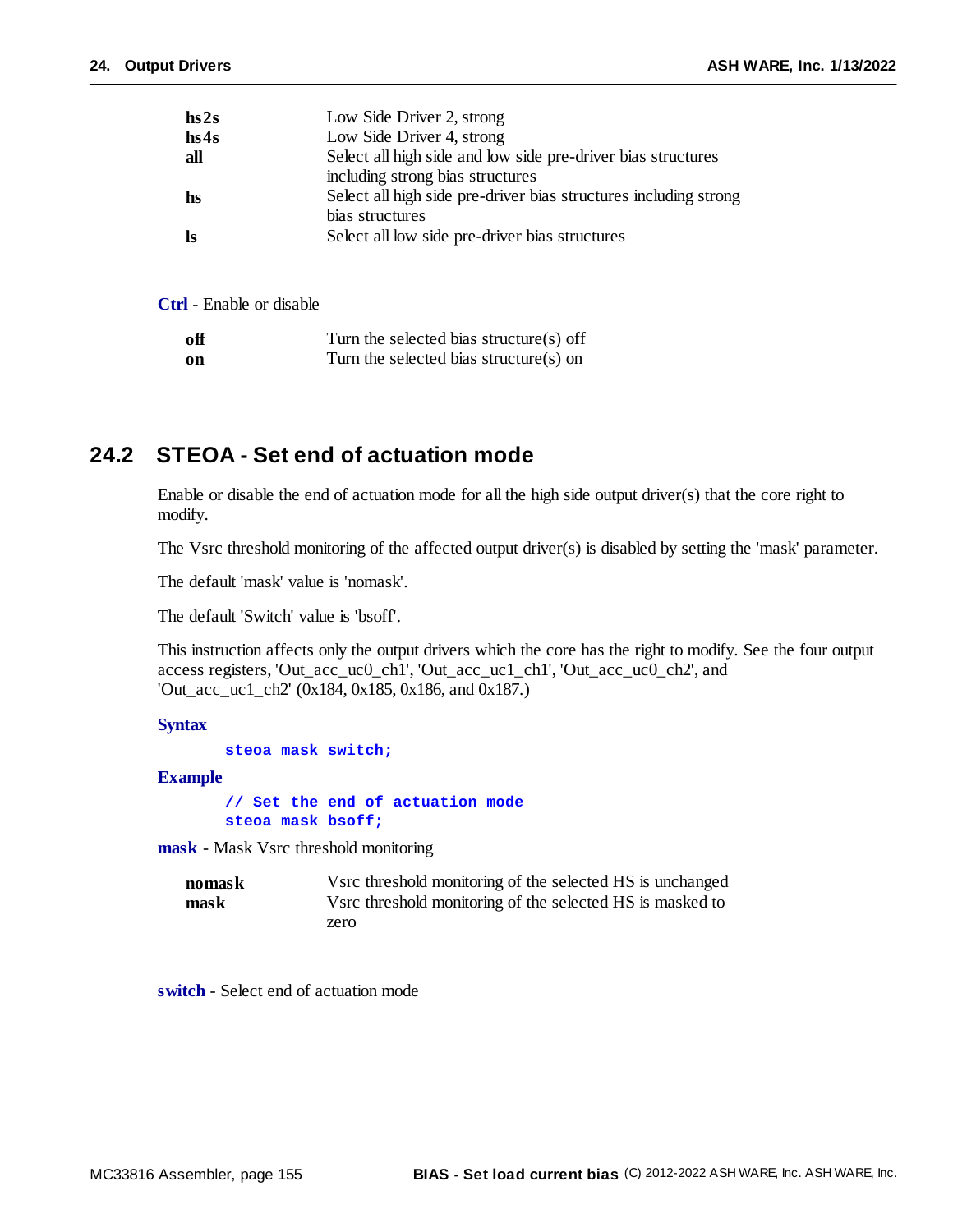| hs2s      | Low Side Driver 2, strong                                        |
|-----------|------------------------------------------------------------------|
| hs4s      | Low Side Driver 4, strong                                        |
| all       | Select all high side and low side pre-driver bias structures     |
|           | including strong bias structures                                 |
| hs        | Select all high side pre-driver bias structures including strong |
|           | bias structures                                                  |
| <b>ls</b> | Select all low side pre-driver bias structures                   |
|           |                                                                  |

**Ctrl** - Enable or disable

| off  | Turn the selected bias structure(s) off |
|------|-----------------------------------------|
| - on | Turn the selected bias structure(s) on  |

## **24.2 STEOA - Set end of actuation mode**

Enable or disable the end of actuation mode for all the high side output driver(s) that the core right to modify.

The Vsrc threshold monitoring of the affected output driver(s) is disabled by setting the 'mask' parameter.

The default 'mask' value is 'nomask'.

The default 'Switch' value is 'bsoff'.

This instruction affects only the output drivers which the core has the right to modify. See the four output access registers, 'Out\_acc\_uc0\_ch1', 'Out\_acc\_uc1\_ch1', 'Out\_acc\_uc0\_ch2', and 'Out\_acc\_uc1\_ch2' (0x184, 0x185, 0x186, and 0x187.)

**Syntax**

```
steoa mask switch;
```
**Example**

**// Set the end of actuation mode steoa mask bsoff;**

**mask** - Mask Vsrc threshold monitoring

| nomask | Vsrc threshold monitoring of the selected HS is unchanged |
|--------|-----------------------------------------------------------|
| mask   | Vsrc threshold monitoring of the selected HS is masked to |
|        | zero                                                      |

**switch** - Select end of actuation mode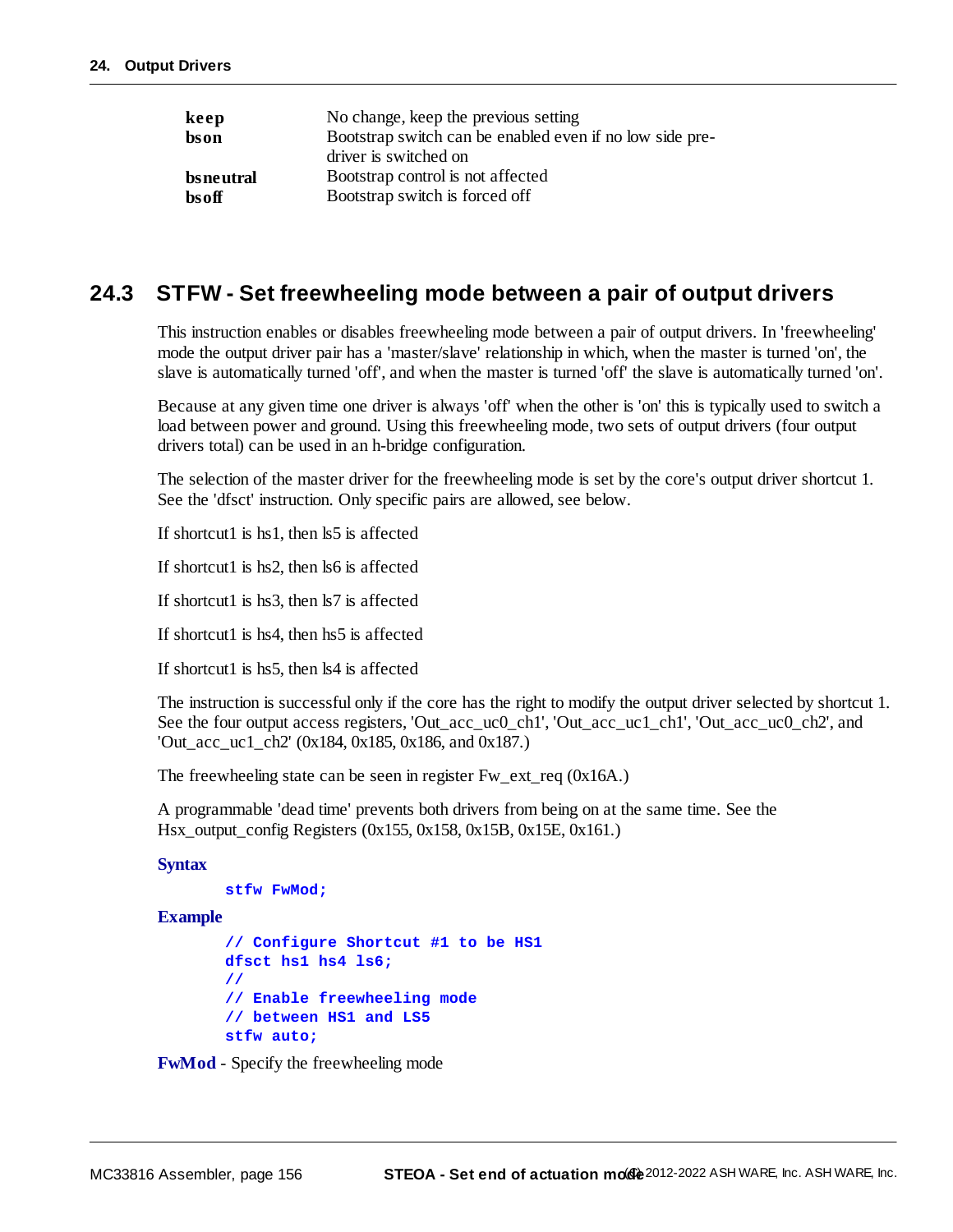| keep      | No change, keep the previous setting                     |
|-----------|----------------------------------------------------------|
| bson      | Bootstrap switch can be enabled even if no low side pre- |
|           | driver is switched on                                    |
| bsneutral | Bootstrap control is not affected                        |
| bsoff     | Bootstrap switch is forced off                           |

# **24.3 STFW - Set freewheeling mode between a pair of output drivers**

This instruction enables or disables freewheeling mode between a pair of output drivers. In 'freewheeling' mode the output driver pair has a 'master/slave' relationship in which, when the master is turned 'on', the slave is automatically turned 'off', and when the master is turned 'off' the slave is automatically turned 'on'.

Because at any given time one driver is always 'off' when the other is 'on' this is typically used to switch a load between power and ground. Using this freewheeling mode, two sets of output drivers (four output drivers total) can be used in an h-bridge configuration.

The selection of the master driver for the freewheeling mode is set by the core's output driver shortcut 1. See the 'dfsct' instruction. Only specific pairs are allowed, see below.

If shortcut1 is hs1, then ls5 is affected

If shortcut1 is hs2, then ls6 is affected

If shortcut1 is hs3, then ls7 is affected

If shortcut1 is hs4, then hs5 is affected

If shortcut1 is hs5, then ls4 is affected

The instruction is successful only if the core has the right to modify the output driver selected by shortcut 1. See the four output access registers, 'Out\_acc\_uc0\_ch1', 'Out\_acc\_uc1\_ch1', 'Out\_acc\_uc0\_ch2', and 'Out\_acc\_uc1\_ch2' (0x184, 0x185, 0x186, and 0x187.)

The freewheeling state can be seen in register Fw\_ext\_req (0x16A.)

A programmable 'dead time' prevents both drivers from being on at the same time. See the Hsx\_output\_config Registers (0x155, 0x158, 0x15B, 0x15E, 0x161.)

#### **Syntax**

#### **stfw FwMod;**

#### **Example**

```
// Configure Shortcut #1 to be HS1
dfsct hs1 hs4 ls6;
//
// Enable freewheeling mode
// between HS1 and LS5
stfw auto;
```
**FwMod** - Specify the freewheeling mode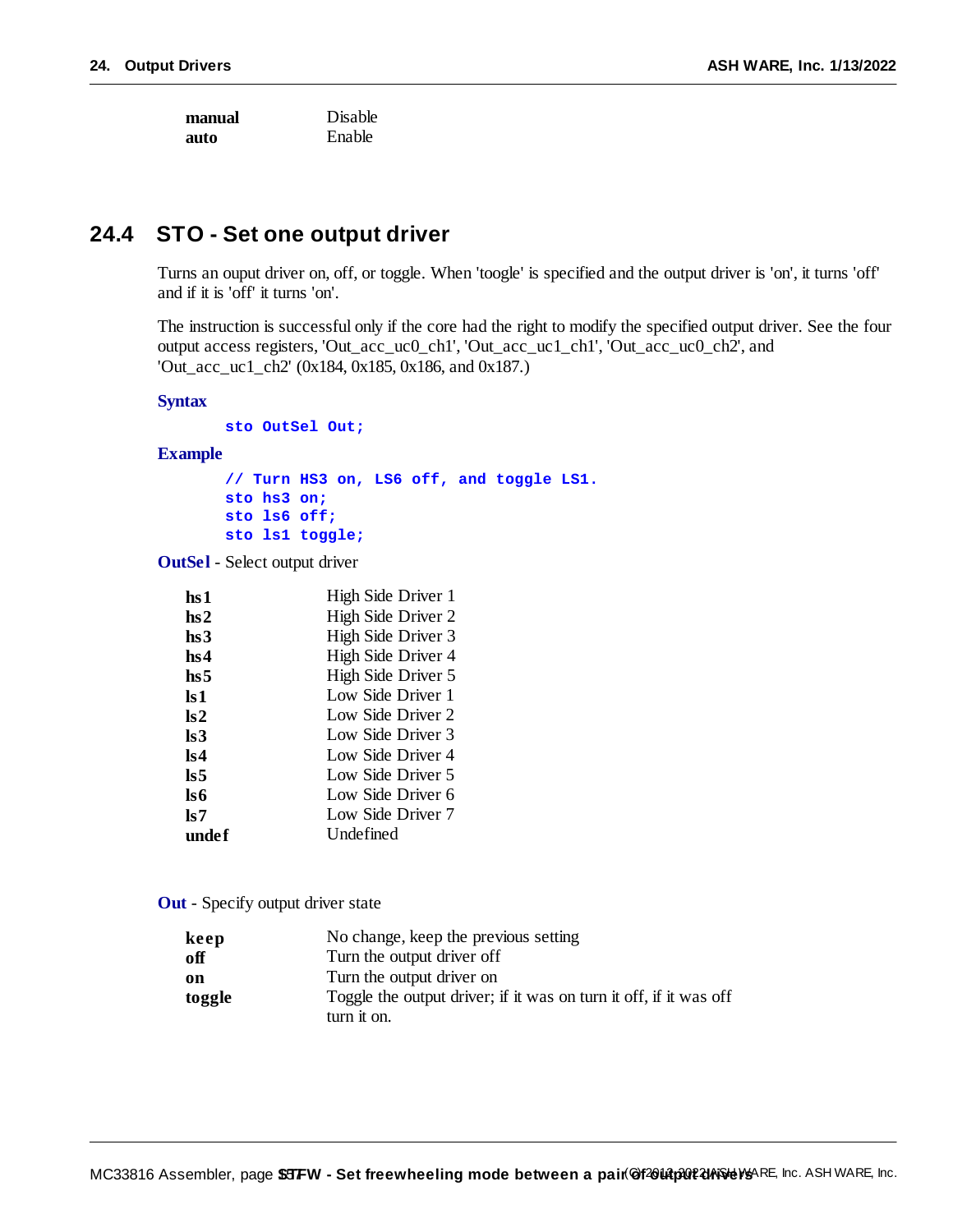**manual** Disable **auto** Enable

# **24.4 STO - Set one output driver**

Turns an ouput driver on, off, or toggle. When 'toogle' is specified and the output driver is 'on', it turns 'off' and if it is 'off' it turns 'on'.

The instruction is successful only if the core had the right to modify the specified output driver. See the four output access registers, 'Out\_acc\_uc0\_ch1', 'Out\_acc\_uc1\_ch1', 'Out\_acc\_uc0\_ch2', and 'Out\_acc\_uc1\_ch2' (0x184, 0x185, 0x186, and 0x187.)

#### **Syntax**

**sto OutSel Out;**

**Example**

**// Turn HS3 on, LS6 off, and toggle LS1. sto hs3 on; sto ls6 off; sto ls1 toggle;**

**OutSel** - Select output driver

| hs 1            | High Side Driver 1 |
|-----------------|--------------------|
| hs2             | High Side Driver 2 |
| hs3             | High Side Driver 3 |
| hs4             | High Side Driver 4 |
| hs <sub>5</sub> | High Side Driver 5 |
| ls 1            | Low Side Driver 1  |
| $\mathbf{ls2}$  | Low Side Driver 2  |
| ls 3            | Low Side Driver 3  |
| ls4             | Low Side Driver 4  |
| ls 5            | Low Side Driver 5  |
| ls6             | Low Side Driver 6  |
| ls 7            | Low Side Driver 7  |
| undef           | Undefined          |

**Out** - Specify output driver state

| keep   | No change, keep the previous setting                              |
|--------|-------------------------------------------------------------------|
| off    | Turn the output driver off                                        |
| on     | Turn the output driver on                                         |
| toggle | Toggle the output driver; if it was on turn it off, if it was off |
|        | turn it on.                                                       |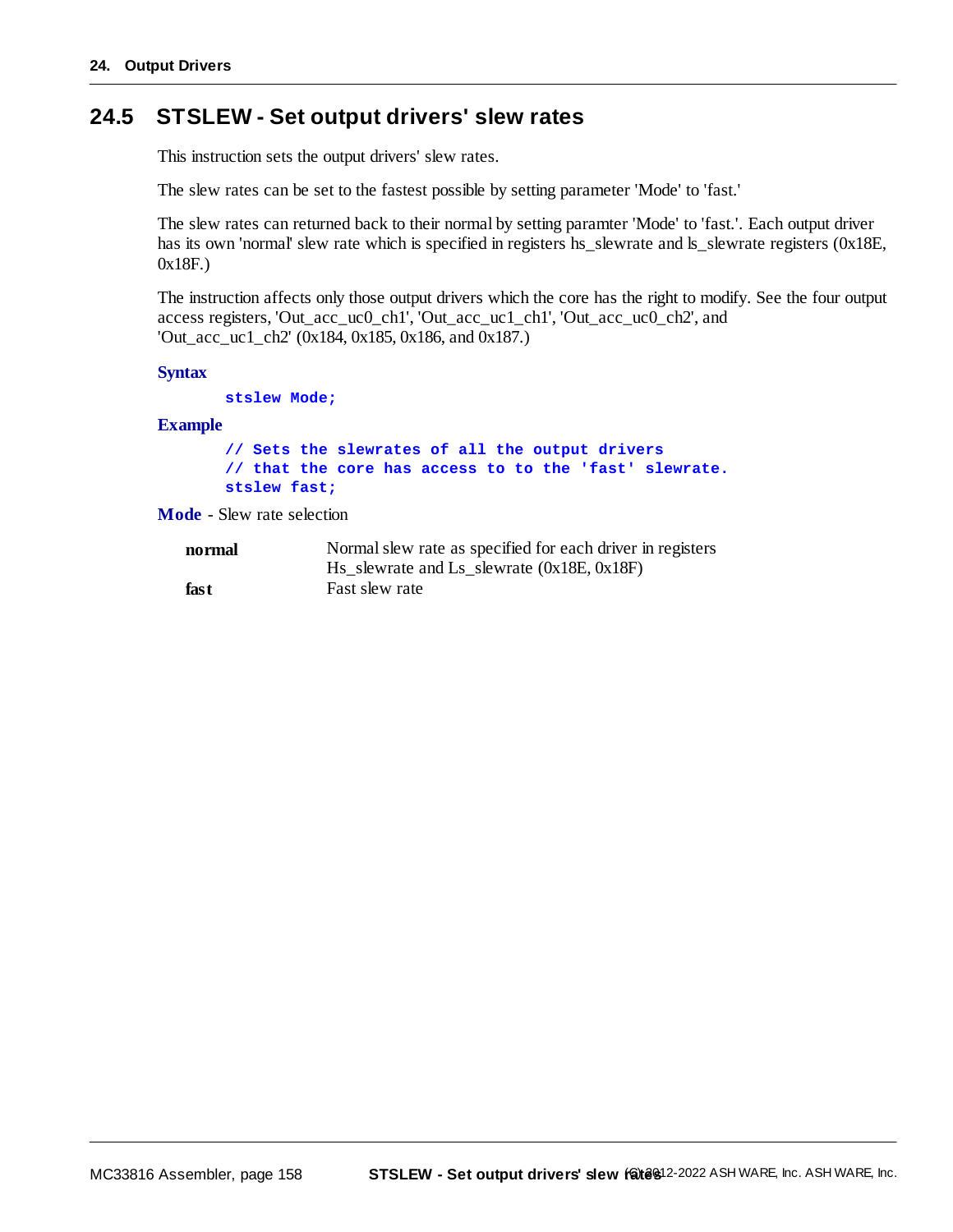# **24.5 STSLEW - Set output drivers' slew rates**

This instruction sets the output drivers' slew rates.

The slew rates can be set to the fastest possible by setting parameter 'Mode' to 'fast.'

The slew rates can returned back to their normal by setting paramter 'Mode' to 'fast.'. Each output driver has its own 'normal' slew rate which is specified in registers hs\_slewrate and ls\_slewrate registers (0x18E, 0x18F.)

The instruction affects only those output drivers which the core has the right to modify. See the four output access registers, 'Out\_acc\_uc0\_ch1', 'Out\_acc\_uc1\_ch1', 'Out\_acc\_uc0\_ch2', and 'Out\_acc\_uc1\_ch2' (0x184, 0x185, 0x186, and 0x187.)

**Syntax**

**stslew Mode;**

**Example**

```
// Sets the slewrates of all the output drivers
// that the core has access to to the 'fast' slewrate.
stslew fast;
```
**Mode** - Slew rate selection

| normal | Normal slew rate as specified for each driver in registers     |
|--------|----------------------------------------------------------------|
|        | $\text{Hs\_slewrate}$ and $\text{Ls\_slewrate}$ (0x18E, 0x18F) |
| fast   | Fast slew rate                                                 |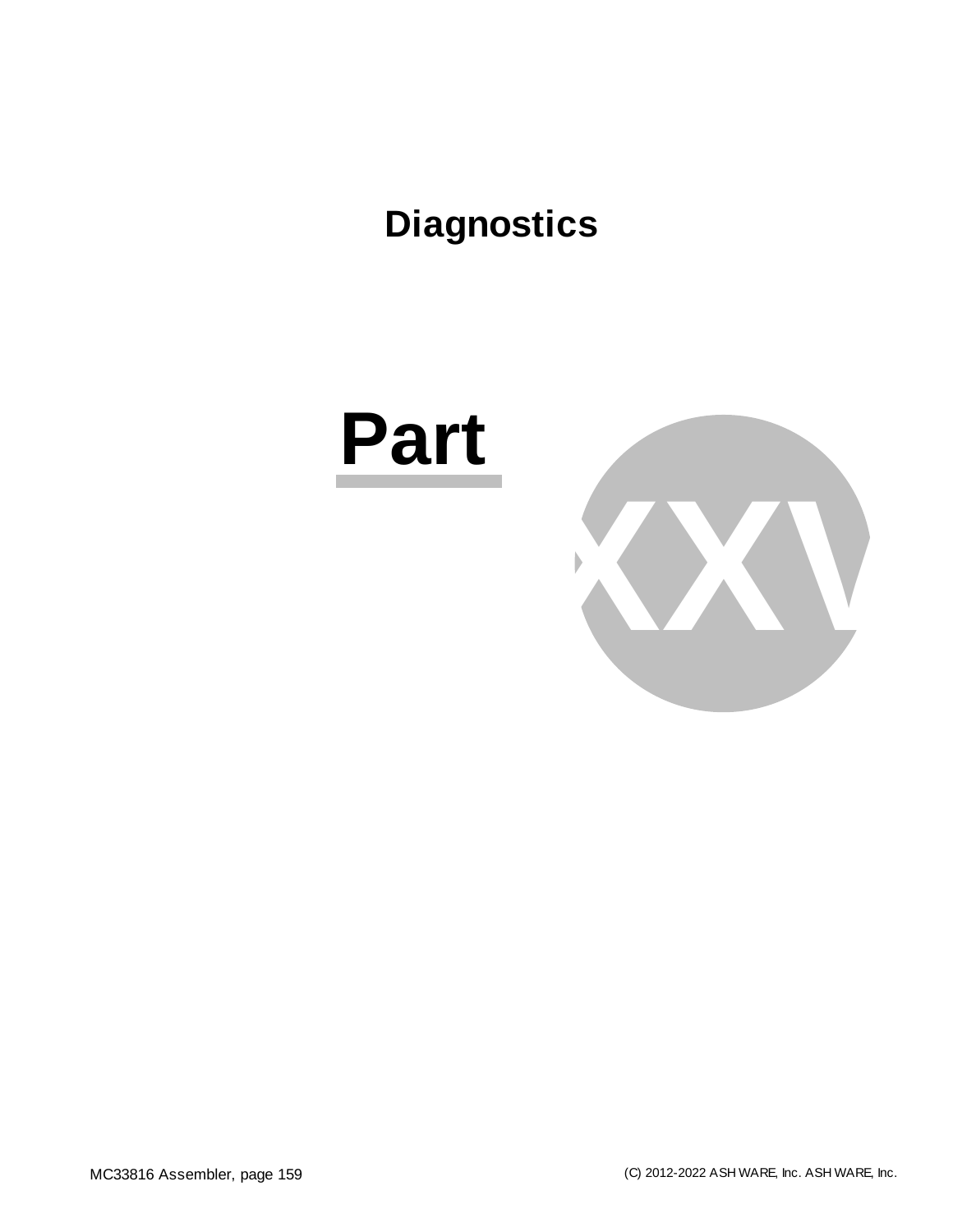# **Diagnostics**

# **Part**

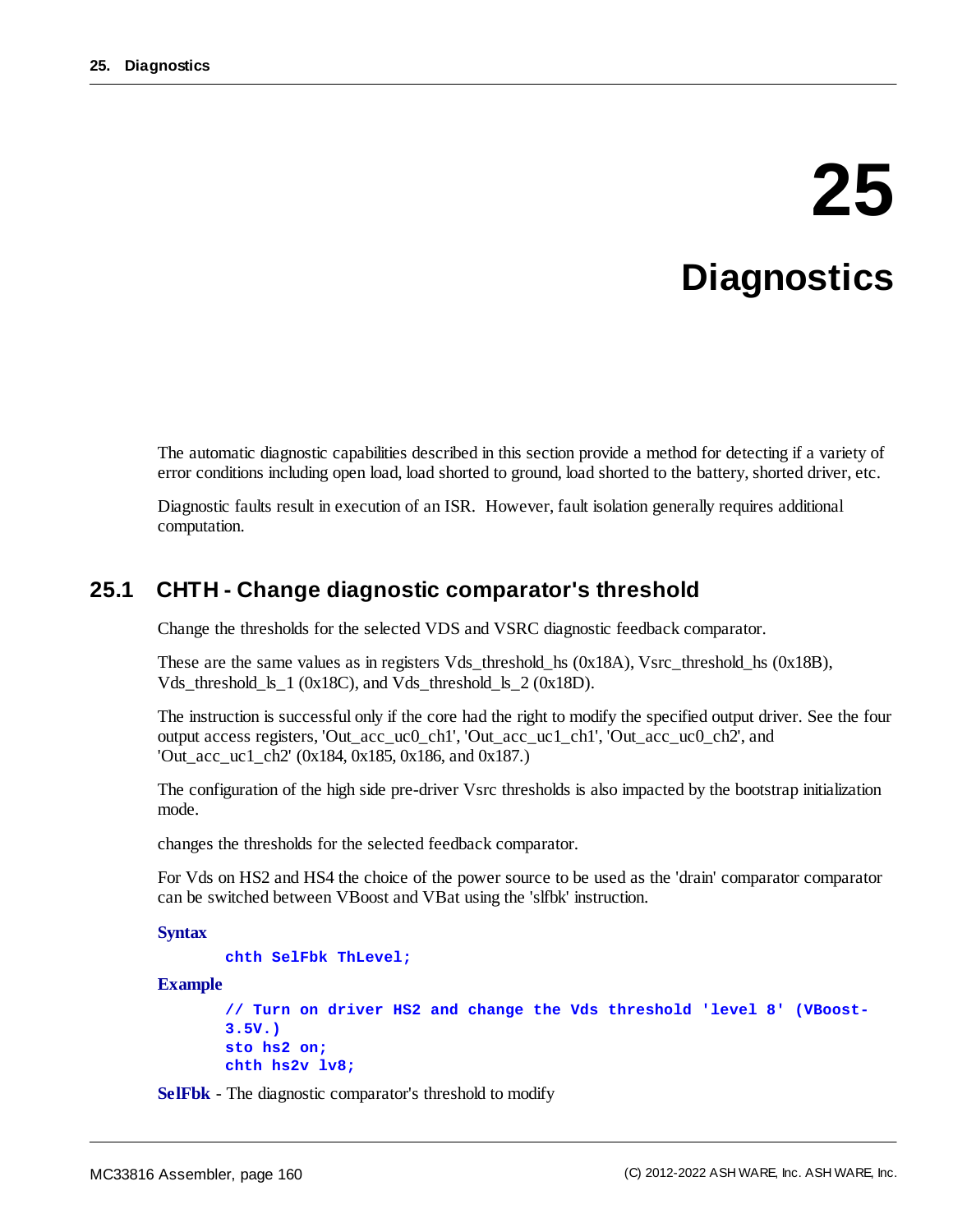# **25 Diagnostics**

The automatic diagnostic capabilities described in this section provide a method for detecting if a variety of error conditions including open load, load shorted to ground, load shorted to the battery, shorted driver, etc.

Diagnostic faults result in execution of an ISR. However, fault isolation generally requires additional computation.

## **25.1 CHTH - Change diagnostic comparator's threshold**

Change the thresholds for the selected VDS and VSRC diagnostic feedback comparator.

These are the same values as in registers Vds\_threshold\_hs (0x18A), Vsrc\_threshold\_hs (0x18B), Vds\_threshold\_ls\_1 (0x18C), and Vds\_threshold\_ls\_2 (0x18D).

The instruction is successful only if the core had the right to modify the specified output driver. See the four output access registers, 'Out\_acc\_uc0\_ch1', 'Out\_acc\_uc1\_ch1', 'Out\_acc\_uc0\_ch2', and 'Out acc uc1 ch2' (0x184, 0x185, 0x186, and 0x187.)

The configuration of the high side pre-driver Vsrc thresholds is also impacted by the bootstrap initialization mode.

changes the thresholds for the selected feedback comparator.

For Vds on HS2 and HS4 the choice of the power source to be used as the 'drain' comparator comparator can be switched between VBoost and VBat using the 'slfbk' instruction.

**Syntax**

```
chth SelFbk ThLevel;
```
**Example**

```
// Turn on driver HS2 and change the Vds threshold 'level 8' (VBoost-
3.5V.)
sto hs2 on;
chth hs2v lv8;
```
**SelFbk** - The diagnostic comparator's threshold to modify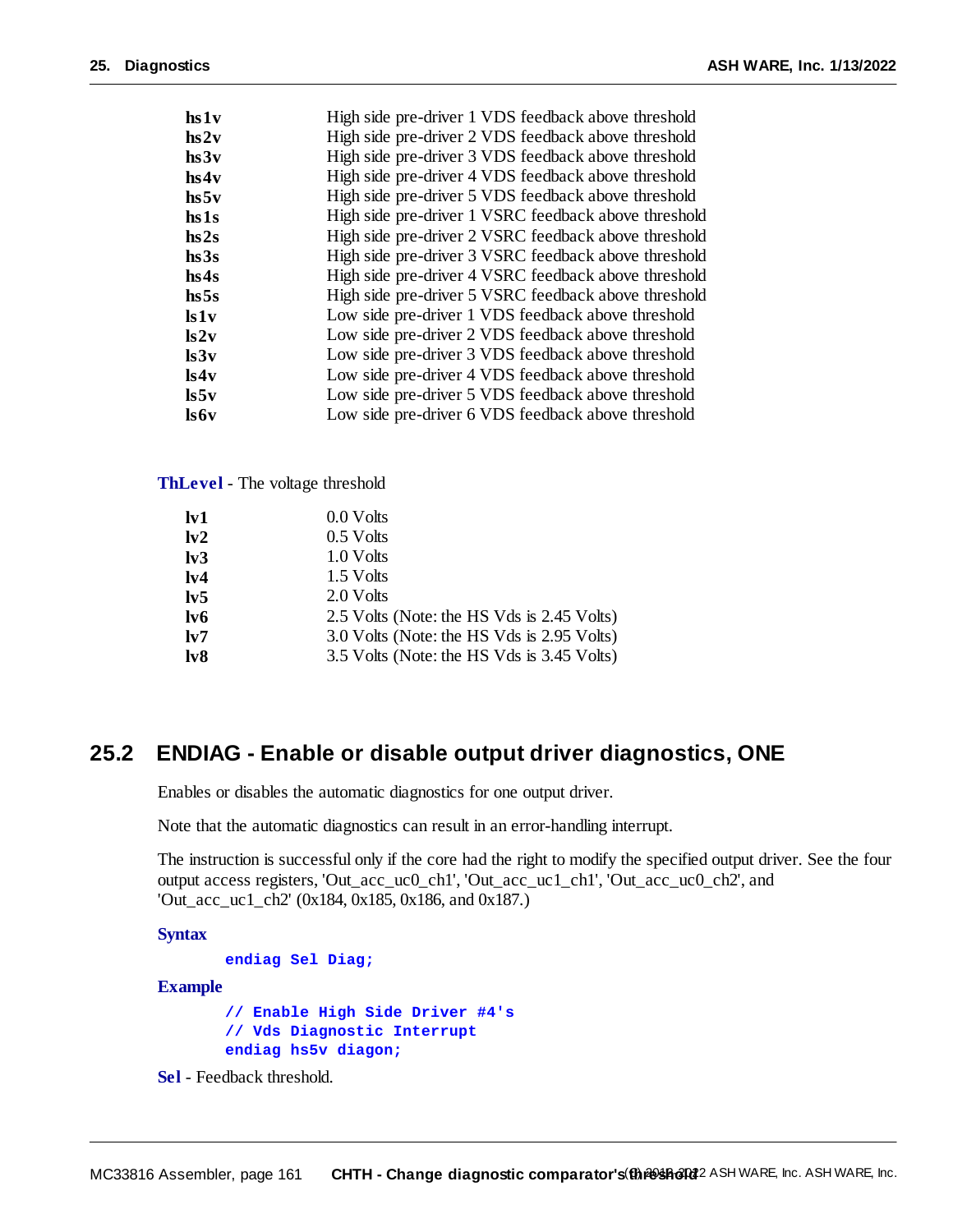| High side pre-driver 1 VDS feedback above threshold  |
|------------------------------------------------------|
| High side pre-driver 2 VDS feedback above threshold  |
| High side pre-driver 3 VDS feedback above threshold  |
| High side pre-driver 4 VDS feedback above threshold  |
| High side pre-driver 5 VDS feedback above threshold  |
| High side pre-driver 1 VSRC feedback above threshold |
| High side pre-driver 2 VSRC feedback above threshold |
| High side pre-driver 3 VSRC feedback above threshold |
| High side pre-driver 4 VSRC feedback above threshold |
| High side pre-driver 5 VSRC feedback above threshold |
| Low side pre-driver 1 VDS feedback above threshold   |
| Low side pre-driver 2 VDS feedback above threshold   |
| Low side pre-driver 3 VDS feedback above threshold   |
| Low side pre-driver 4 VDS feedback above threshold   |
| Low side pre-driver 5 VDS feedback above threshold   |
| Low side pre-driver 6 VDS feedback above threshold   |
|                                                      |

#### **ThLevel** - The voltage threshold

| $I_{\rm v1}$     | 0.0 Volts                                  |
|------------------|--------------------------------------------|
| 1v2              | $0.5$ Volts                                |
| I <sub>v</sub> 3 | 1.0 Volts                                  |
| 1 <sub>v</sub> 4 | 1.5 Volts                                  |
| 1 <sub>v</sub> 5 | 2.0 Volts                                  |
| $l\mathbf{v}6$   | 2.5 Volts (Note: the HS Vds is 2.45 Volts) |
| 1v7              | 3.0 Volts (Note: the HS Vds is 2.95 Volts) |
| 1 <sub>v</sub>   | 3.5 Volts (Note: the HS Vds is 3.45 Volts) |

## **25.2 ENDIAG - Enable or disable output driver diagnostics, ONE**

Enables or disables the automatic diagnostics for one output driver.

Note that the automatic diagnostics can result in an error-handling interrupt.

The instruction is successful only if the core had the right to modify the specified output driver. See the four output access registers, 'Out\_acc\_uc0\_ch1', 'Out\_acc\_uc1\_ch1', 'Out\_acc\_uc0\_ch2', and 'Out\_acc\_uc1\_ch2' (0x184, 0x185, 0x186, and 0x187.)

**Syntax**

```
endiag Sel Diag;
```
#### **Example**

**// Enable High Side Driver #4's // Vds Diagnostic Interrupt endiag hs5v diagon;**

**Sel** - Feedback threshold.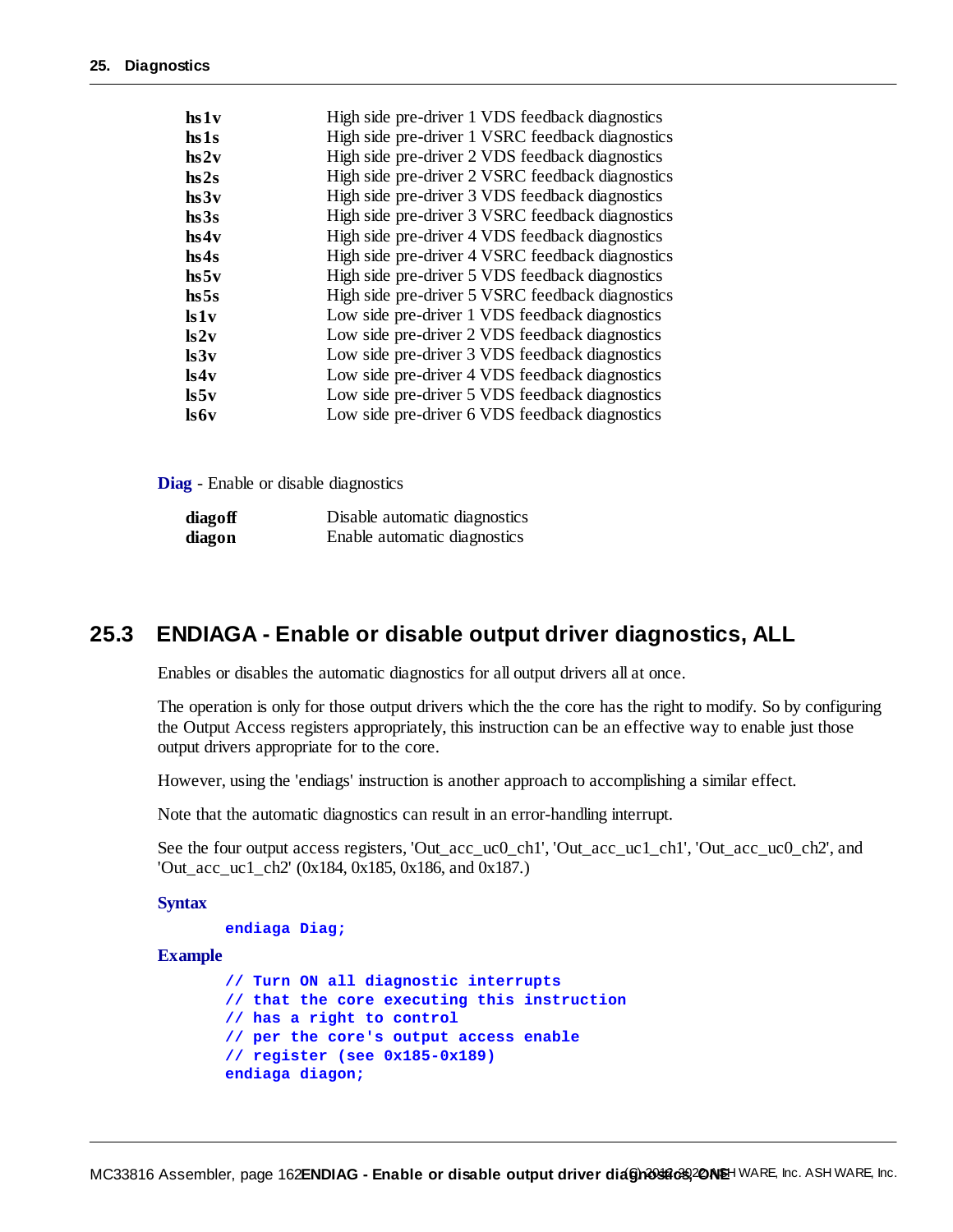| $\mathbf{h} \mathbf{s} \mathbf{1} \mathbf{v}$ | High side pre-driver 1 VDS feedback diagnostics  |
|-----------------------------------------------|--------------------------------------------------|
| $\bf{hs1s}$                                   | High side pre-driver 1 VSRC feedback diagnostics |
| $\bf{hs2v}$                                   | High side pre-driver 2 VDS feedback diagnostics  |
| hs2s                                          | High side pre-driver 2 VSRC feedback diagnostics |
| hs3v                                          | High side pre-driver 3 VDS feedback diagnostics  |
| hs3s                                          | High side pre-driver 3 VSRC feedback diagnostics |
| hs4v                                          | High side pre-driver 4 VDS feedback diagnostics  |
| hs4s                                          | High side pre-driver 4 VSRC feedback diagnostics |
| hs5v                                          | High side pre-driver 5 VDS feedback diagnostics  |
| hs5s                                          | High side pre-driver 5 VSRC feedback diagnostics |
| ls1v                                          | Low side pre-driver 1 VDS feedback diagnostics   |
| ls2v                                          | Low side pre-driver 2 VDS feedback diagnostics   |
| ls3v                                          | Low side pre-driver 3 VDS feedback diagnostics   |
| ls4v                                          | Low side pre-driver 4 VDS feedback diagnostics   |
| $\mathbf{ls5v}$                               | Low side pre-driver 5 VDS feedback diagnostics   |
| ls6v                                          | Low side pre-driver 6 VDS feedback diagnostics   |

**Diag** - Enable or disable diagnostics

| diagoff | Disable automatic diagnostics |
|---------|-------------------------------|
| diagon  | Enable automatic diagnostics  |

### **25.3 ENDIAGA - Enable or disable output driver diagnostics, ALL**

Enables or disables the automatic diagnostics for all output drivers all at once.

The operation is only for those output drivers which the the core has the right to modify. So by configuring the Output Access registers appropriately, this instruction can be an effective way to enable just those output drivers appropriate for to the core.

However, using the 'endiags' instruction is another approach to accomplishing a similar effect.

Note that the automatic diagnostics can result in an error-handling interrupt.

See the four output access registers, 'Out\_acc\_uc0\_ch1', 'Out\_acc\_uc1\_ch1', 'Out\_acc\_uc0\_ch2', and 'Out\_acc\_uc1\_ch2' (0x184, 0x185, 0x186, and 0x187.)

**Syntax**

```
endiaga Diag;
```
#### **Example**

```
// Turn ON all diagnostic interrupts
// that the core executing this instruction
// has a right to control
// per the core's output access enable
// register (see 0x185-0x189)
endiaga diagon;
```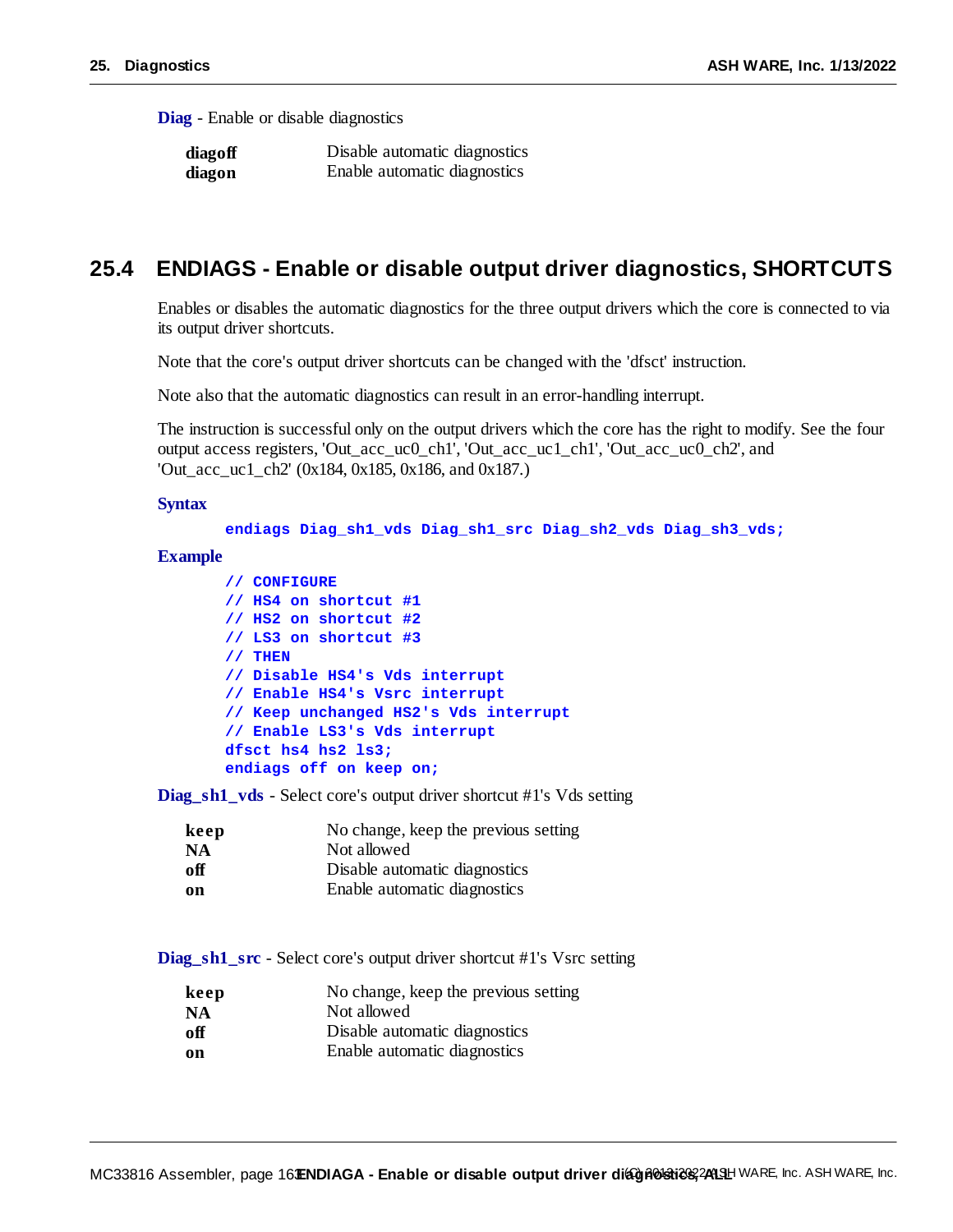**Diag** - Enable or disable diagnostics

| diagoff | Disable automatic diagnostics |
|---------|-------------------------------|
| diagon  | Enable automatic diagnostics  |

### **25.4 ENDIAGS - Enable or disable output driver diagnostics, SHORTCUTS**

Enables or disables the automatic diagnostics for the three output drivers which the core is connected to via its output driver shortcuts.

Note that the core's output driver shortcuts can be changed with the 'dfsct' instruction.

Note also that the automatic diagnostics can result in an error-handling interrupt.

The instruction is successful only on the output drivers which the core has the right to modify. See the four output access registers, 'Out\_acc\_uc0\_ch1', 'Out\_acc\_uc1\_ch1', 'Out\_acc\_uc0\_ch2', and 'Out\_acc\_uc1\_ch2' (0x184, 0x185, 0x186, and 0x187.)

#### **Syntax**

```
endiags Diag_sh1_vds Diag_sh1_src Diag_sh2_vds Diag_sh3_vds;
```
 $MC33816$  Assembler, page 16 **-**  $**Enable**$  **or disable output driver diagnologies,**  $241$ **SH WARE, Inc. ASH WARE, Inc.** 

#### **Example**

```
// CONFIGURE
// HS4 on shortcut #1
// HS2 on shortcut #2
// LS3 on shortcut #3
// THEN
// Disable HS4's Vds interrupt
// Enable HS4's Vsrc interrupt
// Keep unchanged HS2's Vds interrupt
// Enable LS3's Vds interrupt
dfsct hs4 hs2 ls3;
endiags off on keep on;
```
**Diag\_sh1\_vds** - Select core's output driver shortcut #1's Vds setting

| keep      | No change, keep the previous setting |
|-----------|--------------------------------------|
| <b>NA</b> | Not allowed                          |
| off       | Disable automatic diagnostics        |
| on        | Enable automatic diagnostics         |

**Diag\_sh1\_src** - Select core's output driver shortcut #1's Vsrc setting

| keep      | No change, keep the previous setting |
|-----------|--------------------------------------|
| <b>NA</b> | Not allowed                          |
| off       | Disable automatic diagnostics        |
| on        | Enable automatic diagnostics         |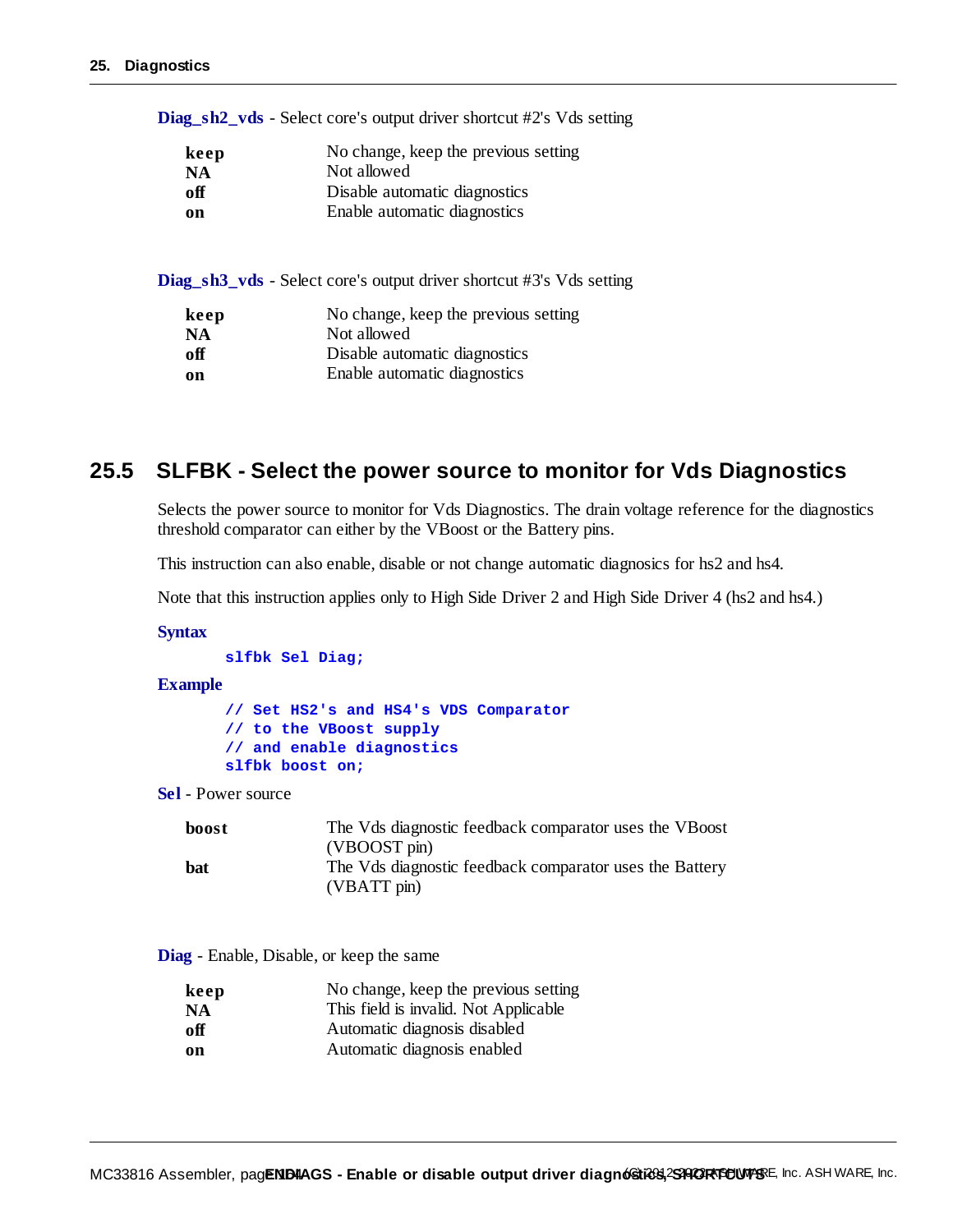**Diag\_sh2\_vds** - Select core's output driver shortcut #2's Vds setting

| keep | No change, keep the previous setting |
|------|--------------------------------------|
| NA   | Not allowed                          |
| оff  | Disable automatic diagnostics        |
| on   | Enable automatic diagnostics         |

**Diag\_sh3\_vds** - Select core's output driver shortcut #3's Vds setting

| keep | No change, keep the previous setting |
|------|--------------------------------------|
| NA   | Not allowed                          |
| оff  | Disable automatic diagnostics        |
| on   | Enable automatic diagnostics         |

### **25.5 SLFBK - Select the power source to monitor for Vds Diagnostics**

Selects the power source to monitor for Vds Diagnostics. The drain voltage reference for the diagnostics threshold comparator can either by the VBoost or the Battery pins.

This instruction can also enable, disable or not change automatic diagnosics for hs2 and hs4.

Note that this instruction applies only to High Side Driver 2 and High Side Driver 4 (hs2 and hs4.)

#### **Syntax**

```
slfbk Sel Diag;
```
#### **Example**

**// Set HS2's and HS4's VDS Comparator // to the VBoost supply // and enable diagnostics slfbk boost on;**

**Sel** - Power source

| The Vds diagnostic feedback comparator uses the VBoost                          |
|---------------------------------------------------------------------------------|
| (VBOOST pin)                                                                    |
| The Vds diagnostic feedback comparator uses the Battery<br>$(VBATT \text{pin})$ |
|                                                                                 |

**Diag** - Enable, Disable, or keep the same

| keep      | No change, keep the previous setting  |
|-----------|---------------------------------------|
| <b>NA</b> | This field is invalid. Not Applicable |
| off       | Automatic diagnosis disabled          |
| on        | Automatic diagnosis enabled           |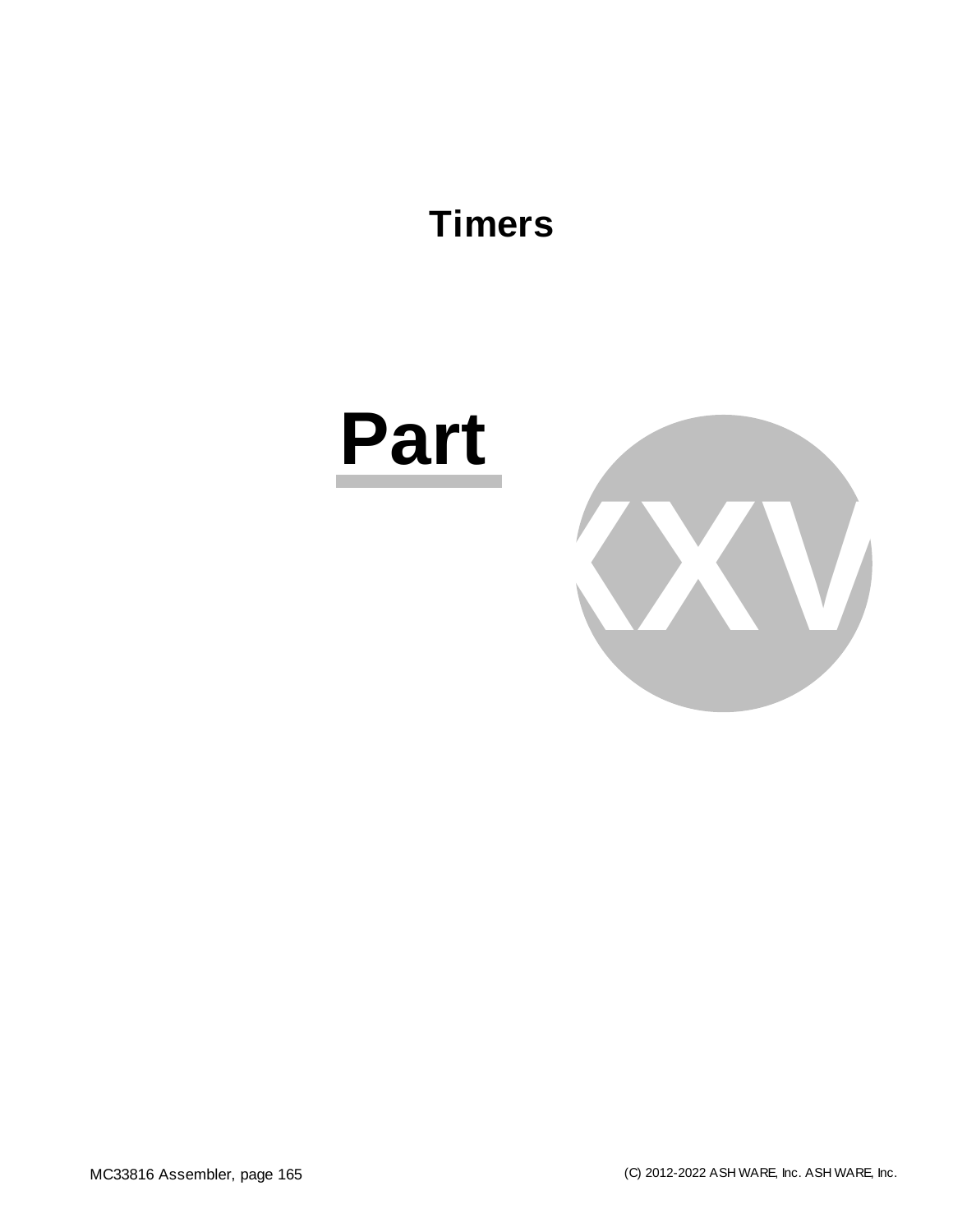# **Timers**

# **Part**

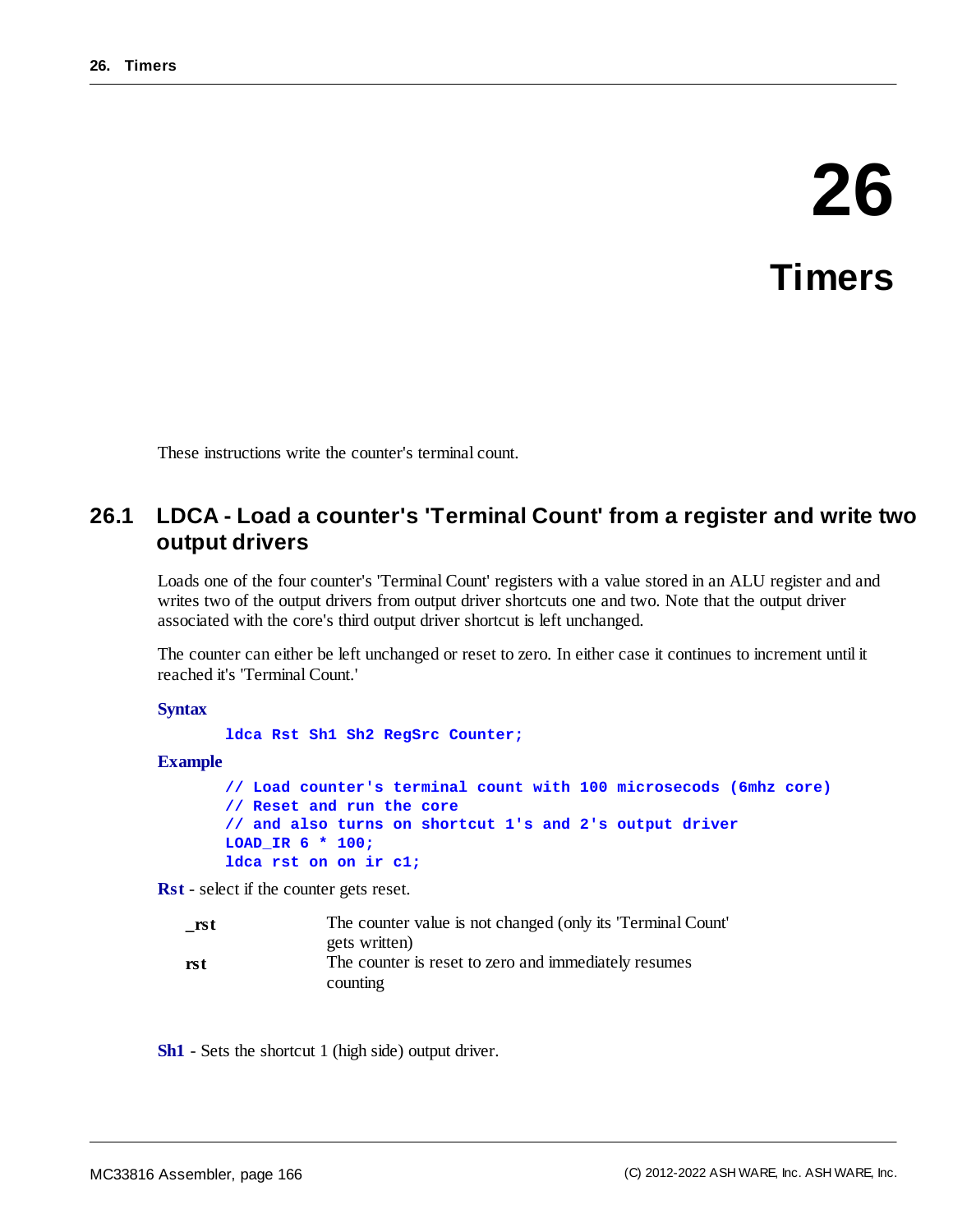# **26 Timers**

These instructions write the counter's terminal count.

# **26.1 LDCA - Load a counter's 'Terminal Count' from a register and write two output drivers**

Loads one of the four counter's 'Terminal Count' registers with a value stored in an ALU register and and writes two of the output drivers from output driver shortcuts one and two. Note that the output driver associated with the core's third output driver shortcut is left unchanged.

The counter can either be left unchanged or reset to zero. In either case it continues to increment until it reached it's 'Terminal Count.'

#### **Syntax**

**ldca Rst Sh1 Sh2 RegSrc Counter;**

#### **Example**

```
// Load counter's terminal count with 100 microsecods (6mhz core)
// Reset and run the core
// and also turns on shortcut 1's and 2's output driver
LOAD_IR 6 * 100;
ldca rst on on ir c1;
```
**Rst** - select if the counter gets reset.

| rst | The counter value is not changed (only its 'Terminal Count' |
|-----|-------------------------------------------------------------|
|     | gets written)                                               |
| rst | The counter is reset to zero and immediately resumes        |
|     | counting                                                    |

**Sh1** - Sets the shortcut 1 (high side) output driver.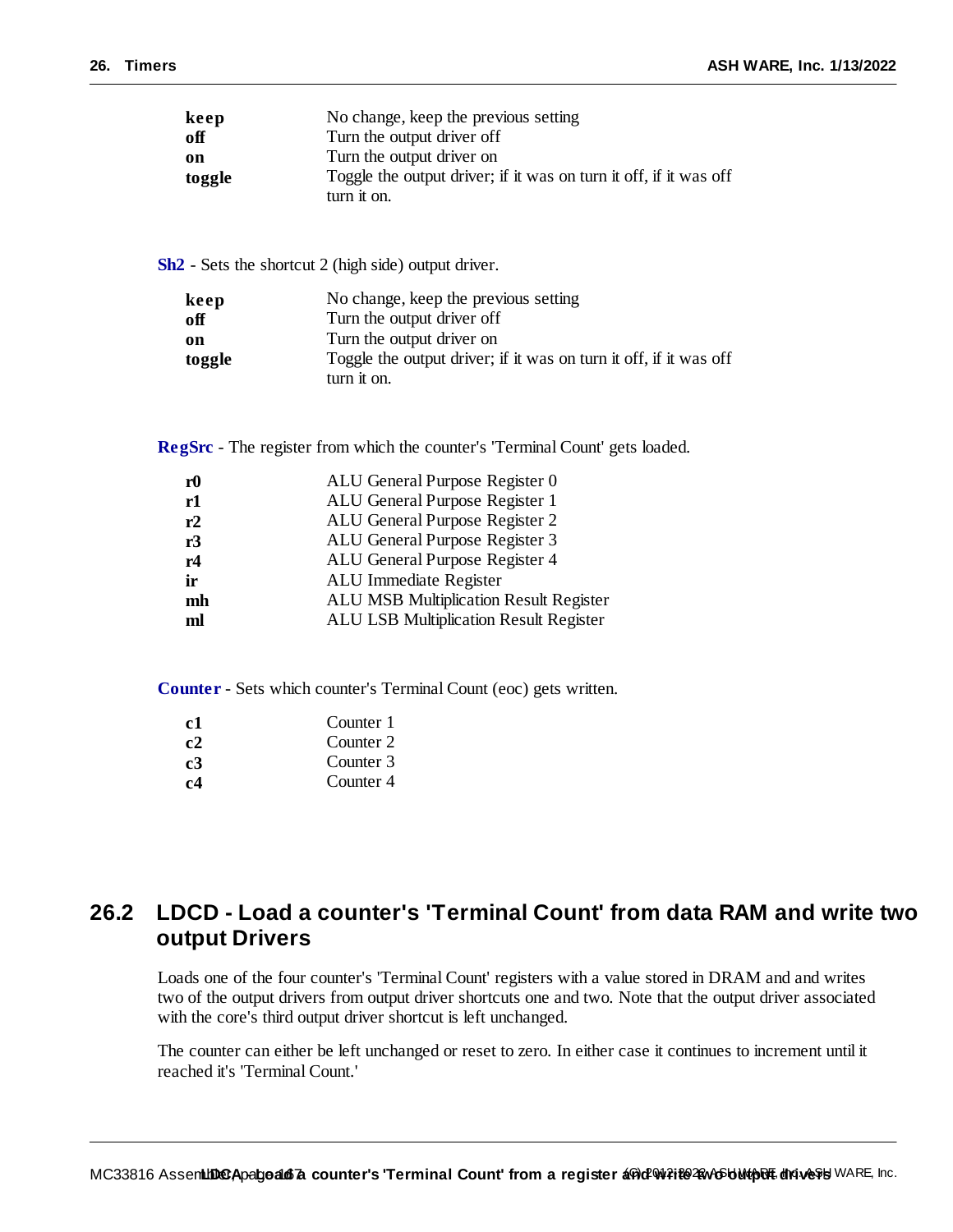| keep   | No change, keep the previous setting                                             |
|--------|----------------------------------------------------------------------------------|
| off    | Turn the output driver off                                                       |
| on     | Turn the output driver on                                                        |
| toggle | Toggle the output driver; if it was on turn it off, if it was off<br>turn it on. |

**Sh2** - Sets the shortcut 2 (high side) output driver.

| keep   | No change, keep the previous setting                              |
|--------|-------------------------------------------------------------------|
| off    | Turn the output driver off                                        |
| on     | Turn the output driver on                                         |
| toggle | Toggle the output driver; if it was on turn it off, if it was off |
|        | turn it on.                                                       |

**RegSrc** - The register from which the counter's 'Terminal Count' gets loaded.

| r <sub>0</sub> | ALU General Purpose Register 0                |
|----------------|-----------------------------------------------|
| r1             | ALU General Purpose Register 1                |
| r2             | ALU General Purpose Register 2                |
| r3             | ALU General Purpose Register 3                |
| r4             | ALU General Purpose Register 4                |
| ir             | ALU Immediate Register                        |
| mh             | <b>ALU MSB Multiplication Result Register</b> |
| ml             | ALU LSB Multiplication Result Register        |
|                |                                               |

**Counter** - Sets which counter's Terminal Count (eoc) gets written.

| c1 | Counter 1 |
|----|-----------|
| c2 | Counter 2 |
| c3 | Counter 3 |
| c4 | Counter 4 |

# **26.2 LDCD - Load a counter's 'Terminal Count' from data RAM and write two output Drivers**

Loads one of the four counter's 'Terminal Count' registers with a value stored in DRAM and and writes two of the output drivers from output driver shortcuts one and two. Note that the output driver associated with the core's third output driver shortcut is left unchanged.

The counter can either be left unchanged or reset to zero. In either case it continues to increment until it reached it's 'Terminal Count.'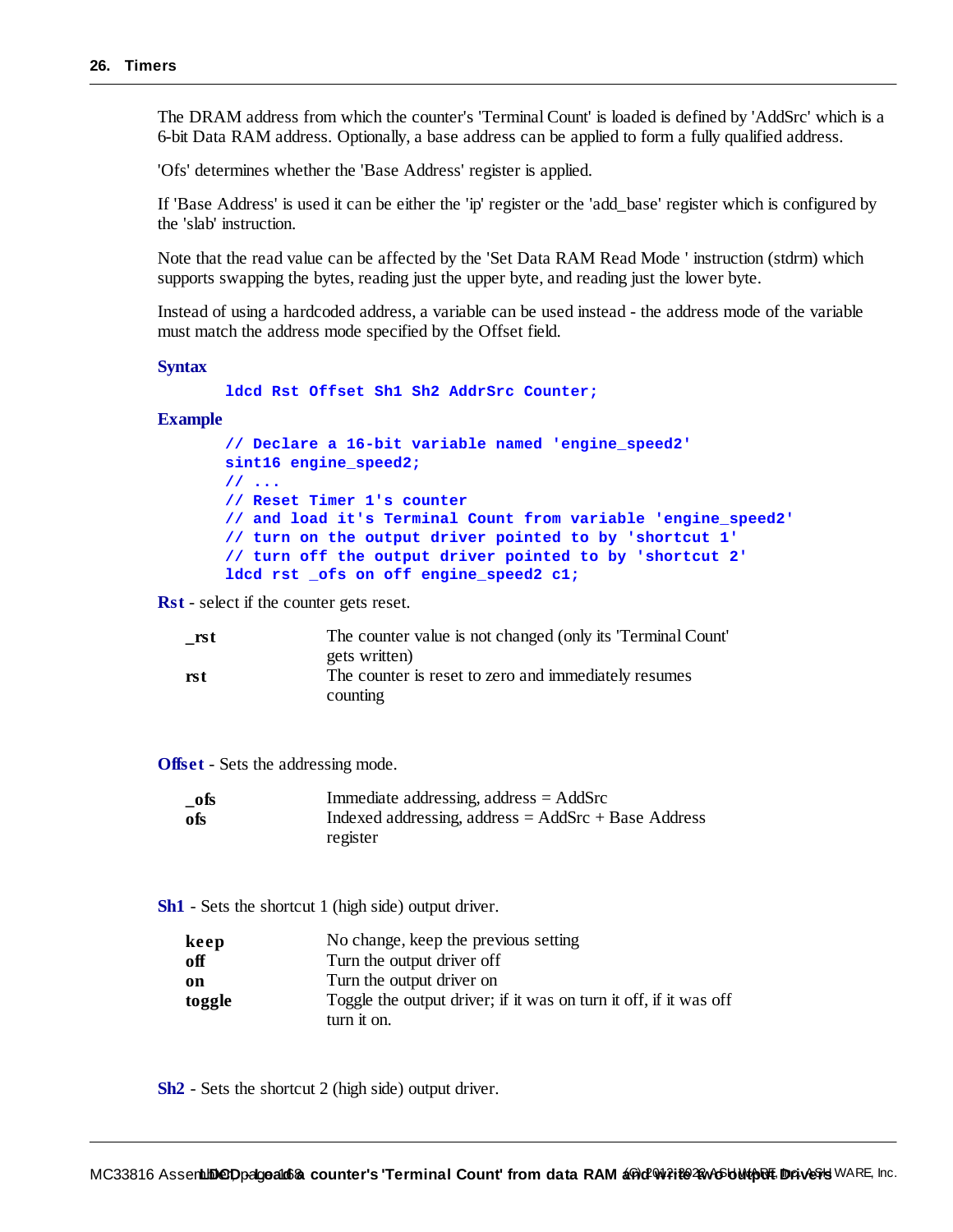The DRAM address from which the counter's 'Terminal Count' is loaded is defined by 'AddSrc' which is a 6-bit Data RAM address. Optionally, a base address can be applied to form a fully qualified address.

'Ofs' determines whether the 'Base Address' register is applied.

If 'Base Address' is used it can be either the 'ip' register or the 'add\_base' register which is configured by the 'slab' instruction.

Note that the read value can be affected by the 'Set Data RAM Read Mode ' instruction (stdrm) which supports swapping the bytes, reading just the upper byte, and reading just the lower byte.

Instead of using a hardcoded address, a variable can be used instead - the address mode of the variable must match the address mode specified by the Offset field.

**Syntax**

**ldcd Rst Offset Sh1 Sh2 AddrSrc Counter;**

#### **Example**

**// Declare a 16-bit variable named 'engine\_speed2' sint16 engine\_speed2; // ... // Reset Timer 1's counter // and load it's Terminal Count from variable 'engine\_speed2' // turn on the output driver pointed to by 'shortcut 1' // turn off the output driver pointed to by 'shortcut 2' ldcd rst \_ofs on off engine\_speed2 c1;**

**Rst** - select if the counter gets reset.

| rst | The counter value is not changed (only its 'Terminal Count' |
|-----|-------------------------------------------------------------|
|     | gets written)                                               |
| rst | The counter is reset to zero and immediately resumes        |
|     | counting                                                    |

**Offset** - Sets the addressing mode.

| _ofs | Immediate addressing, address $=$ AddSrc              |
|------|-------------------------------------------------------|
| ofs  | Indexed addressing, address = $AddSrc + Base Address$ |
|      | register                                              |

**Sh1** - Sets the shortcut 1 (high side) output driver.

| keep   | No change, keep the previous setting                              |
|--------|-------------------------------------------------------------------|
| off    | Turn the output driver off                                        |
| on     | Turn the output driver on                                         |
| toggle | Toggle the output driver; if it was on turn it off, if it was off |
|        | turn it on.                                                       |

**Sh2** - Sets the shortcut 2 (high side) output driver.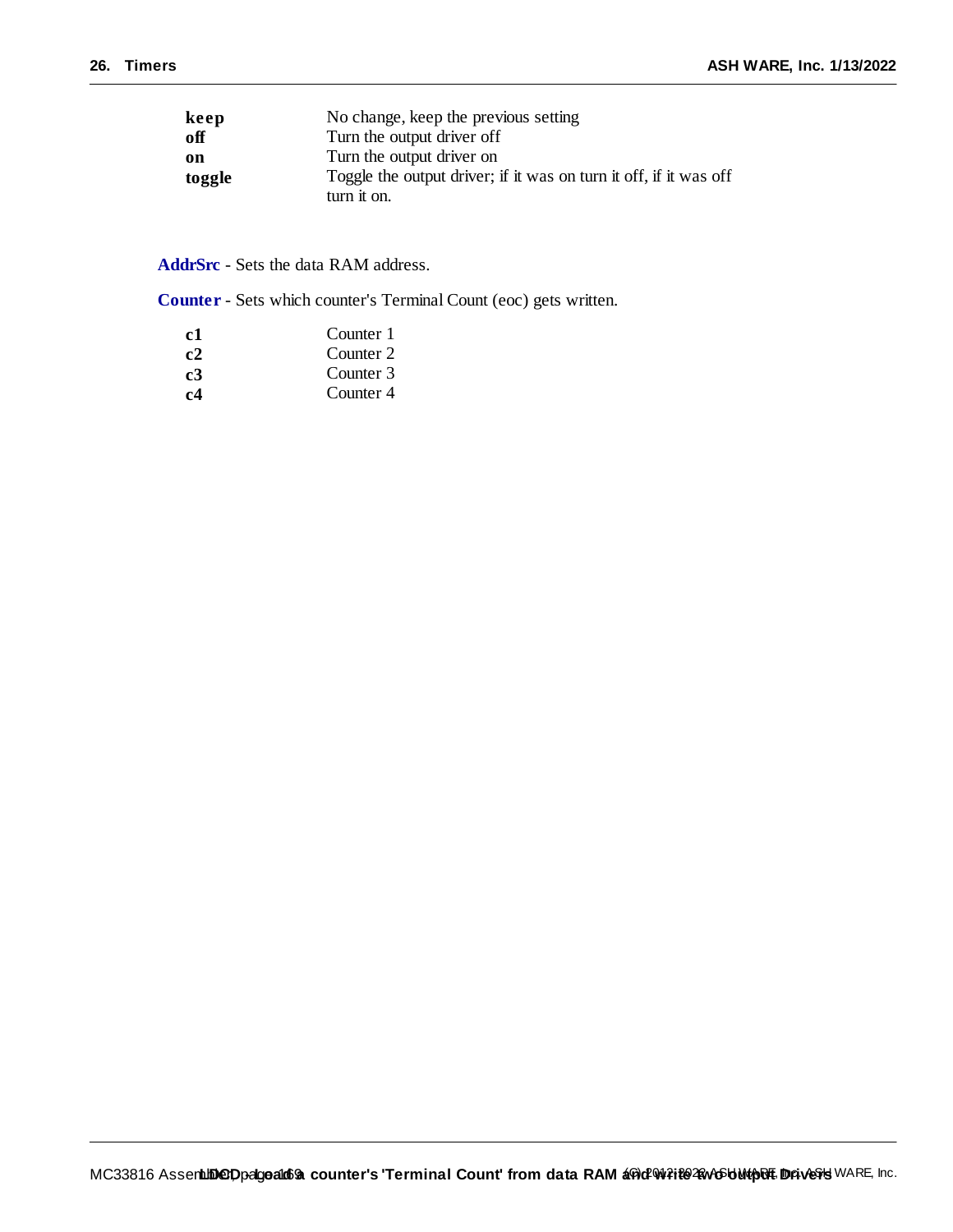| keep   | No change, keep the previous setting                              |
|--------|-------------------------------------------------------------------|
| off    | Turn the output driver off                                        |
| on     | Turn the output driver on                                         |
| toggle | Toggle the output driver; if it was on turn it off, if it was off |
|        | turn it on.                                                       |

**AddrSrc** - Sets the data RAM address.

**Counter** - Sets which counter's Terminal Count (eoc) gets written.

| -c1            | Counter 1 |
|----------------|-----------|
| c2             | Counter 2 |
| c <sub>3</sub> | Counter 3 |
| c4             | Counter 4 |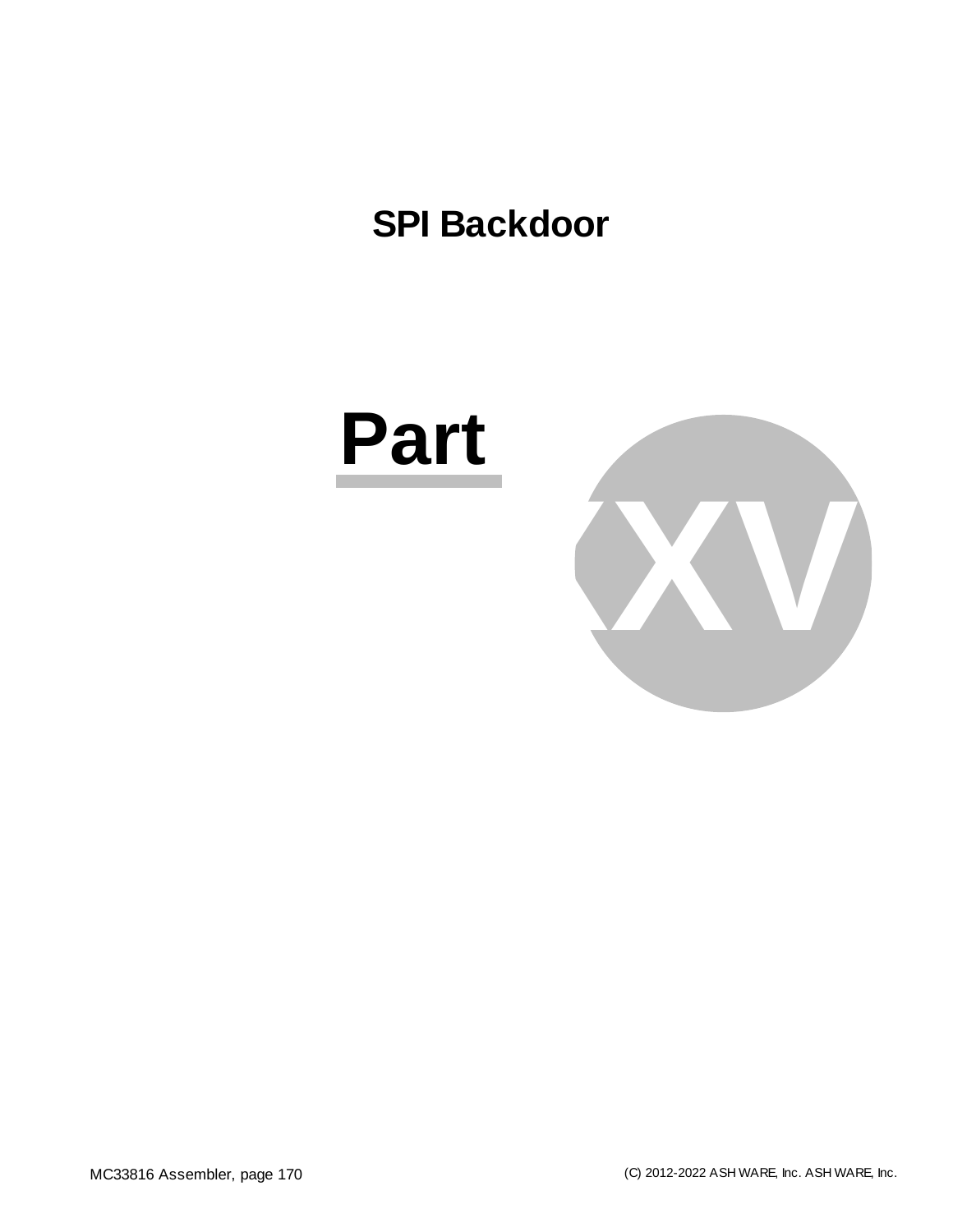# **SPI Backdoor**

# **Part**

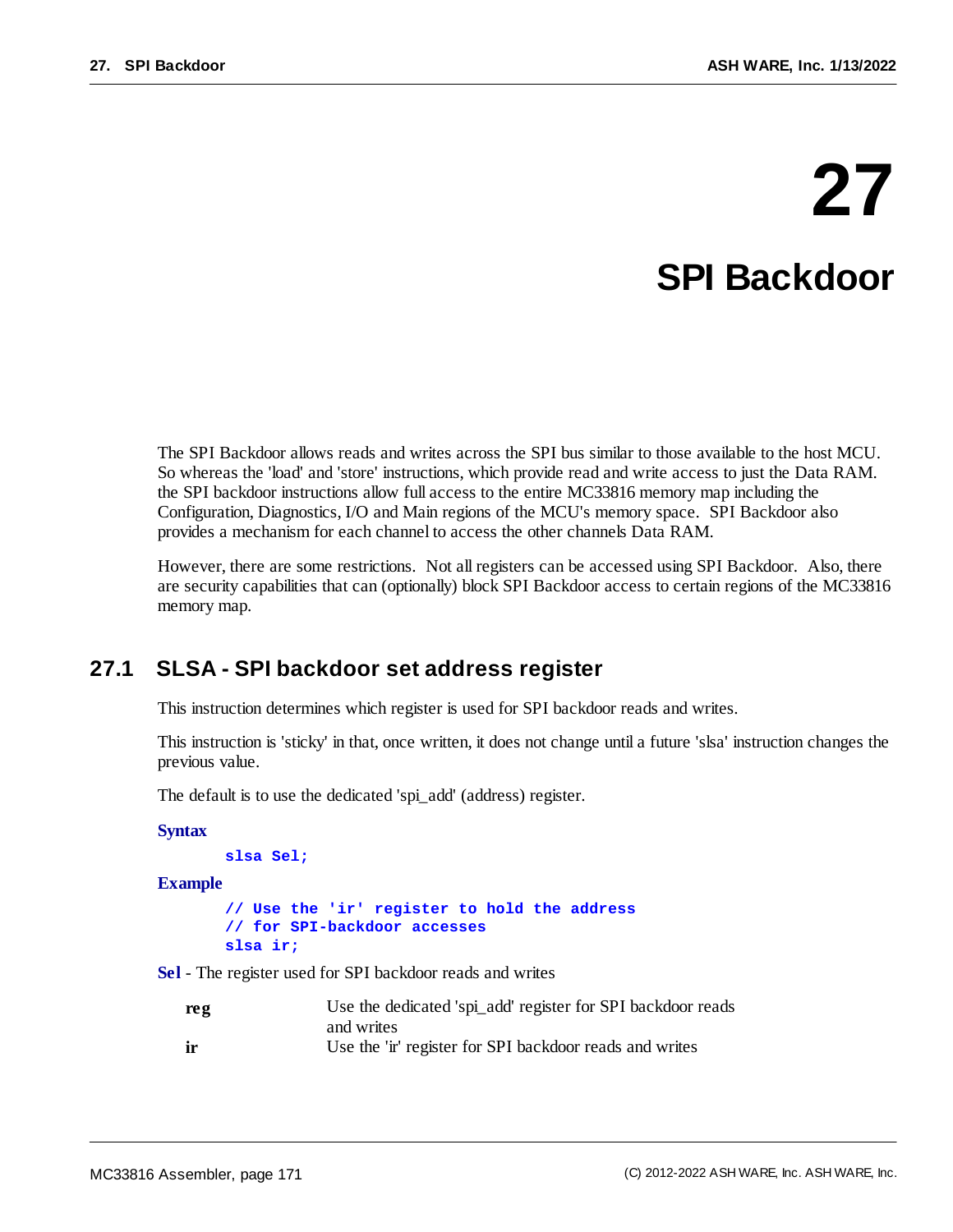# **27 SPI Backdoor**

The SPI Backdoor allows reads and writes across the SPI bus similar to those available to the host MCU. So whereas the 'load' and 'store' instructions, which provide read and write access to just the Data RAM. the SPI backdoor instructions allow full access to the entire MC33816 memory map including the Configuration, Diagnostics, I/O and Main regions of the MCU's memory space. SPI Backdoor also provides a mechanism for each channel to access the other channels Data RAM.

However, there are some restrictions. Not all registers can be accessed using SPI Backdoor. Also, there are security capabilities that can (optionally) block SPI Backdoor access to certain regions of the MC33816 memory map.

## **27.1 SLSA - SPI backdoor set address register**

This instruction determines which register is used for SPI backdoor reads and writes.

This instruction is 'sticky' in that, once written, it does not change until a future 'slsa' instruction changes the previous value.

The default is to use the dedicated 'spi\_add' (address) register.

**Syntax**

```
slsa Sel;
```
**Example**

```
// Use the 'ir' register to hold the address
// for SPI-backdoor accesses
slsa ir;
```
**Sel** - The register used for SPI backdoor reads and writes

| reg | Use the dedicated 'spi_add' register for SPI backdoor reads |
|-----|-------------------------------------------------------------|
|     | and writes                                                  |
| ir  | Use the 'ir' register for SPI backdoor reads and writes     |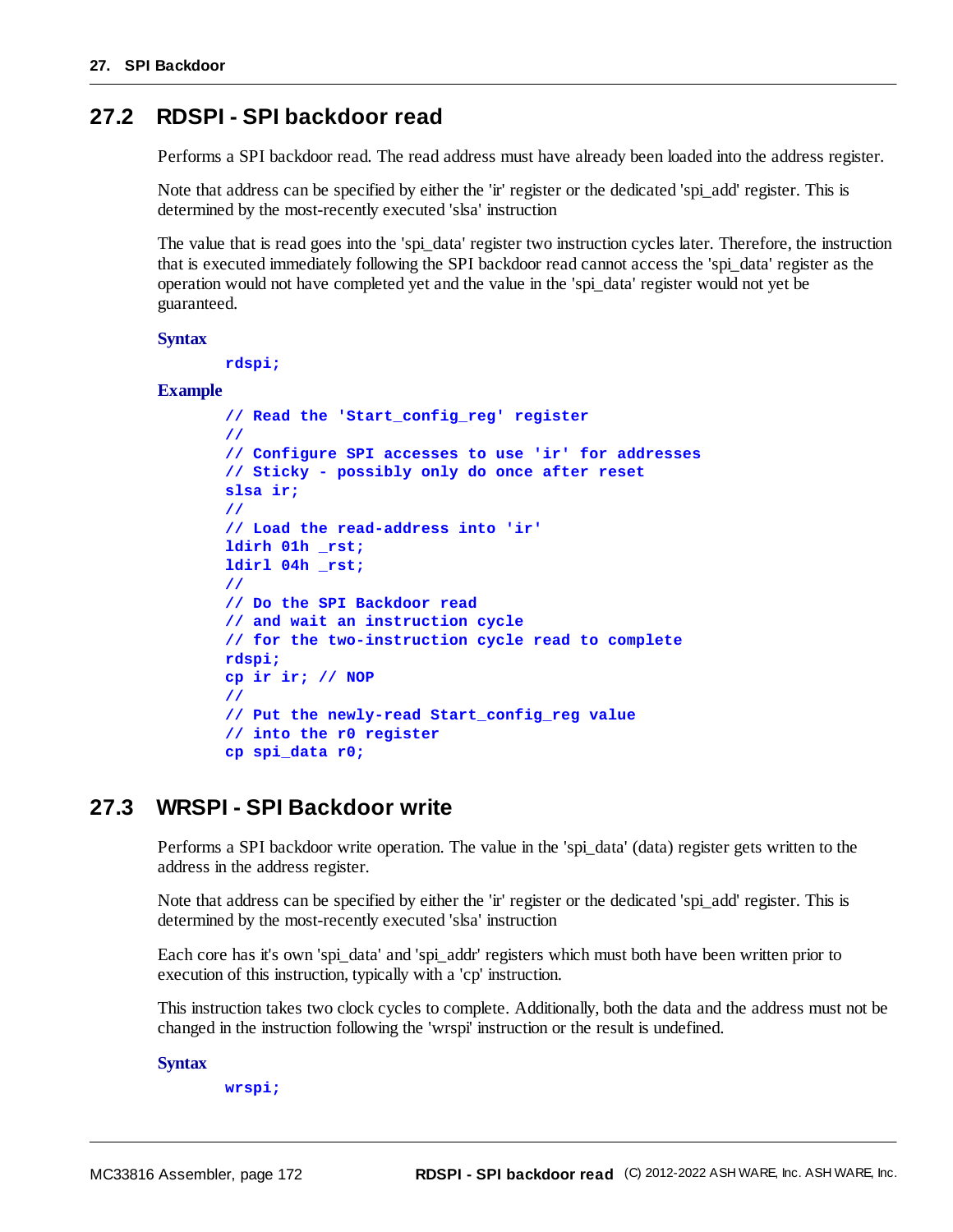### **27.2 RDSPI - SPI backdoor read**

Performs a SPI backdoor read. The read address must have already been loaded into the address register.

Note that address can be specified by either the 'ir' register or the dedicated 'spi\_add' register. This is determined by the most-recently executed 'slsa' instruction

The value that is read goes into the 'spi\_data' register two instruction cycles later. Therefore, the instruction that is executed immediately following the SPI backdoor read cannot access the 'spi\_data' register as the operation would not have completed yet and the value in the 'spi\_data' register would not yet be guaranteed.

#### **Syntax**

```
rdspi;
```
#### **Example**

```
// Read the 'Start_config_reg' register
//
// Configure SPI accesses to use 'ir' for addresses
// Sticky - possibly only do once after reset
slsa ir;
//
// Load the read-address into 'ir'
ldirh 01h _rst;
ldirl 04h _rst;
//
// Do the SPI Backdoor read
// and wait an instruction cycle
// for the two-instruction cycle read to complete
rdspi;
cp ir ir; // NOP
//
// Put the newly-read Start_config_reg value
// into the r0 register
cp spi_data r0;
```
### **27.3 WRSPI - SPI Backdoor write**

Performs a SPI backdoor write operation. The value in the 'spi\_data' (data) register gets written to the address in the address register.

Note that address can be specified by either the 'ir' register or the dedicated 'spi\_add' register. This is determined by the most-recently executed 'slsa' instruction

Each core has it's own 'spi\_data' and 'spi\_addr' registers which must both have been written prior to execution of this instruction, typically with a 'cp' instruction.

This instruction takes two clock cycles to complete. Additionally, both the data and the address must not be changed in the instruction following the 'wrspi' instruction or the result is undefined.

#### **Syntax**

**wrspi;**